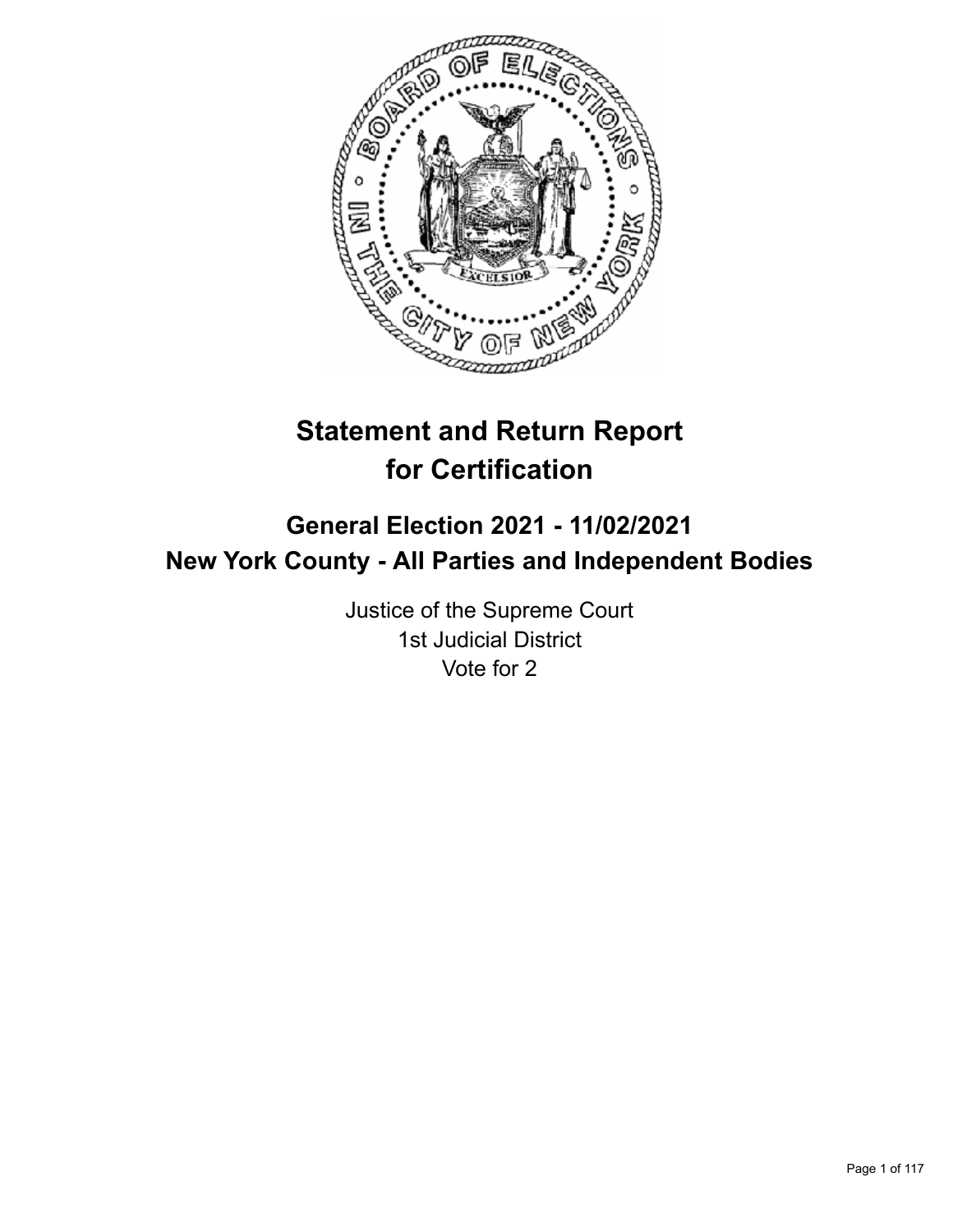

# **Statement and Return Report for Certification**

## **General Election 2021 - 11/02/2021 New York County - All Parties and Independent Bodies**

Justice of the Supreme Court 1st Judicial District Vote for 2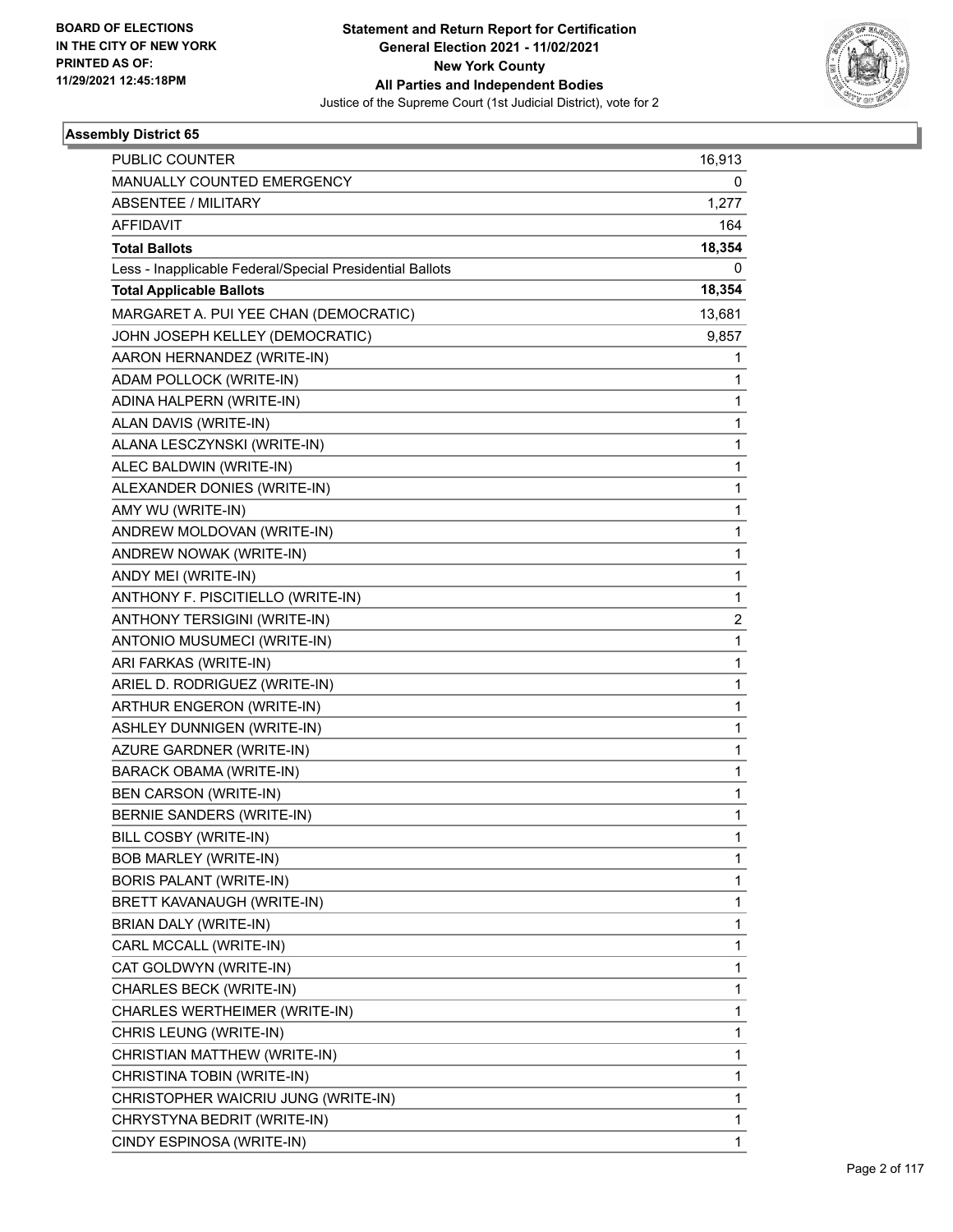

| <b>PUBLIC COUNTER</b>                                    | 16,913       |
|----------------------------------------------------------|--------------|
| MANUALLY COUNTED EMERGENCY                               | 0            |
| <b>ABSENTEE / MILITARY</b>                               | 1,277        |
| <b>AFFIDAVIT</b>                                         | 164          |
| <b>Total Ballots</b>                                     | 18,354       |
| Less - Inapplicable Federal/Special Presidential Ballots | 0            |
| <b>Total Applicable Ballots</b>                          | 18,354       |
| MARGARET A. PUI YEE CHAN (DEMOCRATIC)                    | 13,681       |
| JOHN JOSEPH KELLEY (DEMOCRATIC)                          | 9,857        |
| AARON HERNANDEZ (WRITE-IN)                               | 1            |
| ADAM POLLOCK (WRITE-IN)                                  | 1            |
| ADINA HALPERN (WRITE-IN)                                 | 1            |
| ALAN DAVIS (WRITE-IN)                                    | 1            |
| ALANA LESCZYNSKI (WRITE-IN)                              | 1            |
| ALEC BALDWIN (WRITE-IN)                                  | 1            |
| ALEXANDER DONIES (WRITE-IN)                              | 1            |
| AMY WU (WRITE-IN)                                        | 1            |
| ANDREW MOLDOVAN (WRITE-IN)                               | 1            |
| ANDREW NOWAK (WRITE-IN)                                  | 1            |
| ANDY MEI (WRITE-IN)                                      | $\mathbf{1}$ |
| ANTHONY F. PISCITIELLO (WRITE-IN)                        | 1            |
| ANTHONY TERSIGINI (WRITE-IN)                             | 2            |
| ANTONIO MUSUMECI (WRITE-IN)                              | $\mathbf{1}$ |
| ARI FARKAS (WRITE-IN)                                    | 1            |
| ARIEL D. RODRIGUEZ (WRITE-IN)                            | 1            |
| ARTHUR ENGERON (WRITE-IN)                                | 1            |
| ASHLEY DUNNIGEN (WRITE-IN)                               | 1            |
| AZURE GARDNER (WRITE-IN)                                 | 1            |
| BARACK OBAMA (WRITE-IN)                                  | 1            |
| <b>BEN CARSON (WRITE-IN)</b>                             | 1            |
| <b>BERNIE SANDERS (WRITE-IN)</b>                         | 1            |
| BILL COSBY (WRITE-IN)                                    | 1            |
| <b>BOB MARLEY (WRITE-IN)</b>                             | 1            |
| BORIS PALANT (WRITE-IN)                                  | 1            |
| BRETT KAVANAUGH (WRITE-IN)                               | 1            |
| BRIAN DALY (WRITE-IN)                                    | 1            |
| CARL MCCALL (WRITE-IN)                                   | 1            |
| CAT GOLDWYN (WRITE-IN)                                   | 1            |
| CHARLES BECK (WRITE-IN)                                  | 1            |
| CHARLES WERTHEIMER (WRITE-IN)                            | 1            |
| CHRIS LEUNG (WRITE-IN)                                   | 1            |
| CHRISTIAN MATTHEW (WRITE-IN)                             | 1            |
| CHRISTINA TOBIN (WRITE-IN)                               | 1            |
| CHRISTOPHER WAICRIU JUNG (WRITE-IN)                      | 1            |
| CHRYSTYNA BEDRIT (WRITE-IN)                              | 1            |
| CINDY ESPINOSA (WRITE-IN)                                | 1            |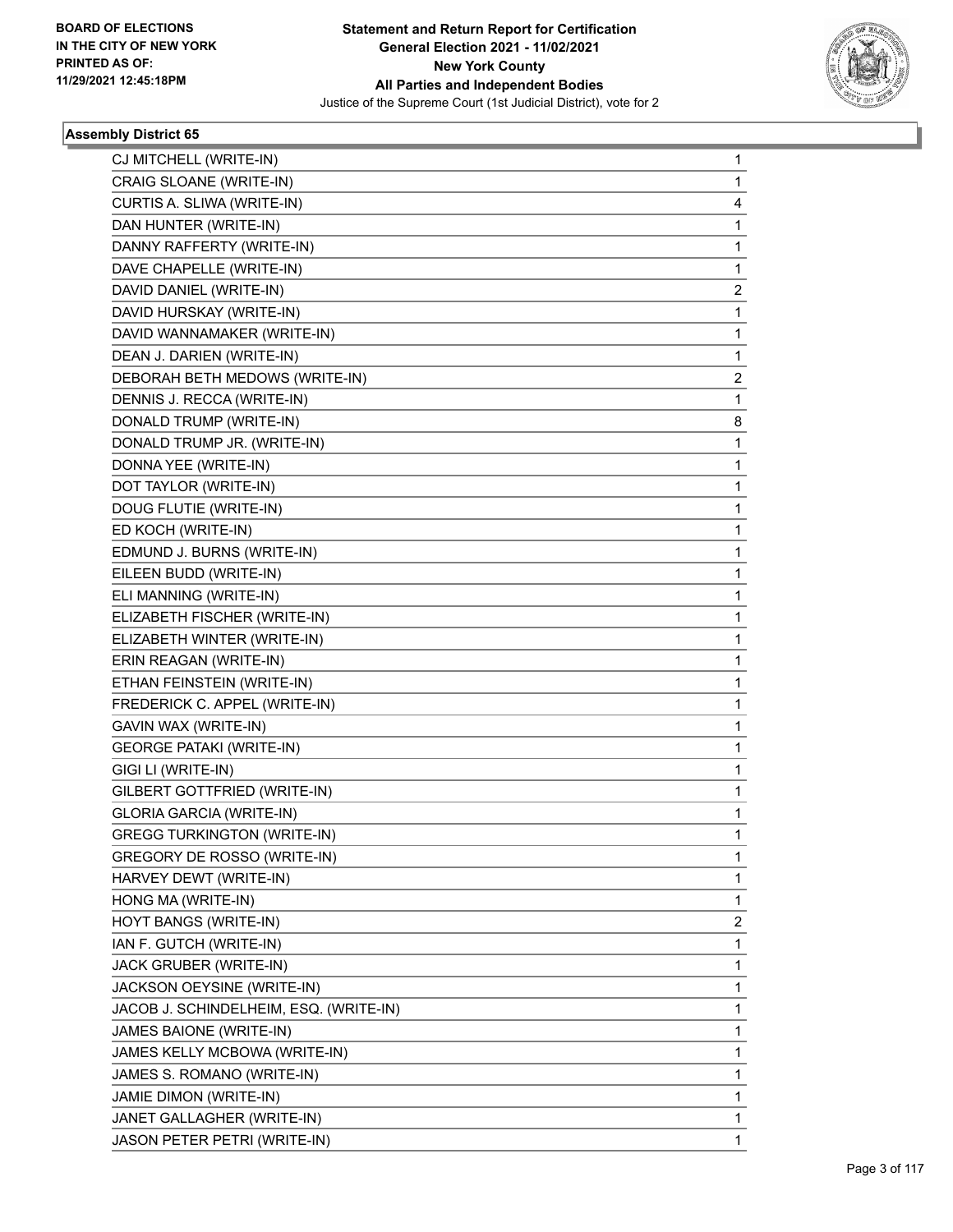

| CJ MITCHELL (WRITE-IN)                 | 1 |
|----------------------------------------|---|
| CRAIG SLOANE (WRITE-IN)                | 1 |
| CURTIS A. SLIWA (WRITE-IN)             | 4 |
| DAN HUNTER (WRITE-IN)                  | 1 |
| DANNY RAFFERTY (WRITE-IN)              | 1 |
| DAVE CHAPELLE (WRITE-IN)               | 1 |
| DAVID DANIEL (WRITE-IN)                | 2 |
| DAVID HURSKAY (WRITE-IN)               | 1 |
| DAVID WANNAMAKER (WRITE-IN)            | 1 |
| DEAN J. DARIEN (WRITE-IN)              | 1 |
| DEBORAH BETH MEDOWS (WRITE-IN)         | 2 |
| DENNIS J. RECCA (WRITE-IN)             | 1 |
| DONALD TRUMP (WRITE-IN)                | 8 |
| DONALD TRUMP JR. (WRITE-IN)            | 1 |
| DONNA YEE (WRITE-IN)                   | 1 |
| DOT TAYLOR (WRITE-IN)                  | 1 |
| DOUG FLUTIE (WRITE-IN)                 | 1 |
| ED KOCH (WRITE-IN)                     | 1 |
| EDMUND J. BURNS (WRITE-IN)             | 1 |
| EILEEN BUDD (WRITE-IN)                 | 1 |
| ELI MANNING (WRITE-IN)                 | 1 |
| ELIZABETH FISCHER (WRITE-IN)           | 1 |
| ELIZABETH WINTER (WRITE-IN)            | 1 |
| ERIN REAGAN (WRITE-IN)                 | 1 |
| ETHAN FEINSTEIN (WRITE-IN)             | 1 |
| FREDERICK C. APPEL (WRITE-IN)          | 1 |
| GAVIN WAX (WRITE-IN)                   | 1 |
| <b>GEORGE PATAKI (WRITE-IN)</b>        | 1 |
| GIGI LI (WRITE-IN)                     | 1 |
| GILBERT GOTTFRIED (WRITE-IN)           | 1 |
| <b>GLORIA GARCIA (WRITE-IN)</b>        | 1 |
| <b>GREGG TURKINGTON (WRITE-IN)</b>     | 1 |
| GREGORY DE ROSSO (WRITE-IN)            | 1 |
| HARVEY DEWT (WRITE-IN)                 | 1 |
| HONG MA (WRITE-IN)                     | 1 |
| HOYT BANGS (WRITE-IN)                  | 2 |
| IAN F. GUTCH (WRITE-IN)                | 1 |
| JACK GRUBER (WRITE-IN)                 | 1 |
| JACKSON OEYSINE (WRITE-IN)             | 1 |
| JACOB J. SCHINDELHEIM, ESQ. (WRITE-IN) | 1 |
| JAMES BAIONE (WRITE-IN)                | 1 |
| JAMES KELLY MCBOWA (WRITE-IN)          | 1 |
| JAMES S. ROMANO (WRITE-IN)             | 1 |
| JAMIE DIMON (WRITE-IN)                 | 1 |
| JANET GALLAGHER (WRITE-IN)             | 1 |
| JASON PETER PETRI (WRITE-IN)           | 1 |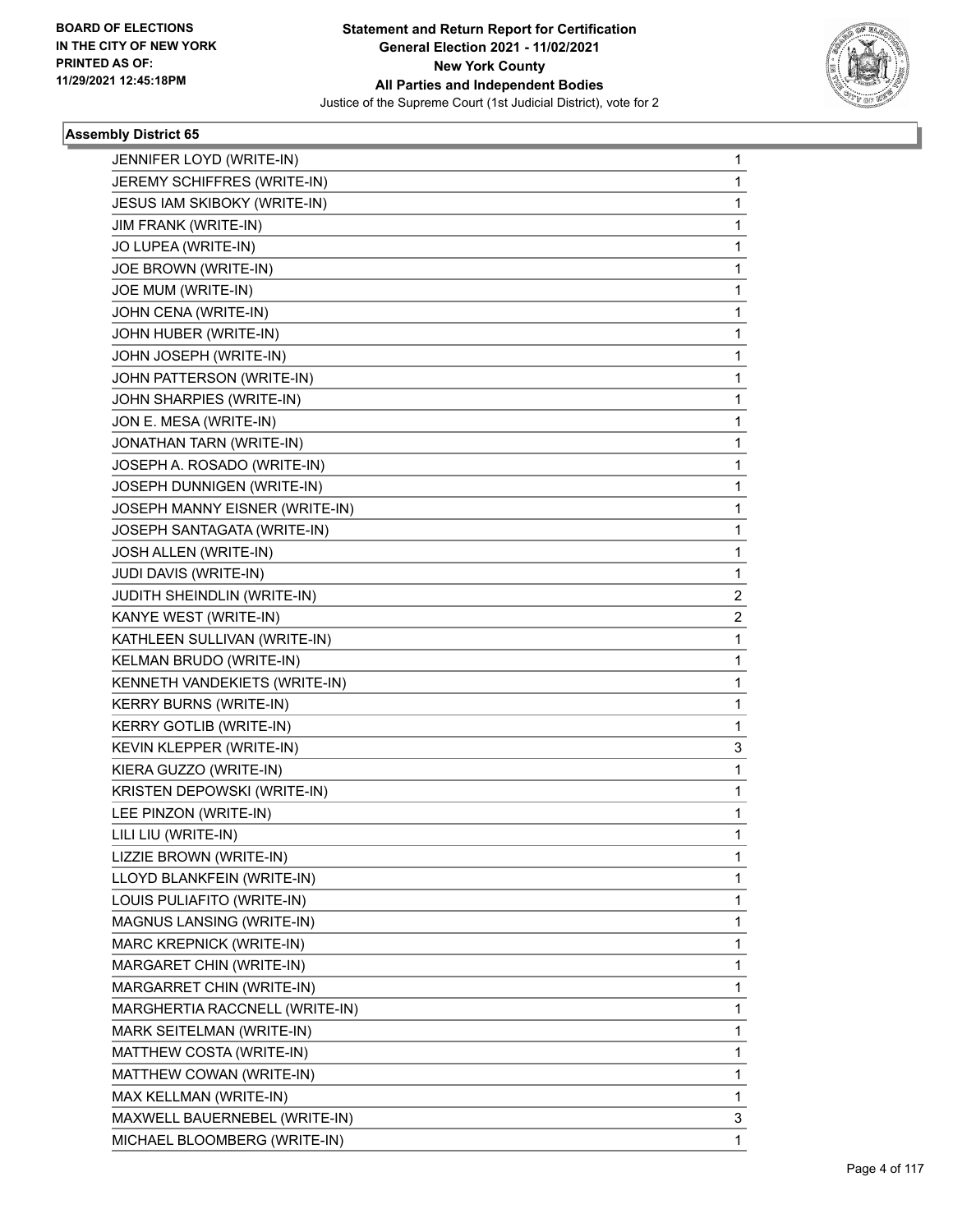

| JENNIFER LOYD (WRITE-IN)       | 1            |
|--------------------------------|--------------|
| JEREMY SCHIFFRES (WRITE-IN)    | 1            |
| JESUS IAM SKIBOKY (WRITE-IN)   | 1            |
| <b>JIM FRANK (WRITE-IN)</b>    | 1            |
| JO LUPEA (WRITE-IN)            | 1            |
| JOE BROWN (WRITE-IN)           | 1            |
| JOE MUM (WRITE-IN)             | 1            |
| JOHN CENA (WRITE-IN)           | 1            |
| JOHN HUBER (WRITE-IN)          | 1            |
| JOHN JOSEPH (WRITE-IN)         | 1            |
| JOHN PATTERSON (WRITE-IN)      | 1            |
| JOHN SHARPIES (WRITE-IN)       | 1            |
| JON E. MESA (WRITE-IN)         | 1            |
| JONATHAN TARN (WRITE-IN)       | 1            |
| JOSEPH A. ROSADO (WRITE-IN)    | 1            |
| JOSEPH DUNNIGEN (WRITE-IN)     | 1            |
| JOSEPH MANNY EISNER (WRITE-IN) | 1            |
| JOSEPH SANTAGATA (WRITE-IN)    | 1            |
| JOSH ALLEN (WRITE-IN)          | 1            |
| JUDI DAVIS (WRITE-IN)          | 1            |
| JUDITH SHEINDLIN (WRITE-IN)    | 2            |
| KANYE WEST (WRITE-IN)          | 2            |
| KATHLEEN SULLIVAN (WRITE-IN)   | 1            |
| KELMAN BRUDO (WRITE-IN)        | 1            |
| KENNETH VANDEKIETS (WRITE-IN)  | 1            |
| <b>KERRY BURNS (WRITE-IN)</b>  | 1            |
| <b>KERRY GOTLIB (WRITE-IN)</b> | 1            |
| KEVIN KLEPPER (WRITE-IN)       | 3            |
| KIERA GUZZO (WRITE-IN)         | 1            |
| KRISTEN DEPOWSKI (WRITE-IN)    | $\mathbf{1}$ |
| LEE PINZON (WRITE-IN)          | 1            |
| LILI LIU (WRITE-IN)            | 1            |
| LIZZIE BROWN (WRITE-IN)        | 1            |
| LLOYD BLANKFEIN (WRITE-IN)     | 1            |
| LOUIS PULIAFITO (WRITE-IN)     | 1            |
| MAGNUS LANSING (WRITE-IN)      | 1            |
| MARC KREPNICK (WRITE-IN)       | 1            |
| MARGARET CHIN (WRITE-IN)       | 1            |
| MARGARRET CHIN (WRITE-IN)      | 1            |
| MARGHERTIA RACCNELL (WRITE-IN) | 1            |
| MARK SEITELMAN (WRITE-IN)      | 1            |
| MATTHEW COSTA (WRITE-IN)       | 1            |
| MATTHEW COWAN (WRITE-IN)       | 1            |
| MAX KELLMAN (WRITE-IN)         | 1            |
| MAXWELL BAUERNEBEL (WRITE-IN)  | 3            |
| MICHAEL BLOOMBERG (WRITE-IN)   | 1            |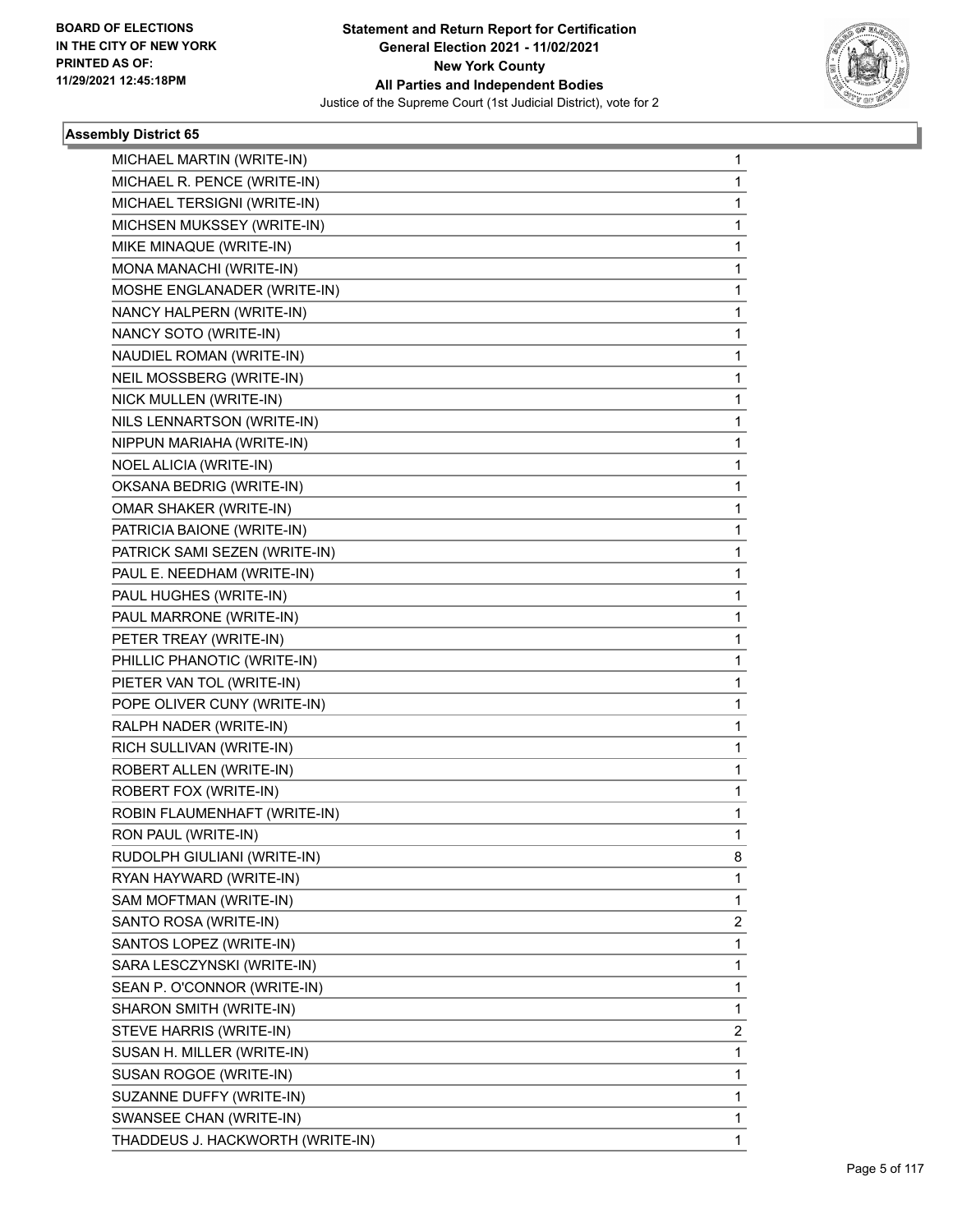

| MICHAEL MARTIN (WRITE-IN)<br>MICHAEL R. PENCE (WRITE-IN)<br>MICHAEL TERSIGNI (WRITE-IN)<br>MICHSEN MUKSSEY (WRITE-IN)<br>MIKE MINAQUE (WRITE-IN)<br>MONA MANACHI (WRITE-IN)<br>MOSHE ENGLANADER (WRITE-IN)<br>NANCY HALPERN (WRITE-IN)<br>NANCY SOTO (WRITE-IN)<br>NAUDIEL ROMAN (WRITE-IN)<br>NEIL MOSSBERG (WRITE-IN)<br>NICK MULLEN (WRITE-IN)<br>NILS LENNARTSON (WRITE-IN)<br>NIPPUN MARIAHA (WRITE-IN)<br>NOEL ALICIA (WRITE-IN)<br>OKSANA BEDRIG (WRITE-IN)<br>OMAR SHAKER (WRITE-IN)<br>PATRICIA BAIONE (WRITE-IN)<br>PATRICK SAMI SEZEN (WRITE-IN)<br>PAUL E. NEEDHAM (WRITE-IN)<br>PAUL HUGHES (WRITE-IN)<br>PAUL MARRONE (WRITE-IN)<br>PETER TREAY (WRITE-IN)<br>PHILLIC PHANOTIC (WRITE-IN)<br>PIETER VAN TOL (WRITE-IN)<br>POPE OLIVER CUNY (WRITE-IN)<br>RALPH NADER (WRITE-IN)<br>RICH SULLIVAN (WRITE-IN)<br>ROBERT ALLEN (WRITE-IN)<br>ROBERT FOX (WRITE-IN)<br>ROBIN FLAUMENHAFT (WRITE-IN)<br>RON PAUL (WRITE-IN)<br>RUDOLPH GIULIANI (WRITE-IN)<br>RYAN HAYWARD (WRITE-IN)<br>SAM MOFTMAN (WRITE-IN)<br>SANTO ROSA (WRITE-IN)<br>SANTOS LOPEZ (WRITE-IN)<br>SARA LESCZYNSKI (WRITE-IN)<br>SEAN P. O'CONNOR (WRITE-IN)<br>SHARON SMITH (WRITE-IN)<br>STEVE HARRIS (WRITE-IN)<br>SUSAN H. MILLER (WRITE-IN)<br>SUSAN ROGOE (WRITE-IN)<br>SUZANNE DUFFY (WRITE-IN)<br>SWANSEE CHAN (WRITE-IN) |                                  |   |
|----------------------------------------------------------------------------------------------------------------------------------------------------------------------------------------------------------------------------------------------------------------------------------------------------------------------------------------------------------------------------------------------------------------------------------------------------------------------------------------------------------------------------------------------------------------------------------------------------------------------------------------------------------------------------------------------------------------------------------------------------------------------------------------------------------------------------------------------------------------------------------------------------------------------------------------------------------------------------------------------------------------------------------------------------------------------------------------------------------------------------------------------------------------------------------------------------------------------------------------------------------------------------------------------------------------|----------------------------------|---|
|                                                                                                                                                                                                                                                                                                                                                                                                                                                                                                                                                                                                                                                                                                                                                                                                                                                                                                                                                                                                                                                                                                                                                                                                                                                                                                                |                                  | 1 |
|                                                                                                                                                                                                                                                                                                                                                                                                                                                                                                                                                                                                                                                                                                                                                                                                                                                                                                                                                                                                                                                                                                                                                                                                                                                                                                                |                                  | 1 |
|                                                                                                                                                                                                                                                                                                                                                                                                                                                                                                                                                                                                                                                                                                                                                                                                                                                                                                                                                                                                                                                                                                                                                                                                                                                                                                                |                                  | 1 |
|                                                                                                                                                                                                                                                                                                                                                                                                                                                                                                                                                                                                                                                                                                                                                                                                                                                                                                                                                                                                                                                                                                                                                                                                                                                                                                                |                                  | 1 |
|                                                                                                                                                                                                                                                                                                                                                                                                                                                                                                                                                                                                                                                                                                                                                                                                                                                                                                                                                                                                                                                                                                                                                                                                                                                                                                                |                                  | 1 |
|                                                                                                                                                                                                                                                                                                                                                                                                                                                                                                                                                                                                                                                                                                                                                                                                                                                                                                                                                                                                                                                                                                                                                                                                                                                                                                                |                                  | 1 |
|                                                                                                                                                                                                                                                                                                                                                                                                                                                                                                                                                                                                                                                                                                                                                                                                                                                                                                                                                                                                                                                                                                                                                                                                                                                                                                                |                                  | 1 |
|                                                                                                                                                                                                                                                                                                                                                                                                                                                                                                                                                                                                                                                                                                                                                                                                                                                                                                                                                                                                                                                                                                                                                                                                                                                                                                                |                                  | 1 |
|                                                                                                                                                                                                                                                                                                                                                                                                                                                                                                                                                                                                                                                                                                                                                                                                                                                                                                                                                                                                                                                                                                                                                                                                                                                                                                                |                                  | 1 |
|                                                                                                                                                                                                                                                                                                                                                                                                                                                                                                                                                                                                                                                                                                                                                                                                                                                                                                                                                                                                                                                                                                                                                                                                                                                                                                                |                                  | 1 |
|                                                                                                                                                                                                                                                                                                                                                                                                                                                                                                                                                                                                                                                                                                                                                                                                                                                                                                                                                                                                                                                                                                                                                                                                                                                                                                                |                                  | 1 |
|                                                                                                                                                                                                                                                                                                                                                                                                                                                                                                                                                                                                                                                                                                                                                                                                                                                                                                                                                                                                                                                                                                                                                                                                                                                                                                                |                                  | 1 |
|                                                                                                                                                                                                                                                                                                                                                                                                                                                                                                                                                                                                                                                                                                                                                                                                                                                                                                                                                                                                                                                                                                                                                                                                                                                                                                                |                                  | 1 |
|                                                                                                                                                                                                                                                                                                                                                                                                                                                                                                                                                                                                                                                                                                                                                                                                                                                                                                                                                                                                                                                                                                                                                                                                                                                                                                                |                                  | 1 |
|                                                                                                                                                                                                                                                                                                                                                                                                                                                                                                                                                                                                                                                                                                                                                                                                                                                                                                                                                                                                                                                                                                                                                                                                                                                                                                                |                                  | 1 |
|                                                                                                                                                                                                                                                                                                                                                                                                                                                                                                                                                                                                                                                                                                                                                                                                                                                                                                                                                                                                                                                                                                                                                                                                                                                                                                                |                                  | 1 |
|                                                                                                                                                                                                                                                                                                                                                                                                                                                                                                                                                                                                                                                                                                                                                                                                                                                                                                                                                                                                                                                                                                                                                                                                                                                                                                                |                                  | 1 |
|                                                                                                                                                                                                                                                                                                                                                                                                                                                                                                                                                                                                                                                                                                                                                                                                                                                                                                                                                                                                                                                                                                                                                                                                                                                                                                                |                                  | 1 |
|                                                                                                                                                                                                                                                                                                                                                                                                                                                                                                                                                                                                                                                                                                                                                                                                                                                                                                                                                                                                                                                                                                                                                                                                                                                                                                                |                                  | 1 |
|                                                                                                                                                                                                                                                                                                                                                                                                                                                                                                                                                                                                                                                                                                                                                                                                                                                                                                                                                                                                                                                                                                                                                                                                                                                                                                                |                                  | 1 |
|                                                                                                                                                                                                                                                                                                                                                                                                                                                                                                                                                                                                                                                                                                                                                                                                                                                                                                                                                                                                                                                                                                                                                                                                                                                                                                                |                                  | 1 |
|                                                                                                                                                                                                                                                                                                                                                                                                                                                                                                                                                                                                                                                                                                                                                                                                                                                                                                                                                                                                                                                                                                                                                                                                                                                                                                                |                                  | 1 |
|                                                                                                                                                                                                                                                                                                                                                                                                                                                                                                                                                                                                                                                                                                                                                                                                                                                                                                                                                                                                                                                                                                                                                                                                                                                                                                                |                                  | 1 |
|                                                                                                                                                                                                                                                                                                                                                                                                                                                                                                                                                                                                                                                                                                                                                                                                                                                                                                                                                                                                                                                                                                                                                                                                                                                                                                                |                                  | 1 |
|                                                                                                                                                                                                                                                                                                                                                                                                                                                                                                                                                                                                                                                                                                                                                                                                                                                                                                                                                                                                                                                                                                                                                                                                                                                                                                                |                                  | 1 |
|                                                                                                                                                                                                                                                                                                                                                                                                                                                                                                                                                                                                                                                                                                                                                                                                                                                                                                                                                                                                                                                                                                                                                                                                                                                                                                                |                                  | 1 |
|                                                                                                                                                                                                                                                                                                                                                                                                                                                                                                                                                                                                                                                                                                                                                                                                                                                                                                                                                                                                                                                                                                                                                                                                                                                                                                                |                                  | 1 |
|                                                                                                                                                                                                                                                                                                                                                                                                                                                                                                                                                                                                                                                                                                                                                                                                                                                                                                                                                                                                                                                                                                                                                                                                                                                                                                                |                                  | 1 |
|                                                                                                                                                                                                                                                                                                                                                                                                                                                                                                                                                                                                                                                                                                                                                                                                                                                                                                                                                                                                                                                                                                                                                                                                                                                                                                                |                                  | 1 |
|                                                                                                                                                                                                                                                                                                                                                                                                                                                                                                                                                                                                                                                                                                                                                                                                                                                                                                                                                                                                                                                                                                                                                                                                                                                                                                                |                                  | 1 |
|                                                                                                                                                                                                                                                                                                                                                                                                                                                                                                                                                                                                                                                                                                                                                                                                                                                                                                                                                                                                                                                                                                                                                                                                                                                                                                                |                                  | 1 |
|                                                                                                                                                                                                                                                                                                                                                                                                                                                                                                                                                                                                                                                                                                                                                                                                                                                                                                                                                                                                                                                                                                                                                                                                                                                                                                                |                                  | 1 |
|                                                                                                                                                                                                                                                                                                                                                                                                                                                                                                                                                                                                                                                                                                                                                                                                                                                                                                                                                                                                                                                                                                                                                                                                                                                                                                                |                                  | 8 |
|                                                                                                                                                                                                                                                                                                                                                                                                                                                                                                                                                                                                                                                                                                                                                                                                                                                                                                                                                                                                                                                                                                                                                                                                                                                                                                                |                                  | 1 |
|                                                                                                                                                                                                                                                                                                                                                                                                                                                                                                                                                                                                                                                                                                                                                                                                                                                                                                                                                                                                                                                                                                                                                                                                                                                                                                                |                                  | 1 |
|                                                                                                                                                                                                                                                                                                                                                                                                                                                                                                                                                                                                                                                                                                                                                                                                                                                                                                                                                                                                                                                                                                                                                                                                                                                                                                                |                                  | 2 |
|                                                                                                                                                                                                                                                                                                                                                                                                                                                                                                                                                                                                                                                                                                                                                                                                                                                                                                                                                                                                                                                                                                                                                                                                                                                                                                                |                                  | 1 |
|                                                                                                                                                                                                                                                                                                                                                                                                                                                                                                                                                                                                                                                                                                                                                                                                                                                                                                                                                                                                                                                                                                                                                                                                                                                                                                                |                                  | 1 |
|                                                                                                                                                                                                                                                                                                                                                                                                                                                                                                                                                                                                                                                                                                                                                                                                                                                                                                                                                                                                                                                                                                                                                                                                                                                                                                                |                                  | 1 |
|                                                                                                                                                                                                                                                                                                                                                                                                                                                                                                                                                                                                                                                                                                                                                                                                                                                                                                                                                                                                                                                                                                                                                                                                                                                                                                                |                                  | 1 |
|                                                                                                                                                                                                                                                                                                                                                                                                                                                                                                                                                                                                                                                                                                                                                                                                                                                                                                                                                                                                                                                                                                                                                                                                                                                                                                                |                                  | 2 |
|                                                                                                                                                                                                                                                                                                                                                                                                                                                                                                                                                                                                                                                                                                                                                                                                                                                                                                                                                                                                                                                                                                                                                                                                                                                                                                                |                                  | 1 |
|                                                                                                                                                                                                                                                                                                                                                                                                                                                                                                                                                                                                                                                                                                                                                                                                                                                                                                                                                                                                                                                                                                                                                                                                                                                                                                                |                                  | 1 |
|                                                                                                                                                                                                                                                                                                                                                                                                                                                                                                                                                                                                                                                                                                                                                                                                                                                                                                                                                                                                                                                                                                                                                                                                                                                                                                                |                                  | 1 |
|                                                                                                                                                                                                                                                                                                                                                                                                                                                                                                                                                                                                                                                                                                                                                                                                                                                                                                                                                                                                                                                                                                                                                                                                                                                                                                                |                                  | 1 |
|                                                                                                                                                                                                                                                                                                                                                                                                                                                                                                                                                                                                                                                                                                                                                                                                                                                                                                                                                                                                                                                                                                                                                                                                                                                                                                                | THADDEUS J. HACKWORTH (WRITE-IN) | 1 |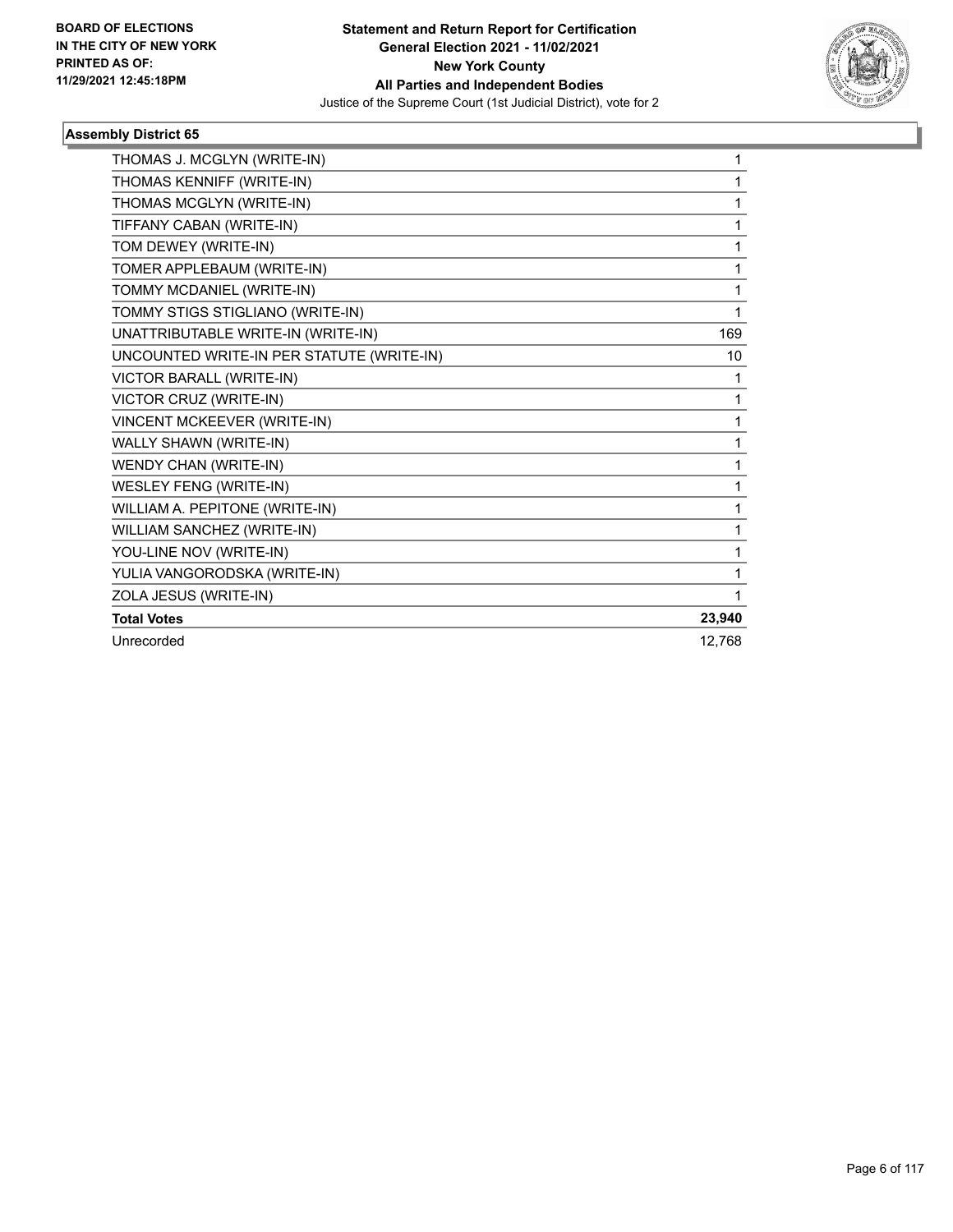

| THOMAS J. MCGLYN (WRITE-IN)               | 1      |
|-------------------------------------------|--------|
| THOMAS KENNIFF (WRITE-IN)                 | 1      |
| THOMAS MCGLYN (WRITE-IN)                  | 1      |
| TIFFANY CABAN (WRITE-IN)                  | 1      |
| TOM DEWEY (WRITE-IN)                      | 1      |
| TOMER APPLEBAUM (WRITE-IN)                | 1      |
| TOMMY MCDANIEL (WRITE-IN)                 | 1      |
| TOMMY STIGS STIGLIANO (WRITE-IN)          | 1      |
| UNATTRIBUTABLE WRITE-IN (WRITE-IN)        | 169    |
| UNCOUNTED WRITE-IN PER STATUTE (WRITE-IN) | 10     |
| VICTOR BARALL (WRITE-IN)                  | 1      |
| VICTOR CRUZ (WRITE-IN)                    | 1      |
| VINCENT MCKEEVER (WRITE-IN)               | 1      |
| WALLY SHAWN (WRITE-IN)                    | 1      |
| WENDY CHAN (WRITE-IN)                     | 1      |
| <b>WESLEY FENG (WRITE-IN)</b>             | 1      |
| WILLIAM A. PEPITONE (WRITE-IN)            | 1      |
| WILLIAM SANCHEZ (WRITE-IN)                | 1      |
| YOU-LINE NOV (WRITE-IN)                   | 1      |
| YULIA VANGORODSKA (WRITE-IN)              | 1      |
| ZOLA JESUS (WRITE-IN)                     | 1      |
| <b>Total Votes</b>                        | 23,940 |
| Unrecorded                                | 12,768 |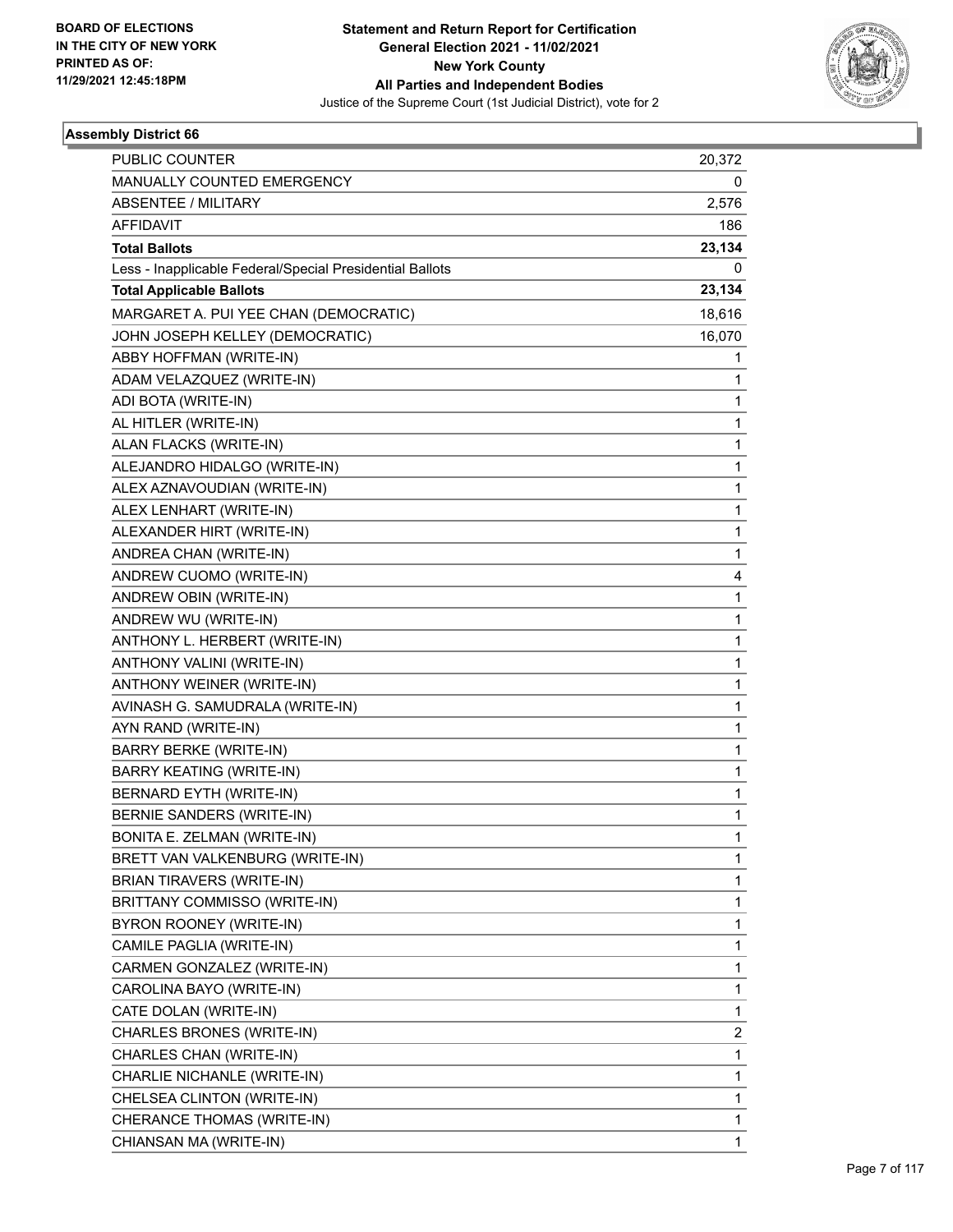

| <b>PUBLIC COUNTER</b>                                    | 20,372 |
|----------------------------------------------------------|--------|
| MANUALLY COUNTED EMERGENCY                               | 0      |
| <b>ABSENTEE / MILITARY</b>                               | 2,576  |
| <b>AFFIDAVIT</b>                                         | 186    |
| <b>Total Ballots</b>                                     | 23,134 |
| Less - Inapplicable Federal/Special Presidential Ballots | 0      |
| <b>Total Applicable Ballots</b>                          | 23,134 |
| MARGARET A. PUI YEE CHAN (DEMOCRATIC)                    | 18,616 |
| JOHN JOSEPH KELLEY (DEMOCRATIC)                          | 16,070 |
| ABBY HOFFMAN (WRITE-IN)                                  | 1      |
| ADAM VELAZQUEZ (WRITE-IN)                                | 1      |
| ADI BOTA (WRITE-IN)                                      | 1      |
| AL HITLER (WRITE-IN)                                     | 1      |
| ALAN FLACKS (WRITE-IN)                                   | 1      |
| ALEJANDRO HIDALGO (WRITE-IN)                             | 1      |
| ALEX AZNAVOUDIAN (WRITE-IN)                              | 1      |
| ALEX LENHART (WRITE-IN)                                  | 1      |
| ALEXANDER HIRT (WRITE-IN)                                | 1      |
| ANDREA CHAN (WRITE-IN)                                   | 1      |
| ANDREW CUOMO (WRITE-IN)                                  | 4      |
| ANDREW OBIN (WRITE-IN)                                   | 1      |
| ANDREW WU (WRITE-IN)                                     | 1      |
| ANTHONY L. HERBERT (WRITE-IN)                            | 1      |
| ANTHONY VALINI (WRITE-IN)                                | 1      |
| ANTHONY WEINER (WRITE-IN)                                | 1      |
| AVINASH G. SAMUDRALA (WRITE-IN)                          | 1      |
| AYN RAND (WRITE-IN)                                      | 1      |
| <b>BARRY BERKE (WRITE-IN)</b>                            | 1      |
| <b>BARRY KEATING (WRITE-IN)</b>                          | 1      |
| BERNARD EYTH (WRITE-IN)                                  | 1      |
| <b>BERNIE SANDERS (WRITE-IN)</b>                         | 1      |
| BONITA E. ZELMAN (WRITE-IN)                              | 1      |
| BRETT VAN VALKENBURG (WRITE-IN)                          | 1      |
| <b>BRIAN TIRAVERS (WRITE-IN)</b>                         | 1      |
| BRITTANY COMMISSO (WRITE-IN)                             | 1      |
| BYRON ROONEY (WRITE-IN)                                  | 1      |
| CAMILE PAGLIA (WRITE-IN)                                 | 1      |
| CARMEN GONZALEZ (WRITE-IN)                               | 1      |
| CAROLINA BAYO (WRITE-IN)                                 | 1      |
| CATE DOLAN (WRITE-IN)                                    | 1      |
| CHARLES BRONES (WRITE-IN)                                | 2      |
| CHARLES CHAN (WRITE-IN)                                  | 1      |
| CHARLIE NICHANLE (WRITE-IN)                              | 1      |
| CHELSEA CLINTON (WRITE-IN)                               | 1      |
| CHERANCE THOMAS (WRITE-IN)                               | 1      |
| CHIANSAN MA (WRITE-IN)                                   | 1      |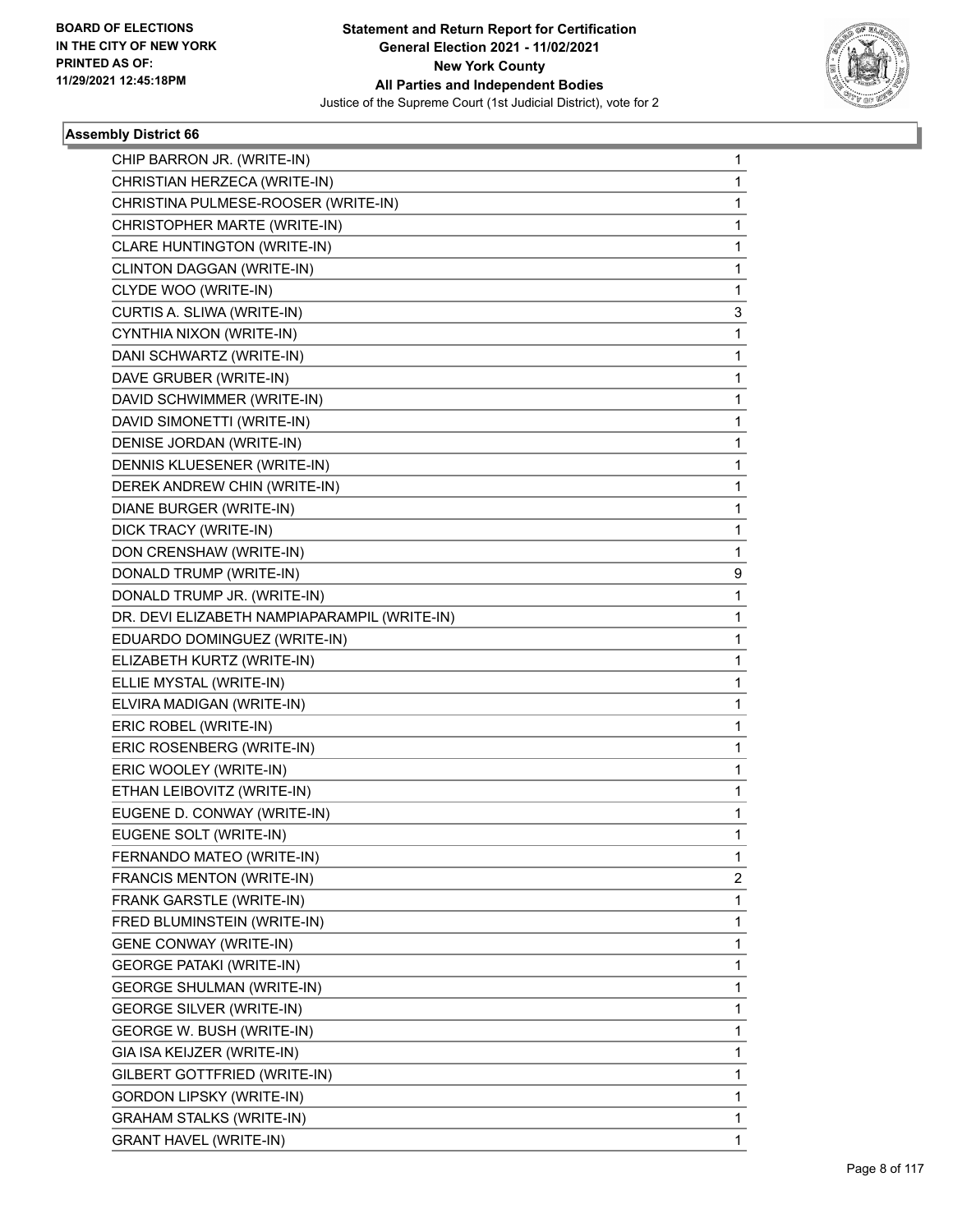

| CHIP BARRON JR. (WRITE-IN)<br>CHRISTIAN HERZECA (WRITE-IN)<br>CHRISTINA PULMESE-ROOSER (WRITE-IN)<br>CHRISTOPHER MARTE (WRITE-IN)<br>CLARE HUNTINGTON (WRITE-IN)<br>CLINTON DAGGAN (WRITE-IN)<br>CLYDE WOO (WRITE-IN)<br>CURTIS A. SLIWA (WRITE-IN)<br>CYNTHIA NIXON (WRITE-IN)<br>DANI SCHWARTZ (WRITE-IN)<br>DAVE GRUBER (WRITE-IN)<br>DAVID SCHWIMMER (WRITE-IN)<br>DAVID SIMONETTI (WRITE-IN)<br>DENISE JORDAN (WRITE-IN)<br>DENNIS KLUESENER (WRITE-IN)<br>DEREK ANDREW CHIN (WRITE-IN)<br>DIANE BURGER (WRITE-IN)<br>DICK TRACY (WRITE-IN)<br>DON CRENSHAW (WRITE-IN)<br>DONALD TRUMP (WRITE-IN)<br>DONALD TRUMP JR. (WRITE-IN)<br>DR. DEVI ELIZABETH NAMPIAPARAMPIL (WRITE-IN)<br>EDUARDO DOMINGUEZ (WRITE-IN)<br>ELIZABETH KURTZ (WRITE-IN)<br>ELLIE MYSTAL (WRITE-IN)<br>ELVIRA MADIGAN (WRITE-IN)<br>ERIC ROBEL (WRITE-IN)<br>ERIC ROSENBERG (WRITE-IN)<br>ERIC WOOLEY (WRITE-IN)<br>ETHAN LEIBOVITZ (WRITE-IN)<br>EUGENE D. CONWAY (WRITE-IN)<br>EUGENE SOLT (WRITE-IN)<br>FERNANDO MATEO (WRITE-IN)<br>FRANCIS MENTON (WRITE-IN)<br>FRANK GARSTLE (WRITE-IN)<br>FRED BLUMINSTEIN (WRITE-IN)<br><b>GENE CONWAY (WRITE-IN)</b><br><b>GEORGE PATAKI (WRITE-IN)</b><br><b>GEORGE SHULMAN (WRITE-IN)</b><br><b>GEORGE SILVER (WRITE-IN)</b><br>GEORGE W. BUSH (WRITE-IN)<br>GIA ISA KEIJZER (WRITE-IN)<br>GILBERT GOTTFRIED (WRITE-IN)<br><b>GORDON LIPSKY (WRITE-IN)</b><br><b>GRAHAM STALKS (WRITE-IN)</b> |                               |   |
|---------------------------------------------------------------------------------------------------------------------------------------------------------------------------------------------------------------------------------------------------------------------------------------------------------------------------------------------------------------------------------------------------------------------------------------------------------------------------------------------------------------------------------------------------------------------------------------------------------------------------------------------------------------------------------------------------------------------------------------------------------------------------------------------------------------------------------------------------------------------------------------------------------------------------------------------------------------------------------------------------------------------------------------------------------------------------------------------------------------------------------------------------------------------------------------------------------------------------------------------------------------------------------------------------------------------------------------------------------------------------------------------------------------------|-------------------------------|---|
|                                                                                                                                                                                                                                                                                                                                                                                                                                                                                                                                                                                                                                                                                                                                                                                                                                                                                                                                                                                                                                                                                                                                                                                                                                                                                                                                                                                                                     |                               | 1 |
|                                                                                                                                                                                                                                                                                                                                                                                                                                                                                                                                                                                                                                                                                                                                                                                                                                                                                                                                                                                                                                                                                                                                                                                                                                                                                                                                                                                                                     |                               | 1 |
|                                                                                                                                                                                                                                                                                                                                                                                                                                                                                                                                                                                                                                                                                                                                                                                                                                                                                                                                                                                                                                                                                                                                                                                                                                                                                                                                                                                                                     |                               | 1 |
|                                                                                                                                                                                                                                                                                                                                                                                                                                                                                                                                                                                                                                                                                                                                                                                                                                                                                                                                                                                                                                                                                                                                                                                                                                                                                                                                                                                                                     |                               | 1 |
|                                                                                                                                                                                                                                                                                                                                                                                                                                                                                                                                                                                                                                                                                                                                                                                                                                                                                                                                                                                                                                                                                                                                                                                                                                                                                                                                                                                                                     |                               | 1 |
|                                                                                                                                                                                                                                                                                                                                                                                                                                                                                                                                                                                                                                                                                                                                                                                                                                                                                                                                                                                                                                                                                                                                                                                                                                                                                                                                                                                                                     |                               | 1 |
|                                                                                                                                                                                                                                                                                                                                                                                                                                                                                                                                                                                                                                                                                                                                                                                                                                                                                                                                                                                                                                                                                                                                                                                                                                                                                                                                                                                                                     |                               | 1 |
|                                                                                                                                                                                                                                                                                                                                                                                                                                                                                                                                                                                                                                                                                                                                                                                                                                                                                                                                                                                                                                                                                                                                                                                                                                                                                                                                                                                                                     |                               | 3 |
|                                                                                                                                                                                                                                                                                                                                                                                                                                                                                                                                                                                                                                                                                                                                                                                                                                                                                                                                                                                                                                                                                                                                                                                                                                                                                                                                                                                                                     |                               | 1 |
|                                                                                                                                                                                                                                                                                                                                                                                                                                                                                                                                                                                                                                                                                                                                                                                                                                                                                                                                                                                                                                                                                                                                                                                                                                                                                                                                                                                                                     |                               | 1 |
|                                                                                                                                                                                                                                                                                                                                                                                                                                                                                                                                                                                                                                                                                                                                                                                                                                                                                                                                                                                                                                                                                                                                                                                                                                                                                                                                                                                                                     |                               | 1 |
|                                                                                                                                                                                                                                                                                                                                                                                                                                                                                                                                                                                                                                                                                                                                                                                                                                                                                                                                                                                                                                                                                                                                                                                                                                                                                                                                                                                                                     |                               | 1 |
|                                                                                                                                                                                                                                                                                                                                                                                                                                                                                                                                                                                                                                                                                                                                                                                                                                                                                                                                                                                                                                                                                                                                                                                                                                                                                                                                                                                                                     |                               | 1 |
|                                                                                                                                                                                                                                                                                                                                                                                                                                                                                                                                                                                                                                                                                                                                                                                                                                                                                                                                                                                                                                                                                                                                                                                                                                                                                                                                                                                                                     |                               | 1 |
|                                                                                                                                                                                                                                                                                                                                                                                                                                                                                                                                                                                                                                                                                                                                                                                                                                                                                                                                                                                                                                                                                                                                                                                                                                                                                                                                                                                                                     |                               | 1 |
|                                                                                                                                                                                                                                                                                                                                                                                                                                                                                                                                                                                                                                                                                                                                                                                                                                                                                                                                                                                                                                                                                                                                                                                                                                                                                                                                                                                                                     |                               | 1 |
|                                                                                                                                                                                                                                                                                                                                                                                                                                                                                                                                                                                                                                                                                                                                                                                                                                                                                                                                                                                                                                                                                                                                                                                                                                                                                                                                                                                                                     |                               | 1 |
|                                                                                                                                                                                                                                                                                                                                                                                                                                                                                                                                                                                                                                                                                                                                                                                                                                                                                                                                                                                                                                                                                                                                                                                                                                                                                                                                                                                                                     |                               | 1 |
|                                                                                                                                                                                                                                                                                                                                                                                                                                                                                                                                                                                                                                                                                                                                                                                                                                                                                                                                                                                                                                                                                                                                                                                                                                                                                                                                                                                                                     |                               | 1 |
|                                                                                                                                                                                                                                                                                                                                                                                                                                                                                                                                                                                                                                                                                                                                                                                                                                                                                                                                                                                                                                                                                                                                                                                                                                                                                                                                                                                                                     |                               | 9 |
|                                                                                                                                                                                                                                                                                                                                                                                                                                                                                                                                                                                                                                                                                                                                                                                                                                                                                                                                                                                                                                                                                                                                                                                                                                                                                                                                                                                                                     |                               | 1 |
|                                                                                                                                                                                                                                                                                                                                                                                                                                                                                                                                                                                                                                                                                                                                                                                                                                                                                                                                                                                                                                                                                                                                                                                                                                                                                                                                                                                                                     |                               | 1 |
|                                                                                                                                                                                                                                                                                                                                                                                                                                                                                                                                                                                                                                                                                                                                                                                                                                                                                                                                                                                                                                                                                                                                                                                                                                                                                                                                                                                                                     |                               | 1 |
|                                                                                                                                                                                                                                                                                                                                                                                                                                                                                                                                                                                                                                                                                                                                                                                                                                                                                                                                                                                                                                                                                                                                                                                                                                                                                                                                                                                                                     |                               | 1 |
|                                                                                                                                                                                                                                                                                                                                                                                                                                                                                                                                                                                                                                                                                                                                                                                                                                                                                                                                                                                                                                                                                                                                                                                                                                                                                                                                                                                                                     |                               | 1 |
|                                                                                                                                                                                                                                                                                                                                                                                                                                                                                                                                                                                                                                                                                                                                                                                                                                                                                                                                                                                                                                                                                                                                                                                                                                                                                                                                                                                                                     |                               | 1 |
|                                                                                                                                                                                                                                                                                                                                                                                                                                                                                                                                                                                                                                                                                                                                                                                                                                                                                                                                                                                                                                                                                                                                                                                                                                                                                                                                                                                                                     |                               | 1 |
|                                                                                                                                                                                                                                                                                                                                                                                                                                                                                                                                                                                                                                                                                                                                                                                                                                                                                                                                                                                                                                                                                                                                                                                                                                                                                                                                                                                                                     |                               | 1 |
|                                                                                                                                                                                                                                                                                                                                                                                                                                                                                                                                                                                                                                                                                                                                                                                                                                                                                                                                                                                                                                                                                                                                                                                                                                                                                                                                                                                                                     |                               | 1 |
|                                                                                                                                                                                                                                                                                                                                                                                                                                                                                                                                                                                                                                                                                                                                                                                                                                                                                                                                                                                                                                                                                                                                                                                                                                                                                                                                                                                                                     |                               | 1 |
|                                                                                                                                                                                                                                                                                                                                                                                                                                                                                                                                                                                                                                                                                                                                                                                                                                                                                                                                                                                                                                                                                                                                                                                                                                                                                                                                                                                                                     |                               | 1 |
|                                                                                                                                                                                                                                                                                                                                                                                                                                                                                                                                                                                                                                                                                                                                                                                                                                                                                                                                                                                                                                                                                                                                                                                                                                                                                                                                                                                                                     |                               | 1 |
|                                                                                                                                                                                                                                                                                                                                                                                                                                                                                                                                                                                                                                                                                                                                                                                                                                                                                                                                                                                                                                                                                                                                                                                                                                                                                                                                                                                                                     |                               | 1 |
|                                                                                                                                                                                                                                                                                                                                                                                                                                                                                                                                                                                                                                                                                                                                                                                                                                                                                                                                                                                                                                                                                                                                                                                                                                                                                                                                                                                                                     |                               | 2 |
|                                                                                                                                                                                                                                                                                                                                                                                                                                                                                                                                                                                                                                                                                                                                                                                                                                                                                                                                                                                                                                                                                                                                                                                                                                                                                                                                                                                                                     |                               | 1 |
|                                                                                                                                                                                                                                                                                                                                                                                                                                                                                                                                                                                                                                                                                                                                                                                                                                                                                                                                                                                                                                                                                                                                                                                                                                                                                                                                                                                                                     |                               | 1 |
|                                                                                                                                                                                                                                                                                                                                                                                                                                                                                                                                                                                                                                                                                                                                                                                                                                                                                                                                                                                                                                                                                                                                                                                                                                                                                                                                                                                                                     |                               | 1 |
|                                                                                                                                                                                                                                                                                                                                                                                                                                                                                                                                                                                                                                                                                                                                                                                                                                                                                                                                                                                                                                                                                                                                                                                                                                                                                                                                                                                                                     |                               | 1 |
|                                                                                                                                                                                                                                                                                                                                                                                                                                                                                                                                                                                                                                                                                                                                                                                                                                                                                                                                                                                                                                                                                                                                                                                                                                                                                                                                                                                                                     |                               | 1 |
|                                                                                                                                                                                                                                                                                                                                                                                                                                                                                                                                                                                                                                                                                                                                                                                                                                                                                                                                                                                                                                                                                                                                                                                                                                                                                                                                                                                                                     |                               | 1 |
|                                                                                                                                                                                                                                                                                                                                                                                                                                                                                                                                                                                                                                                                                                                                                                                                                                                                                                                                                                                                                                                                                                                                                                                                                                                                                                                                                                                                                     |                               | 1 |
|                                                                                                                                                                                                                                                                                                                                                                                                                                                                                                                                                                                                                                                                                                                                                                                                                                                                                                                                                                                                                                                                                                                                                                                                                                                                                                                                                                                                                     |                               | 1 |
|                                                                                                                                                                                                                                                                                                                                                                                                                                                                                                                                                                                                                                                                                                                                                                                                                                                                                                                                                                                                                                                                                                                                                                                                                                                                                                                                                                                                                     |                               | 1 |
|                                                                                                                                                                                                                                                                                                                                                                                                                                                                                                                                                                                                                                                                                                                                                                                                                                                                                                                                                                                                                                                                                                                                                                                                                                                                                                                                                                                                                     |                               | 1 |
|                                                                                                                                                                                                                                                                                                                                                                                                                                                                                                                                                                                                                                                                                                                                                                                                                                                                                                                                                                                                                                                                                                                                                                                                                                                                                                                                                                                                                     |                               | 1 |
|                                                                                                                                                                                                                                                                                                                                                                                                                                                                                                                                                                                                                                                                                                                                                                                                                                                                                                                                                                                                                                                                                                                                                                                                                                                                                                                                                                                                                     | <b>GRANT HAVEL (WRITE-IN)</b> | 1 |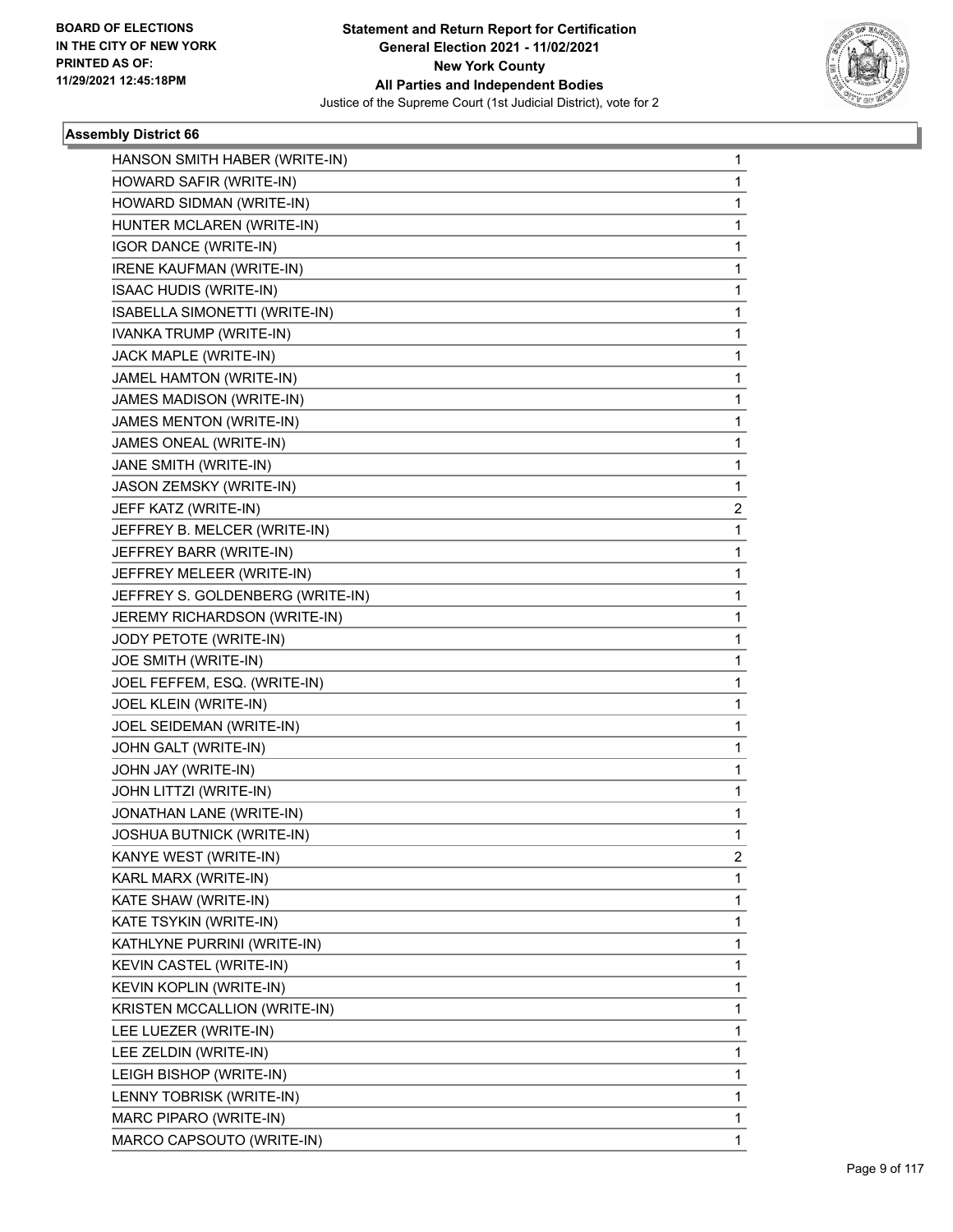

| HANSON SMITH HABER (WRITE-IN)    | 1           |
|----------------------------------|-------------|
| HOWARD SAFIR (WRITE-IN)          | $\mathbf 1$ |
| HOWARD SIDMAN (WRITE-IN)         | 1           |
| HUNTER MCLAREN (WRITE-IN)        | 1           |
| IGOR DANCE (WRITE-IN)            | $\mathbf 1$ |
| IRENE KAUFMAN (WRITE-IN)         | 1           |
| <b>ISAAC HUDIS (WRITE-IN)</b>    | 1           |
| ISABELLA SIMONETTI (WRITE-IN)    | $\mathbf 1$ |
| IVANKA TRUMP (WRITE-IN)          | 1           |
| JACK MAPLE (WRITE-IN)            | 1           |
| JAMEL HAMTON (WRITE-IN)          | 1           |
| JAMES MADISON (WRITE-IN)         | 1           |
| JAMES MENTON (WRITE-IN)          | 1           |
| JAMES ONEAL (WRITE-IN)           | $\mathbf 1$ |
| JANE SMITH (WRITE-IN)            | 1           |
| JASON ZEMSKY (WRITE-IN)          | 1           |
| JEFF KATZ (WRITE-IN)             | 2           |
| JEFFREY B. MELCER (WRITE-IN)     | 1           |
| JEFFREY BARR (WRITE-IN)          | 1           |
| JEFFREY MELEER (WRITE-IN)        | $\mathbf 1$ |
| JEFFREY S. GOLDENBERG (WRITE-IN) | 1           |
| JEREMY RICHARDSON (WRITE-IN)     | 1           |
| JODY PETOTE (WRITE-IN)           | 1           |
| JOE SMITH (WRITE-IN)             | 1           |
| JOEL FEFFEM, ESQ. (WRITE-IN)     | 1           |
| JOEL KLEIN (WRITE-IN)            | $\mathbf 1$ |
| JOEL SEIDEMAN (WRITE-IN)         | 1           |
| JOHN GALT (WRITE-IN)             | 1           |
| JOHN JAY (WRITE-IN)              | 1           |
| JOHN LITTZI (WRITE-IN)           | 1           |
| JONATHAN LANE (WRITE-IN)         | 1           |
| JOSHUA BUTNICK (WRITE-IN)        | $\mathbf 1$ |
| KANYE WEST (WRITE-IN)            | 2           |
| KARL MARX (WRITE-IN)             | 1           |
| KATE SHAW (WRITE-IN)             | $\mathbf 1$ |
| KATE TSYKIN (WRITE-IN)           | 1           |
| KATHLYNE PURRINI (WRITE-IN)      | 1           |
| KEVIN CASTEL (WRITE-IN)          | $\mathbf 1$ |
| <b>KEVIN KOPLIN (WRITE-IN)</b>   | 1           |
| KRISTEN MCCALLION (WRITE-IN)     | 1           |
| LEE LUEZER (WRITE-IN)            | $\mathbf 1$ |
| LEE ZELDIN (WRITE-IN)            | 1           |
| LEIGH BISHOP (WRITE-IN)          | 1           |
| LENNY TOBRISK (WRITE-IN)         | $\mathbf 1$ |
| MARC PIPARO (WRITE-IN)           | 1           |
| MARCO CAPSOUTO (WRITE-IN)        | 1           |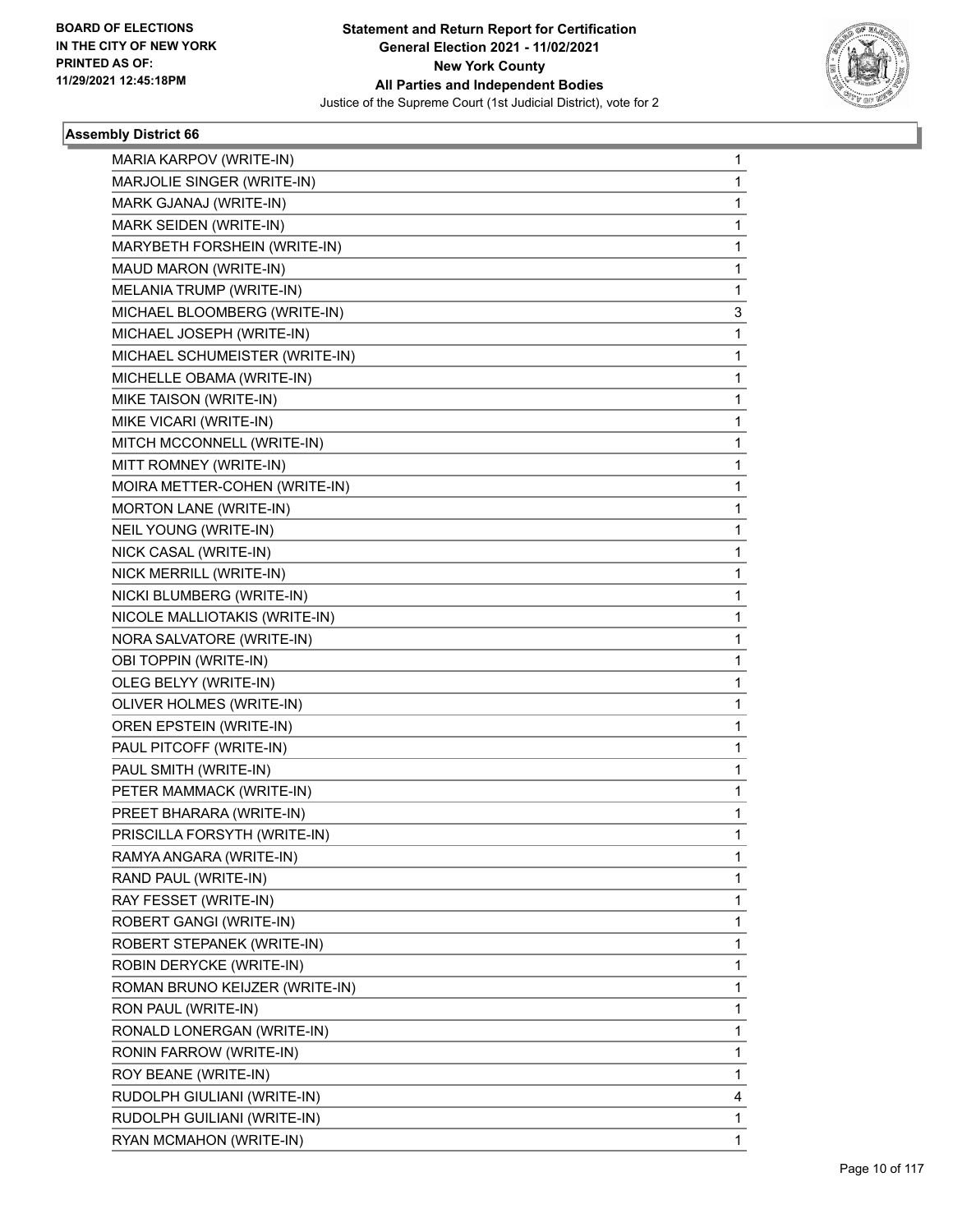

| MARIA KARPOV (WRITE-IN)        | 1           |
|--------------------------------|-------------|
| MARJOLIE SINGER (WRITE-IN)     | 1           |
| MARK GJANAJ (WRITE-IN)         | $\mathbf 1$ |
| MARK SEIDEN (WRITE-IN)         | 1           |
| MARYBETH FORSHEIN (WRITE-IN)   | 1           |
| MAUD MARON (WRITE-IN)          | 1           |
| MELANIA TRUMP (WRITE-IN)       | 1           |
| MICHAEL BLOOMBERG (WRITE-IN)   | 3           |
| MICHAEL JOSEPH (WRITE-IN)      | $\mathbf 1$ |
| MICHAEL SCHUMEISTER (WRITE-IN) | 1           |
| MICHELLE OBAMA (WRITE-IN)      | 1           |
| MIKE TAISON (WRITE-IN)         | 1           |
| MIKE VICARI (WRITE-IN)         | 1           |
| MITCH MCCONNELL (WRITE-IN)     | 1           |
| MITT ROMNEY (WRITE-IN)         | $\mathbf 1$ |
| MOIRA METTER-COHEN (WRITE-IN)  | 1           |
| <b>MORTON LANE (WRITE-IN)</b>  | 1           |
| NEIL YOUNG (WRITE-IN)          | 1           |
| NICK CASAL (WRITE-IN)          | 1           |
| NICK MERRILL (WRITE-IN)        | 1           |
| NICKI BLUMBERG (WRITE-IN)      | $\mathbf 1$ |
| NICOLE MALLIOTAKIS (WRITE-IN)  | 1           |
| NORA SALVATORE (WRITE-IN)      | 1           |
| OBI TOPPIN (WRITE-IN)          | 1           |
| OLEG BELYY (WRITE-IN)          | 1           |
| OLIVER HOLMES (WRITE-IN)       | 1           |
| OREN EPSTEIN (WRITE-IN)        | $\mathbf 1$ |
| PAUL PITCOFF (WRITE-IN)        | 1           |
| PAUL SMITH (WRITE-IN)          | 1           |
| PETER MAMMACK (WRITE-IN)       | 1           |
| PREET BHARARA (WRITE-IN)       | 1           |
| PRISCILLA FORSYTH (WRITE-IN)   | 1           |
| RAMYA ANGARA (WRITE-IN)        | 1           |
| RAND PAUL (WRITE-IN)           | 1           |
| RAY FESSET (WRITE-IN)          | 1           |
| ROBERT GANGI (WRITE-IN)        | $\mathbf 1$ |
| ROBERT STEPANEK (WRITE-IN)     | 1           |
| ROBIN DERYCKE (WRITE-IN)       | 1           |
| ROMAN BRUNO KEIJZER (WRITE-IN) | 1           |
| RON PAUL (WRITE-IN)            | 1           |
| RONALD LONERGAN (WRITE-IN)     | 1           |
| RONIN FARROW (WRITE-IN)        | 1           |
| ROY BEANE (WRITE-IN)           | 1           |
| RUDOLPH GIULIANI (WRITE-IN)    | 4           |
| RUDOLPH GUILIANI (WRITE-IN)    | 1           |
| RYAN MCMAHON (WRITE-IN)        | 1           |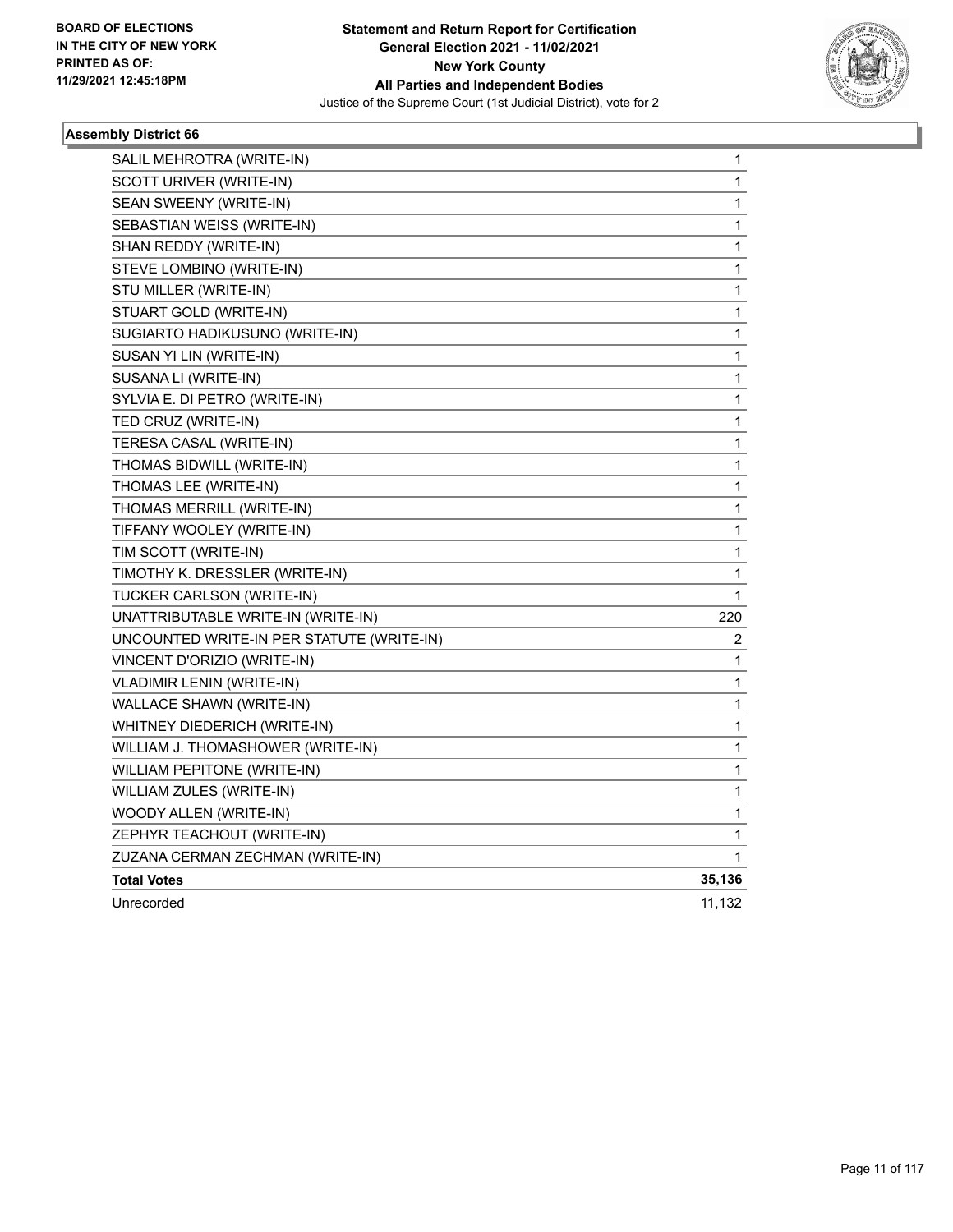

| SALIL MEHROTRA (WRITE-IN)                 | 1            |
|-------------------------------------------|--------------|
| SCOTT URIVER (WRITE-IN)                   | 1            |
| SEAN SWEENY (WRITE-IN)                    | 1            |
| SEBASTIAN WEISS (WRITE-IN)                | 1            |
| SHAN REDDY (WRITE-IN)                     | 1            |
| STEVE LOMBINO (WRITE-IN)                  | 1            |
| STU MILLER (WRITE-IN)                     | 1            |
| STUART GOLD (WRITE-IN)                    | 1            |
| SUGIARTO HADIKUSUNO (WRITE-IN)            | $\mathbf{1}$ |
| SUSAN YI LIN (WRITE-IN)                   | 1            |
| SUSANA LI (WRITE-IN)                      | 1            |
| SYLVIA E. DI PETRO (WRITE-IN)             | 1            |
| TED CRUZ (WRITE-IN)                       | 1            |
| TERESA CASAL (WRITE-IN)                   | 1            |
| THOMAS BIDWILL (WRITE-IN)                 | 1            |
| THOMAS LEE (WRITE-IN)                     | 1            |
| THOMAS MERRILL (WRITE-IN)                 | 1            |
| TIFFANY WOOLEY (WRITE-IN)                 | 1            |
| TIM SCOTT (WRITE-IN)                      | 1            |
| TIMOTHY K. DRESSLER (WRITE-IN)            | 1            |
| TUCKER CARLSON (WRITE-IN)                 | 1            |
| UNATTRIBUTABLE WRITE-IN (WRITE-IN)        | 220          |
| UNCOUNTED WRITE-IN PER STATUTE (WRITE-IN) | 2            |
| VINCENT D'ORIZIO (WRITE-IN)               | 1            |
| <b>VLADIMIR LENIN (WRITE-IN)</b>          | 1            |
| WALLACE SHAWN (WRITE-IN)                  | 1            |
| WHITNEY DIEDERICH (WRITE-IN)              | 1            |
| WILLIAM J. THOMASHOWER (WRITE-IN)         | 1            |
| WILLIAM PEPITONE (WRITE-IN)               | 1            |
| WILLIAM ZULES (WRITE-IN)                  | 1            |
| WOODY ALLEN (WRITE-IN)                    | 1            |
| ZEPHYR TEACHOUT (WRITE-IN)                | 1            |
| ZUZANA CERMAN ZECHMAN (WRITE-IN)          | 1            |
| <b>Total Votes</b>                        | 35,136       |
| Unrecorded                                | 11,132       |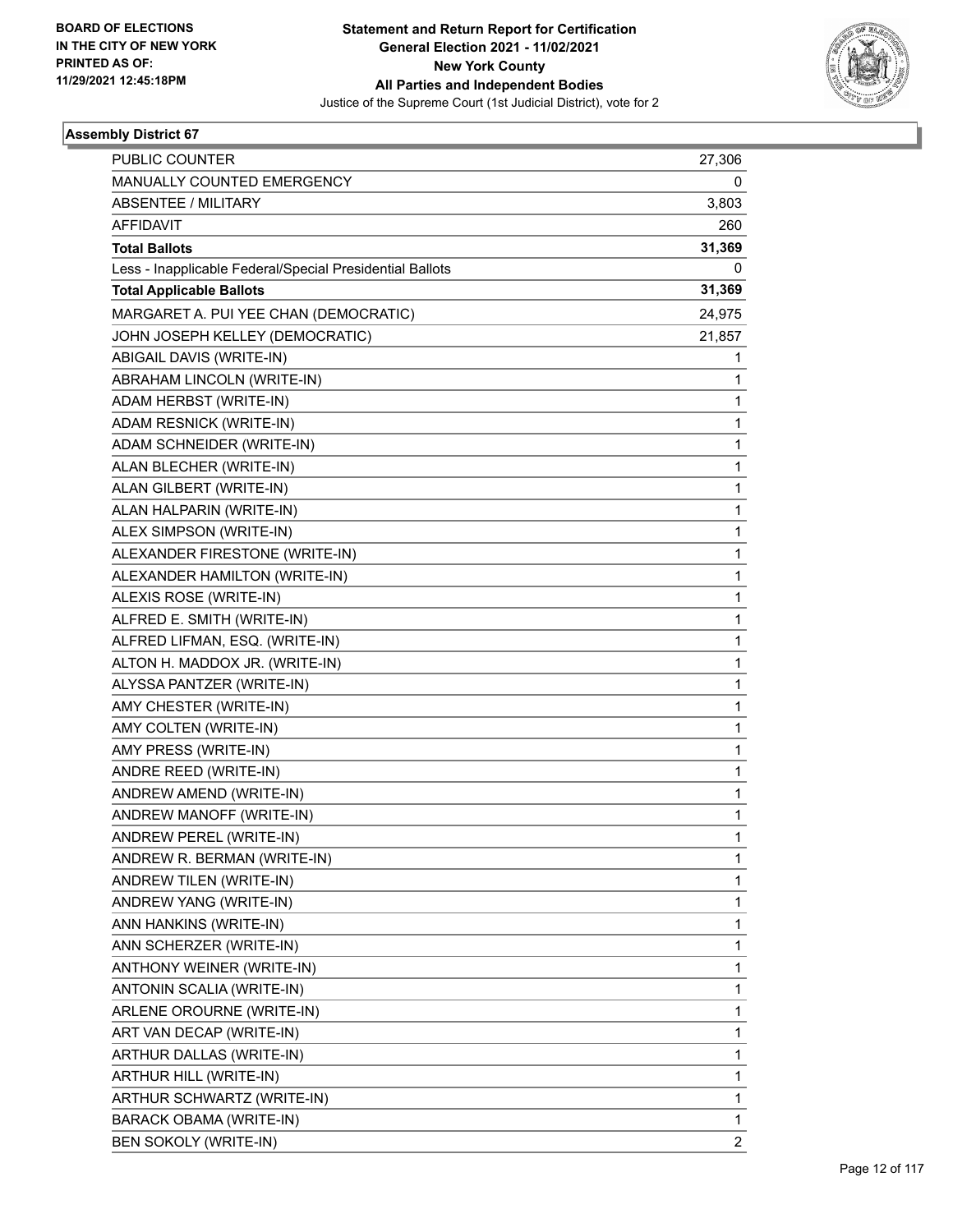

| <b>PUBLIC COUNTER</b>                                    | 27,306         |
|----------------------------------------------------------|----------------|
| MANUALLY COUNTED EMERGENCY                               | 0              |
| ABSENTEE / MILITARY                                      | 3,803          |
| <b>AFFIDAVIT</b>                                         | 260            |
| <b>Total Ballots</b>                                     | 31,369         |
| Less - Inapplicable Federal/Special Presidential Ballots | 0              |
| <b>Total Applicable Ballots</b>                          | 31,369         |
| MARGARET A. PUI YEE CHAN (DEMOCRATIC)                    | 24,975         |
| JOHN JOSEPH KELLEY (DEMOCRATIC)                          | 21,857         |
| ABIGAIL DAVIS (WRITE-IN)                                 | 1              |
| ABRAHAM LINCOLN (WRITE-IN)                               | 1              |
| ADAM HERBST (WRITE-IN)                                   | 1              |
| ADAM RESNICK (WRITE-IN)                                  | 1              |
| ADAM SCHNEIDER (WRITE-IN)                                | 1              |
| ALAN BLECHER (WRITE-IN)                                  | 1              |
| ALAN GILBERT (WRITE-IN)                                  | 1              |
| ALAN HALPARIN (WRITE-IN)                                 | 1              |
| ALEX SIMPSON (WRITE-IN)                                  | 1              |
| ALEXANDER FIRESTONE (WRITE-IN)                           | 1              |
| ALEXANDER HAMILTON (WRITE-IN)                            | 1              |
| ALEXIS ROSE (WRITE-IN)                                   | 1              |
| ALFRED E. SMITH (WRITE-IN)                               | 1              |
| ALFRED LIFMAN, ESQ. (WRITE-IN)                           | 1              |
| ALTON H. MADDOX JR. (WRITE-IN)                           | 1              |
| ALYSSA PANTZER (WRITE-IN)                                | 1              |
| AMY CHESTER (WRITE-IN)                                   | 1              |
| AMY COLTEN (WRITE-IN)                                    | 1              |
| AMY PRESS (WRITE-IN)                                     | 1              |
| ANDRE REED (WRITE-IN)                                    | 1              |
| ANDREW AMEND (WRITE-IN)                                  | 1              |
| ANDREW MANOFF (WRITE-IN)                                 | 1              |
| ANDREW PEREL (WRITE-IN)                                  | 1              |
| ANDREW R. BERMAN (WRITE-IN)                              | 1              |
| ANDREW TILEN (WRITE-IN)                                  | 1              |
| ANDREW YANG (WRITE-IN)                                   | 1              |
| ANN HANKINS (WRITE-IN)                                   | 1              |
| ANN SCHERZER (WRITE-IN)                                  | 1              |
| ANTHONY WEINER (WRITE-IN)                                | 1              |
| ANTONIN SCALIA (WRITE-IN)                                | 1              |
| ARLENE OROURNE (WRITE-IN)                                | 1              |
| ART VAN DECAP (WRITE-IN)                                 | 1              |
| ARTHUR DALLAS (WRITE-IN)                                 | 1              |
| ARTHUR HILL (WRITE-IN)                                   | 1              |
| ARTHUR SCHWARTZ (WRITE-IN)                               | 1              |
| <b>BARACK OBAMA (WRITE-IN)</b>                           | 1              |
| <b>BEN SOKOLY (WRITE-IN)</b>                             | $\overline{2}$ |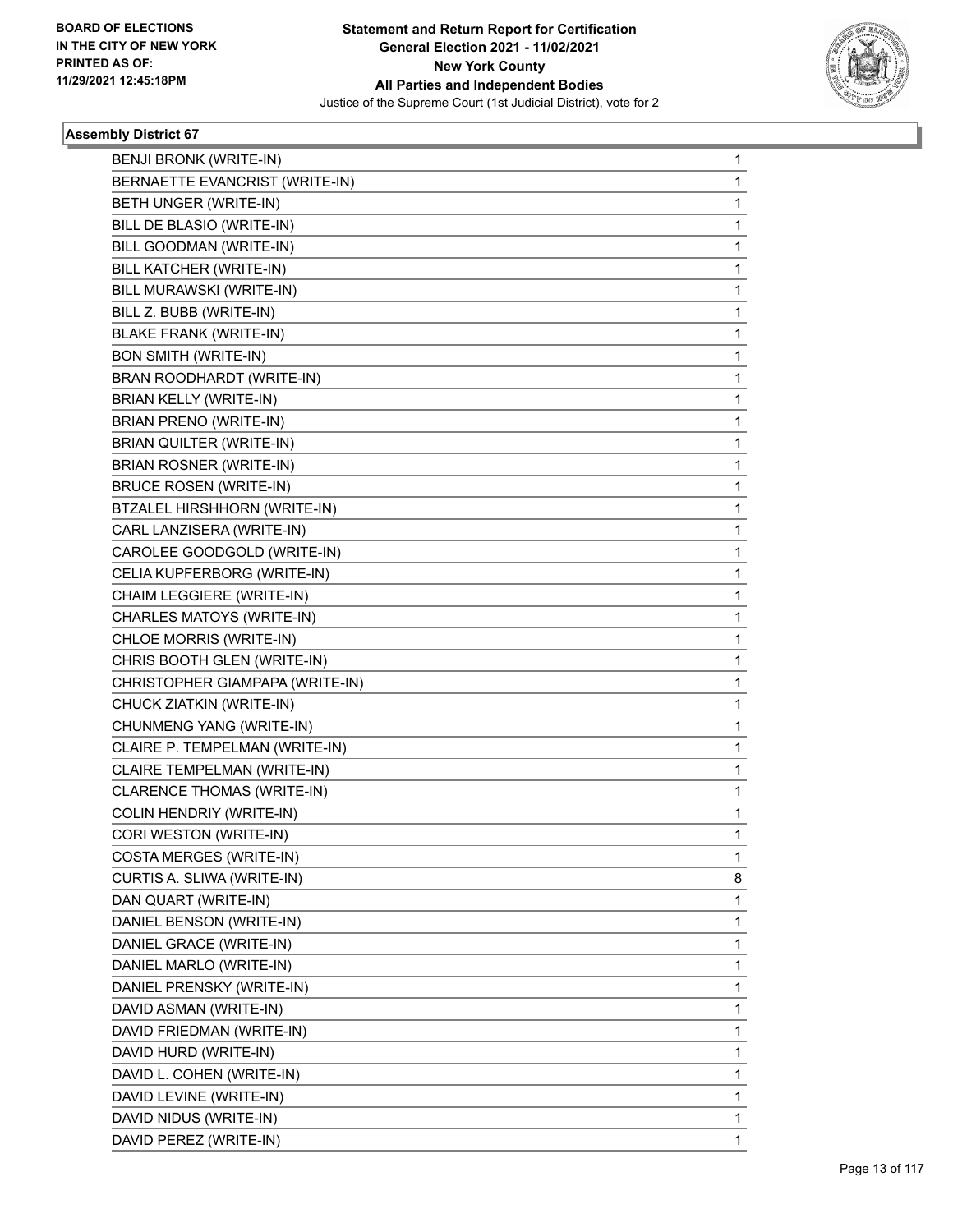

| BENJI BRONK (WRITE-IN)<br>BERNAETTE EVANCRIST (WRITE-IN) | 1 |
|----------------------------------------------------------|---|
|                                                          |   |
|                                                          | 1 |
| BETH UNGER (WRITE-IN)                                    | 1 |
| BILL DE BLASIO (WRITE-IN)                                | 1 |
| BILL GOODMAN (WRITE-IN)                                  | 1 |
| BILL KATCHER (WRITE-IN)                                  | 1 |
| BILL MURAWSKI (WRITE-IN)                                 | 1 |
| BILL Z. BUBB (WRITE-IN)                                  | 1 |
| <b>BLAKE FRANK (WRITE-IN)</b>                            | 1 |
| <b>BON SMITH (WRITE-IN)</b>                              | 1 |
| BRAN ROODHARDT (WRITE-IN)                                | 1 |
| BRIAN KELLY (WRITE-IN)                                   | 1 |
| BRIAN PRENO (WRITE-IN)                                   | 1 |
| BRIAN QUILTER (WRITE-IN)                                 | 1 |
| BRIAN ROSNER (WRITE-IN)                                  | 1 |
| <b>BRUCE ROSEN (WRITE-IN)</b>                            | 1 |
| BTZALEL HIRSHHORN (WRITE-IN)                             | 1 |
| CARL LANZISERA (WRITE-IN)                                | 1 |
| CAROLEE GOODGOLD (WRITE-IN)                              | 1 |
| CELIA KUPFERBORG (WRITE-IN)                              | 1 |
| CHAIM LEGGIERE (WRITE-IN)                                | 1 |
| CHARLES MATOYS (WRITE-IN)                                | 1 |
| CHLOE MORRIS (WRITE-IN)                                  | 1 |
| CHRIS BOOTH GLEN (WRITE-IN)                              | 1 |
| CHRISTOPHER GIAMPAPA (WRITE-IN)                          | 1 |
| CHUCK ZIATKIN (WRITE-IN)                                 | 1 |
| CHUNMENG YANG (WRITE-IN)                                 | 1 |
| CLAIRE P. TEMPELMAN (WRITE-IN)                           | 1 |
| CLAIRE TEMPELMAN (WRITE-IN)                              | 1 |
| CLARENCE THOMAS (WRITE-IN)                               | 1 |
| COLIN HENDRIY (WRITE-IN)                                 | 1 |
| CORI WESTON (WRITE-IN)                                   | 1 |
| COSTA MERGES (WRITE-IN)                                  | 1 |
| CURTIS A. SLIWA (WRITE-IN)                               | 8 |
| DAN QUART (WRITE-IN)                                     | 1 |
| DANIEL BENSON (WRITE-IN)                                 | 1 |
| DANIEL GRACE (WRITE-IN)                                  | 1 |
| DANIEL MARLO (WRITE-IN)                                  | 1 |
| DANIEL PRENSKY (WRITE-IN)                                | 1 |
| DAVID ASMAN (WRITE-IN)                                   | 1 |
| DAVID FRIEDMAN (WRITE-IN)                                | 1 |
| DAVID HURD (WRITE-IN)                                    | 1 |
| DAVID L. COHEN (WRITE-IN)                                | 1 |
| DAVID LEVINE (WRITE-IN)                                  | 1 |
| DAVID NIDUS (WRITE-IN)                                   | 1 |
| DAVID PEREZ (WRITE-IN)                                   | 1 |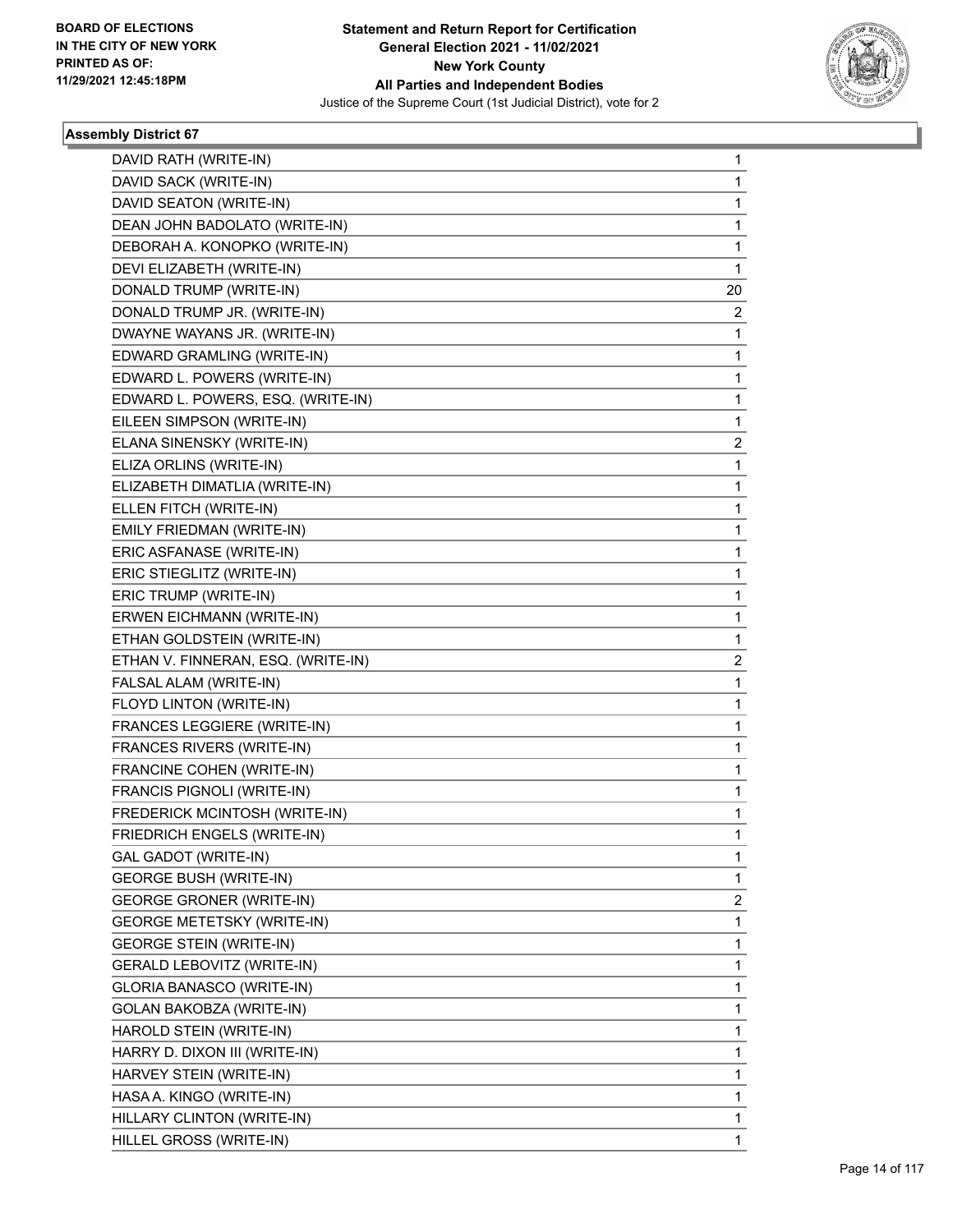

| DAVID RATH (WRITE-IN)              | 1            |
|------------------------------------|--------------|
| DAVID SACK (WRITE-IN)              | 1            |
| DAVID SEATON (WRITE-IN)            | 1            |
| DEAN JOHN BADOLATO (WRITE-IN)      | 1            |
| DEBORAH A. KONOPKO (WRITE-IN)      | 1            |
| DEVI ELIZABETH (WRITE-IN)          | 1            |
| DONALD TRUMP (WRITE-IN)            | 20           |
| DONALD TRUMP JR. (WRITE-IN)        | 2            |
| DWAYNE WAYANS JR. (WRITE-IN)       | 1            |
| EDWARD GRAMLING (WRITE-IN)         | 1            |
| EDWARD L. POWERS (WRITE-IN)        | 1            |
| EDWARD L. POWERS, ESQ. (WRITE-IN)  | $\mathbf{1}$ |
| EILEEN SIMPSON (WRITE-IN)          | 1            |
| ELANA SINENSKY (WRITE-IN)          | 2            |
| ELIZA ORLINS (WRITE-IN)            | $\mathbf 1$  |
| ELIZABETH DIMATLIA (WRITE-IN)      | 1            |
| ELLEN FITCH (WRITE-IN)             | 1            |
| EMILY FRIEDMAN (WRITE-IN)          | 1            |
| ERIC ASFANASE (WRITE-IN)           | 1            |
| ERIC STIEGLITZ (WRITE-IN)          | 1            |
| ERIC TRUMP (WRITE-IN)              | 1            |
| ERWEN EICHMANN (WRITE-IN)          | 1            |
| ETHAN GOLDSTEIN (WRITE-IN)         | 1            |
| ETHAN V. FINNERAN, ESQ. (WRITE-IN) | 2            |
| FALSAL ALAM (WRITE-IN)             | 1            |
| FLOYD LINTON (WRITE-IN)            | 1            |
| FRANCES LEGGIERE (WRITE-IN)        | 1            |
| FRANCES RIVERS (WRITE-IN)          | 1            |
| FRANCINE COHEN (WRITE-IN)          | 1            |
| FRANCIS PIGNOLI (WRITE-IN)         | $\mathbf{1}$ |
| FREDERICK MCINTOSH (WRITE-IN)      | 1            |
| FRIEDRICH ENGELS (WRITE-IN)        | 1            |
| GAL GADOT (WRITE-IN)               | 1            |
| <b>GEORGE BUSH (WRITE-IN)</b>      | 1            |
| <b>GEORGE GRONER (WRITE-IN)</b>    | 2            |
| <b>GEORGE METETSKY (WRITE-IN)</b>  | 1            |
| <b>GEORGE STEIN (WRITE-IN)</b>     | 1            |
| <b>GERALD LEBOVITZ (WRITE-IN)</b>  | 1            |
| <b>GLORIA BANASCO (WRITE-IN)</b>   | 1            |
| GOLAN BAKOBZA (WRITE-IN)           | 1            |
| HAROLD STEIN (WRITE-IN)            | 1            |
| HARRY D. DIXON III (WRITE-IN)      | 1            |
| HARVEY STEIN (WRITE-IN)            | 1            |
| HASA A. KINGO (WRITE-IN)           | 1            |
| HILLARY CLINTON (WRITE-IN)         | 1            |
| HILLEL GROSS (WRITE-IN)            | 1            |
|                                    |              |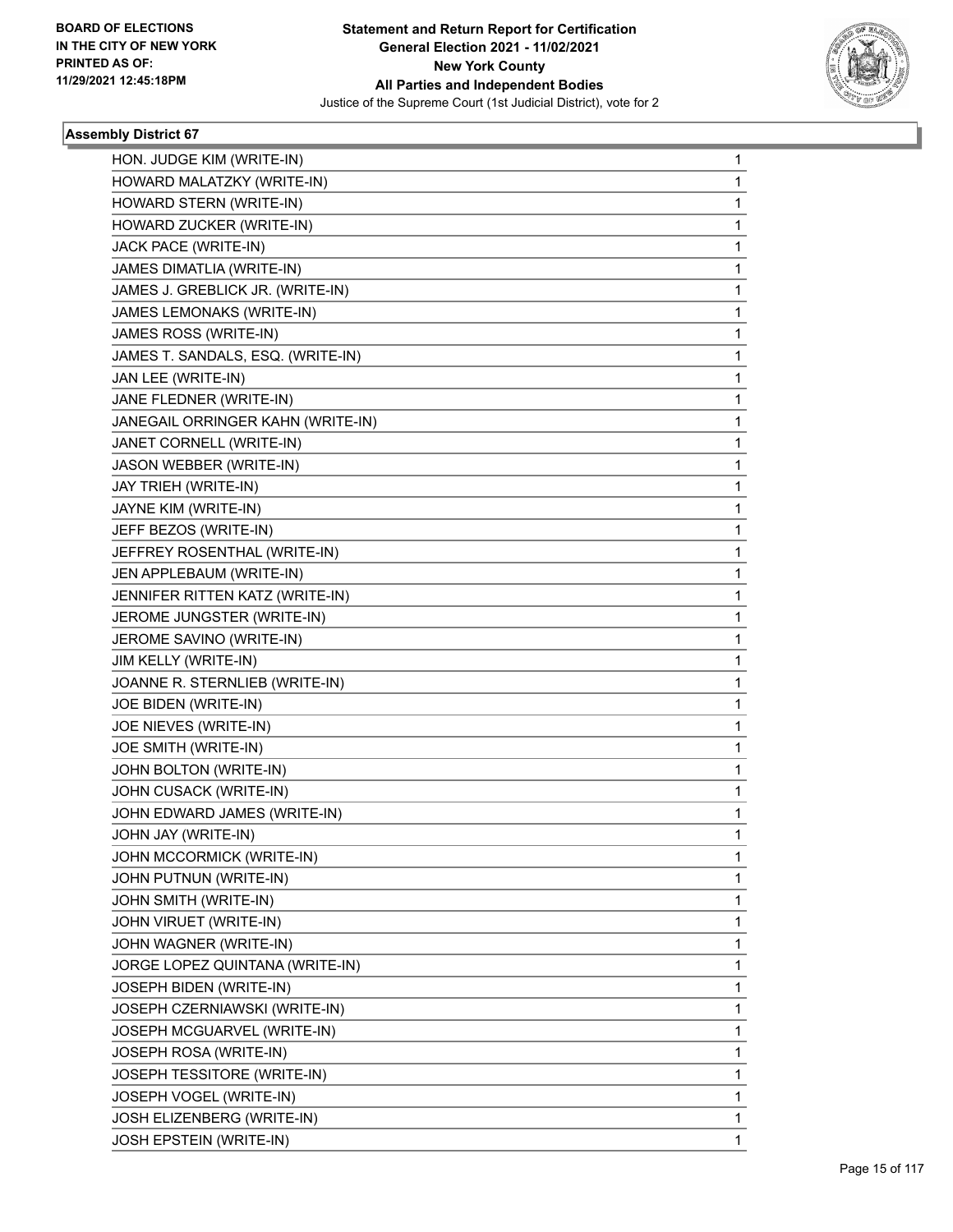

| HON. JUDGE KIM (WRITE-IN)<br>HOWARD MALATZKY (WRITE-IN)<br>HOWARD STERN (WRITE-IN)<br>HOWARD ZUCKER (WRITE-IN)<br>JACK PACE (WRITE-IN)<br>JAMES DIMATLIA (WRITE-IN)<br>JAMES J. GREBLICK JR. (WRITE-IN)<br>JAMES LEMONAKS (WRITE-IN)<br>JAMES ROSS (WRITE-IN)<br>JAMES T. SANDALS, ESQ. (WRITE-IN)<br>JAN LEE (WRITE-IN)<br>JANE FLEDNER (WRITE-IN)<br>JANEGAIL ORRINGER KAHN (WRITE-IN)<br>JANET CORNELL (WRITE-IN)<br>JASON WEBBER (WRITE-IN)<br>JAY TRIEH (WRITE-IN)<br>JAYNE KIM (WRITE-IN)<br>JEFF BEZOS (WRITE-IN)<br>JEFFREY ROSENTHAL (WRITE-IN)<br>JEN APPLEBAUM (WRITE-IN)<br>JENNIFER RITTEN KATZ (WRITE-IN)<br>JEROME JUNGSTER (WRITE-IN)<br>JEROME SAVINO (WRITE-IN)<br>JIM KELLY (WRITE-IN)<br>JOANNE R. STERNLIEB (WRITE-IN)<br>JOE BIDEN (WRITE-IN)<br>JOE NIEVES (WRITE-IN)<br>JOE SMITH (WRITE-IN)<br>JOHN BOLTON (WRITE-IN)<br>JOHN CUSACK (WRITE-IN)<br>JOHN EDWARD JAMES (WRITE-IN)<br>JOHN JAY (WRITE-IN)<br>JOHN MCCORMICK (WRITE-IN)<br>JOHN PUTNUN (WRITE-IN)<br>JOHN SMITH (WRITE-IN)<br>JOHN VIRUET (WRITE-IN)<br>JOHN WAGNER (WRITE-IN)<br>JORGE LOPEZ QUINTANA (WRITE-IN)<br>JOSEPH BIDEN (WRITE-IN)<br>JOSEPH CZERNIAWSKI (WRITE-IN)<br>JOSEPH MCGUARVEL (WRITE-IN)<br>JOSEPH ROSA (WRITE-IN)<br>JOSEPH TESSITORE (WRITE-IN)<br>JOSEPH VOGEL (WRITE-IN)<br>JOSH ELIZENBERG (WRITE-IN)<br>JOSH EPSTEIN (WRITE-IN) |             |  |
|------------------------------------------------------------------------------------------------------------------------------------------------------------------------------------------------------------------------------------------------------------------------------------------------------------------------------------------------------------------------------------------------------------------------------------------------------------------------------------------------------------------------------------------------------------------------------------------------------------------------------------------------------------------------------------------------------------------------------------------------------------------------------------------------------------------------------------------------------------------------------------------------------------------------------------------------------------------------------------------------------------------------------------------------------------------------------------------------------------------------------------------------------------------------------------------------------------------------------------------------------------------------------------------------------------------------------------------------|-------------|--|
|                                                                                                                                                                                                                                                                                                                                                                                                                                                                                                                                                                                                                                                                                                                                                                                                                                                                                                                                                                                                                                                                                                                                                                                                                                                                                                                                                | 1           |  |
|                                                                                                                                                                                                                                                                                                                                                                                                                                                                                                                                                                                                                                                                                                                                                                                                                                                                                                                                                                                                                                                                                                                                                                                                                                                                                                                                                | 1           |  |
|                                                                                                                                                                                                                                                                                                                                                                                                                                                                                                                                                                                                                                                                                                                                                                                                                                                                                                                                                                                                                                                                                                                                                                                                                                                                                                                                                | 1           |  |
|                                                                                                                                                                                                                                                                                                                                                                                                                                                                                                                                                                                                                                                                                                                                                                                                                                                                                                                                                                                                                                                                                                                                                                                                                                                                                                                                                | 1           |  |
|                                                                                                                                                                                                                                                                                                                                                                                                                                                                                                                                                                                                                                                                                                                                                                                                                                                                                                                                                                                                                                                                                                                                                                                                                                                                                                                                                | 1           |  |
|                                                                                                                                                                                                                                                                                                                                                                                                                                                                                                                                                                                                                                                                                                                                                                                                                                                                                                                                                                                                                                                                                                                                                                                                                                                                                                                                                | 1           |  |
|                                                                                                                                                                                                                                                                                                                                                                                                                                                                                                                                                                                                                                                                                                                                                                                                                                                                                                                                                                                                                                                                                                                                                                                                                                                                                                                                                | 1           |  |
|                                                                                                                                                                                                                                                                                                                                                                                                                                                                                                                                                                                                                                                                                                                                                                                                                                                                                                                                                                                                                                                                                                                                                                                                                                                                                                                                                | 1           |  |
|                                                                                                                                                                                                                                                                                                                                                                                                                                                                                                                                                                                                                                                                                                                                                                                                                                                                                                                                                                                                                                                                                                                                                                                                                                                                                                                                                | 1           |  |
|                                                                                                                                                                                                                                                                                                                                                                                                                                                                                                                                                                                                                                                                                                                                                                                                                                                                                                                                                                                                                                                                                                                                                                                                                                                                                                                                                | 1           |  |
|                                                                                                                                                                                                                                                                                                                                                                                                                                                                                                                                                                                                                                                                                                                                                                                                                                                                                                                                                                                                                                                                                                                                                                                                                                                                                                                                                | 1           |  |
|                                                                                                                                                                                                                                                                                                                                                                                                                                                                                                                                                                                                                                                                                                                                                                                                                                                                                                                                                                                                                                                                                                                                                                                                                                                                                                                                                | 1           |  |
|                                                                                                                                                                                                                                                                                                                                                                                                                                                                                                                                                                                                                                                                                                                                                                                                                                                                                                                                                                                                                                                                                                                                                                                                                                                                                                                                                | 1           |  |
|                                                                                                                                                                                                                                                                                                                                                                                                                                                                                                                                                                                                                                                                                                                                                                                                                                                                                                                                                                                                                                                                                                                                                                                                                                                                                                                                                | 1           |  |
|                                                                                                                                                                                                                                                                                                                                                                                                                                                                                                                                                                                                                                                                                                                                                                                                                                                                                                                                                                                                                                                                                                                                                                                                                                                                                                                                                | 1           |  |
|                                                                                                                                                                                                                                                                                                                                                                                                                                                                                                                                                                                                                                                                                                                                                                                                                                                                                                                                                                                                                                                                                                                                                                                                                                                                                                                                                | 1           |  |
|                                                                                                                                                                                                                                                                                                                                                                                                                                                                                                                                                                                                                                                                                                                                                                                                                                                                                                                                                                                                                                                                                                                                                                                                                                                                                                                                                | 1           |  |
|                                                                                                                                                                                                                                                                                                                                                                                                                                                                                                                                                                                                                                                                                                                                                                                                                                                                                                                                                                                                                                                                                                                                                                                                                                                                                                                                                | 1           |  |
|                                                                                                                                                                                                                                                                                                                                                                                                                                                                                                                                                                                                                                                                                                                                                                                                                                                                                                                                                                                                                                                                                                                                                                                                                                                                                                                                                | 1           |  |
|                                                                                                                                                                                                                                                                                                                                                                                                                                                                                                                                                                                                                                                                                                                                                                                                                                                                                                                                                                                                                                                                                                                                                                                                                                                                                                                                                | 1           |  |
|                                                                                                                                                                                                                                                                                                                                                                                                                                                                                                                                                                                                                                                                                                                                                                                                                                                                                                                                                                                                                                                                                                                                                                                                                                                                                                                                                | 1           |  |
|                                                                                                                                                                                                                                                                                                                                                                                                                                                                                                                                                                                                                                                                                                                                                                                                                                                                                                                                                                                                                                                                                                                                                                                                                                                                                                                                                | 1           |  |
|                                                                                                                                                                                                                                                                                                                                                                                                                                                                                                                                                                                                                                                                                                                                                                                                                                                                                                                                                                                                                                                                                                                                                                                                                                                                                                                                                | 1           |  |
|                                                                                                                                                                                                                                                                                                                                                                                                                                                                                                                                                                                                                                                                                                                                                                                                                                                                                                                                                                                                                                                                                                                                                                                                                                                                                                                                                | 1           |  |
|                                                                                                                                                                                                                                                                                                                                                                                                                                                                                                                                                                                                                                                                                                                                                                                                                                                                                                                                                                                                                                                                                                                                                                                                                                                                                                                                                | 1           |  |
|                                                                                                                                                                                                                                                                                                                                                                                                                                                                                                                                                                                                                                                                                                                                                                                                                                                                                                                                                                                                                                                                                                                                                                                                                                                                                                                                                | 1           |  |
|                                                                                                                                                                                                                                                                                                                                                                                                                                                                                                                                                                                                                                                                                                                                                                                                                                                                                                                                                                                                                                                                                                                                                                                                                                                                                                                                                | 1           |  |
|                                                                                                                                                                                                                                                                                                                                                                                                                                                                                                                                                                                                                                                                                                                                                                                                                                                                                                                                                                                                                                                                                                                                                                                                                                                                                                                                                | 1           |  |
|                                                                                                                                                                                                                                                                                                                                                                                                                                                                                                                                                                                                                                                                                                                                                                                                                                                                                                                                                                                                                                                                                                                                                                                                                                                                                                                                                | 1           |  |
|                                                                                                                                                                                                                                                                                                                                                                                                                                                                                                                                                                                                                                                                                                                                                                                                                                                                                                                                                                                                                                                                                                                                                                                                                                                                                                                                                | 1           |  |
|                                                                                                                                                                                                                                                                                                                                                                                                                                                                                                                                                                                                                                                                                                                                                                                                                                                                                                                                                                                                                                                                                                                                                                                                                                                                                                                                                | 1           |  |
|                                                                                                                                                                                                                                                                                                                                                                                                                                                                                                                                                                                                                                                                                                                                                                                                                                                                                                                                                                                                                                                                                                                                                                                                                                                                                                                                                | 1           |  |
|                                                                                                                                                                                                                                                                                                                                                                                                                                                                                                                                                                                                                                                                                                                                                                                                                                                                                                                                                                                                                                                                                                                                                                                                                                                                                                                                                | 1           |  |
|                                                                                                                                                                                                                                                                                                                                                                                                                                                                                                                                                                                                                                                                                                                                                                                                                                                                                                                                                                                                                                                                                                                                                                                                                                                                                                                                                | 1           |  |
|                                                                                                                                                                                                                                                                                                                                                                                                                                                                                                                                                                                                                                                                                                                                                                                                                                                                                                                                                                                                                                                                                                                                                                                                                                                                                                                                                | 1           |  |
|                                                                                                                                                                                                                                                                                                                                                                                                                                                                                                                                                                                                                                                                                                                                                                                                                                                                                                                                                                                                                                                                                                                                                                                                                                                                                                                                                | 1           |  |
|                                                                                                                                                                                                                                                                                                                                                                                                                                                                                                                                                                                                                                                                                                                                                                                                                                                                                                                                                                                                                                                                                                                                                                                                                                                                                                                                                | 1           |  |
|                                                                                                                                                                                                                                                                                                                                                                                                                                                                                                                                                                                                                                                                                                                                                                                                                                                                                                                                                                                                                                                                                                                                                                                                                                                                                                                                                | 1           |  |
|                                                                                                                                                                                                                                                                                                                                                                                                                                                                                                                                                                                                                                                                                                                                                                                                                                                                                                                                                                                                                                                                                                                                                                                                                                                                                                                                                | 1           |  |
|                                                                                                                                                                                                                                                                                                                                                                                                                                                                                                                                                                                                                                                                                                                                                                                                                                                                                                                                                                                                                                                                                                                                                                                                                                                                                                                                                | 1           |  |
|                                                                                                                                                                                                                                                                                                                                                                                                                                                                                                                                                                                                                                                                                                                                                                                                                                                                                                                                                                                                                                                                                                                                                                                                                                                                                                                                                | 1           |  |
|                                                                                                                                                                                                                                                                                                                                                                                                                                                                                                                                                                                                                                                                                                                                                                                                                                                                                                                                                                                                                                                                                                                                                                                                                                                                                                                                                | 1           |  |
|                                                                                                                                                                                                                                                                                                                                                                                                                                                                                                                                                                                                                                                                                                                                                                                                                                                                                                                                                                                                                                                                                                                                                                                                                                                                                                                                                | 1           |  |
|                                                                                                                                                                                                                                                                                                                                                                                                                                                                                                                                                                                                                                                                                                                                                                                                                                                                                                                                                                                                                                                                                                                                                                                                                                                                                                                                                | 1           |  |
|                                                                                                                                                                                                                                                                                                                                                                                                                                                                                                                                                                                                                                                                                                                                                                                                                                                                                                                                                                                                                                                                                                                                                                                                                                                                                                                                                | 1           |  |
|                                                                                                                                                                                                                                                                                                                                                                                                                                                                                                                                                                                                                                                                                                                                                                                                                                                                                                                                                                                                                                                                                                                                                                                                                                                                                                                                                | $\mathbf 1$ |  |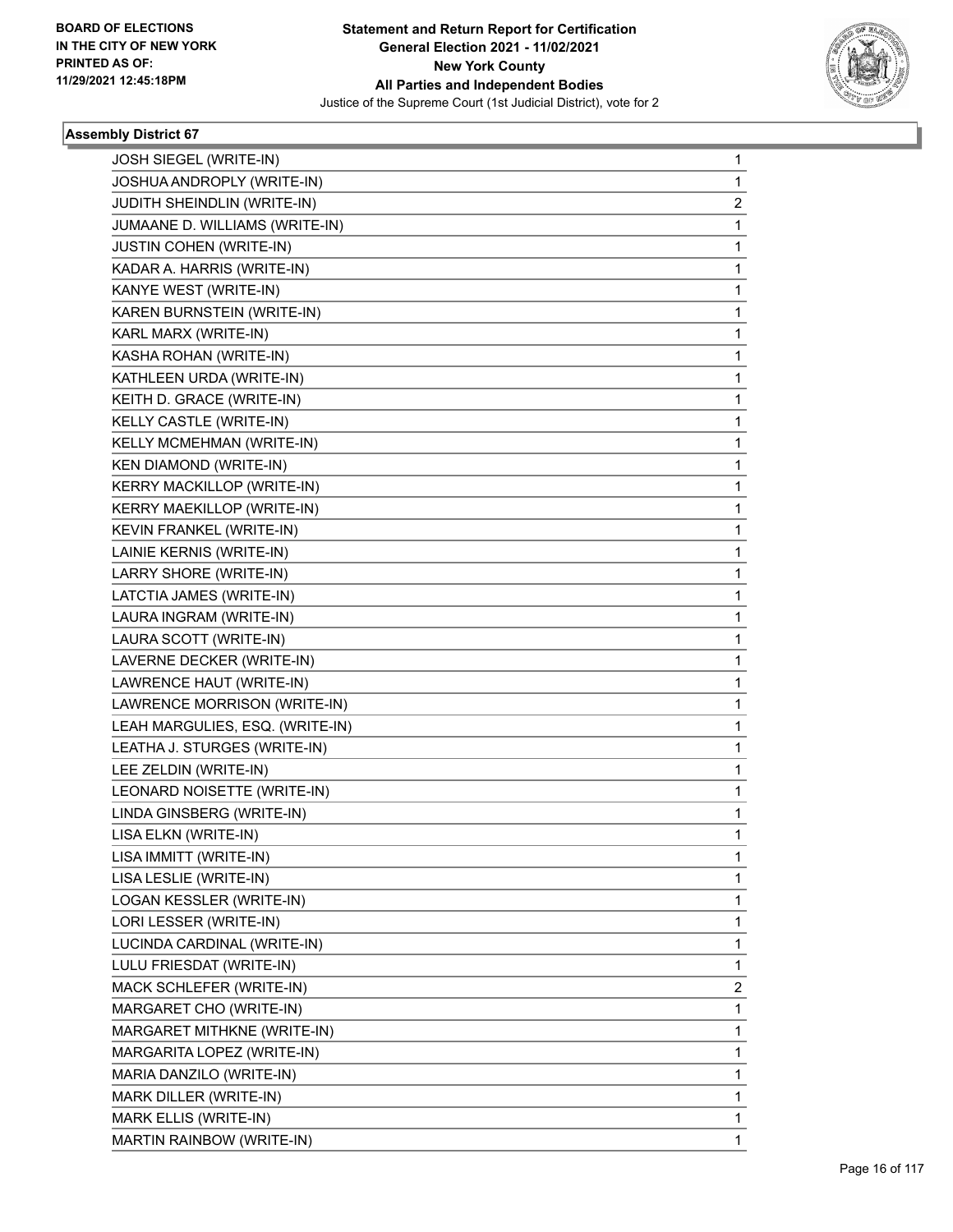

| JOSH SIEGEL (WRITE-IN)            | $\mathbf{1}$ |
|-----------------------------------|--------------|
| JOSHUA ANDROPLY (WRITE-IN)        | 1            |
| JUDITH SHEINDLIN (WRITE-IN)       | 2            |
| JUMAANE D. WILLIAMS (WRITE-IN)    | 1            |
| <b>JUSTIN COHEN (WRITE-IN)</b>    | 1            |
| KADAR A. HARRIS (WRITE-IN)        | 1            |
| KANYE WEST (WRITE-IN)             | 1            |
| KAREN BURNSTEIN (WRITE-IN)        | 1            |
| KARL MARX (WRITE-IN)              | 1            |
| KASHA ROHAN (WRITE-IN)            | 1            |
| KATHLEEN URDA (WRITE-IN)          | 1            |
| KEITH D. GRACE (WRITE-IN)         | 1            |
| KELLY CASTLE (WRITE-IN)           | 1            |
| KELLY MCMEHMAN (WRITE-IN)         | 1            |
| <b>KEN DIAMOND (WRITE-IN)</b>     | 1            |
| KERRY MACKILLOP (WRITE-IN)        | 1            |
| <b>KERRY MAEKILLOP (WRITE-IN)</b> | 1            |
| KEVIN FRANKEL (WRITE-IN)          | 1            |
| LAINIE KERNIS (WRITE-IN)          | 1            |
| LARRY SHORE (WRITE-IN)            | 1            |
| LATCTIA JAMES (WRITE-IN)          | 1            |
| LAURA INGRAM (WRITE-IN)           | 1            |
| LAURA SCOTT (WRITE-IN)            | 1            |
| LAVERNE DECKER (WRITE-IN)         | 1            |
| LAWRENCE HAUT (WRITE-IN)          | 1            |
| LAWRENCE MORRISON (WRITE-IN)      | 1            |
| LEAH MARGULIES, ESQ. (WRITE-IN)   | 1            |
| LEATHA J. STURGES (WRITE-IN)      | 1            |
| LEE ZELDIN (WRITE-IN)             | 1            |
| LEONARD NOISETTE (WRITE-IN)       | 1            |
| LINDA GINSBERG (WRITE-IN)         | 1            |
| LISA ELKN (WRITE-IN)              | 1            |
| LISA IMMITT (WRITE-IN)            | 1            |
| LISA LESLIE (WRITE-IN)            | 1            |
| LOGAN KESSLER (WRITE-IN)          | 1            |
| LORI LESSER (WRITE-IN)            | 1            |
| LUCINDA CARDINAL (WRITE-IN)       | 1            |
| LULU FRIESDAT (WRITE-IN)          | 1            |
| MACK SCHLEFER (WRITE-IN)          | 2            |
| MARGARET CHO (WRITE-IN)           | 1            |
| MARGARET MITHKNE (WRITE-IN)       | 1            |
| MARGARITA LOPEZ (WRITE-IN)        | 1            |
| MARIA DANZILO (WRITE-IN)          | 1            |
| MARK DILLER (WRITE-IN)            | 1            |
| MARK ELLIS (WRITE-IN)             | 1            |
| MARTIN RAINBOW (WRITE-IN)         | 1            |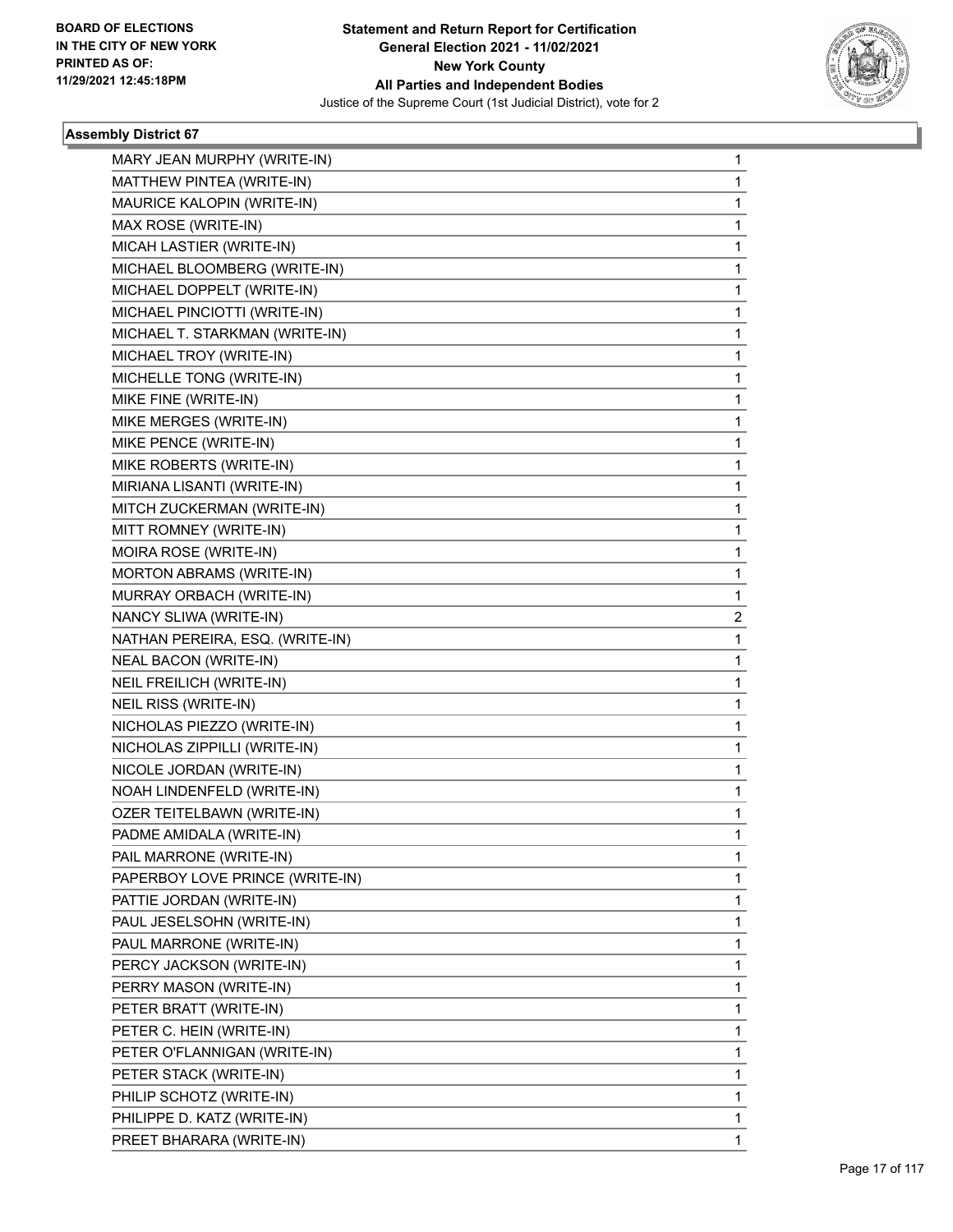

| MARY JEAN MURPHY (WRITE-IN)     | 1 |
|---------------------------------|---|
| MATTHEW PINTEA (WRITE-IN)       | 1 |
| MAURICE KALOPIN (WRITE-IN)      | 1 |
| MAX ROSE (WRITE-IN)             | 1 |
| MICAH LASTIER (WRITE-IN)        | 1 |
| MICHAEL BLOOMBERG (WRITE-IN)    | 1 |
| MICHAEL DOPPELT (WRITE-IN)      | 1 |
| MICHAEL PINCIOTTI (WRITE-IN)    | 1 |
| MICHAEL T. STARKMAN (WRITE-IN)  | 1 |
| MICHAEL TROY (WRITE-IN)         | 1 |
| MICHELLE TONG (WRITE-IN)        | 1 |
| MIKE FINE (WRITE-IN)            | 1 |
| MIKE MERGES (WRITE-IN)          | 1 |
| MIKE PENCE (WRITE-IN)           | 1 |
| MIKE ROBERTS (WRITE-IN)         | 1 |
| MIRIANA LISANTI (WRITE-IN)      | 1 |
| MITCH ZUCKERMAN (WRITE-IN)      | 1 |
| MITT ROMNEY (WRITE-IN)          | 1 |
| MOIRA ROSE (WRITE-IN)           | 1 |
| MORTON ABRAMS (WRITE-IN)        | 1 |
| MURRAY ORBACH (WRITE-IN)        | 1 |
| NANCY SLIWA (WRITE-IN)          | 2 |
| NATHAN PEREIRA, ESQ. (WRITE-IN) | 1 |
| NEAL BACON (WRITE-IN)           | 1 |
| NEIL FREILICH (WRITE-IN)        | 1 |
| NEIL RISS (WRITE-IN)            | 1 |
| NICHOLAS PIEZZO (WRITE-IN)      | 1 |
| NICHOLAS ZIPPILLI (WRITE-IN)    | 1 |
| NICOLE JORDAN (WRITE-IN)        | 1 |
| NOAH LINDENFELD (WRITE-IN)      | 1 |
| OZER TEITELBAWN (WRITE-IN)      | 1 |
| PADME AMIDALA (WRITE-IN)        | 1 |
| PAIL MARRONE (WRITE-IN)         | 1 |
| PAPERBOY LOVE PRINCE (WRITE-IN) | 1 |
| PATTIE JORDAN (WRITE-IN)        | 1 |
| PAUL JESELSOHN (WRITE-IN)       | 1 |
| PAUL MARRONE (WRITE-IN)         | 1 |
| PERCY JACKSON (WRITE-IN)        | 1 |
| PERRY MASON (WRITE-IN)          | 1 |
| PETER BRATT (WRITE-IN)          | 1 |
| PETER C. HEIN (WRITE-IN)        | 1 |
| PETER O'FLANNIGAN (WRITE-IN)    | 1 |
| PETER STACK (WRITE-IN)          | 1 |
| PHILIP SCHOTZ (WRITE-IN)        | 1 |
| PHILIPPE D. KATZ (WRITE-IN)     | 1 |
| PREET BHARARA (WRITE-IN)        | 1 |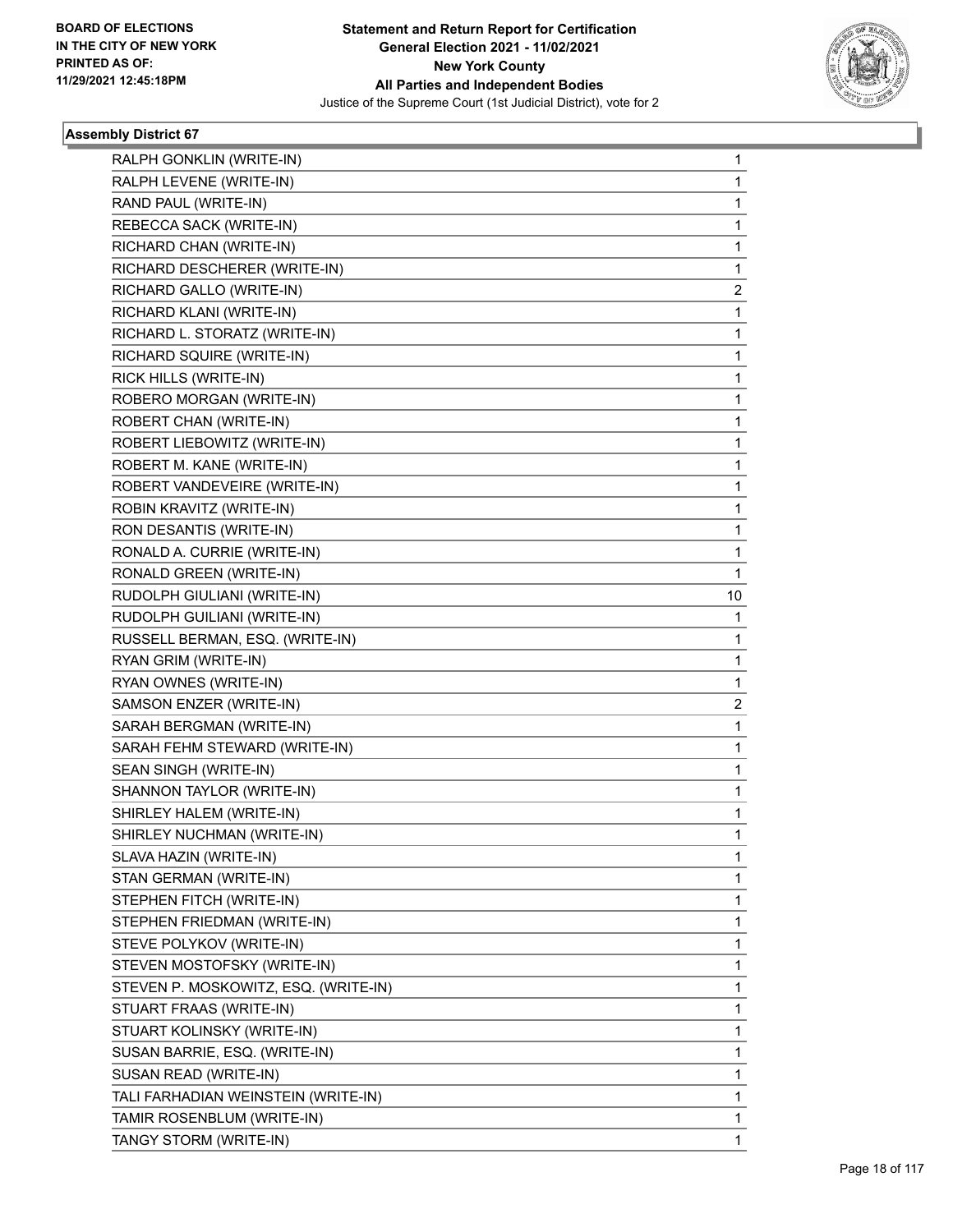

| RALPH GONKLIN (WRITE-IN)             | 1              |
|--------------------------------------|----------------|
| RALPH LEVENE (WRITE-IN)              | 1              |
| RAND PAUL (WRITE-IN)                 | 1              |
| REBECCA SACK (WRITE-IN)              | 1              |
| RICHARD CHAN (WRITE-IN)              | 1              |
| RICHARD DESCHERER (WRITE-IN)         | 1              |
| RICHARD GALLO (WRITE-IN)             | $\overline{2}$ |
| RICHARD KLANI (WRITE-IN)             | 1              |
| RICHARD L. STORATZ (WRITE-IN)        | 1              |
| RICHARD SQUIRE (WRITE-IN)            | 1              |
| RICK HILLS (WRITE-IN)                | 1              |
| ROBERO MORGAN (WRITE-IN)             | 1              |
| ROBERT CHAN (WRITE-IN)               | 1              |
| ROBERT LIEBOWITZ (WRITE-IN)          | 1              |
| ROBERT M. KANE (WRITE-IN)            | 1              |
| ROBERT VANDEVEIRE (WRITE-IN)         | 1              |
| ROBIN KRAVITZ (WRITE-IN)             | 1              |
| RON DESANTIS (WRITE-IN)              | 1              |
| RONALD A. CURRIE (WRITE-IN)          | 1              |
| RONALD GREEN (WRITE-IN)              | 1              |
| RUDOLPH GIULIANI (WRITE-IN)          | 10             |
| RUDOLPH GUILIANI (WRITE-IN)          | 1              |
| RUSSELL BERMAN, ESQ. (WRITE-IN)      | 1              |
| RYAN GRIM (WRITE-IN)                 | 1              |
| RYAN OWNES (WRITE-IN)                | 1              |
| SAMSON ENZER (WRITE-IN)              | 2              |
| SARAH BERGMAN (WRITE-IN)             | 1              |
| SARAH FEHM STEWARD (WRITE-IN)        | 1              |
| SEAN SINGH (WRITE-IN)                | 1              |
| SHANNON TAYLOR (WRITE-IN)            | 1              |
| SHIRLEY HALEM (WRITE-IN)             | 1              |
| SHIRLEY NUCHMAN (WRITE-IN)           | 1              |
| SLAVA HAZIN (WRITE-IN)               | 1              |
| STAN GERMAN (WRITE-IN)               | 1              |
| STEPHEN FITCH (WRITE-IN)             | 1              |
| STEPHEN FRIEDMAN (WRITE-IN)          | 1              |
| STEVE POLYKOV (WRITE-IN)             | 1              |
| STEVEN MOSTOFSKY (WRITE-IN)          | 1              |
| STEVEN P. MOSKOWITZ, ESQ. (WRITE-IN) | 1              |
| STUART FRAAS (WRITE-IN)              | 1              |
| STUART KOLINSKY (WRITE-IN)           | 1              |
| SUSAN BARRIE, ESQ. (WRITE-IN)        | 1              |
| SUSAN READ (WRITE-IN)                | 1              |
| TALI FARHADIAN WEINSTEIN (WRITE-IN)  | 1              |
| TAMIR ROSENBLUM (WRITE-IN)           | 1              |
| TANGY STORM (WRITE-IN)               | 1              |
|                                      |                |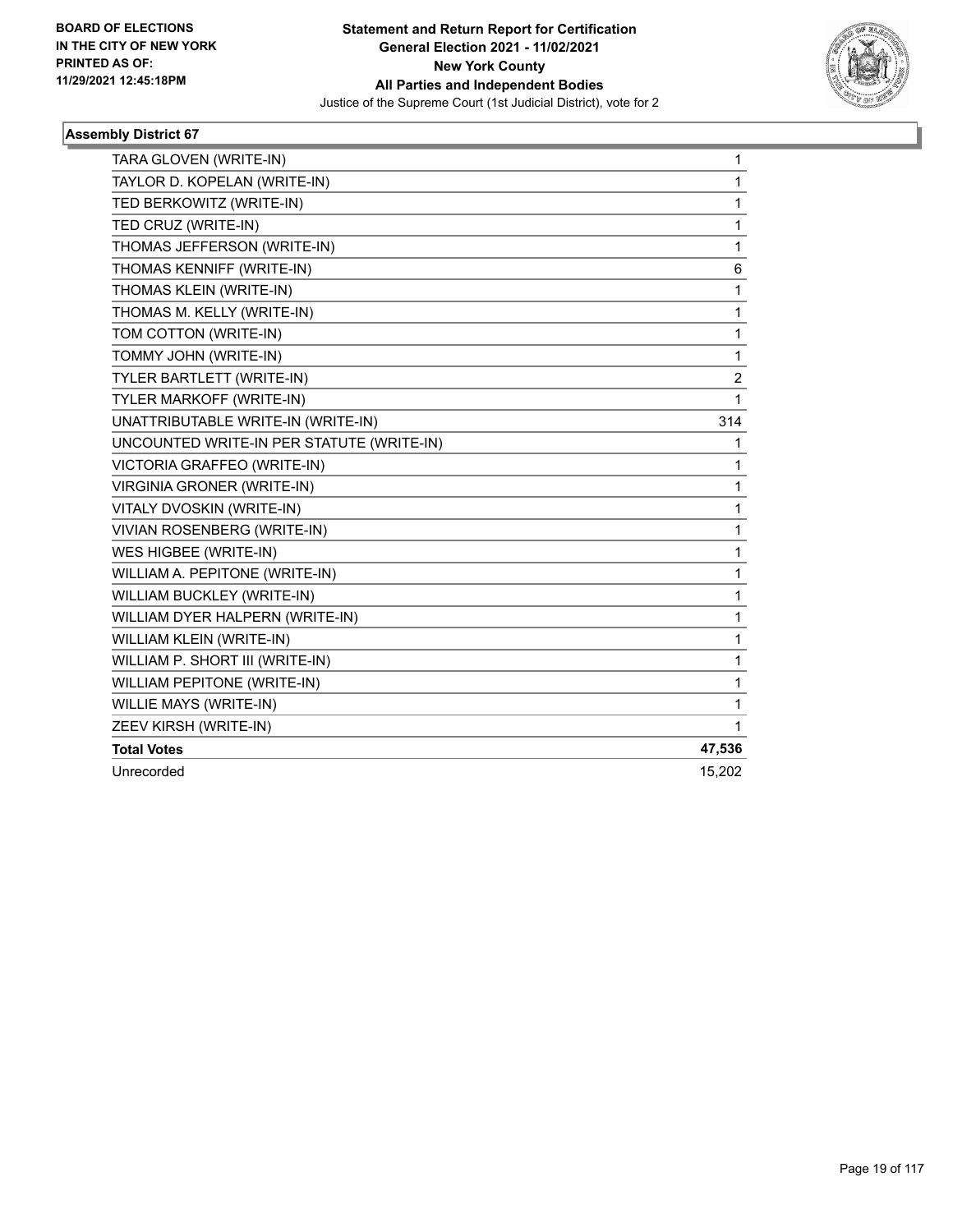

| TARA GLOVEN (WRITE-IN)                    | 1              |
|-------------------------------------------|----------------|
| TAYLOR D. KOPELAN (WRITE-IN)              | 1              |
| TED BERKOWITZ (WRITE-IN)                  | 1              |
| TED CRUZ (WRITE-IN)                       | 1              |
| THOMAS JEFFERSON (WRITE-IN)               | 1              |
| THOMAS KENNIFF (WRITE-IN)                 | 6              |
| THOMAS KLEIN (WRITE-IN)                   | 1              |
| THOMAS M. KELLY (WRITE-IN)                | 1              |
| TOM COTTON (WRITE-IN)                     | 1              |
| TOMMY JOHN (WRITE-IN)                     | 1              |
| TYLER BARTLETT (WRITE-IN)                 | $\overline{c}$ |
| TYLER MARKOFF (WRITE-IN)                  | 1              |
| UNATTRIBUTABLE WRITE-IN (WRITE-IN)        | 314            |
| UNCOUNTED WRITE-IN PER STATUTE (WRITE-IN) | 1              |
| VICTORIA GRAFFEO (WRITE-IN)               | 1              |
| <b>VIRGINIA GRONER (WRITE-IN)</b>         | 1              |
| VITALY DVOSKIN (WRITE-IN)                 | 1              |
| VIVIAN ROSENBERG (WRITE-IN)               | 1              |
| WES HIGBEE (WRITE-IN)                     | 1              |
| WILLIAM A. PEPITONE (WRITE-IN)            | 1              |
| WILLIAM BUCKLEY (WRITE-IN)                | 1              |
| WILLIAM DYER HALPERN (WRITE-IN)           | 1              |
| WILLIAM KLEIN (WRITE-IN)                  | 1              |
| WILLIAM P. SHORT III (WRITE-IN)           | 1              |
| WILLIAM PEPITONE (WRITE-IN)               | 1              |
| WILLIE MAYS (WRITE-IN)                    | 1              |
| ZEEV KIRSH (WRITE-IN)                     | 1              |
| <b>Total Votes</b>                        | 47,536         |
| Unrecorded                                | 15,202         |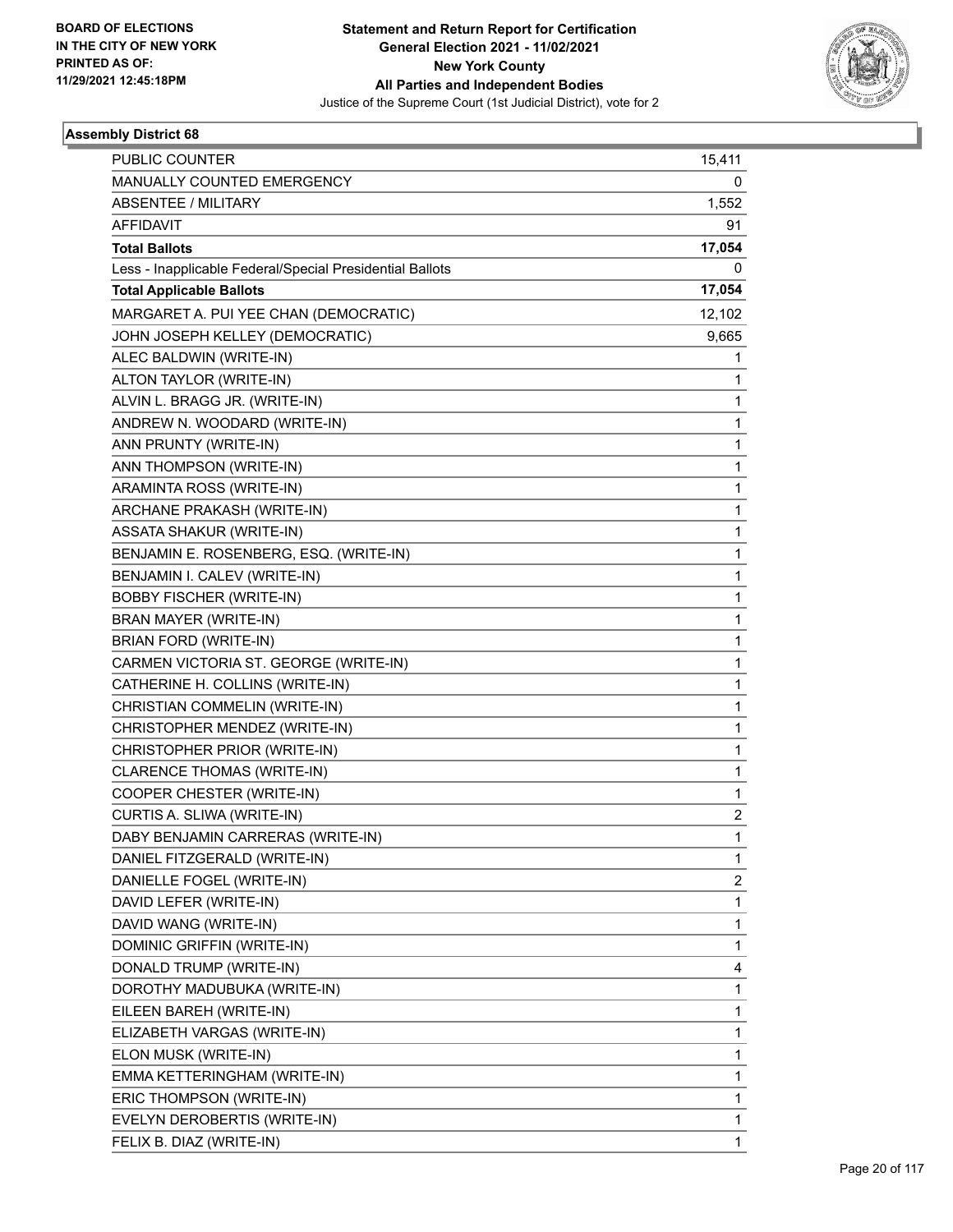

| <b>PUBLIC COUNTER</b>                                    | 15,411                  |
|----------------------------------------------------------|-------------------------|
| MANUALLY COUNTED EMERGENCY                               | 0                       |
| <b>ABSENTEE / MILITARY</b>                               | 1,552                   |
| AFFIDAVIT                                                | 91                      |
| <b>Total Ballots</b>                                     | 17,054                  |
| Less - Inapplicable Federal/Special Presidential Ballots | 0                       |
| <b>Total Applicable Ballots</b>                          | 17,054                  |
| MARGARET A. PUI YEE CHAN (DEMOCRATIC)                    | 12,102                  |
| JOHN JOSEPH KELLEY (DEMOCRATIC)                          | 9,665                   |
| ALEC BALDWIN (WRITE-IN)                                  | 1                       |
| ALTON TAYLOR (WRITE-IN)                                  | 1                       |
| ALVIN L. BRAGG JR. (WRITE-IN)                            | 1                       |
| ANDREW N. WOODARD (WRITE-IN)                             | 1                       |
| ANN PRUNTY (WRITE-IN)                                    | 1                       |
| ANN THOMPSON (WRITE-IN)                                  | 1                       |
| ARAMINTA ROSS (WRITE-IN)                                 | 1                       |
| ARCHANE PRAKASH (WRITE-IN)                               | 1                       |
| <b>ASSATA SHAKUR (WRITE-IN)</b>                          | 1                       |
| BENJAMIN E. ROSENBERG, ESQ. (WRITE-IN)                   | 1                       |
| BENJAMIN I. CALEV (WRITE-IN)                             | 1                       |
| <b>BOBBY FISCHER (WRITE-IN)</b>                          | 1                       |
| BRAN MAYER (WRITE-IN)                                    | 1                       |
| BRIAN FORD (WRITE-IN)                                    | 1                       |
| CARMEN VICTORIA ST. GEORGE (WRITE-IN)                    | 1                       |
| CATHERINE H. COLLINS (WRITE-IN)                          | 1                       |
| CHRISTIAN COMMELIN (WRITE-IN)                            | 1                       |
| CHRISTOPHER MENDEZ (WRITE-IN)                            | 1                       |
| CHRISTOPHER PRIOR (WRITE-IN)                             | 1                       |
| CLARENCE THOMAS (WRITE-IN)                               | 1                       |
| COOPER CHESTER (WRITE-IN)                                | 1                       |
| CURTIS A. SLIWA (WRITE-IN)                               | $\overline{\mathbf{c}}$ |
| DABY BENJAMIN CARRERAS (WRITE-IN)                        | 1                       |
| DANIEL FITZGERALD (WRITE-IN)                             | 1                       |
| DANIELLE FOGEL (WRITE-IN)                                | $\overline{\mathbf{c}}$ |
| DAVID LEFER (WRITE-IN)                                   | 1                       |
| DAVID WANG (WRITE-IN)                                    | 1                       |
| DOMINIC GRIFFIN (WRITE-IN)                               | 1                       |
| DONALD TRUMP (WRITE-IN)                                  | 4                       |
| DOROTHY MADUBUKA (WRITE-IN)                              | 1                       |
| EILEEN BAREH (WRITE-IN)                                  | 1                       |
| ELIZABETH VARGAS (WRITE-IN)                              | 1                       |
| ELON MUSK (WRITE-IN)                                     | 1                       |
| EMMA KETTERINGHAM (WRITE-IN)                             | 1                       |
| ERIC THOMPSON (WRITE-IN)                                 | 1                       |
| EVELYN DEROBERTIS (WRITE-IN)                             | 1                       |
| FELIX B. DIAZ (WRITE-IN)                                 | 1                       |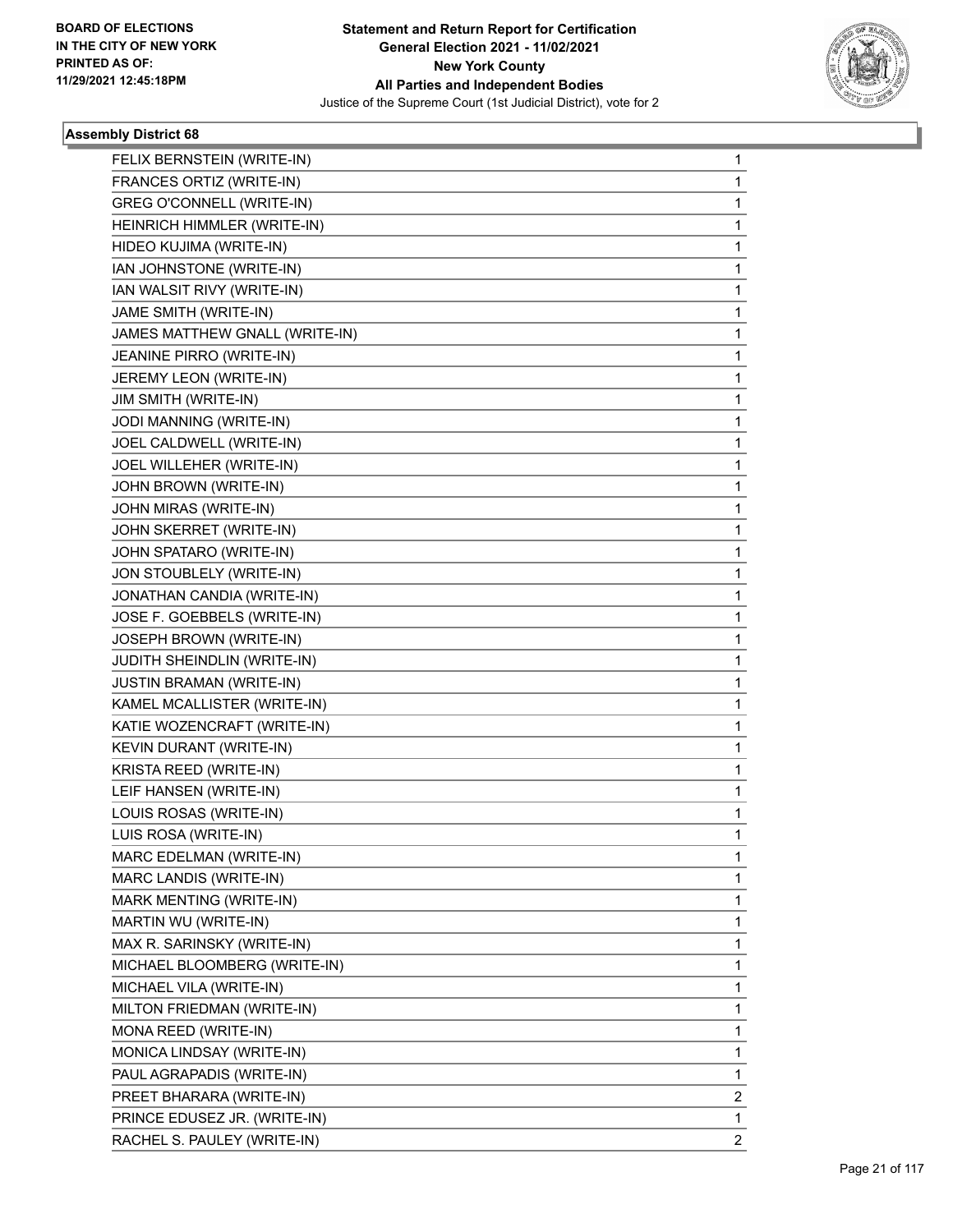

| FELIX BERNSTEIN (WRITE-IN)     | 1              |
|--------------------------------|----------------|
| FRANCES ORTIZ (WRITE-IN)       | 1              |
| GREG O'CONNELL (WRITE-IN)      | 1              |
| HEINRICH HIMMLER (WRITE-IN)    | 1              |
| HIDEO KUJIMA (WRITE-IN)        | 1              |
| IAN JOHNSTONE (WRITE-IN)       | 1              |
| IAN WALSIT RIVY (WRITE-IN)     | 1              |
| JAME SMITH (WRITE-IN)          | 1              |
| JAMES MATTHEW GNALL (WRITE-IN) | 1              |
| JEANINE PIRRO (WRITE-IN)       | 1              |
| JEREMY LEON (WRITE-IN)         | 1              |
| JIM SMITH (WRITE-IN)           | 1              |
| JODI MANNING (WRITE-IN)        | 1              |
| JOEL CALDWELL (WRITE-IN)       | 1              |
| JOEL WILLEHER (WRITE-IN)       | 1              |
| JOHN BROWN (WRITE-IN)          | 1              |
| JOHN MIRAS (WRITE-IN)          | 1              |
| JOHN SKERRET (WRITE-IN)        | 1              |
| JOHN SPATARO (WRITE-IN)        | 1              |
| JON STOUBLELY (WRITE-IN)       | 1              |
| JONATHAN CANDIA (WRITE-IN)     | 1              |
| JOSE F. GOEBBELS (WRITE-IN)    | 1              |
| JOSEPH BROWN (WRITE-IN)        | 1              |
| JUDITH SHEINDLIN (WRITE-IN)    | 1              |
| JUSTIN BRAMAN (WRITE-IN)       | 1              |
| KAMEL MCALLISTER (WRITE-IN)    | 1              |
| KATIE WOZENCRAFT (WRITE-IN)    | 1              |
| KEVIN DURANT (WRITE-IN)        | 1              |
| KRISTA REED (WRITE-IN)         | 1              |
| LEIF HANSEN (WRITE-IN)         | 1              |
| LOUIS ROSAS (WRITE-IN)         | 1              |
| LUIS ROSA (WRITE-IN)           | 1              |
| MARC EDELMAN (WRITE-IN)        | 1              |
| MARC LANDIS (WRITE-IN)         | 1              |
| MARK MENTING (WRITE-IN)        | 1              |
| MARTIN WU (WRITE-IN)           | 1              |
| MAX R. SARINSKY (WRITE-IN)     | 1              |
| MICHAEL BLOOMBERG (WRITE-IN)   | 1              |
| MICHAEL VILA (WRITE-IN)        | 1              |
| MILTON FRIEDMAN (WRITE-IN)     | 1              |
| MONA REED (WRITE-IN)           | 1              |
| MONICA LINDSAY (WRITE-IN)      | 1              |
| PAUL AGRAPADIS (WRITE-IN)      | 1              |
| PREET BHARARA (WRITE-IN)       | 2              |
| PRINCE EDUSEZ JR. (WRITE-IN)   | 1              |
| RACHEL S. PAULEY (WRITE-IN)    | $\overline{2}$ |
|                                |                |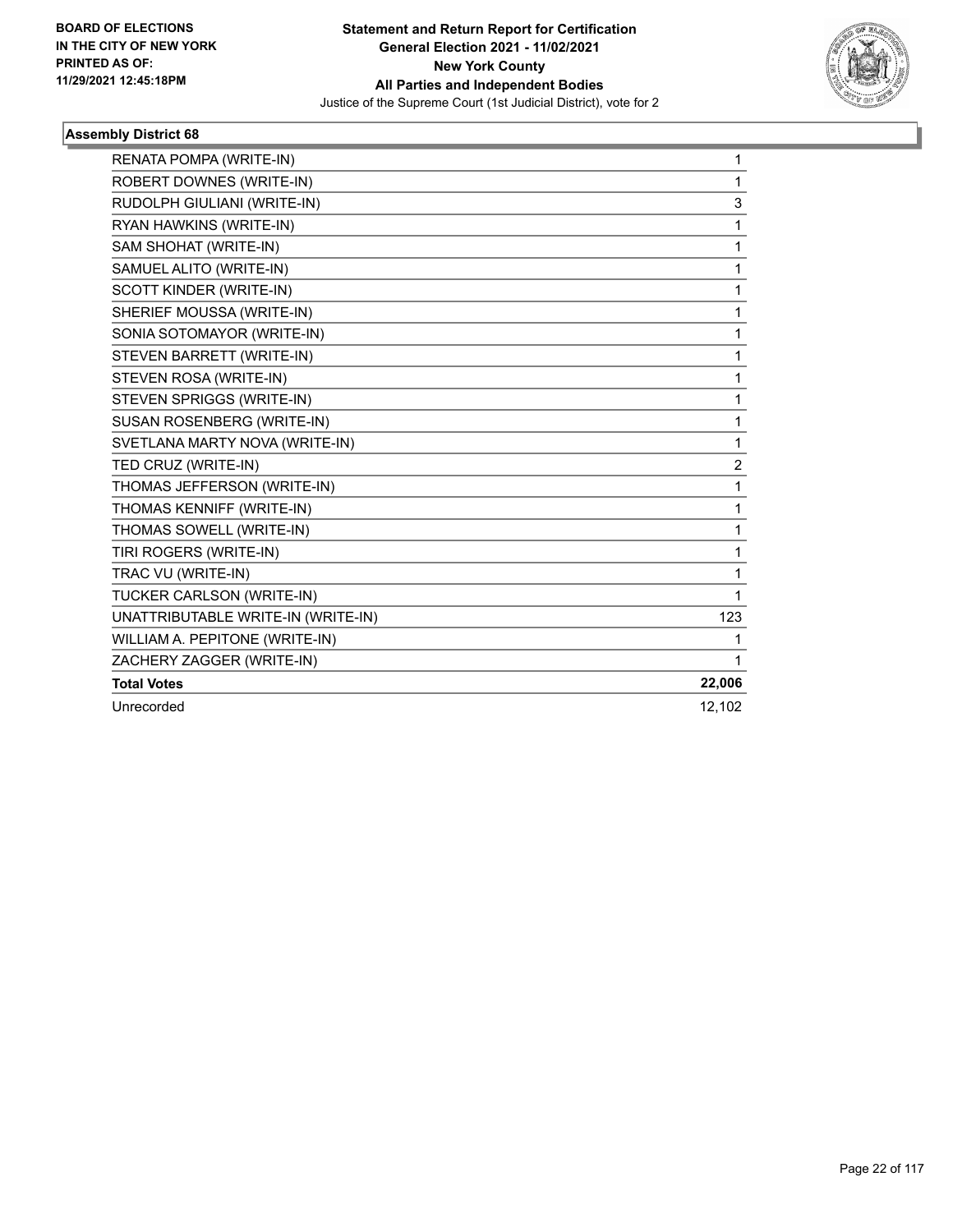

| RENATA POMPA (WRITE-IN)            | 1              |
|------------------------------------|----------------|
| ROBERT DOWNES (WRITE-IN)           | 1              |
| RUDOLPH GIULIANI (WRITE-IN)        | 3              |
| RYAN HAWKINS (WRITE-IN)            | 1              |
| SAM SHOHAT (WRITE-IN)              | 1              |
| SAMUEL ALITO (WRITE-IN)            | 1              |
| SCOTT KINDER (WRITE-IN)            | 1              |
| SHERIEF MOUSSA (WRITE-IN)          | 1              |
| SONIA SOTOMAYOR (WRITE-IN)         | 1              |
| STEVEN BARRETT (WRITE-IN)          | 1              |
| STEVEN ROSA (WRITE-IN)             | 1              |
| STEVEN SPRIGGS (WRITE-IN)          | 1              |
| SUSAN ROSENBERG (WRITE-IN)         | 1              |
| SVETLANA MARTY NOVA (WRITE-IN)     | 1              |
| TED CRUZ (WRITE-IN)                | $\overline{c}$ |
| THOMAS JEFFERSON (WRITE-IN)        | 1              |
| THOMAS KENNIFF (WRITE-IN)          | 1              |
| THOMAS SOWELL (WRITE-IN)           | 1              |
| TIRI ROGERS (WRITE-IN)             | 1              |
| TRAC VU (WRITE-IN)                 | 1              |
| TUCKER CARLSON (WRITE-IN)          | 1              |
| UNATTRIBUTABLE WRITE-IN (WRITE-IN) | 123            |
| WILLIAM A. PEPITONE (WRITE-IN)     |                |
| ZACHERY ZAGGER (WRITE-IN)          | 1              |
| <b>Total Votes</b>                 | 22,006         |
| Unrecorded                         | 12,102         |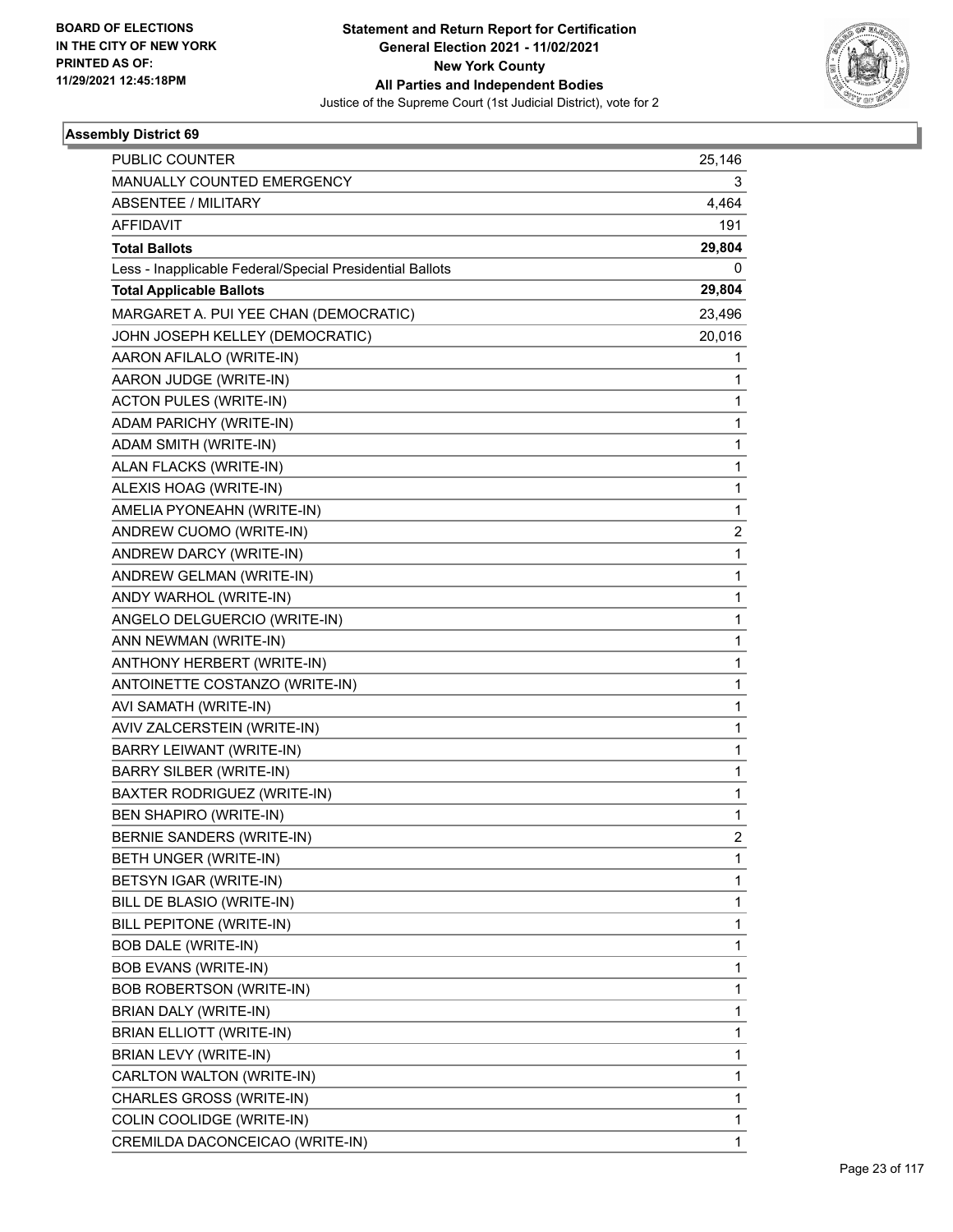

| <b>PUBLIC COUNTER</b>                                    | 25,146       |
|----------------------------------------------------------|--------------|
| MANUALLY COUNTED EMERGENCY                               | 3            |
| <b>ABSENTEE / MILITARY</b>                               | 4,464        |
| AFFIDAVIT                                                | 191          |
| <b>Total Ballots</b>                                     | 29,804       |
| Less - Inapplicable Federal/Special Presidential Ballots | 0            |
| <b>Total Applicable Ballots</b>                          | 29,804       |
| MARGARET A. PUI YEE CHAN (DEMOCRATIC)                    | 23,496       |
| JOHN JOSEPH KELLEY (DEMOCRATIC)                          | 20,016       |
| AARON AFILALO (WRITE-IN)                                 | 1            |
| AARON JUDGE (WRITE-IN)                                   | 1            |
| <b>ACTON PULES (WRITE-IN)</b>                            | 1            |
| ADAM PARICHY (WRITE-IN)                                  | 1            |
| ADAM SMITH (WRITE-IN)                                    | 1            |
| ALAN FLACKS (WRITE-IN)                                   | 1            |
| ALEXIS HOAG (WRITE-IN)                                   | 1            |
| AMELIA PYONEAHN (WRITE-IN)                               | 1            |
| ANDREW CUOMO (WRITE-IN)                                  | 2            |
| ANDREW DARCY (WRITE-IN)                                  | 1            |
| ANDREW GELMAN (WRITE-IN)                                 | 1            |
| ANDY WARHOL (WRITE-IN)                                   | 1            |
| ANGELO DELGUERCIO (WRITE-IN)                             | 1            |
| ANN NEWMAN (WRITE-IN)                                    | $\mathbf{1}$ |
| ANTHONY HERBERT (WRITE-IN)                               | 1            |
| ANTOINETTE COSTANZO (WRITE-IN)                           | 1            |
| AVI SAMATH (WRITE-IN)                                    | 1            |
| AVIV ZALCERSTEIN (WRITE-IN)                              | 1            |
| BARRY LEIWANT (WRITE-IN)                                 | 1            |
| BARRY SILBER (WRITE-IN)                                  | $\mathbf{1}$ |
| BAXTER RODRIGUEZ (WRITE-IN)                              | 1            |
| <b>BEN SHAPIRO (WRITE-IN)</b>                            | 1            |
| BERNIE SANDERS (WRITE-IN)                                | 2            |
| BETH UNGER (WRITE-IN)                                    | 1            |
| BETSYN IGAR (WRITE-IN)                                   | 1            |
| BILL DE BLASIO (WRITE-IN)                                | 1            |
| BILL PEPITONE (WRITE-IN)                                 | 1            |
| <b>BOB DALE (WRITE-IN)</b>                               | 1            |
| <b>BOB EVANS (WRITE-IN)</b>                              | 1            |
| <b>BOB ROBERTSON (WRITE-IN)</b>                          | 1            |
| BRIAN DALY (WRITE-IN)                                    | 1            |
| <b>BRIAN ELLIOTT (WRITE-IN)</b>                          | 1            |
| BRIAN LEVY (WRITE-IN)                                    | 1            |
| CARLTON WALTON (WRITE-IN)                                | 1            |
| CHARLES GROSS (WRITE-IN)                                 | 1            |
| COLIN COOLIDGE (WRITE-IN)                                | 1            |
| CREMILDA DACONCEICAO (WRITE-IN)                          | 1            |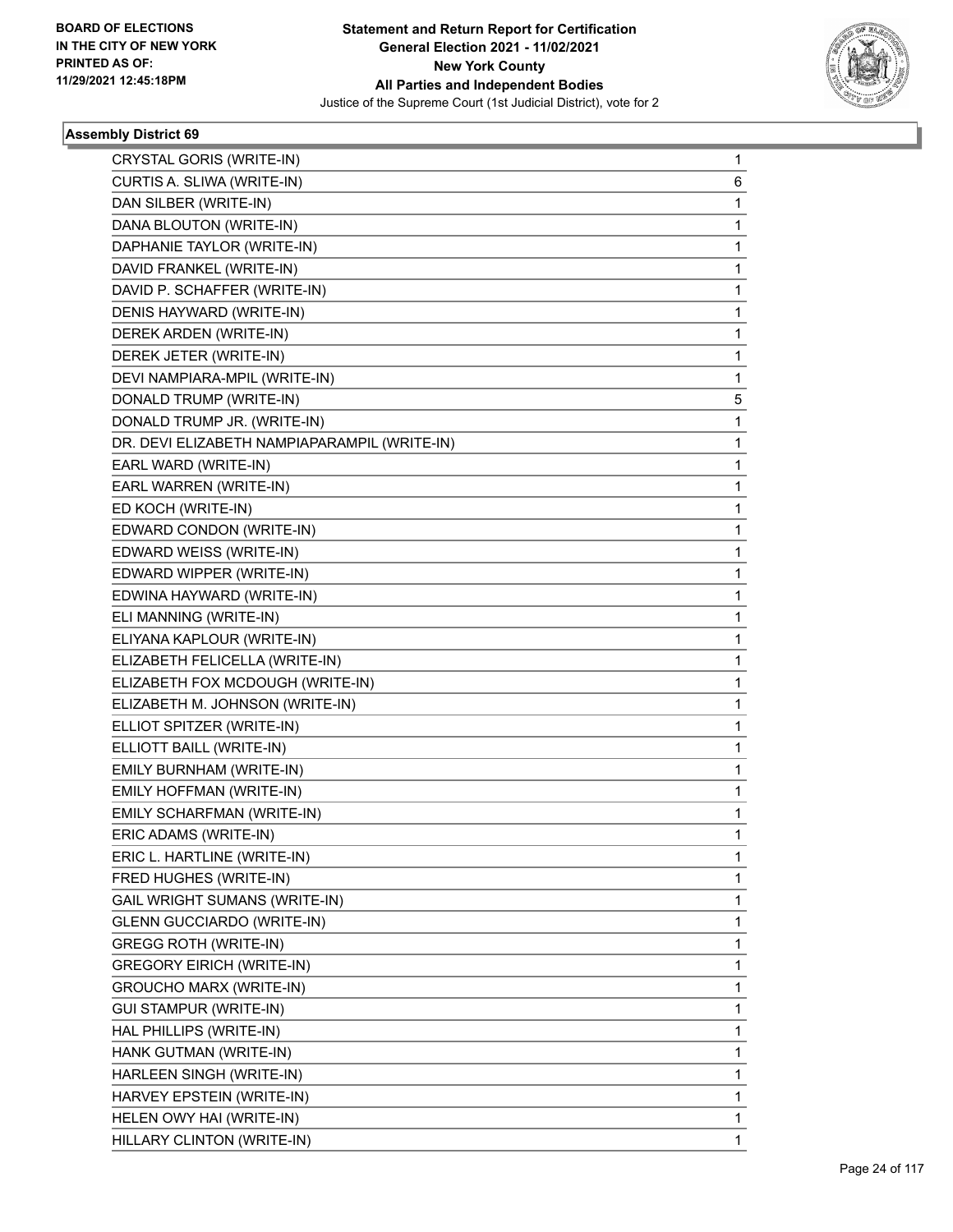

| CRYSTAL GORIS (WRITE-IN)                     | 1 |
|----------------------------------------------|---|
| CURTIS A. SLIWA (WRITE-IN)                   | 6 |
| DAN SILBER (WRITE-IN)                        | 1 |
| DANA BLOUTON (WRITE-IN)                      | 1 |
| DAPHANIE TAYLOR (WRITE-IN)                   | 1 |
| DAVID FRANKEL (WRITE-IN)                     | 1 |
| DAVID P. SCHAFFER (WRITE-IN)                 | 1 |
| DENIS HAYWARD (WRITE-IN)                     | 1 |
| DEREK ARDEN (WRITE-IN)                       | 1 |
| DEREK JETER (WRITE-IN)                       | 1 |
| DEVI NAMPIARA-MPIL (WRITE-IN)                | 1 |
| DONALD TRUMP (WRITE-IN)                      | 5 |
| DONALD TRUMP JR. (WRITE-IN)                  | 1 |
| DR. DEVI ELIZABETH NAMPIAPARAMPIL (WRITE-IN) | 1 |
| EARL WARD (WRITE-IN)                         | 1 |
| EARL WARREN (WRITE-IN)                       | 1 |
| ED KOCH (WRITE-IN)                           | 1 |
| EDWARD CONDON (WRITE-IN)                     | 1 |
| EDWARD WEISS (WRITE-IN)                      | 1 |
| EDWARD WIPPER (WRITE-IN)                     | 1 |
| EDWINA HAYWARD (WRITE-IN)                    | 1 |
| ELI MANNING (WRITE-IN)                       | 1 |
| ELIYANA KAPLOUR (WRITE-IN)                   | 1 |
| ELIZABETH FELICELLA (WRITE-IN)               | 1 |
| ELIZABETH FOX MCDOUGH (WRITE-IN)             | 1 |
| ELIZABETH M. JOHNSON (WRITE-IN)              | 1 |
| ELLIOT SPITZER (WRITE-IN)                    | 1 |
| ELLIOTT BAILL (WRITE-IN)                     | 1 |
| EMILY BURNHAM (WRITE-IN)                     | 1 |
| EMILY HOFFMAN (WRITE-IN)                     | 1 |
| EMILY SCHARFMAN (WRITE-IN)                   | 1 |
| ERIC ADAMS (WRITE-IN)                        | 1 |
| ERIC L. HARTLINE (WRITE-IN)                  | 1 |
| FRED HUGHES (WRITE-IN)                       | 1 |
| GAIL WRIGHT SUMANS (WRITE-IN)                | 1 |
| <b>GLENN GUCCIARDO (WRITE-IN)</b>            | 1 |
| <b>GREGG ROTH (WRITE-IN)</b>                 | 1 |
| <b>GREGORY EIRICH (WRITE-IN)</b>             | 1 |
| GROUCHO MARX (WRITE-IN)                      | 1 |
| <b>GUI STAMPUR (WRITE-IN)</b>                | 1 |
| HAL PHILLIPS (WRITE-IN)                      | 1 |
| HANK GUTMAN (WRITE-IN)                       | 1 |
| HARLEEN SINGH (WRITE-IN)                     | 1 |
| HARVEY EPSTEIN (WRITE-IN)                    | 1 |
| HELEN OWY HAI (WRITE-IN)                     | 1 |
| HILLARY CLINTON (WRITE-IN)                   | 1 |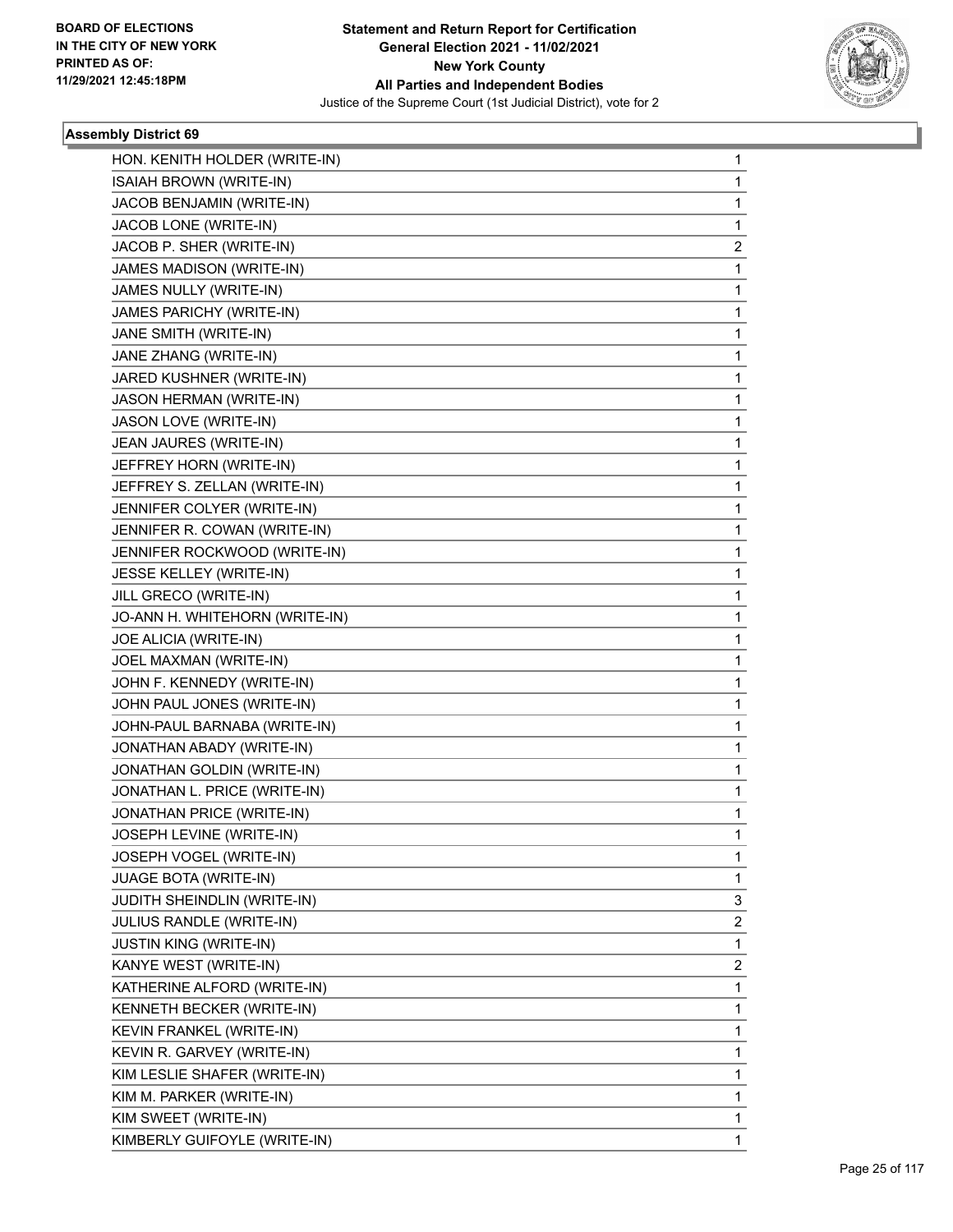

| HON. KENITH HOLDER (WRITE-IN)   | 1            |
|---------------------------------|--------------|
| ISAIAH BROWN (WRITE-IN)         | $\mathbf{1}$ |
| JACOB BENJAMIN (WRITE-IN)       | 1            |
| JACOB LONE (WRITE-IN)           | 1            |
| JACOB P. SHER (WRITE-IN)        | 2            |
| JAMES MADISON (WRITE-IN)        | 1            |
| JAMES NULLY (WRITE-IN)          | 1            |
| JAMES PARICHY (WRITE-IN)        | 1            |
| JANE SMITH (WRITE-IN)           | 1            |
| JANE ZHANG (WRITE-IN)           | 1            |
| JARED KUSHNER (WRITE-IN)        | 1            |
| JASON HERMAN (WRITE-IN)         | 1            |
| JASON LOVE (WRITE-IN)           | 1            |
| JEAN JAURES (WRITE-IN)          | 1            |
| JEFFREY HORN (WRITE-IN)         | 1            |
| JEFFREY S. ZELLAN (WRITE-IN)    | 1            |
| JENNIFER COLYER (WRITE-IN)      | 1            |
| JENNIFER R. COWAN (WRITE-IN)    | 1            |
| JENNIFER ROCKWOOD (WRITE-IN)    | 1            |
| JESSE KELLEY (WRITE-IN)         | 1            |
| JILL GRECO (WRITE-IN)           | 1            |
| JO-ANN H. WHITEHORN (WRITE-IN)  | 1            |
| JOE ALICIA (WRITE-IN)           | 1            |
| JOEL MAXMAN (WRITE-IN)          | 1            |
| JOHN F. KENNEDY (WRITE-IN)      | 1            |
| JOHN PAUL JONES (WRITE-IN)      | 1            |
| JOHN-PAUL BARNABA (WRITE-IN)    | 1            |
| JONATHAN ABADY (WRITE-IN)       | 1            |
| JONATHAN GOLDIN (WRITE-IN)      | 1            |
| JONATHAN L. PRICE (WRITE-IN)    | 1            |
| JONATHAN PRICE (WRITE-IN)       | 1            |
| JOSEPH LEVINE (WRITE-IN)        | $\mathbf{1}$ |
| JOSEPH VOGEL (WRITE-IN)         | 1            |
| <b>JUAGE BOTA (WRITE-IN)</b>    | 1            |
| JUDITH SHEINDLIN (WRITE-IN)     | 3            |
| <b>JULIUS RANDLE (WRITE-IN)</b> | 2            |
| <b>JUSTIN KING (WRITE-IN)</b>   | 1            |
| KANYE WEST (WRITE-IN)           | 2            |
| KATHERINE ALFORD (WRITE-IN)     | 1            |
| KENNETH BECKER (WRITE-IN)       | 1            |
| KEVIN FRANKEL (WRITE-IN)        | 1            |
| KEVIN R. GARVEY (WRITE-IN)      | 1            |
| KIM LESLIE SHAFER (WRITE-IN)    | 1            |
| KIM M. PARKER (WRITE-IN)        | 1            |
| KIM SWEET (WRITE-IN)            | 1            |
| KIMBERLY GUIFOYLE (WRITE-IN)    | 1            |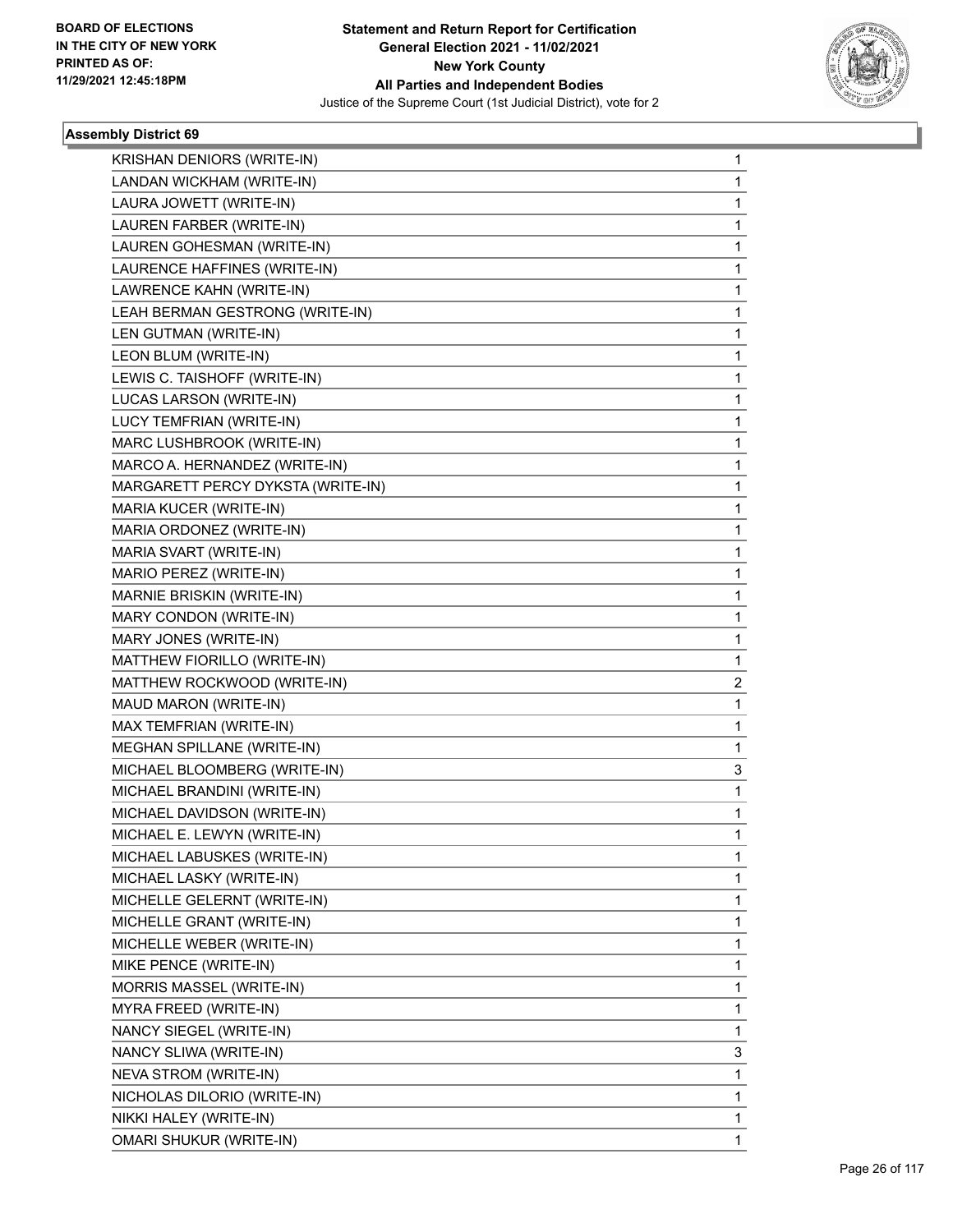

| KRISHAN DENIORS (WRITE-IN)        | 1 |
|-----------------------------------|---|
| LANDAN WICKHAM (WRITE-IN)         | 1 |
| LAURA JOWETT (WRITE-IN)           | 1 |
| LAUREN FARBER (WRITE-IN)          | 1 |
| LAUREN GOHESMAN (WRITE-IN)        | 1 |
| LAURENCE HAFFINES (WRITE-IN)      | 1 |
| LAWRENCE KAHN (WRITE-IN)          | 1 |
| LEAH BERMAN GESTRONG (WRITE-IN)   | 1 |
| LEN GUTMAN (WRITE-IN)             | 1 |
| LEON BLUM (WRITE-IN)              | 1 |
| LEWIS C. TAISHOFF (WRITE-IN)      | 1 |
| LUCAS LARSON (WRITE-IN)           | 1 |
| LUCY TEMFRIAN (WRITE-IN)          | 1 |
| MARC LUSHBROOK (WRITE-IN)         | 1 |
| MARCO A. HERNANDEZ (WRITE-IN)     | 1 |
| MARGARETT PERCY DYKSTA (WRITE-IN) | 1 |
| MARIA KUCER (WRITE-IN)            | 1 |
| MARIA ORDONEZ (WRITE-IN)          | 1 |
| MARIA SVART (WRITE-IN)            | 1 |
| MARIO PEREZ (WRITE-IN)            | 1 |
| MARNIE BRISKIN (WRITE-IN)         | 1 |
| MARY CONDON (WRITE-IN)            | 1 |
| MARY JONES (WRITE-IN)             | 1 |
| MATTHEW FIORILLO (WRITE-IN)       | 1 |
| MATTHEW ROCKWOOD (WRITE-IN)       | 2 |
| MAUD MARON (WRITE-IN)             | 1 |
| MAX TEMFRIAN (WRITE-IN)           | 1 |
| MEGHAN SPILLANE (WRITE-IN)        | 1 |
| MICHAEL BLOOMBERG (WRITE-IN)      | 3 |
| MICHAEL BRANDINI (WRITE-IN)       | 1 |
| MICHAEL DAVIDSON (WRITE-IN)       | 1 |
| MICHAEL E. LEWYN (WRITE-IN)       | 1 |
| MICHAEL LABUSKES (WRITE-IN)       | 1 |
| MICHAEL LASKY (WRITE-IN)          | 1 |
| MICHELLE GELERNT (WRITE-IN)       | 1 |
| MICHELLE GRANT (WRITE-IN)         | 1 |
| MICHELLE WEBER (WRITE-IN)         | 1 |
| MIKE PENCE (WRITE-IN)             | 1 |
| MORRIS MASSEL (WRITE-IN)          | 1 |
| MYRA FREED (WRITE-IN)             | 1 |
| NANCY SIEGEL (WRITE-IN)           | 1 |
| NANCY SLIWA (WRITE-IN)            | 3 |
| NEVA STROM (WRITE-IN)             | 1 |
| NICHOLAS DILORIO (WRITE-IN)       | 1 |
| NIKKI HALEY (WRITE-IN)            | 1 |
| OMARI SHUKUR (WRITE-IN)           | 1 |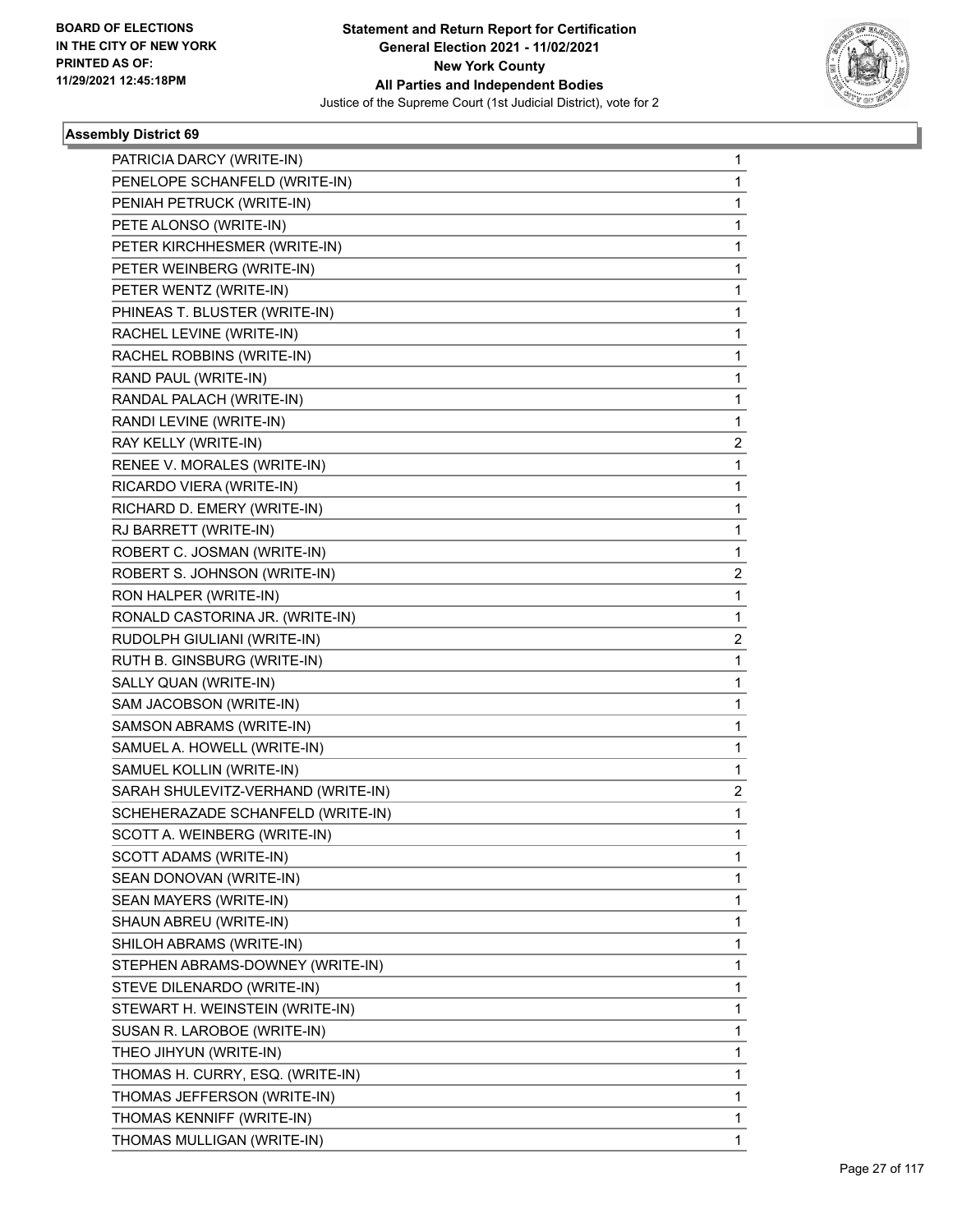

| PATRICIA DARCY (WRITE-IN)          | 1 |
|------------------------------------|---|
| PENELOPE SCHANFELD (WRITE-IN)      | 1 |
| PENIAH PETRUCK (WRITE-IN)          | 1 |
| PETE ALONSO (WRITE-IN)             | 1 |
| PETER KIRCHHESMER (WRITE-IN)       | 1 |
| PETER WEINBERG (WRITE-IN)          | 1 |
| PETER WENTZ (WRITE-IN)             | 1 |
| PHINEAS T. BLUSTER (WRITE-IN)      | 1 |
| RACHEL LEVINE (WRITE-IN)           | 1 |
| RACHEL ROBBINS (WRITE-IN)          | 1 |
| RAND PAUL (WRITE-IN)               | 1 |
| RANDAL PALACH (WRITE-IN)           | 1 |
| RANDI LEVINE (WRITE-IN)            | 1 |
| RAY KELLY (WRITE-IN)               | 2 |
| RENEE V. MORALES (WRITE-IN)        | 1 |
| RICARDO VIERA (WRITE-IN)           | 1 |
| RICHARD D. EMERY (WRITE-IN)        | 1 |
| RJ BARRETT (WRITE-IN)              | 1 |
| ROBERT C. JOSMAN (WRITE-IN)        | 1 |
| ROBERT S. JOHNSON (WRITE-IN)       | 2 |
| RON HALPER (WRITE-IN)              | 1 |
| RONALD CASTORINA JR. (WRITE-IN)    | 1 |
| RUDOLPH GIULIANI (WRITE-IN)        | 2 |
| RUTH B. GINSBURG (WRITE-IN)        | 1 |
| SALLY QUAN (WRITE-IN)              | 1 |
| SAM JACOBSON (WRITE-IN)            | 1 |
| SAMSON ABRAMS (WRITE-IN)           | 1 |
| SAMUEL A. HOWELL (WRITE-IN)        | 1 |
| SAMUEL KOLLIN (WRITE-IN)           | 1 |
| SARAH SHULEVITZ-VERHAND (WRITE-IN) | 2 |
| SCHEHERAZADE SCHANFELD (WRITE-IN)  | 1 |
| SCOTT A. WEINBERG (WRITE-IN)       | 1 |
| SCOTT ADAMS (WRITE-IN)             | 1 |
| SEAN DONOVAN (WRITE-IN)            | 1 |
| SEAN MAYERS (WRITE-IN)             | 1 |
| SHAUN ABREU (WRITE-IN)             | 1 |
| SHILOH ABRAMS (WRITE-IN)           | 1 |
| STEPHEN ABRAMS-DOWNEY (WRITE-IN)   | 1 |
| STEVE DILENARDO (WRITE-IN)         | 1 |
| STEWART H. WEINSTEIN (WRITE-IN)    | 1 |
| SUSAN R. LAROBOE (WRITE-IN)        | 1 |
| THEO JIHYUN (WRITE-IN)             | 1 |
| THOMAS H. CURRY, ESQ. (WRITE-IN)   | 1 |
| THOMAS JEFFERSON (WRITE-IN)        | 1 |
| THOMAS KENNIFF (WRITE-IN)          | 1 |
| THOMAS MULLIGAN (WRITE-IN)         | 1 |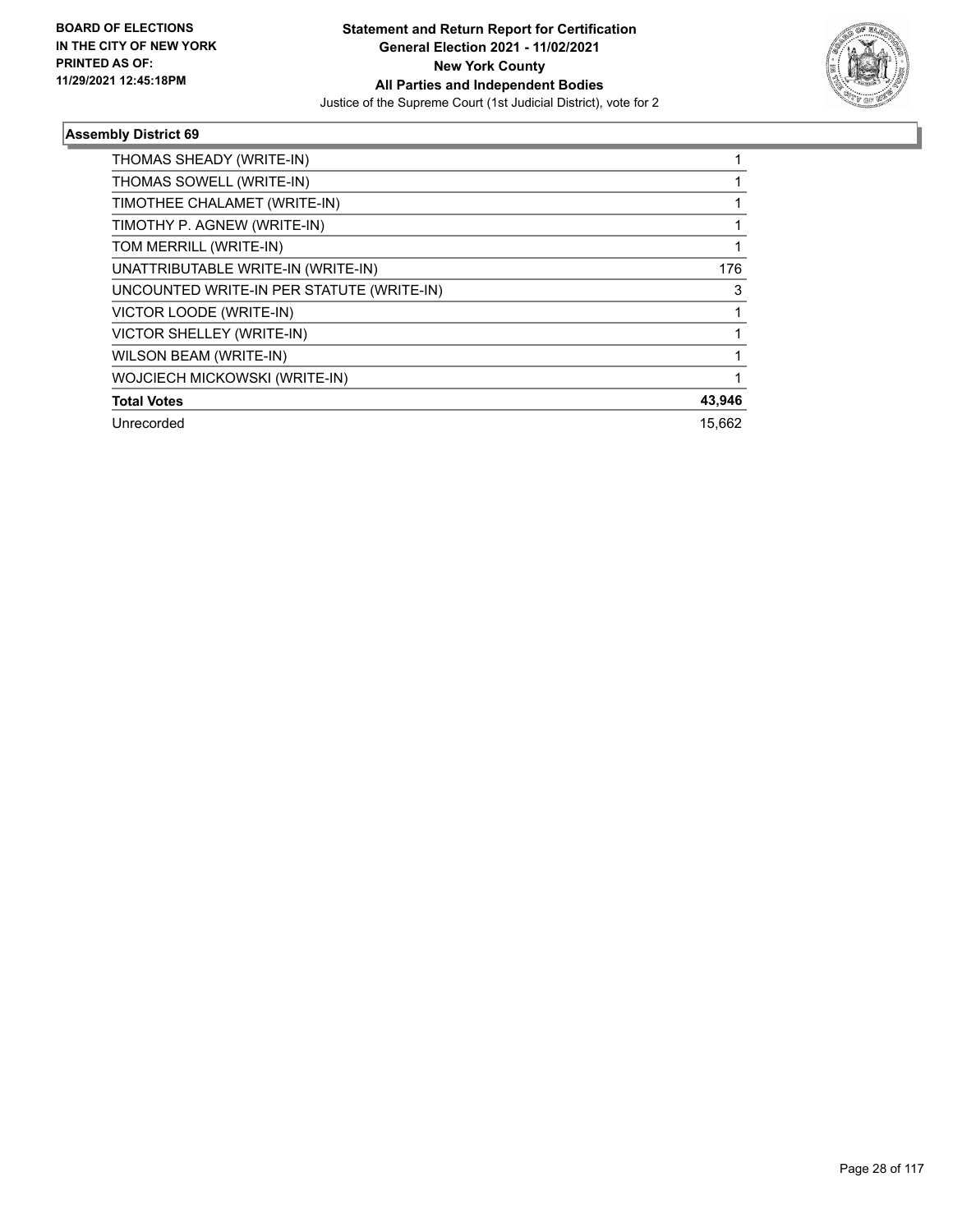

| THOMAS SHEADY (WRITE-IN)                  |        |
|-------------------------------------------|--------|
| THOMAS SOWELL (WRITE-IN)                  |        |
| TIMOTHEE CHALAMET (WRITE-IN)              |        |
| TIMOTHY P. AGNEW (WRITE-IN)               |        |
| TOM MERRILL (WRITE-IN)                    |        |
| UNATTRIBUTABLE WRITE-IN (WRITE-IN)        | 176    |
| UNCOUNTED WRITE-IN PER STATUTE (WRITE-IN) | 3      |
| VICTOR LOODE (WRITE-IN)                   |        |
| VICTOR SHELLEY (WRITE-IN)                 |        |
| WILSON BEAM (WRITE-IN)                    |        |
| WOJCIECH MICKOWSKI (WRITE-IN)             |        |
| <b>Total Votes</b>                        | 43,946 |
| Unrecorded                                | 15.662 |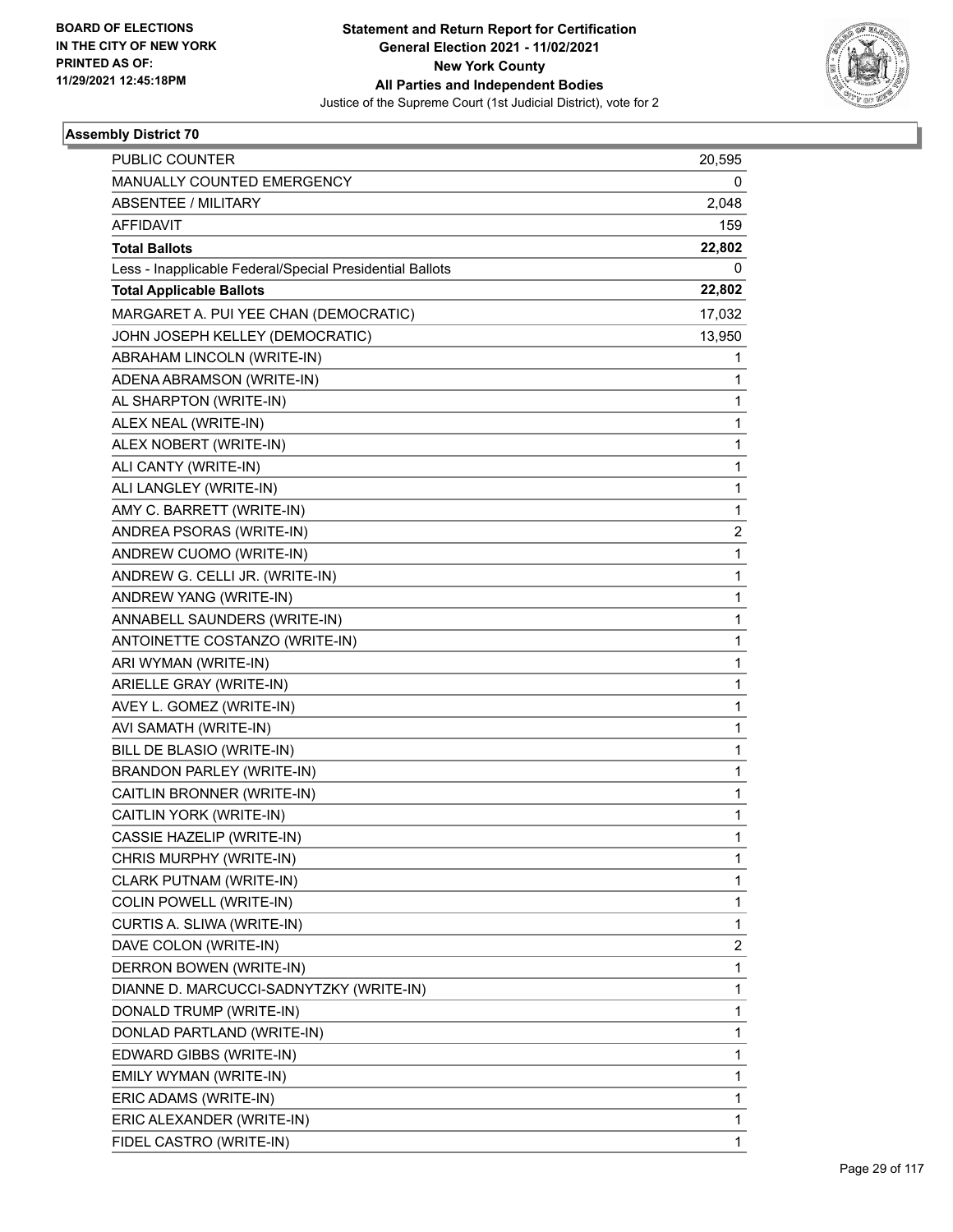

| PUBLIC COUNTER                                           | 20,595 |
|----------------------------------------------------------|--------|
| MANUALLY COUNTED EMERGENCY                               | 0      |
| <b>ABSENTEE / MILITARY</b>                               | 2,048  |
| <b>AFFIDAVIT</b>                                         | 159    |
| <b>Total Ballots</b>                                     | 22,802 |
| Less - Inapplicable Federal/Special Presidential Ballots | 0      |
| <b>Total Applicable Ballots</b>                          | 22,802 |
| MARGARET A. PUI YEE CHAN (DEMOCRATIC)                    | 17,032 |
| JOHN JOSEPH KELLEY (DEMOCRATIC)                          | 13,950 |
| ABRAHAM LINCOLN (WRITE-IN)                               | 1      |
| ADENA ABRAMSON (WRITE-IN)                                | 1      |
| AL SHARPTON (WRITE-IN)                                   | 1      |
| ALEX NEAL (WRITE-IN)                                     | 1      |
| ALEX NOBERT (WRITE-IN)                                   | 1      |
| ALI CANTY (WRITE-IN)                                     | 1      |
| ALI LANGLEY (WRITE-IN)                                   | 1      |
| AMY C. BARRETT (WRITE-IN)                                | 1      |
| ANDREA PSORAS (WRITE-IN)                                 | 2      |
| ANDREW CUOMO (WRITE-IN)                                  | 1      |
| ANDREW G. CELLI JR. (WRITE-IN)                           | 1      |
| ANDREW YANG (WRITE-IN)                                   | 1      |
| ANNABELL SAUNDERS (WRITE-IN)                             | 1      |
| ANTOINETTE COSTANZO (WRITE-IN)                           | 1      |
| ARI WYMAN (WRITE-IN)                                     | 1      |
| ARIELLE GRAY (WRITE-IN)                                  | 1      |
| AVEY L. GOMEZ (WRITE-IN)                                 | 1      |
| AVI SAMATH (WRITE-IN)                                    | 1      |
| BILL DE BLASIO (WRITE-IN)                                | 1      |
| BRANDON PARLEY (WRITE-IN)                                | 1      |
| CAITLIN BRONNER (WRITE-IN)                               | 1      |
| CAITLIN YORK (WRITE-IN)                                  | 1      |
| CASSIE HAZELIP (WRITE-IN)                                | 1      |
| CHRIS MURPHY (WRITE-IN)                                  | 1      |
| CLARK PUTNAM (WRITE-IN)                                  | 1      |
| COLIN POWELL (WRITE-IN)                                  | 1      |
| CURTIS A. SLIWA (WRITE-IN)                               | 1      |
| DAVE COLON (WRITE-IN)                                    | 2      |
| DERRON BOWEN (WRITE-IN)                                  | 1      |
| DIANNE D. MARCUCCI-SADNYTZKY (WRITE-IN)                  | 1      |
| DONALD TRUMP (WRITE-IN)                                  | 1      |
| DONLAD PARTLAND (WRITE-IN)                               | 1      |
| EDWARD GIBBS (WRITE-IN)                                  | 1      |
| EMILY WYMAN (WRITE-IN)                                   | 1      |
| ERIC ADAMS (WRITE-IN)                                    | 1      |
| ERIC ALEXANDER (WRITE-IN)                                | 1      |
| FIDEL CASTRO (WRITE-IN)                                  | 1      |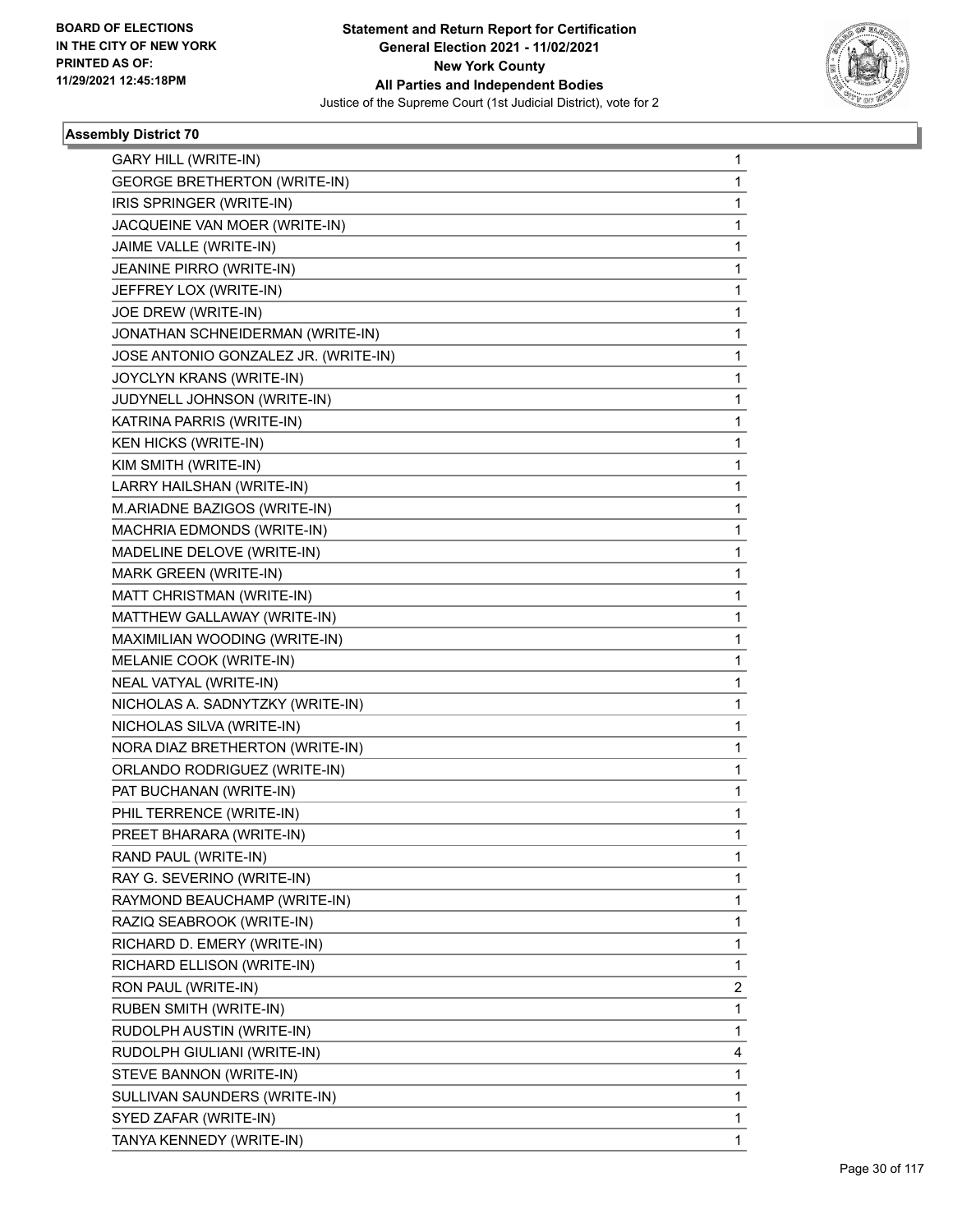

| <b>GARY HILL (WRITE-IN)</b>          | 1            |
|--------------------------------------|--------------|
| <b>GEORGE BRETHERTON (WRITE-IN)</b>  | 1            |
| IRIS SPRINGER (WRITE-IN)             | $\mathbf{1}$ |
| JACQUEINE VAN MOER (WRITE-IN)        | 1            |
| JAIME VALLE (WRITE-IN)               | 1            |
| JEANINE PIRRO (WRITE-IN)             | 1            |
| JEFFREY LOX (WRITE-IN)               | 1            |
| JOE DREW (WRITE-IN)                  | 1            |
| JONATHAN SCHNEIDERMAN (WRITE-IN)     | 1            |
| JOSE ANTONIO GONZALEZ JR. (WRITE-IN) | 1            |
| JOYCLYN KRANS (WRITE-IN)             | 1            |
| JUDYNELL JOHNSON (WRITE-IN)          | 1            |
| KATRINA PARRIS (WRITE-IN)            | 1            |
| <b>KEN HICKS (WRITE-IN)</b>          | 1            |
| KIM SMITH (WRITE-IN)                 | 1            |
| LARRY HAILSHAN (WRITE-IN)            | 1            |
| M.ARIADNE BAZIGOS (WRITE-IN)         | 1            |
| MACHRIA EDMONDS (WRITE-IN)           | 1            |
| MADELINE DELOVE (WRITE-IN)           | 1            |
| MARK GREEN (WRITE-IN)                | 1            |
| MATT CHRISTMAN (WRITE-IN)            | 1            |
| MATTHEW GALLAWAY (WRITE-IN)          | 1            |
| MAXIMILIAN WOODING (WRITE-IN)        | 1            |
| MELANIE COOK (WRITE-IN)              | 1            |
| NEAL VATYAL (WRITE-IN)               | 1            |
| NICHOLAS A. SADNYTZKY (WRITE-IN)     | 1            |
| NICHOLAS SILVA (WRITE-IN)            | 1            |
| NORA DIAZ BRETHERTON (WRITE-IN)      | 1            |
| ORLANDO RODRIGUEZ (WRITE-IN)         | 1            |
| PAT BUCHANAN (WRITE-IN)              | 1            |
| PHIL TERRENCE (WRITE-IN)             | 1            |
| PREET BHARARA (WRITE-IN)             | 1            |
| RAND PAUL (WRITE-IN)                 | 1            |
| RAY G. SEVERINO (WRITE-IN)           | 1            |
| RAYMOND BEAUCHAMP (WRITE-IN)         | 1            |
| RAZIQ SEABROOK (WRITE-IN)            | 1            |
| RICHARD D. EMERY (WRITE-IN)          | 1            |
| RICHARD ELLISON (WRITE-IN)           | 1            |
| RON PAUL (WRITE-IN)                  | 2            |
| <b>RUBEN SMITH (WRITE-IN)</b>        | 1            |
| RUDOLPH AUSTIN (WRITE-IN)            | 1            |
| RUDOLPH GIULIANI (WRITE-IN)          | 4            |
| STEVE BANNON (WRITE-IN)              | 1            |
| SULLIVAN SAUNDERS (WRITE-IN)         | 1            |
| SYED ZAFAR (WRITE-IN)                | 1            |
| TANYA KENNEDY (WRITE-IN)             | 1            |
|                                      |              |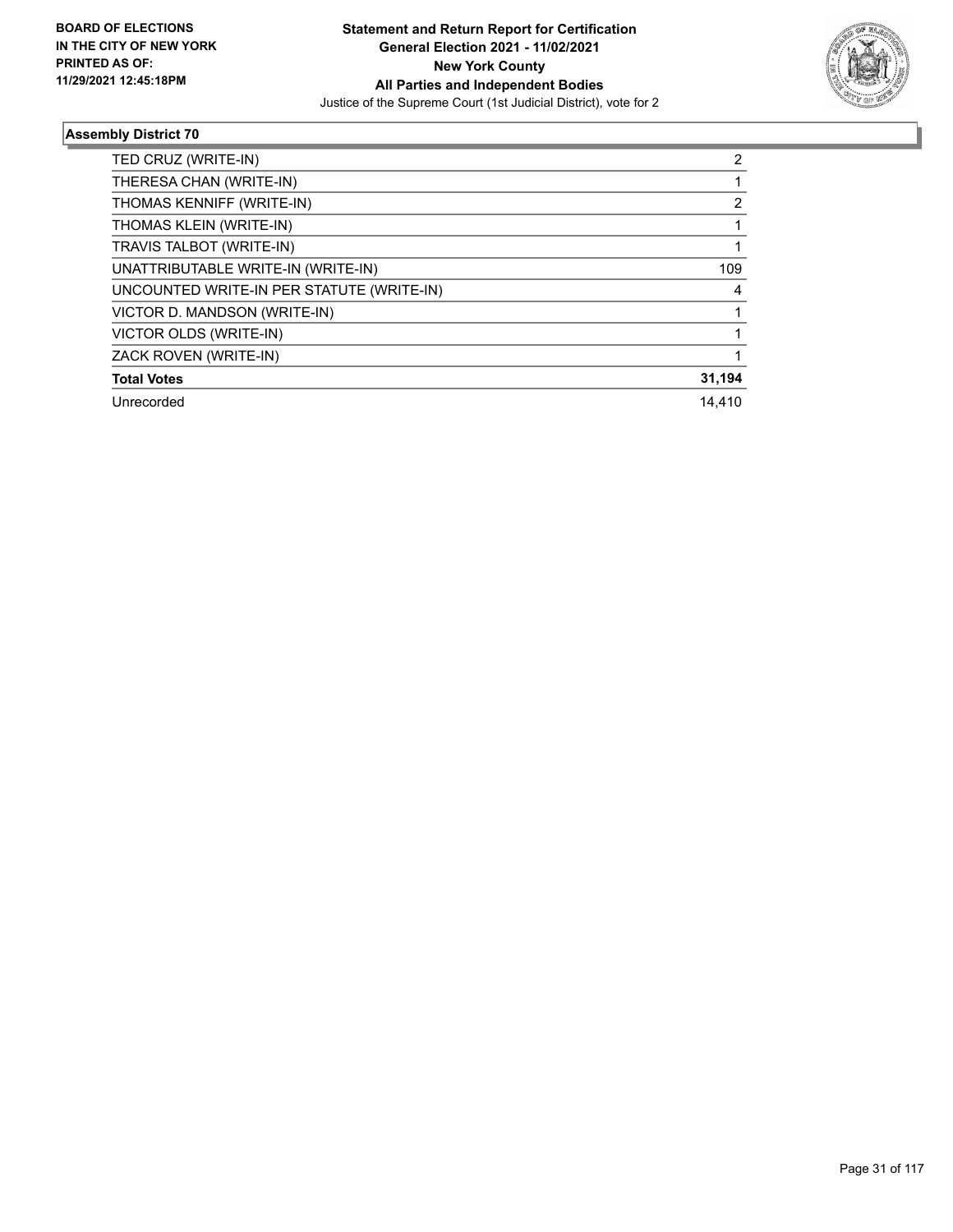

| TED CRUZ (WRITE-IN)                       | $\mathbf{2}^{\prime}$ |
|-------------------------------------------|-----------------------|
| THERESA CHAN (WRITE-IN)                   |                       |
| THOMAS KENNIFF (WRITE-IN)                 | 2                     |
| THOMAS KLEIN (WRITE-IN)                   |                       |
| TRAVIS TALBOT (WRITE-IN)                  |                       |
| UNATTRIBUTABLE WRITE-IN (WRITE-IN)        | 109                   |
| UNCOUNTED WRITE-IN PER STATUTE (WRITE-IN) | 4                     |
| VICTOR D. MANDSON (WRITE-IN)              |                       |
| VICTOR OLDS (WRITE-IN)                    |                       |
| ZACK ROVEN (WRITE-IN)                     |                       |
| <b>Total Votes</b>                        | 31,194                |
| Unrecorded                                | 14.410                |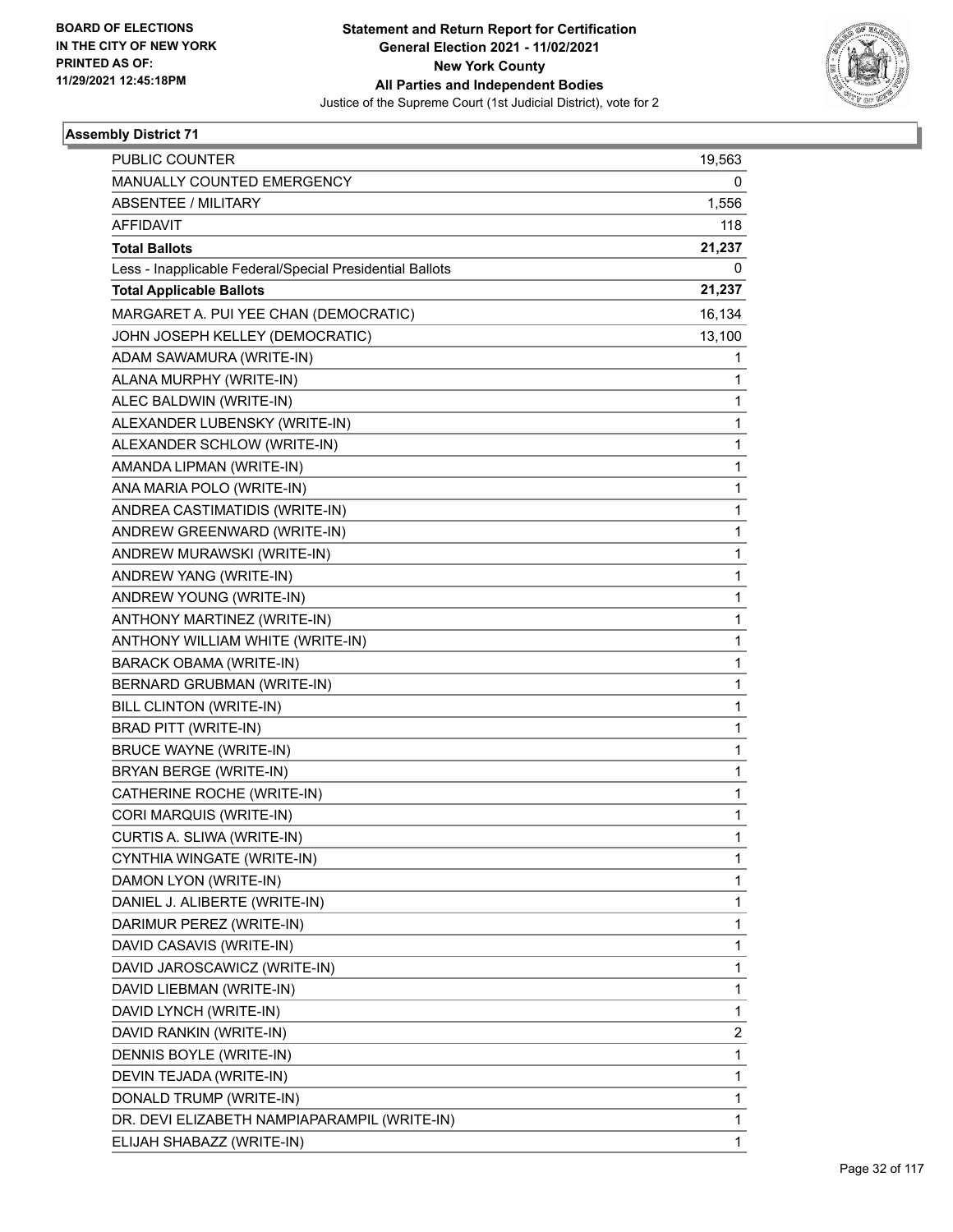

| <b>PUBLIC COUNTER</b>                                    | 19,563 |
|----------------------------------------------------------|--------|
| MANUALLY COUNTED EMERGENCY                               | 0      |
| <b>ABSENTEE / MILITARY</b>                               | 1,556  |
| AFFIDAVIT                                                | 118    |
| <b>Total Ballots</b>                                     | 21,237 |
| Less - Inapplicable Federal/Special Presidential Ballots | 0      |
| <b>Total Applicable Ballots</b>                          | 21,237 |
| MARGARET A. PUI YEE CHAN (DEMOCRATIC)                    | 16,134 |
| JOHN JOSEPH KELLEY (DEMOCRATIC)                          | 13,100 |
| ADAM SAWAMURA (WRITE-IN)                                 | 1      |
| ALANA MURPHY (WRITE-IN)                                  | 1      |
| ALEC BALDWIN (WRITE-IN)                                  | 1      |
| ALEXANDER LUBENSKY (WRITE-IN)                            | 1      |
| ALEXANDER SCHLOW (WRITE-IN)                              | 1      |
| AMANDA LIPMAN (WRITE-IN)                                 | 1      |
| ANA MARIA POLO (WRITE-IN)                                | 1      |
| ANDREA CASTIMATIDIS (WRITE-IN)                           | 1      |
| ANDREW GREENWARD (WRITE-IN)                              | 1      |
| ANDREW MURAWSKI (WRITE-IN)                               | 1      |
| ANDREW YANG (WRITE-IN)                                   | 1      |
| ANDREW YOUNG (WRITE-IN)                                  | 1      |
| ANTHONY MARTINEZ (WRITE-IN)                              | 1      |
| ANTHONY WILLIAM WHITE (WRITE-IN)                         | 1      |
| <b>BARACK OBAMA (WRITE-IN)</b>                           | 1      |
| BERNARD GRUBMAN (WRITE-IN)                               | 1      |
| BILL CLINTON (WRITE-IN)                                  | 1      |
| <b>BRAD PITT (WRITE-IN)</b>                              | 1      |
| <b>BRUCE WAYNE (WRITE-IN)</b>                            | 1      |
| BRYAN BERGE (WRITE-IN)                                   | 1      |
| CATHERINE ROCHE (WRITE-IN)                               | 1      |
| CORI MARQUIS (WRITE-IN)                                  | 1      |
| CURTIS A. SLIWA (WRITE-IN)                               | 1      |
| CYNTHIA WINGATE (WRITE-IN)                               | 1      |
| DAMON LYON (WRITE-IN)                                    | 1      |
| DANIEL J. ALIBERTE (WRITE-IN)                            | 1      |
| DARIMUR PEREZ (WRITE-IN)                                 | 1      |
| DAVID CASAVIS (WRITE-IN)                                 | 1      |
| DAVID JAROSCAWICZ (WRITE-IN)                             | 1      |
| DAVID LIEBMAN (WRITE-IN)                                 | 1      |
| DAVID LYNCH (WRITE-IN)                                   | 1      |
| DAVID RANKIN (WRITE-IN)                                  | 2      |
| DENNIS BOYLE (WRITE-IN)                                  | 1      |
| DEVIN TEJADA (WRITE-IN)                                  | 1      |
| DONALD TRUMP (WRITE-IN)                                  | 1      |
| DR. DEVI ELIZABETH NAMPIAPARAMPIL (WRITE-IN)             | 1      |
| ELIJAH SHABAZZ (WRITE-IN)                                | 1      |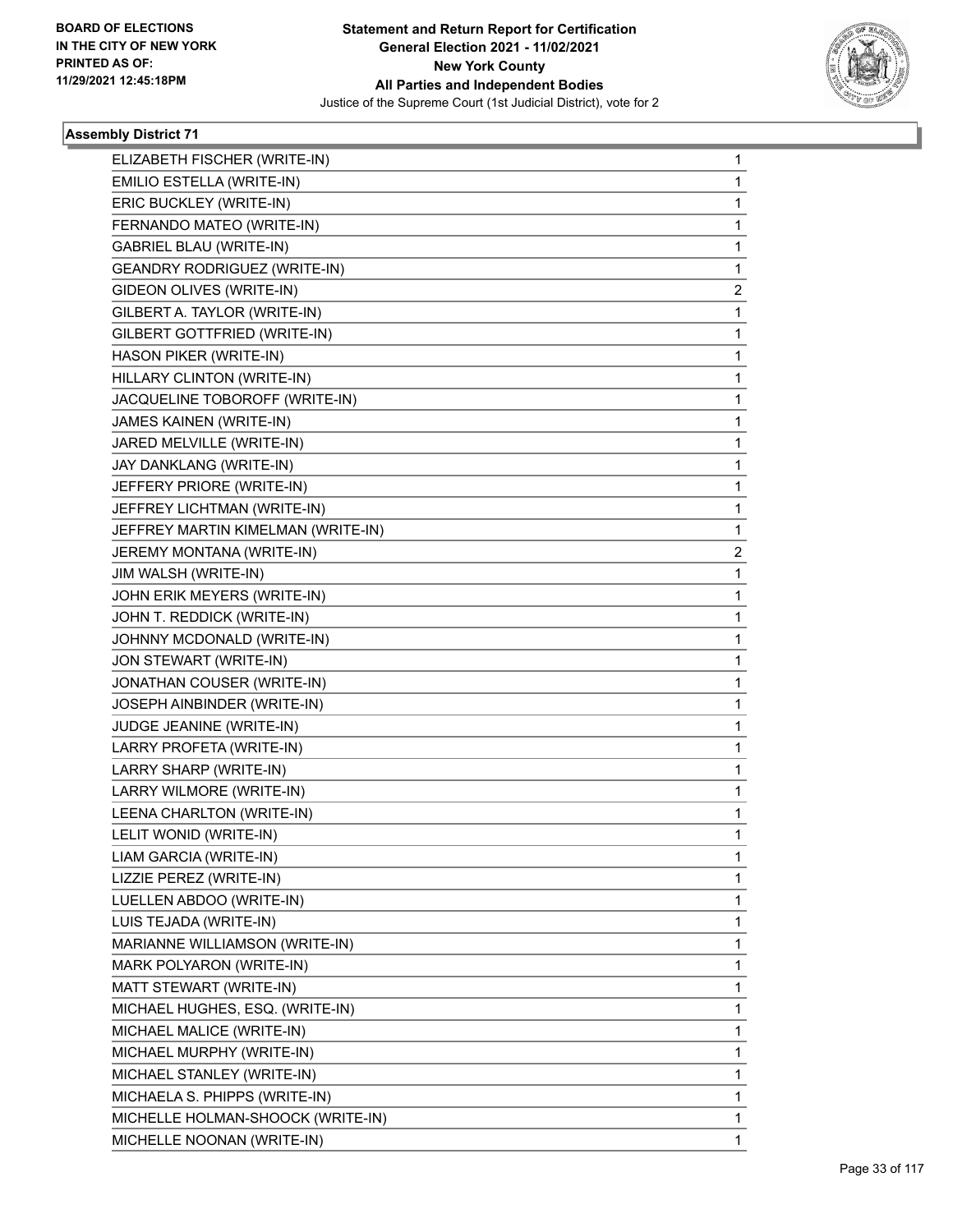

| ELIZABETH FISCHER (WRITE-IN)        | 1           |
|-------------------------------------|-------------|
| EMILIO ESTELLA (WRITE-IN)           | 1           |
| ERIC BUCKLEY (WRITE-IN)             | $\mathbf 1$ |
| FERNANDO MATEO (WRITE-IN)           | 1           |
| GABRIEL BLAU (WRITE-IN)             | 1           |
| <b>GEANDRY RODRIGUEZ (WRITE-IN)</b> | 1           |
| GIDEON OLIVES (WRITE-IN)            | 2           |
| GILBERT A. TAYLOR (WRITE-IN)        | 1           |
| GILBERT GOTTFRIED (WRITE-IN)        | $\mathbf 1$ |
| HASON PIKER (WRITE-IN)              | 1           |
| HILLARY CLINTON (WRITE-IN)          | 1           |
| JACQUELINE TOBOROFF (WRITE-IN)      | 1           |
| JAMES KAINEN (WRITE-IN)             | 1           |
| JARED MELVILLE (WRITE-IN)           | 1           |
| JAY DANKLANG (WRITE-IN)             | $\mathbf 1$ |
| JEFFERY PRIORE (WRITE-IN)           | 1           |
| JEFFREY LICHTMAN (WRITE-IN)         | 1           |
| JEFFREY MARTIN KIMELMAN (WRITE-IN)  | 1           |
| JEREMY MONTANA (WRITE-IN)           | 2           |
| JIM WALSH (WRITE-IN)                | 1           |
| JOHN ERIK MEYERS (WRITE-IN)         | $\mathbf 1$ |
| JOHN T. REDDICK (WRITE-IN)          | 1           |
| JOHNNY MCDONALD (WRITE-IN)          | 1           |
| JON STEWART (WRITE-IN)              | 1           |
| JONATHAN COUSER (WRITE-IN)          | 1           |
| JOSEPH AINBINDER (WRITE-IN)         | 1           |
| JUDGE JEANINE (WRITE-IN)            | $\mathbf 1$ |
| LARRY PROFETA (WRITE-IN)            | 1           |
| LARRY SHARP (WRITE-IN)              | 1           |
| LARRY WILMORE (WRITE-IN)            | 1           |
| LEENA CHARLTON (WRITE-IN)           | 1           |
| LELIT WONID (WRITE-IN)              | 1           |
| LIAM GARCIA (WRITE-IN)              | 1           |
| LIZZIE PEREZ (WRITE-IN)             | 1           |
| LUELLEN ABDOO (WRITE-IN)            | 1           |
| LUIS TEJADA (WRITE-IN)              | $\mathbf 1$ |
| MARIANNE WILLIAMSON (WRITE-IN)      | 1           |
| MARK POLYARON (WRITE-IN)            | 1           |
| MATT STEWART (WRITE-IN)             | 1           |
| MICHAEL HUGHES, ESQ. (WRITE-IN)     | 1           |
| MICHAEL MALICE (WRITE-IN)           | 1           |
| MICHAEL MURPHY (WRITE-IN)           | $\mathbf 1$ |
| MICHAEL STANLEY (WRITE-IN)          | 1           |
| MICHAELA S. PHIPPS (WRITE-IN)       | 1           |
| MICHELLE HOLMAN-SHOOCK (WRITE-IN)   | 1           |
| MICHELLE NOONAN (WRITE-IN)          | 1           |
|                                     |             |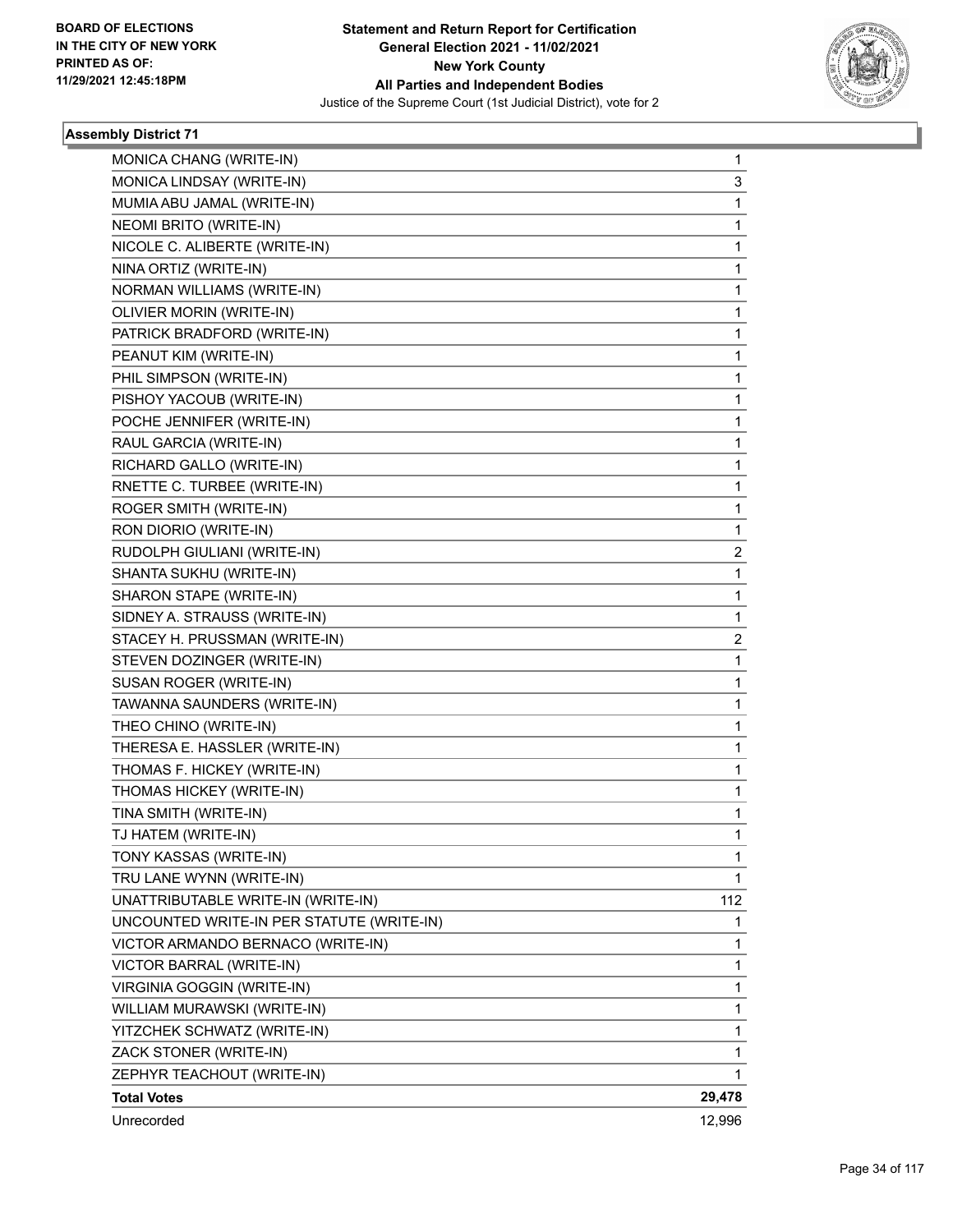

| MONICA CHANG (WRITE-IN)                   | 1            |
|-------------------------------------------|--------------|
| MONICA LINDSAY (WRITE-IN)                 | 3            |
| MUMIA ABU JAMAL (WRITE-IN)                | $\mathbf{1}$ |
| NEOMI BRITO (WRITE-IN)                    | 1            |
| NICOLE C. ALIBERTE (WRITE-IN)             | 1            |
| NINA ORTIZ (WRITE-IN)                     | 1            |
| NORMAN WILLIAMS (WRITE-IN)                | 1            |
| OLIVIER MORIN (WRITE-IN)                  | 1            |
| PATRICK BRADFORD (WRITE-IN)               | $\mathbf 1$  |
| PEANUT KIM (WRITE-IN)                     | 1            |
| PHIL SIMPSON (WRITE-IN)                   | 1            |
| PISHOY YACOUB (WRITE-IN)                  | 1            |
| POCHE JENNIFER (WRITE-IN)                 | 1            |
| RAUL GARCIA (WRITE-IN)                    | 1            |
| RICHARD GALLO (WRITE-IN)                  | $\mathbf 1$  |
| RNETTE C. TURBEE (WRITE-IN)               | 1            |
| <b>ROGER SMITH (WRITE-IN)</b>             | 1            |
| RON DIORIO (WRITE-IN)                     | 1            |
| RUDOLPH GIULIANI (WRITE-IN)               | 2            |
| SHANTA SUKHU (WRITE-IN)                   | 1            |
| SHARON STAPE (WRITE-IN)                   | $\mathbf 1$  |
| SIDNEY A. STRAUSS (WRITE-IN)              | 1            |
| STACEY H. PRUSSMAN (WRITE-IN)             | 2            |
| STEVEN DOZINGER (WRITE-IN)                | $\mathbf{1}$ |
| SUSAN ROGER (WRITE-IN)                    | 1            |
| TAWANNA SAUNDERS (WRITE-IN)               | 1            |
| THEO CHINO (WRITE-IN)                     | $\mathbf 1$  |
| THERESA E. HASSLER (WRITE-IN)             | 1            |
| THOMAS F. HICKEY (WRITE-IN)               | 1            |
| THOMAS HICKEY (WRITE-IN)                  | 1            |
| TINA SMITH (WRITE-IN)                     | 1            |
| TJ HATEM (WRITE-IN)                       | 1            |
| TONY KASSAS (WRITE-IN)                    | 1            |
| TRU LANE WYNN (WRITE-IN)                  | 1            |
| UNATTRIBUTABLE WRITE-IN (WRITE-IN)        | 112          |
| UNCOUNTED WRITE-IN PER STATUTE (WRITE-IN) | 1            |
| VICTOR ARMANDO BERNACO (WRITE-IN)         | 1            |
| VICTOR BARRAL (WRITE-IN)                  | 1            |
| VIRGINIA GOGGIN (WRITE-IN)                | 1            |
| WILLIAM MURAWSKI (WRITE-IN)               | 1            |
| YITZCHEK SCHWATZ (WRITE-IN)               | 1            |
| ZACK STONER (WRITE-IN)                    | 1            |
| ZEPHYR TEACHOUT (WRITE-IN)                | 1            |
| <b>Total Votes</b>                        | 29,478       |
| Unrecorded                                | 12,996       |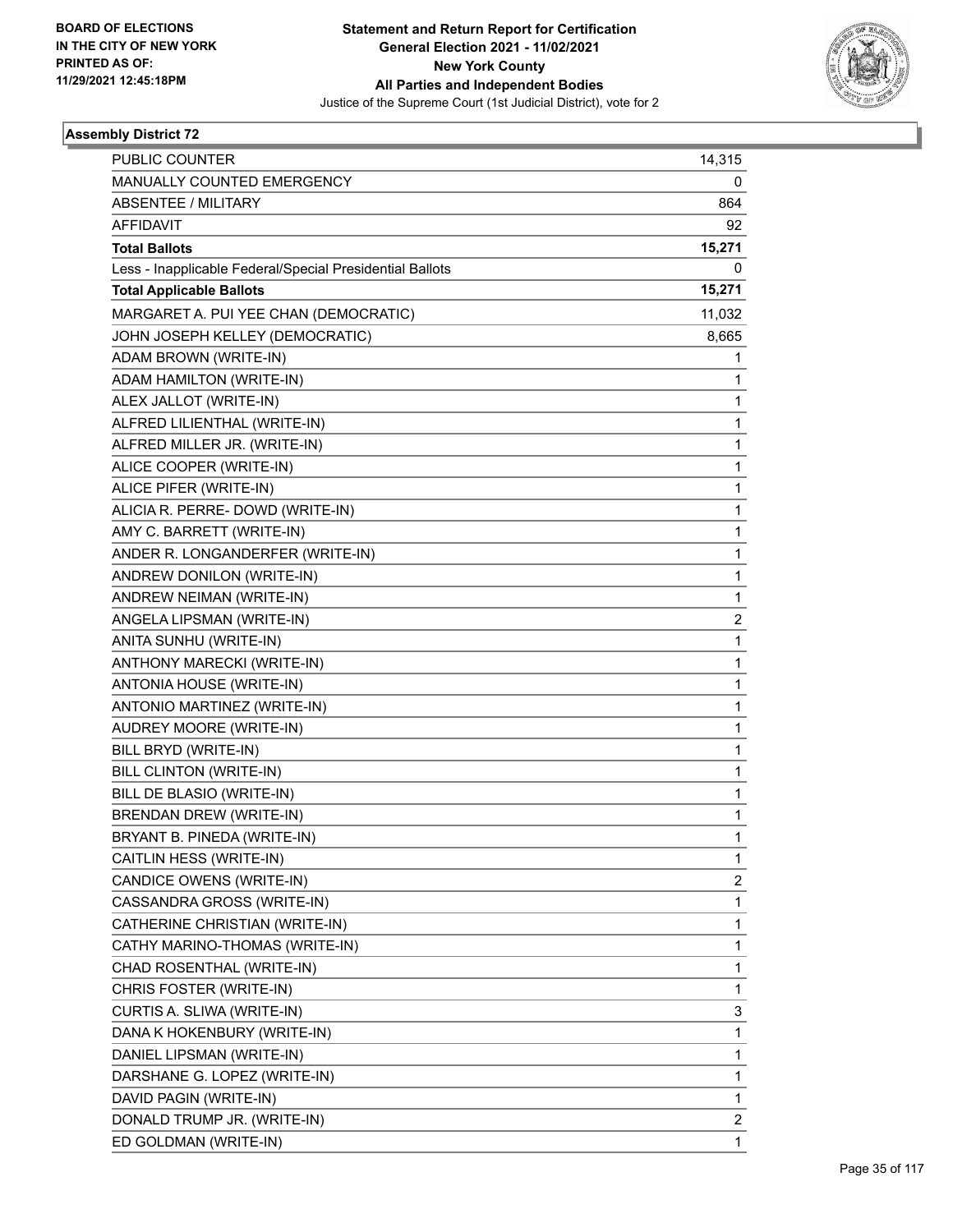

| <b>PUBLIC COUNTER</b>                                    | 14,315                  |
|----------------------------------------------------------|-------------------------|
| MANUALLY COUNTED EMERGENCY                               | 0                       |
| <b>ABSENTEE / MILITARY</b>                               | 864                     |
| <b>AFFIDAVIT</b>                                         | 92                      |
| <b>Total Ballots</b>                                     | 15,271                  |
| Less - Inapplicable Federal/Special Presidential Ballots | 0                       |
| <b>Total Applicable Ballots</b>                          | 15,271                  |
| MARGARET A. PUI YEE CHAN (DEMOCRATIC)                    | 11,032                  |
| JOHN JOSEPH KELLEY (DEMOCRATIC)                          | 8,665                   |
| ADAM BROWN (WRITE-IN)                                    | 1                       |
| ADAM HAMILTON (WRITE-IN)                                 | 1                       |
| ALEX JALLOT (WRITE-IN)                                   | 1                       |
| ALFRED LILIENTHAL (WRITE-IN)                             | 1                       |
| ALFRED MILLER JR. (WRITE-IN)                             | $\mathbf{1}$            |
| ALICE COOPER (WRITE-IN)                                  | 1                       |
| ALICE PIFER (WRITE-IN)                                   | 1                       |
| ALICIA R. PERRE- DOWD (WRITE-IN)                         | 1                       |
| AMY C. BARRETT (WRITE-IN)                                | 1                       |
| ANDER R. LONGANDERFER (WRITE-IN)                         | 1                       |
| ANDREW DONILON (WRITE-IN)                                | $\mathbf{1}$            |
| ANDREW NEIMAN (WRITE-IN)                                 | 1                       |
| ANGELA LIPSMAN (WRITE-IN)                                | $\overline{\mathbf{c}}$ |
| ANITA SUNHU (WRITE-IN)                                   | $\mathbf{1}$            |
| ANTHONY MARECKI (WRITE-IN)                               | 1                       |
| ANTONIA HOUSE (WRITE-IN)                                 | 1                       |
| ANTONIO MARTINEZ (WRITE-IN)                              | 1                       |
| AUDREY MOORE (WRITE-IN)                                  | 1                       |
| BILL BRYD (WRITE-IN)                                     | 1                       |
| BILL CLINTON (WRITE-IN)                                  | $\mathbf{1}$            |
| BILL DE BLASIO (WRITE-IN)                                | 1                       |
| <b>BRENDAN DREW (WRITE-IN)</b>                           | 1                       |
| BRYANT B. PINEDA (WRITE-IN)                              | 1                       |
| CAITLIN HESS (WRITE-IN)                                  | 1                       |
| CANDICE OWENS (WRITE-IN)                                 | $\overline{\mathbf{c}}$ |
| CASSANDRA GROSS (WRITE-IN)                               | 1                       |
| CATHERINE CHRISTIAN (WRITE-IN)                           | 1                       |
| CATHY MARINO-THOMAS (WRITE-IN)                           | 1                       |
| CHAD ROSENTHAL (WRITE-IN)                                | 1                       |
| CHRIS FOSTER (WRITE-IN)                                  | 1                       |
| CURTIS A. SLIWA (WRITE-IN)                               | 3                       |
| DANA K HOKENBURY (WRITE-IN)                              | 1                       |
| DANIEL LIPSMAN (WRITE-IN)                                | 1                       |
| DARSHANE G. LOPEZ (WRITE-IN)                             | 1                       |
| DAVID PAGIN (WRITE-IN)                                   | 1                       |
| DONALD TRUMP JR. (WRITE-IN)                              | 2                       |
| ED GOLDMAN (WRITE-IN)                                    | $\mathbf{1}$            |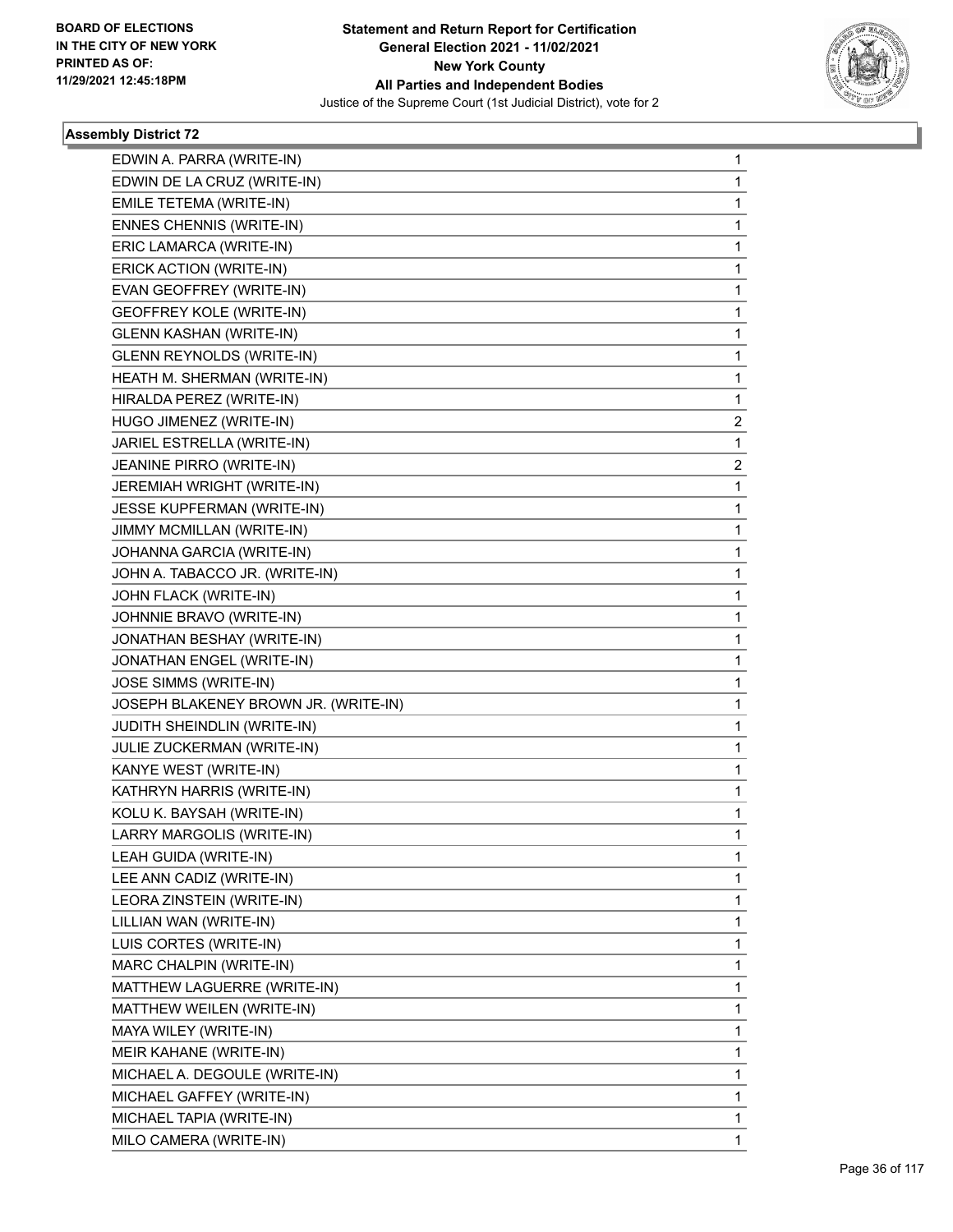

| EDWIN A. PARRA (WRITE-IN)            | $\mathbf{1}$            |
|--------------------------------------|-------------------------|
| EDWIN DE LA CRUZ (WRITE-IN)          | 1                       |
| EMILE TETEMA (WRITE-IN)              | 1                       |
| ENNES CHENNIS (WRITE-IN)             | 1                       |
| ERIC LAMARCA (WRITE-IN)              | 1                       |
| ERICK ACTION (WRITE-IN)              | 1                       |
| EVAN GEOFFREY (WRITE-IN)             | $\mathbf{1}$            |
| <b>GEOFFREY KOLE (WRITE-IN)</b>      | 1                       |
| <b>GLENN KASHAN (WRITE-IN)</b>       | 1                       |
| GLENN REYNOLDS (WRITE-IN)            | 1                       |
| HEATH M. SHERMAN (WRITE-IN)          | 1                       |
| HIRALDA PEREZ (WRITE-IN)             | 1                       |
| HUGO JIMENEZ (WRITE-IN)              | $\overline{\mathbf{c}}$ |
| JARIEL ESTRELLA (WRITE-IN)           | 1                       |
| JEANINE PIRRO (WRITE-IN)             | 2                       |
| JEREMIAH WRIGHT (WRITE-IN)           | 1                       |
| JESSE KUPFERMAN (WRITE-IN)           | 1                       |
| JIMMY MCMILLAN (WRITE-IN)            | 1                       |
| JOHANNA GARCIA (WRITE-IN)            | $\mathbf{1}$            |
| JOHN A. TABACCO JR. (WRITE-IN)       | 1                       |
| JOHN FLACK (WRITE-IN)                | 1                       |
| JOHNNIE BRAVO (WRITE-IN)             | 1                       |
| JONATHAN BESHAY (WRITE-IN)           | 1                       |
| JONATHAN ENGEL (WRITE-IN)            | 1                       |
| JOSE SIMMS (WRITE-IN)                | $\mathbf{1}$            |
| JOSEPH BLAKENEY BROWN JR. (WRITE-IN) | 1                       |
| JUDITH SHEINDLIN (WRITE-IN)          | 1                       |
| JULIE ZUCKERMAN (WRITE-IN)           | 1                       |
| KANYE WEST (WRITE-IN)                | 1                       |
| KATHRYN HARRIS (WRITE-IN)            | 1                       |
| KOLU K. BAYSAH (WRITE-IN)            | 1                       |
| LARRY MARGOLIS (WRITE-IN)            | 1                       |
| LEAH GUIDA (WRITE-IN)                | 1                       |
| LEE ANN CADIZ (WRITE-IN)             | 1                       |
| LEORA ZINSTEIN (WRITE-IN)            | 1                       |
| LILLIAN WAN (WRITE-IN)               | 1                       |
| LUIS CORTES (WRITE-IN)               | 1                       |
| MARC CHALPIN (WRITE-IN)              | 1                       |
| MATTHEW LAGUERRE (WRITE-IN)          | 1                       |
| MATTHEW WEILEN (WRITE-IN)            | $\mathbf{1}$            |
| MAYA WILEY (WRITE-IN)                | 1                       |
| MEIR KAHANE (WRITE-IN)               | 1                       |
| MICHAEL A. DEGOULE (WRITE-IN)        | 1                       |
| MICHAEL GAFFEY (WRITE-IN)            | 1                       |
| MICHAEL TAPIA (WRITE-IN)             | 1                       |
| MILO CAMERA (WRITE-IN)               | 1                       |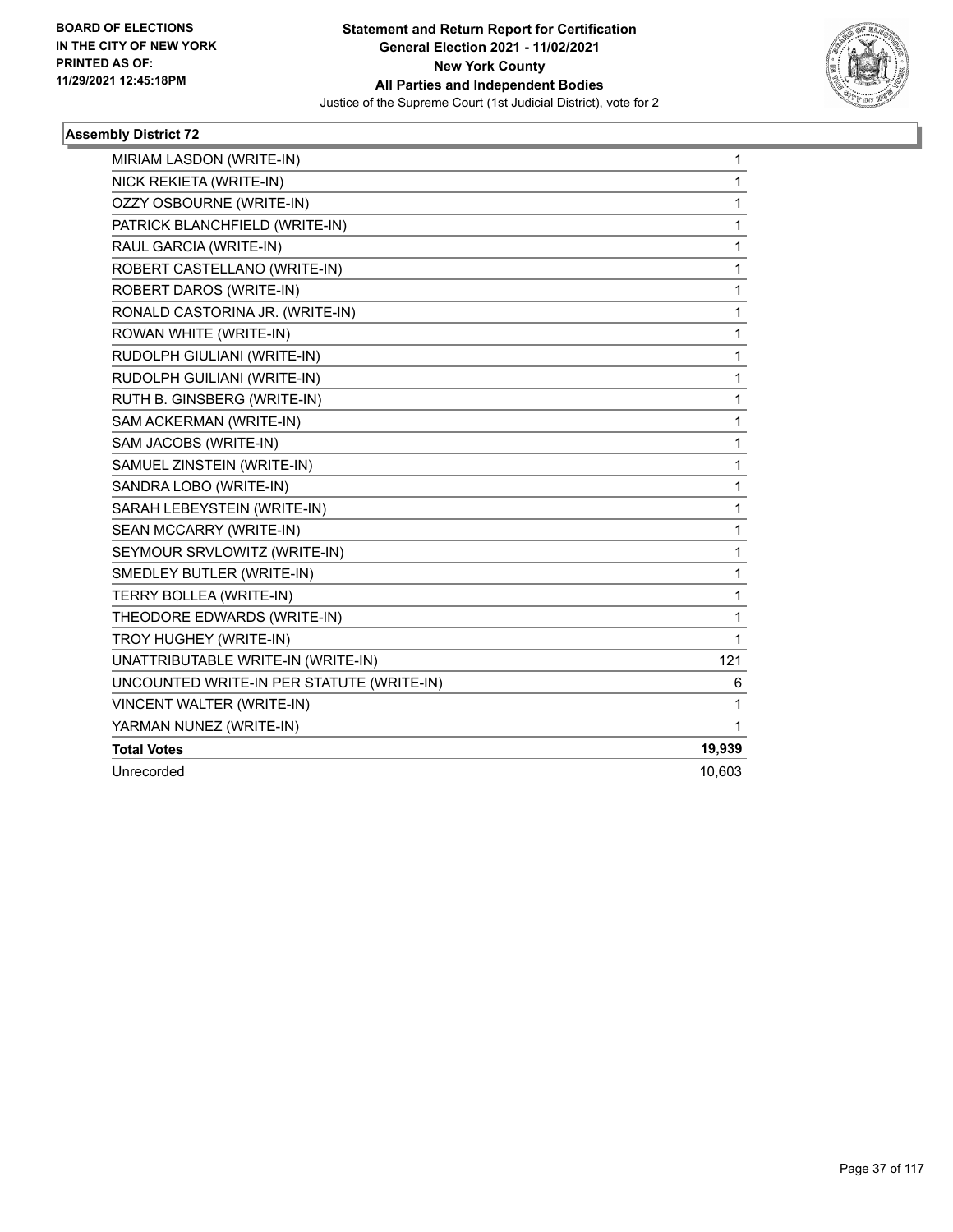

| MIRIAM LASDON (WRITE-IN)                  | $\mathbf{1}$ |
|-------------------------------------------|--------------|
| NICK REKIETA (WRITE-IN)                   | 1            |
| OZZY OSBOURNE (WRITE-IN)                  | 1            |
| PATRICK BLANCHFIELD (WRITE-IN)            | 1            |
| RAUL GARCIA (WRITE-IN)                    | 1            |
| ROBERT CASTELLANO (WRITE-IN)              | 1            |
| ROBERT DAROS (WRITE-IN)                   | 1            |
| RONALD CASTORINA JR. (WRITE-IN)           | 1            |
| ROWAN WHITE (WRITE-IN)                    | 1            |
| RUDOLPH GIULIANI (WRITE-IN)               | 1            |
| RUDOLPH GUILIANI (WRITE-IN)               | 1            |
| RUTH B. GINSBERG (WRITE-IN)               | $\mathbf{1}$ |
| SAM ACKERMAN (WRITE-IN)                   | $\mathbf 1$  |
| SAM JACOBS (WRITE-IN)                     | 1            |
| SAMUEL ZINSTEIN (WRITE-IN)                | 1            |
| SANDRA LOBO (WRITE-IN)                    | 1            |
| SARAH LEBEYSTEIN (WRITE-IN)               | 1            |
| SEAN MCCARRY (WRITE-IN)                   | 1            |
| SEYMOUR SRVLOWITZ (WRITE-IN)              | $\mathbf{1}$ |
| SMEDLEY BUTLER (WRITE-IN)                 | 1            |
| TERRY BOLLEA (WRITE-IN)                   | 1            |
| THEODORE EDWARDS (WRITE-IN)               | 1            |
| TROY HUGHEY (WRITE-IN)                    | 1            |
| UNATTRIBUTABLE WRITE-IN (WRITE-IN)        | 121          |
| UNCOUNTED WRITE-IN PER STATUTE (WRITE-IN) | 6            |
| VINCENT WALTER (WRITE-IN)                 | 1            |
| YARMAN NUNEZ (WRITE-IN)                   | $\mathbf{1}$ |
| <b>Total Votes</b>                        | 19,939       |
| Unrecorded                                | 10,603       |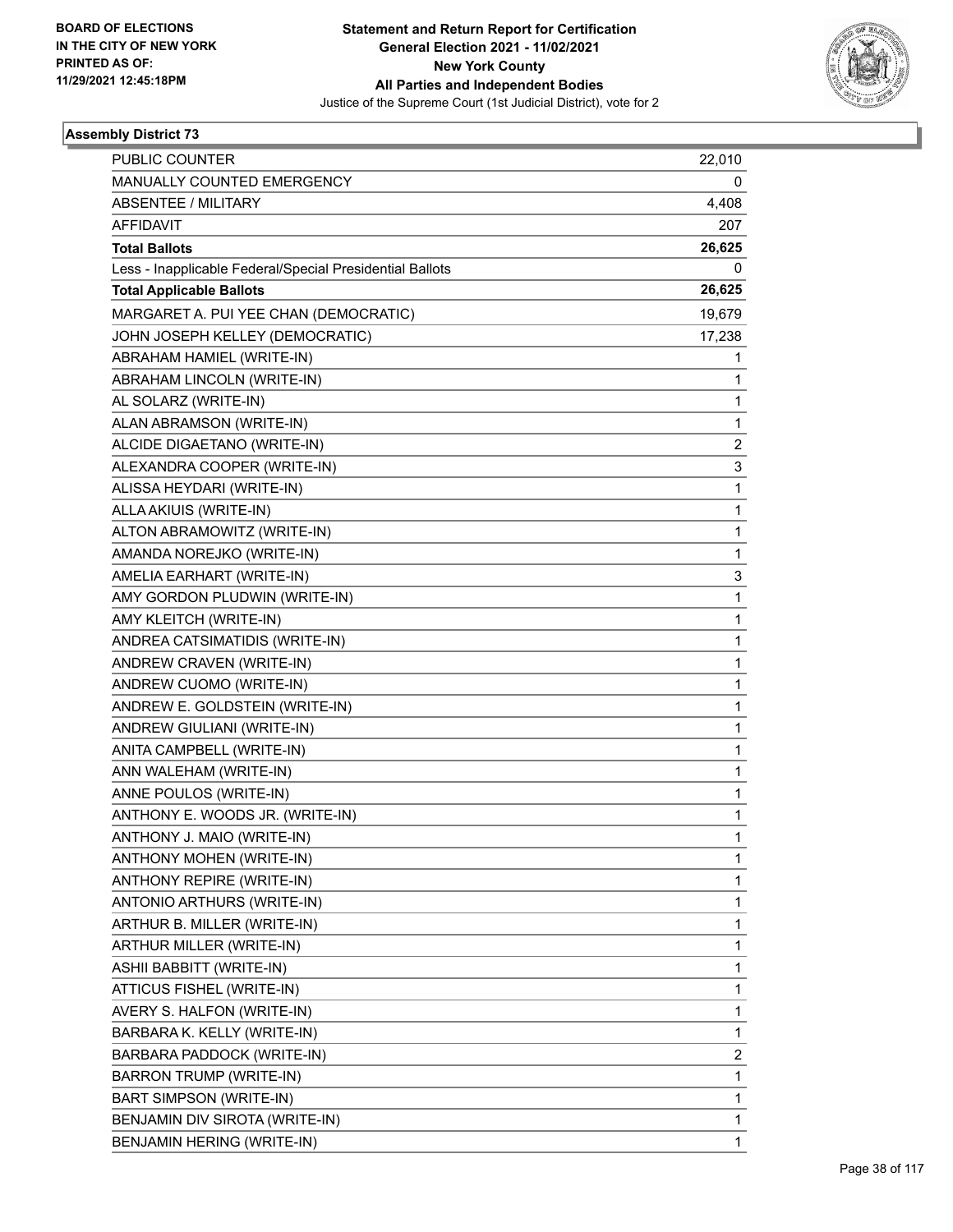

| <b>PUBLIC COUNTER</b>                                    | 22,010         |
|----------------------------------------------------------|----------------|
| MANUALLY COUNTED EMERGENCY                               | 0              |
| <b>ABSENTEE / MILITARY</b>                               | 4,408          |
| <b>AFFIDAVIT</b>                                         | 207            |
| <b>Total Ballots</b>                                     | 26,625         |
| Less - Inapplicable Federal/Special Presidential Ballots | 0              |
| <b>Total Applicable Ballots</b>                          | 26,625         |
| MARGARET A. PUI YEE CHAN (DEMOCRATIC)                    | 19,679         |
| JOHN JOSEPH KELLEY (DEMOCRATIC)                          | 17,238         |
| ABRAHAM HAMIEL (WRITE-IN)                                | 1              |
| ABRAHAM LINCOLN (WRITE-IN)                               | 1              |
| AL SOLARZ (WRITE-IN)                                     | 1              |
| ALAN ABRAMSON (WRITE-IN)                                 | 1              |
| ALCIDE DIGAETANO (WRITE-IN)                              | $\overline{2}$ |
| ALEXANDRA COOPER (WRITE-IN)                              | 3              |
| ALISSA HEYDARI (WRITE-IN)                                | 1              |
| ALLA AKIUIS (WRITE-IN)                                   | 1              |
| ALTON ABRAMOWITZ (WRITE-IN)                              | 1              |
| AMANDA NOREJKO (WRITE-IN)                                | 1              |
| AMELIA EARHART (WRITE-IN)                                | 3              |
| AMY GORDON PLUDWIN (WRITE-IN)                            | 1              |
| AMY KLEITCH (WRITE-IN)                                   | 1              |
| ANDREA CATSIMATIDIS (WRITE-IN)                           | 1              |
| ANDREW CRAVEN (WRITE-IN)                                 | 1              |
| ANDREW CUOMO (WRITE-IN)                                  | 1              |
| ANDREW E. GOLDSTEIN (WRITE-IN)                           | 1              |
| ANDREW GIULIANI (WRITE-IN)                               | 1              |
| ANITA CAMPBELL (WRITE-IN)                                | 1              |
| ANN WALEHAM (WRITE-IN)                                   | 1              |
| ANNE POULOS (WRITE-IN)                                   | 1              |
| ANTHONY E. WOODS JR. (WRITE-IN)                          | 1              |
| ANTHONY J. MAIO (WRITE-IN)                               | 1              |
| ANTHONY MOHEN (WRITE-IN)                                 | 1              |
| ANTHONY REPIRE (WRITE-IN)                                | 1              |
| ANTONIO ARTHURS (WRITE-IN)                               | 1              |
| ARTHUR B. MILLER (WRITE-IN)                              | 1              |
| ARTHUR MILLER (WRITE-IN)                                 | 1              |
| ASHII BABBITT (WRITE-IN)                                 | 1              |
| ATTICUS FISHEL (WRITE-IN)                                | 1              |
| AVERY S. HALFON (WRITE-IN)                               | 1              |
| BARBARA K. KELLY (WRITE-IN)                              | 1              |
| BARBARA PADDOCK (WRITE-IN)                               | 2              |
| <b>BARRON TRUMP (WRITE-IN)</b>                           | 1              |
| BART SIMPSON (WRITE-IN)                                  | 1              |
| BENJAMIN DIV SIROTA (WRITE-IN)                           | 1              |
| BENJAMIN HERING (WRITE-IN)                               | 1              |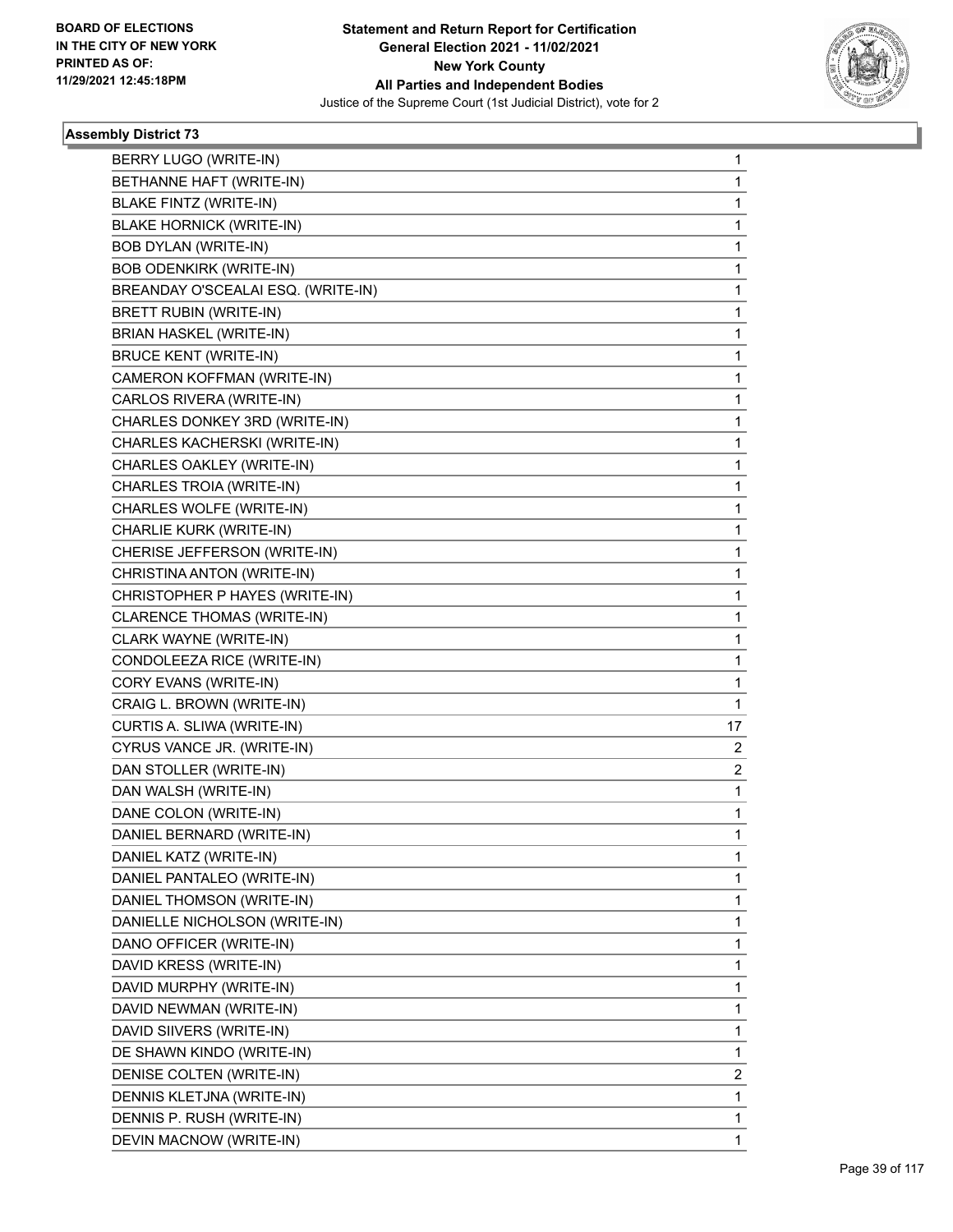

| BERRY LUGO (WRITE-IN)              | 1              |
|------------------------------------|----------------|
| BETHANNE HAFT (WRITE-IN)           | 1              |
| BLAKE FINTZ (WRITE-IN)             | 1              |
| <b>BLAKE HORNICK (WRITE-IN)</b>    | 1              |
| <b>BOB DYLAN (WRITE-IN)</b>        | 1              |
| <b>BOB ODENKIRK (WRITE-IN)</b>     | 1              |
| BREANDAY O'SCEALAI ESQ. (WRITE-IN) | 1              |
| <b>BRETT RUBIN (WRITE-IN)</b>      | 1              |
| BRIAN HASKEL (WRITE-IN)            | 1              |
| <b>BRUCE KENT (WRITE-IN)</b>       | 1              |
| CAMERON KOFFMAN (WRITE-IN)         | 1              |
| CARLOS RIVERA (WRITE-IN)           | 1              |
| CHARLES DONKEY 3RD (WRITE-IN)      | $\mathbf{1}$   |
| CHARLES KACHERSKI (WRITE-IN)       | 1              |
| CHARLES OAKLEY (WRITE-IN)          | 1              |
| CHARLES TROIA (WRITE-IN)           | 1              |
| CHARLES WOLFE (WRITE-IN)           | 1              |
| CHARLIE KURK (WRITE-IN)            | 1              |
| CHERISE JEFFERSON (WRITE-IN)       | $\mathbf 1$    |
| CHRISTINA ANTON (WRITE-IN)         | 1              |
| CHRISTOPHER P HAYES (WRITE-IN)     | 1              |
| CLARENCE THOMAS (WRITE-IN)         | 1              |
| CLARK WAYNE (WRITE-IN)             | 1              |
| CONDOLEEZA RICE (WRITE-IN)         | 1              |
| CORY EVANS (WRITE-IN)              | 1              |
| CRAIG L. BROWN (WRITE-IN)          | 1              |
| CURTIS A. SLIWA (WRITE-IN)         | 17             |
| CYRUS VANCE JR. (WRITE-IN)         | 2              |
| DAN STOLLER (WRITE-IN)             | $\overline{2}$ |
| DAN WALSH (WRITE-IN)               | 1              |
| DANE COLON (WRITE-IN)              | $\mathbf{1}$   |
| DANIEL BERNARD (WRITE-IN)          | 1              |
| DANIEL KATZ (WRITE-IN)             | $\mathbf{1}$   |
| DANIEL PANTALEO (WRITE-IN)         | 1              |
| DANIEL THOMSON (WRITE-IN)          | 1              |
| DANIELLE NICHOLSON (WRITE-IN)      | 1              |
| DANO OFFICER (WRITE-IN)            | 1              |
| DAVID KRESS (WRITE-IN)             | 1              |
| DAVID MURPHY (WRITE-IN)            | 1              |
| DAVID NEWMAN (WRITE-IN)            | 1              |
| DAVID SIIVERS (WRITE-IN)           | 1              |
| DE SHAWN KINDO (WRITE-IN)          | 1              |
| DENISE COLTEN (WRITE-IN)           | 2              |
| DENNIS KLETJNA (WRITE-IN)          | 1              |
| DENNIS P. RUSH (WRITE-IN)          | 1              |
| DEVIN MACNOW (WRITE-IN)            | $\mathbf{1}$   |
|                                    |                |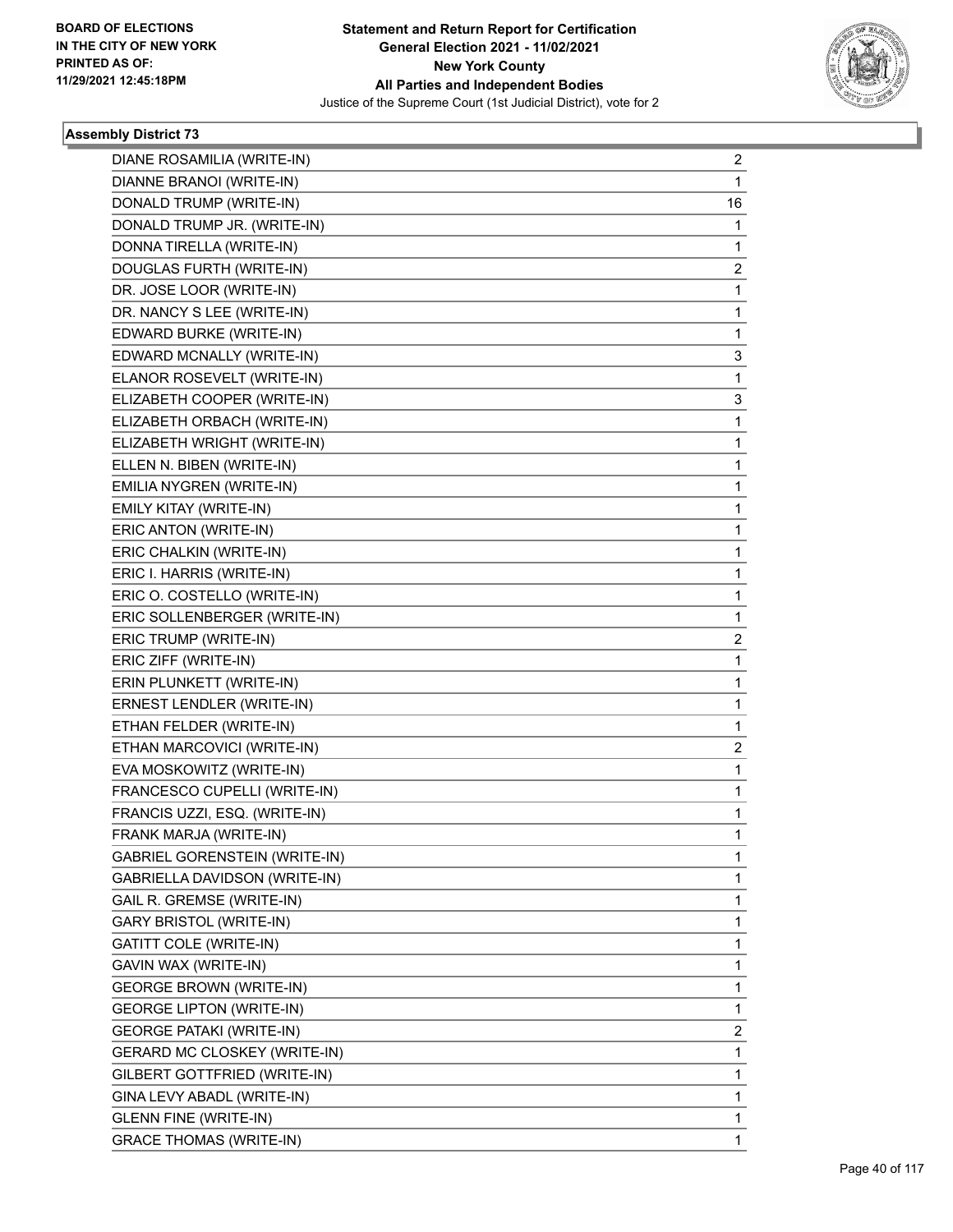

| DIANE ROSAMILIA (WRITE-IN)          | $\overline{2}$ |
|-------------------------------------|----------------|
| DIANNE BRANOI (WRITE-IN)            | 1              |
| DONALD TRUMP (WRITE-IN)             | 16             |
| DONALD TRUMP JR. (WRITE-IN)         | 1              |
| DONNA TIRELLA (WRITE-IN)            | 1              |
| DOUGLAS FURTH (WRITE-IN)            | 2              |
| DR. JOSE LOOR (WRITE-IN)            | 1              |
| DR. NANCY S LEE (WRITE-IN)          | 1              |
| EDWARD BURKE (WRITE-IN)             | 1              |
| EDWARD MCNALLY (WRITE-IN)           | 3              |
| ELANOR ROSEVELT (WRITE-IN)          | 1              |
| ELIZABETH COOPER (WRITE-IN)         | 3              |
| ELIZABETH ORBACH (WRITE-IN)         | 1              |
| ELIZABETH WRIGHT (WRITE-IN)         | 1              |
| ELLEN N. BIBEN (WRITE-IN)           | 1              |
| EMILIA NYGREN (WRITE-IN)            | 1              |
| EMILY KITAY (WRITE-IN)              | 1              |
| ERIC ANTON (WRITE-IN)               | 1              |
| ERIC CHALKIN (WRITE-IN)             | 1              |
| ERIC I. HARRIS (WRITE-IN)           | 1              |
| ERIC O. COSTELLO (WRITE-IN)         | 1              |
| ERIC SOLLENBERGER (WRITE-IN)        | 1              |
| ERIC TRUMP (WRITE-IN)               | 2              |
| ERIC ZIFF (WRITE-IN)                | 1              |
| ERIN PLUNKETT (WRITE-IN)            | 1              |
| ERNEST LENDLER (WRITE-IN)           | 1              |
| ETHAN FELDER (WRITE-IN)             | 1              |
| ETHAN MARCOVICI (WRITE-IN)          | 2              |
| EVA MOSKOWITZ (WRITE-IN)            | 1              |
| FRANCESCO CUPELLI (WRITE-IN)        | 1              |
| FRANCIS UZZI, ESQ. (WRITE-IN)       | 1              |
| FRANK MARJA (WRITE-IN)              | 1              |
| GABRIEL GORENSTEIN (WRITE-IN)       | 1              |
| GABRIELLA DAVIDSON (WRITE-IN)       | 1              |
| GAIL R. GREMSE (WRITE-IN)           | 1              |
| <b>GARY BRISTOL (WRITE-IN)</b>      | 1              |
| GATITT COLE (WRITE-IN)              | 1              |
| GAVIN WAX (WRITE-IN)                | 1              |
| <b>GEORGE BROWN (WRITE-IN)</b>      | 1              |
| <b>GEORGE LIPTON (WRITE-IN)</b>     | 1              |
| <b>GEORGE PATAKI (WRITE-IN)</b>     | 2              |
| <b>GERARD MC CLOSKEY (WRITE-IN)</b> | 1              |
| GILBERT GOTTFRIED (WRITE-IN)        | 1              |
| GINA LEVY ABADL (WRITE-IN)          | 1              |
| <b>GLENN FINE (WRITE-IN)</b>        | 1              |
| <b>GRACE THOMAS (WRITE-IN)</b>      | 1              |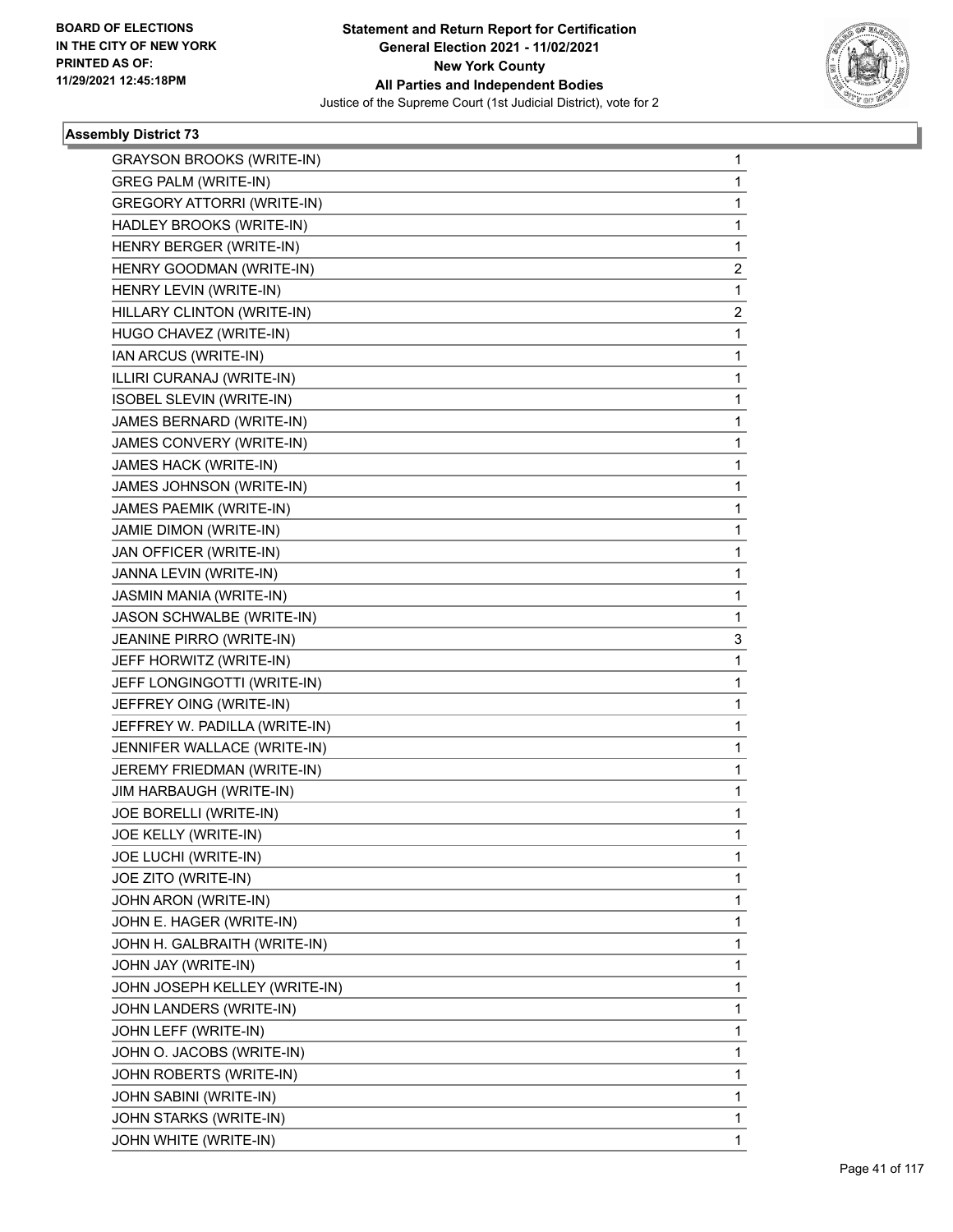

| <b>GRAYSON BROOKS (WRITE-IN)</b>  | $\mathbf{1}$   |
|-----------------------------------|----------------|
| <b>GREG PALM (WRITE-IN)</b>       | $\mathbf{1}$   |
| <b>GREGORY ATTORRI (WRITE-IN)</b> | 1              |
| HADLEY BROOKS (WRITE-IN)          | 1              |
| HENRY BERGER (WRITE-IN)           | 1              |
| HENRY GOODMAN (WRITE-IN)          | $\overline{c}$ |
| HENRY LEVIN (WRITE-IN)            | 1              |
| HILLARY CLINTON (WRITE-IN)        | 2              |
| HUGO CHAVEZ (WRITE-IN)            | 1              |
| IAN ARCUS (WRITE-IN)              | 1              |
| ILLIRI CURANAJ (WRITE-IN)         | 1              |
| ISOBEL SLEVIN (WRITE-IN)          | 1              |
| JAMES BERNARD (WRITE-IN)          | 1              |
| JAMES CONVERY (WRITE-IN)          | 1              |
| JAMES HACK (WRITE-IN)             | 1              |
| JAMES JOHNSON (WRITE-IN)          | 1              |
| JAMES PAEMIK (WRITE-IN)           | 1              |
| JAMIE DIMON (WRITE-IN)            | 1              |
| JAN OFFICER (WRITE-IN)            | 1              |
| JANNA LEVIN (WRITE-IN)            | 1              |
| JASMIN MANIA (WRITE-IN)           | 1              |
| JASON SCHWALBE (WRITE-IN)         | 1              |
| JEANINE PIRRO (WRITE-IN)          | 3              |
| JEFF HORWITZ (WRITE-IN)           | 1              |
| JEFF LONGINGOTTI (WRITE-IN)       | 1              |
| JEFFREY OING (WRITE-IN)           | 1              |
| JEFFREY W. PADILLA (WRITE-IN)     | 1              |
| JENNIFER WALLACE (WRITE-IN)       | 1              |
| JEREMY FRIEDMAN (WRITE-IN)        | 1              |
| JIM HARBAUGH (WRITE-IN)           | $\mathbf{1}$   |
| JOE BORELLI (WRITE-IN)            | $\mathbf{1}$   |
| JOE KELLY (WRITE-IN)              | $\mathbf{1}$   |
| JOE LUCHI (WRITE-IN)              | 1              |
| JOE ZITO (WRITE-IN)               | 1              |
| JOHN ARON (WRITE-IN)              | 1              |
| JOHN E. HAGER (WRITE-IN)          | 1              |
| JOHN H. GALBRAITH (WRITE-IN)      | 1              |
| JOHN JAY (WRITE-IN)               | 1              |
| JOHN JOSEPH KELLEY (WRITE-IN)     | 1              |
| JOHN LANDERS (WRITE-IN)           | 1              |
| JOHN LEFF (WRITE-IN)              | 1              |
| JOHN O. JACOBS (WRITE-IN)         | 1              |
| JOHN ROBERTS (WRITE-IN)           | 1              |
| JOHN SABINI (WRITE-IN)            | 1              |
| JOHN STARKS (WRITE-IN)            | $\mathbf{1}$   |
| JOHN WHITE (WRITE-IN)             | $\mathbf{1}$   |
|                                   |                |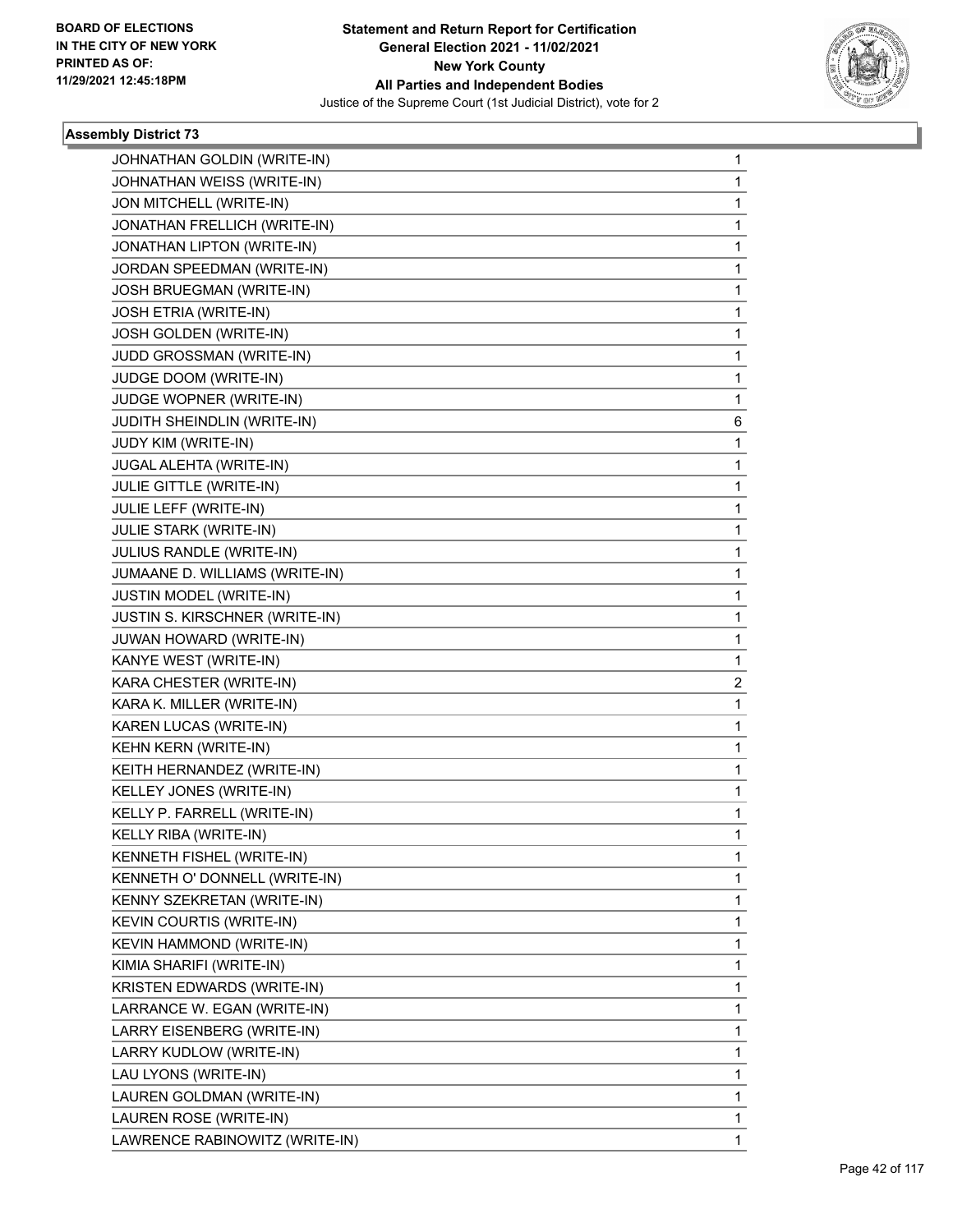

| JOHNATHAN GOLDIN (WRITE-IN)    | 1 |
|--------------------------------|---|
| JOHNATHAN WEISS (WRITE-IN)     | 1 |
| JON MITCHELL (WRITE-IN)        | 1 |
| JONATHAN FRELLICH (WRITE-IN)   | 1 |
| JONATHAN LIPTON (WRITE-IN)     | 1 |
| JORDAN SPEEDMAN (WRITE-IN)     | 1 |
| JOSH BRUEGMAN (WRITE-IN)       | 1 |
| JOSH ETRIA (WRITE-IN)          | 1 |
| JOSH GOLDEN (WRITE-IN)         | 1 |
| JUDD GROSSMAN (WRITE-IN)       | 1 |
| JUDGE DOOM (WRITE-IN)          | 1 |
| JUDGE WOPNER (WRITE-IN)        | 1 |
| JUDITH SHEINDLIN (WRITE-IN)    | 6 |
| JUDY KIM (WRITE-IN)            | 1 |
| JUGAL ALEHTA (WRITE-IN)        | 1 |
| JULIE GITTLE (WRITE-IN)        | 1 |
| JULIE LEFF (WRITE-IN)          | 1 |
| JULIE STARK (WRITE-IN)         | 1 |
| JULIUS RANDLE (WRITE-IN)       | 1 |
| JUMAANE D. WILLIAMS (WRITE-IN) | 1 |
| JUSTIN MODEL (WRITE-IN)        | 1 |
| JUSTIN S. KIRSCHNER (WRITE-IN) | 1 |
| JUWAN HOWARD (WRITE-IN)        | 1 |
| KANYE WEST (WRITE-IN)          | 1 |
| KARA CHESTER (WRITE-IN)        | 2 |
| KARA K. MILLER (WRITE-IN)      | 1 |
| KAREN LUCAS (WRITE-IN)         | 1 |
| KEHN KERN (WRITE-IN)           | 1 |
| KEITH HERNANDEZ (WRITE-IN)     | 1 |
| KELLEY JONES (WRITE-IN)        | 1 |
| KELLY P. FARRELL (WRITE-IN)    | 1 |
| KELLY RIBA (WRITE-IN)          | 1 |
| KENNETH FISHEL (WRITE-IN)      | 1 |
| KENNETH O' DONNELL (WRITE-IN)  | 1 |
| KENNY SZEKRETAN (WRITE-IN)     | 1 |
| KEVIN COURTIS (WRITE-IN)       | 1 |
| KEVIN HAMMOND (WRITE-IN)       | 1 |
| KIMIA SHARIFI (WRITE-IN)       | 1 |
| KRISTEN EDWARDS (WRITE-IN)     | 1 |
| LARRANCE W. EGAN (WRITE-IN)    | 1 |
| LARRY EISENBERG (WRITE-IN)     | 1 |
| LARRY KUDLOW (WRITE-IN)        | 1 |
| LAU LYONS (WRITE-IN)           | 1 |
| LAUREN GOLDMAN (WRITE-IN)      | 1 |
| LAUREN ROSE (WRITE-IN)         | 1 |
| LAWRENCE RABINOWITZ (WRITE-IN) | 1 |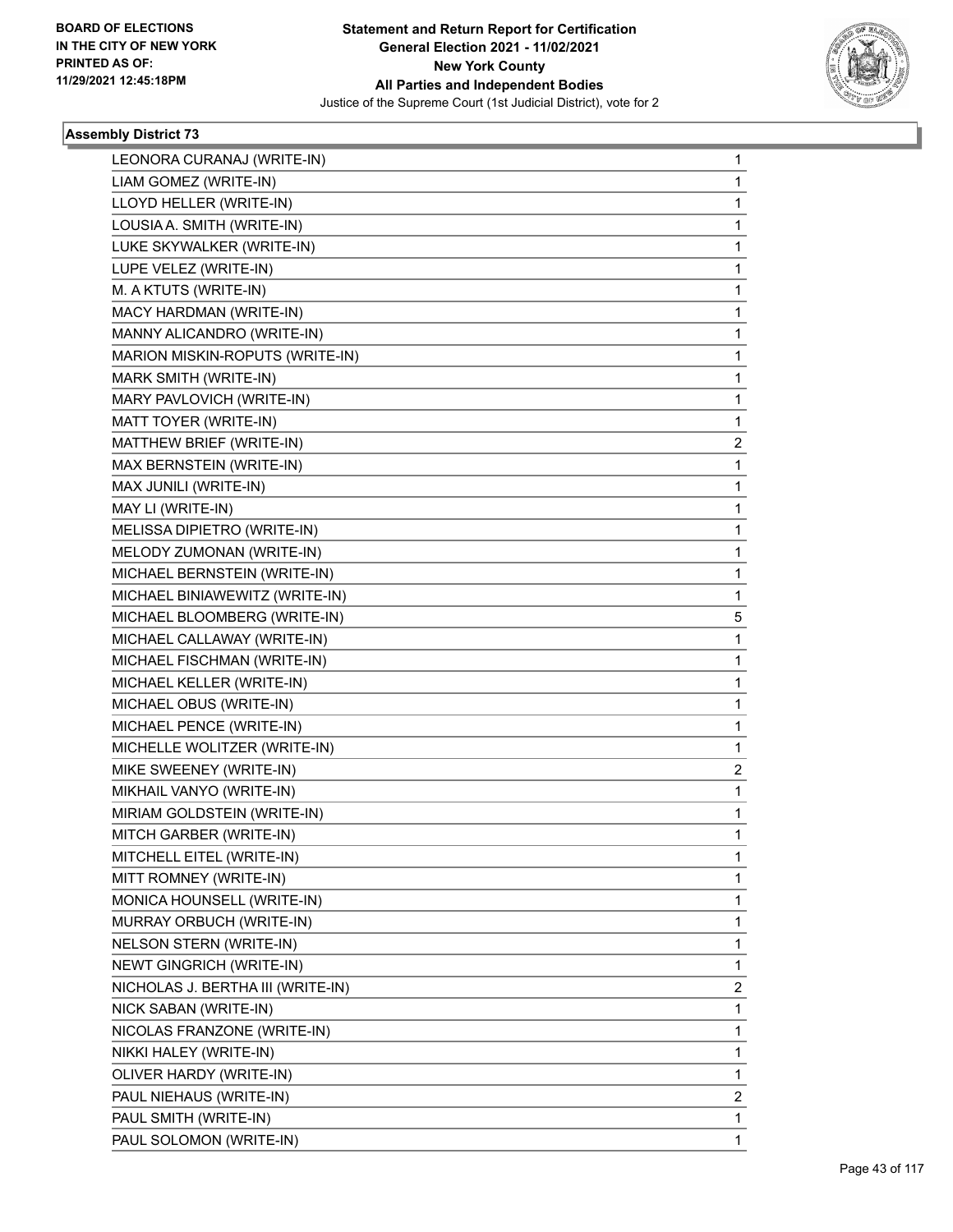

| LEONORA CURANAJ (WRITE-IN)        | 1 |
|-----------------------------------|---|
| LIAM GOMEZ (WRITE-IN)             | 1 |
| LLOYD HELLER (WRITE-IN)           | 1 |
| LOUSIA A. SMITH (WRITE-IN)        | 1 |
| LUKE SKYWALKER (WRITE-IN)         | 1 |
| LUPE VELEZ (WRITE-IN)             | 1 |
| M. A KTUTS (WRITE-IN)             | 1 |
| MACY HARDMAN (WRITE-IN)           | 1 |
| MANNY ALICANDRO (WRITE-IN)        | 1 |
| MARION MISKIN-ROPUTS (WRITE-IN)   | 1 |
| MARK SMITH (WRITE-IN)             | 1 |
| MARY PAVLOVICH (WRITE-IN)         | 1 |
| MATT TOYER (WRITE-IN)             | 1 |
| MATTHEW BRIEF (WRITE-IN)          | 2 |
| MAX BERNSTEIN (WRITE-IN)          | 1 |
| MAX JUNILI (WRITE-IN)             | 1 |
| MAY LI (WRITE-IN)                 | 1 |
| MELISSA DIPIETRO (WRITE-IN)       | 1 |
| MELODY ZUMONAN (WRITE-IN)         | 1 |
| MICHAEL BERNSTEIN (WRITE-IN)      | 1 |
| MICHAEL BINIAWEWITZ (WRITE-IN)    | 1 |
| MICHAEL BLOOMBERG (WRITE-IN)      | 5 |
| MICHAEL CALLAWAY (WRITE-IN)       | 1 |
| MICHAEL FISCHMAN (WRITE-IN)       | 1 |
| MICHAEL KELLER (WRITE-IN)         | 1 |
| MICHAEL OBUS (WRITE-IN)           | 1 |
| MICHAEL PENCE (WRITE-IN)          | 1 |
| MICHELLE WOLITZER (WRITE-IN)      | 1 |
| MIKE SWEENEY (WRITE-IN)           | 2 |
| MIKHAIL VANYO (WRITE-IN)          | 1 |
| MIRIAM GOLDSTEIN (WRITE-IN)       | 1 |
| MITCH GARBER (WRITE-IN)           | 1 |
| MITCHELL EITEL (WRITE-IN)         | 1 |
| MITT ROMNEY (WRITE-IN)            | 1 |
| MONICA HOUNSELL (WRITE-IN)        | 1 |
| MURRAY ORBUCH (WRITE-IN)          | 1 |
| NELSON STERN (WRITE-IN)           | 1 |
| NEWT GINGRICH (WRITE-IN)          | 1 |
| NICHOLAS J. BERTHA III (WRITE-IN) | 2 |
| NICK SABAN (WRITE-IN)             | 1 |
| NICOLAS FRANZONE (WRITE-IN)       | 1 |
| NIKKI HALEY (WRITE-IN)            | 1 |
| OLIVER HARDY (WRITE-IN)           | 1 |
| PAUL NIEHAUS (WRITE-IN)           | 2 |
| PAUL SMITH (WRITE-IN)             | 1 |
| PAUL SOLOMON (WRITE-IN)           | 1 |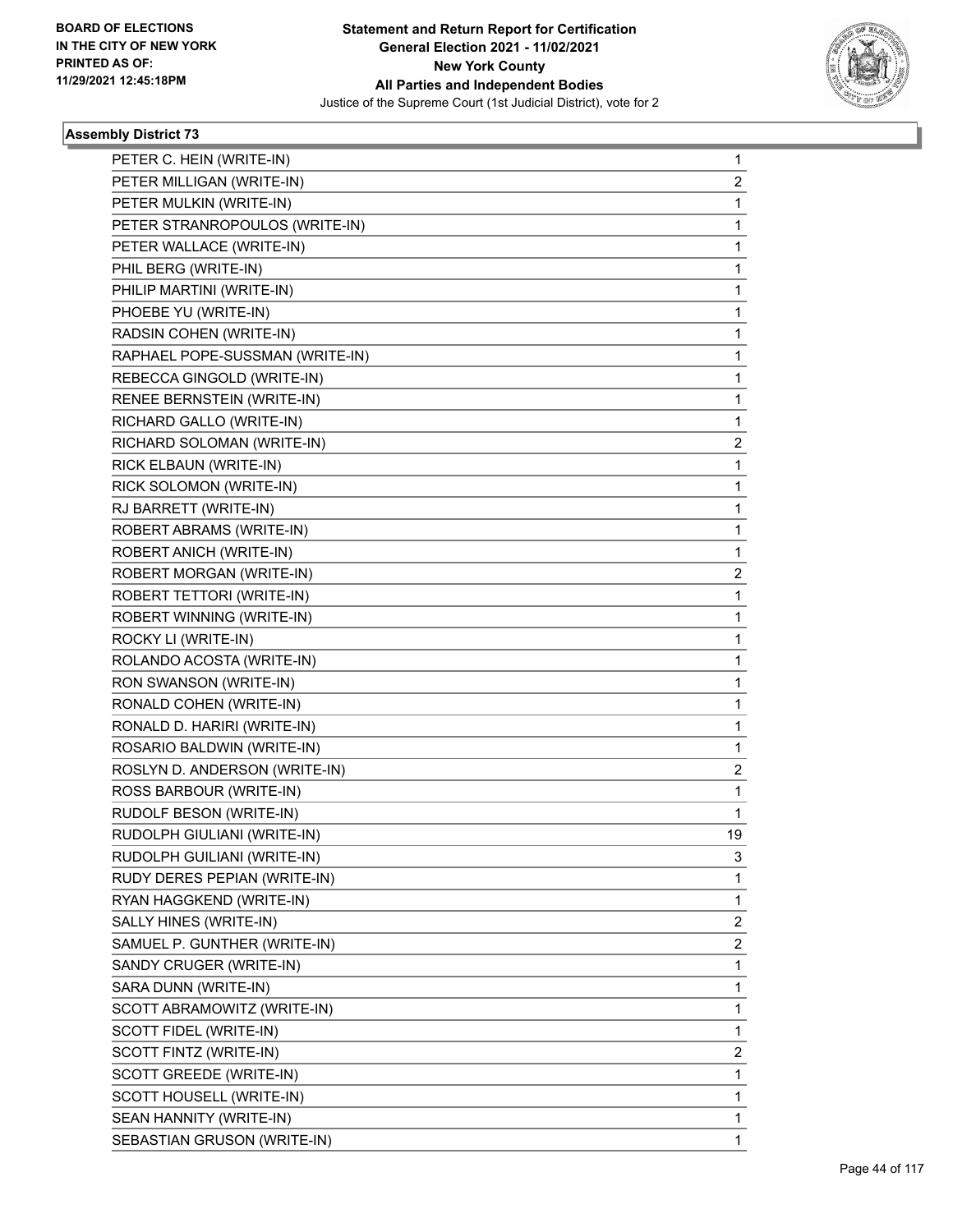

| PETER C. HEIN (WRITE-IN)        | 1                       |
|---------------------------------|-------------------------|
| PETER MILLIGAN (WRITE-IN)       | 2                       |
| PETER MULKIN (WRITE-IN)         | 1                       |
| PETER STRANROPOULOS (WRITE-IN)  | $\mathbf{1}$            |
| PETER WALLACE (WRITE-IN)        | 1                       |
| PHIL BERG (WRITE-IN)            | 1                       |
| PHILIP MARTINI (WRITE-IN)       | $\mathbf{1}$            |
| PHOEBE YU (WRITE-IN)            | $\mathbf{1}$            |
| RADSIN COHEN (WRITE-IN)         | 1                       |
| RAPHAEL POPE-SUSSMAN (WRITE-IN) | $\mathbf{1}$            |
| REBECCA GINGOLD (WRITE-IN)      | 1                       |
| RENEE BERNSTEIN (WRITE-IN)      | 1                       |
| RICHARD GALLO (WRITE-IN)        | $\mathbf{1}$            |
| RICHARD SOLOMAN (WRITE-IN)      | $\overline{\mathbf{c}}$ |
| RICK ELBAUN (WRITE-IN)          | 1                       |
| RICK SOLOMON (WRITE-IN)         | $\mathbf{1}$            |
| RJ BARRETT (WRITE-IN)           | 1                       |
| ROBERT ABRAMS (WRITE-IN)        | 1                       |
| ROBERT ANICH (WRITE-IN)         | $\mathbf{1}$            |
| ROBERT MORGAN (WRITE-IN)        | $\overline{\mathbf{c}}$ |
| ROBERT TETTORI (WRITE-IN)       | 1                       |
| ROBERT WINNING (WRITE-IN)       | $\mathbf{1}$            |
| ROCKY LI (WRITE-IN)             | 1                       |
| ROLANDO ACOSTA (WRITE-IN)       | 1                       |
| RON SWANSON (WRITE-IN)          | $\mathbf{1}$            |
| RONALD COHEN (WRITE-IN)         | $\mathbf{1}$            |
| RONALD D. HARIRI (WRITE-IN)     | 1                       |
| ROSARIO BALDWIN (WRITE-IN)      | $\mathbf{1}$            |
| ROSLYN D. ANDERSON (WRITE-IN)   | 2                       |
| ROSS BARBOUR (WRITE-IN)         | 1                       |
| RUDOLF BESON (WRITE-IN)         | 1                       |
| RUDOLPH GIULIANI (WRITE-IN)     | 19                      |
| RUDOLPH GUILIANI (WRITE-IN)     | 3                       |
| RUDY DERES PEPIAN (WRITE-IN)    | $\mathbf{1}$            |
| RYAN HAGGKEND (WRITE-IN)        | $\mathbf{1}$            |
| SALLY HINES (WRITE-IN)          | $\overline{\mathbf{c}}$ |
| SAMUEL P. GUNTHER (WRITE-IN)    | $\overline{c}$          |
| SANDY CRUGER (WRITE-IN)         | $\mathbf{1}$            |
| SARA DUNN (WRITE-IN)            | 1                       |
| SCOTT ABRAMOWITZ (WRITE-IN)     | $\mathbf{1}$            |
| SCOTT FIDEL (WRITE-IN)          | $\mathbf{1}$            |
| SCOTT FINTZ (WRITE-IN)          | $\overline{\mathbf{c}}$ |
| SCOTT GREEDE (WRITE-IN)         | $\mathbf{1}$            |
| SCOTT HOUSELL (WRITE-IN)        | 1                       |
| SEAN HANNITY (WRITE-IN)         | 1                       |
| SEBASTIAN GRUSON (WRITE-IN)     | 1                       |
|                                 |                         |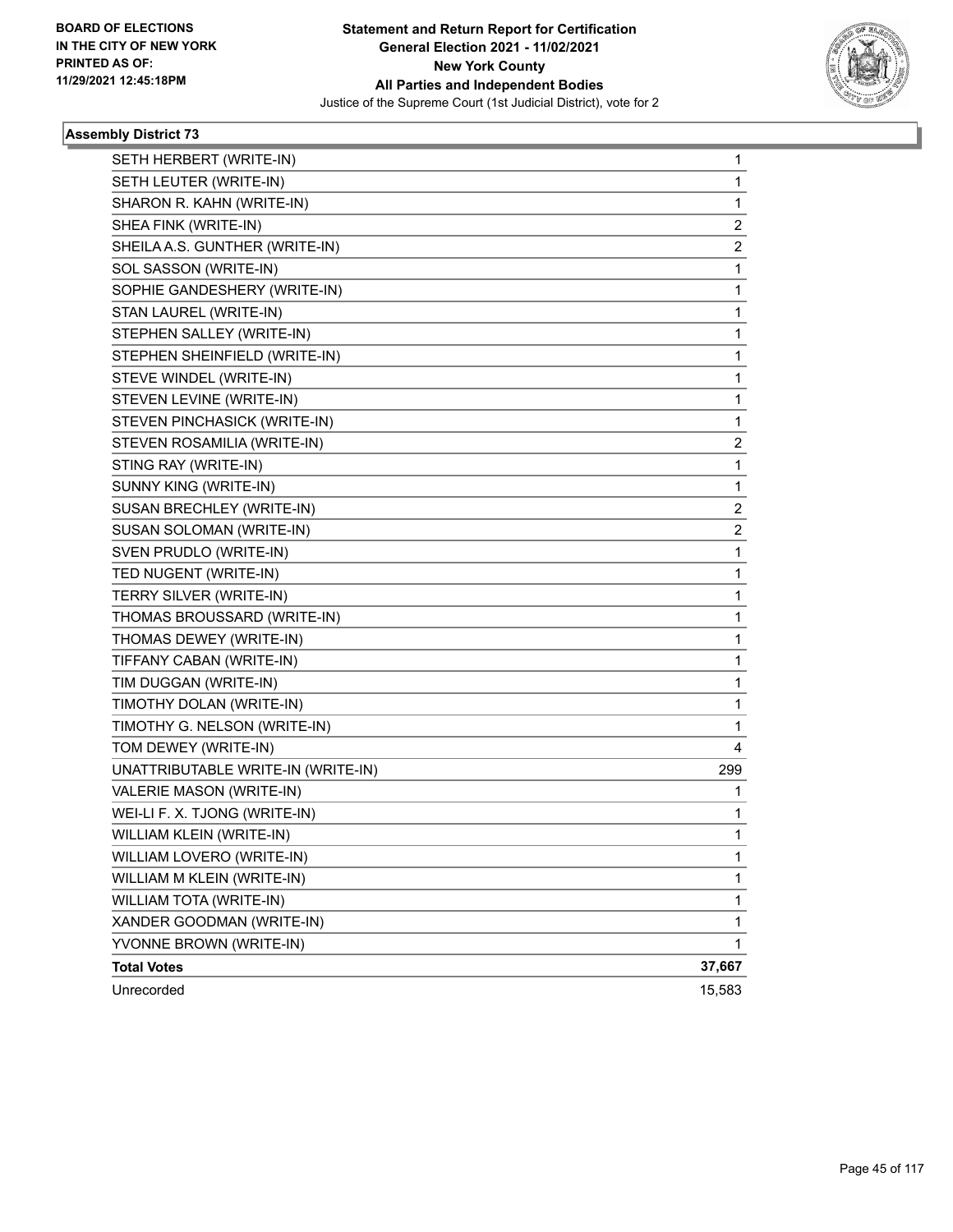

| SETH HERBERT (WRITE-IN)            | $\mathbf{1}$   |
|------------------------------------|----------------|
| SETH LEUTER (WRITE-IN)             | 1              |
| SHARON R. KAHN (WRITE-IN)          | 1              |
| SHEA FINK (WRITE-IN)               | 2              |
| SHEILA A.S. GUNTHER (WRITE-IN)     | 2              |
| SOL SASSON (WRITE-IN)              | 1              |
| SOPHIE GANDESHERY (WRITE-IN)       | 1              |
| STAN LAUREL (WRITE-IN)             | 1              |
| STEPHEN SALLEY (WRITE-IN)          | 1              |
| STEPHEN SHEINFIELD (WRITE-IN)      | 1              |
| STEVE WINDEL (WRITE-IN)            | 1              |
| STEVEN LEVINE (WRITE-IN)           | 1              |
| STEVEN PINCHASICK (WRITE-IN)       | 1              |
| STEVEN ROSAMILIA (WRITE-IN)        | 2              |
| STING RAY (WRITE-IN)               | 1              |
| SUNNY KING (WRITE-IN)              | 1              |
| SUSAN BRECHLEY (WRITE-IN)          | 2              |
| SUSAN SOLOMAN (WRITE-IN)           | $\overline{2}$ |
| SVEN PRUDLO (WRITE-IN)             | 1              |
| TED NUGENT (WRITE-IN)              | 1              |
| TERRY SILVER (WRITE-IN)            | 1              |
| THOMAS BROUSSARD (WRITE-IN)        | 1              |
| THOMAS DEWEY (WRITE-IN)            | 1              |
| TIFFANY CABAN (WRITE-IN)           | 1              |
| TIM DUGGAN (WRITE-IN)              | 1              |
| TIMOTHY DOLAN (WRITE-IN)           | 1              |
| TIMOTHY G. NELSON (WRITE-IN)       | 1              |
| TOM DEWEY (WRITE-IN)               | 4              |
| UNATTRIBUTABLE WRITE-IN (WRITE-IN) | 299            |
| VALERIE MASON (WRITE-IN)           | 1              |
| WEI-LI F. X. TJONG (WRITE-IN)      | 1              |
| WILLIAM KLEIN (WRITE-IN)           | 1              |
| WILLIAM LOVERO (WRITE-IN)          | 1              |
| WILLIAM M KLEIN (WRITE-IN)         | 1              |
| WILLIAM TOTA (WRITE-IN)            | 1              |
| XANDER GOODMAN (WRITE-IN)          | 1              |
| YVONNE BROWN (WRITE-IN)            | 1              |
| <b>Total Votes</b>                 | 37,667         |
| Unrecorded                         | 15,583         |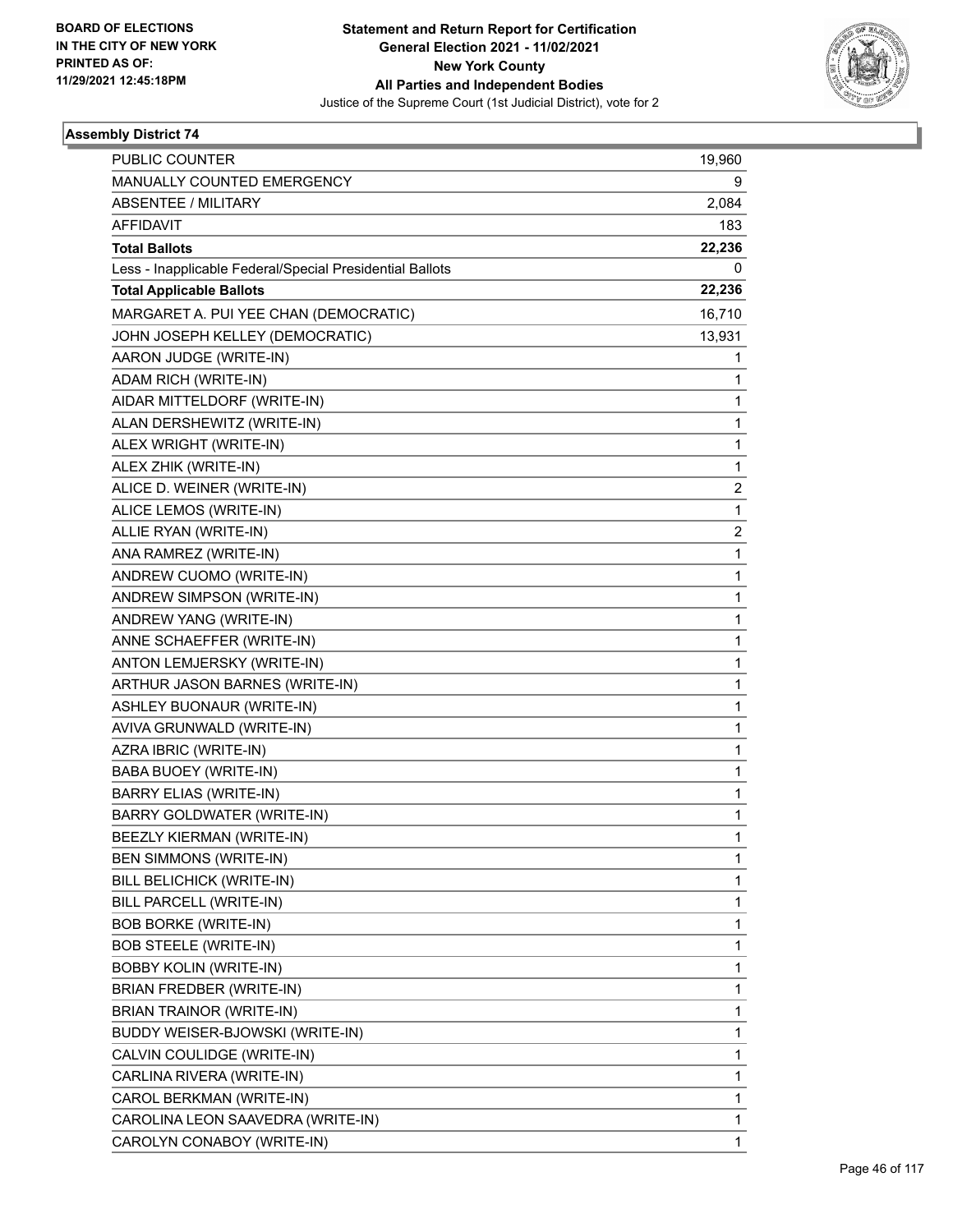

| <b>PUBLIC COUNTER</b>                                    | 19,960                  |
|----------------------------------------------------------|-------------------------|
| MANUALLY COUNTED EMERGENCY                               | 9                       |
| <b>ABSENTEE / MILITARY</b>                               | 2,084                   |
| AFFIDAVIT                                                | 183                     |
| <b>Total Ballots</b>                                     | 22,236                  |
| Less - Inapplicable Federal/Special Presidential Ballots | 0                       |
| <b>Total Applicable Ballots</b>                          | 22,236                  |
| MARGARET A. PUI YEE CHAN (DEMOCRATIC)                    | 16,710                  |
| JOHN JOSEPH KELLEY (DEMOCRATIC)                          | 13,931                  |
| AARON JUDGE (WRITE-IN)                                   | 1                       |
| ADAM RICH (WRITE-IN)                                     | 1                       |
| AIDAR MITTELDORF (WRITE-IN)                              | 1                       |
| ALAN DERSHEWITZ (WRITE-IN)                               | 1                       |
| ALEX WRIGHT (WRITE-IN)                                   | $\mathbf{1}$            |
| ALEX ZHIK (WRITE-IN)                                     | 1                       |
| ALICE D. WEINER (WRITE-IN)                               | $\overline{\mathbf{c}}$ |
| ALICE LEMOS (WRITE-IN)                                   | $\mathbf{1}$            |
| ALLIE RYAN (WRITE-IN)                                    | 2                       |
| ANA RAMREZ (WRITE-IN)                                    | 1                       |
| ANDREW CUOMO (WRITE-IN)                                  | 1                       |
| ANDREW SIMPSON (WRITE-IN)                                | 1                       |
| ANDREW YANG (WRITE-IN)                                   | 1                       |
| ANNE SCHAEFFER (WRITE-IN)                                | 1                       |
| ANTON LEMJERSKY (WRITE-IN)                               | 1                       |
| ARTHUR JASON BARNES (WRITE-IN)                           | 1                       |
| ASHLEY BUONAUR (WRITE-IN)                                | 1                       |
| AVIVA GRUNWALD (WRITE-IN)                                | 1                       |
| AZRA IBRIC (WRITE-IN)                                    | 1                       |
| BABA BUOEY (WRITE-IN)                                    | 1                       |
| <b>BARRY ELIAS (WRITE-IN)</b>                            | 1                       |
| BARRY GOLDWATER (WRITE-IN)                               | 1                       |
| BEEZLY KIERMAN (WRITE-IN)                                | 1                       |
| BEN SIMMONS (WRITE-IN)                                   | 1                       |
| BILL BELICHICK (WRITE-IN)                                | 1                       |
| BILL PARCELL (WRITE-IN)                                  | 1                       |
| <b>BOB BORKE (WRITE-IN)</b>                              | 1                       |
| <b>BOB STEELE (WRITE-IN)</b>                             | 1                       |
| <b>BOBBY KOLIN (WRITE-IN)</b>                            | 1                       |
| BRIAN FREDBER (WRITE-IN)                                 | 1                       |
| <b>BRIAN TRAINOR (WRITE-IN)</b>                          | 1                       |
| BUDDY WEISER-BJOWSKI (WRITE-IN)                          | 1                       |
| CALVIN COULIDGE (WRITE-IN)                               | 1                       |
| CARLINA RIVERA (WRITE-IN)                                | 1                       |
| CAROL BERKMAN (WRITE-IN)                                 | 1                       |
| CAROLINA LEON SAAVEDRA (WRITE-IN)                        | 1                       |
| CAROLYN CONABOY (WRITE-IN)                               | 1                       |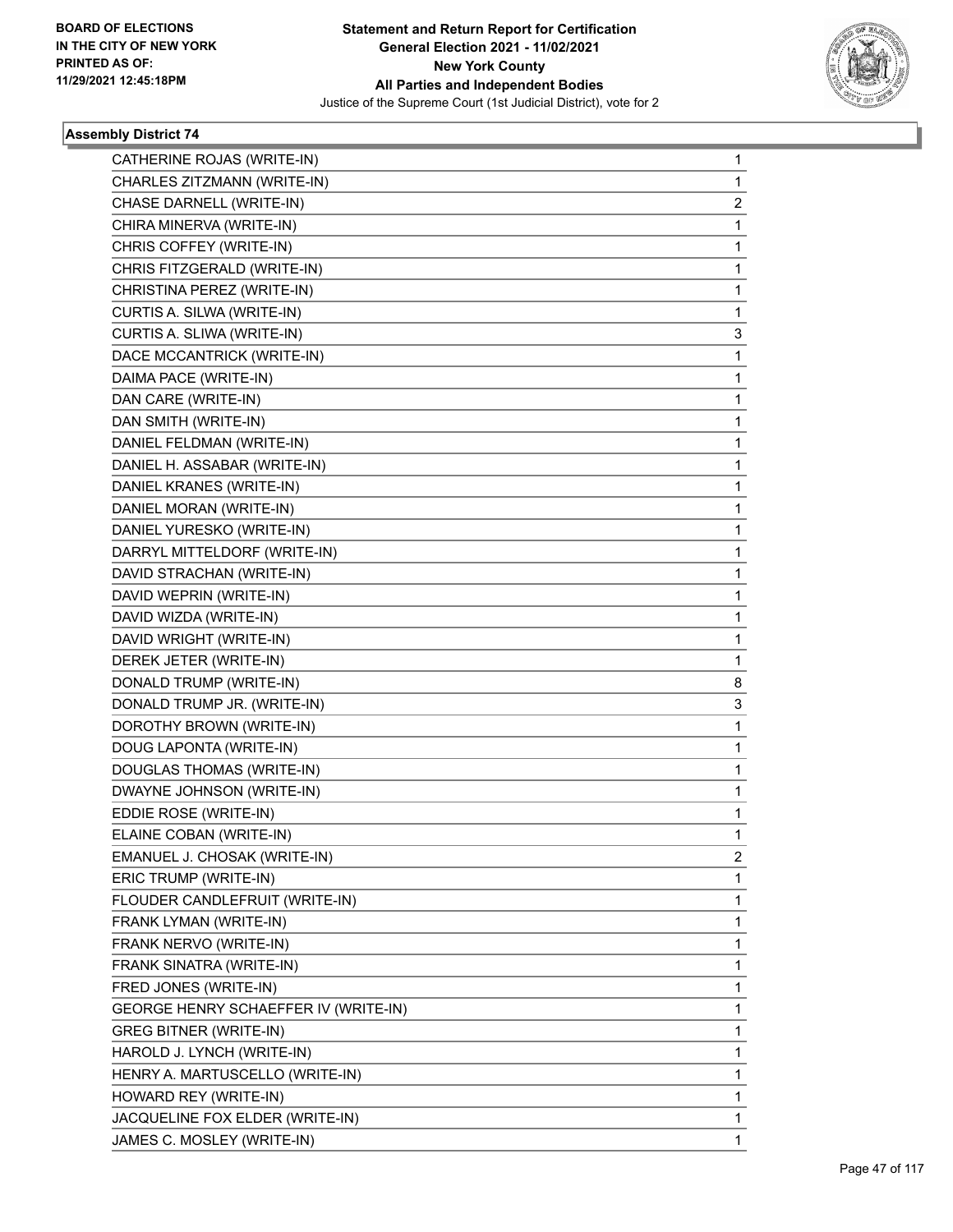

٠

| CATHERINE ROJAS (WRITE-IN)           | 1            |
|--------------------------------------|--------------|
| CHARLES ZITZMANN (WRITE-IN)          | 1            |
| CHASE DARNELL (WRITE-IN)             | 2            |
| CHIRA MINERVA (WRITE-IN)             | 1            |
| CHRIS COFFEY (WRITE-IN)              | 1            |
| CHRIS FITZGERALD (WRITE-IN)          | 1            |
| CHRISTINA PEREZ (WRITE-IN)           | 1            |
| CURTIS A. SILWA (WRITE-IN)           | 1            |
| CURTIS A. SLIWA (WRITE-IN)           | 3            |
| DACE MCCANTRICK (WRITE-IN)           | 1            |
| DAIMA PACE (WRITE-IN)                | 1            |
| DAN CARE (WRITE-IN)                  | 1            |
| DAN SMITH (WRITE-IN)                 | 1            |
| DANIEL FELDMAN (WRITE-IN)            | 1            |
| DANIEL H. ASSABAR (WRITE-IN)         | 1            |
| DANIEL KRANES (WRITE-IN)             | 1            |
| DANIEL MORAN (WRITE-IN)              | 1            |
| DANIEL YURESKO (WRITE-IN)            | 1            |
| DARRYL MITTELDORF (WRITE-IN)         | 1            |
| DAVID STRACHAN (WRITE-IN)            | 1            |
| DAVID WEPRIN (WRITE-IN)              | 1            |
| DAVID WIZDA (WRITE-IN)               | 1            |
| DAVID WRIGHT (WRITE-IN)              | 1            |
| DEREK JETER (WRITE-IN)               | 1            |
| DONALD TRUMP (WRITE-IN)              | 8            |
| DONALD TRUMP JR. (WRITE-IN)          | 3            |
| DOROTHY BROWN (WRITE-IN)             | $\mathbf 1$  |
| DOUG LAPONTA (WRITE-IN)              | 1            |
| DOUGLAS THOMAS (WRITE-IN)            | 1            |
| DWAYNE JOHNSON (WRITE-IN)            | $\mathbf{1}$ |
| EDDIE ROSE (WRITE-IN)                | 1            |
| ELAINE COBAN (WRITE-IN)              | 1            |
| EMANUEL J. CHOSAK (WRITE-IN)         | 2            |
| ERIC TRUMP (WRITE-IN)                | 1            |
| FLOUDER CANDLEFRUIT (WRITE-IN)       | 1            |
| FRANK LYMAN (WRITE-IN)               | 1            |
| FRANK NERVO (WRITE-IN)               | 1            |
| FRANK SINATRA (WRITE-IN)             | 1            |
| FRED JONES (WRITE-IN)                | 1            |
| GEORGE HENRY SCHAEFFER IV (WRITE-IN) | 1            |
| <b>GREG BITNER (WRITE-IN)</b>        | 1            |
| HAROLD J. LYNCH (WRITE-IN)           | 1            |
| HENRY A. MARTUSCELLO (WRITE-IN)      | 1            |
| HOWARD REY (WRITE-IN)                | 1            |
| JACQUELINE FOX ELDER (WRITE-IN)      | 1            |
| JAMES C. MOSLEY (WRITE-IN)           | 1            |
|                                      |              |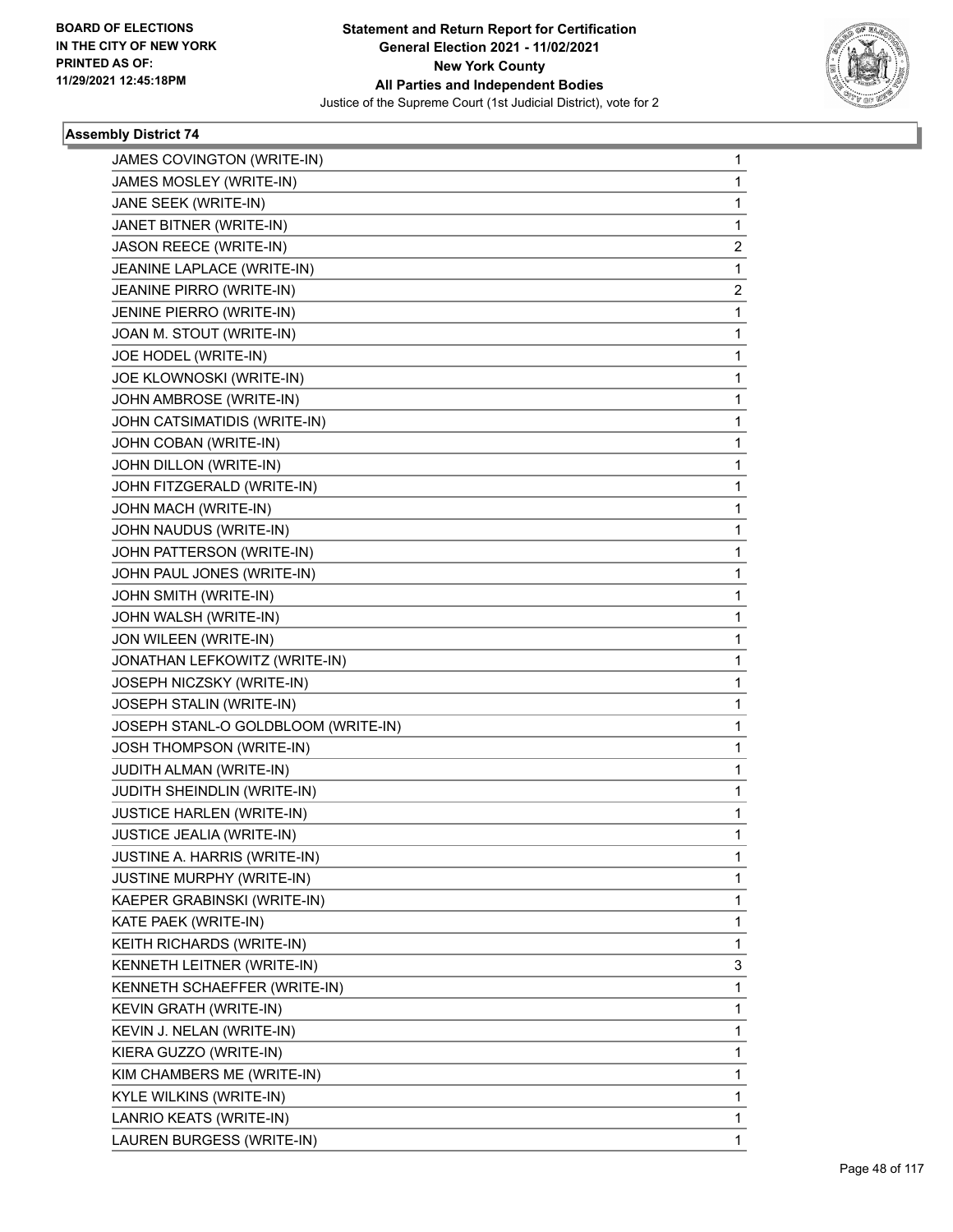

| JAMES COVINGTON (WRITE-IN)          | $\mathbf{1}$   |
|-------------------------------------|----------------|
| JAMES MOSLEY (WRITE-IN)             | 1              |
| JANE SEEK (WRITE-IN)                | 1              |
| JANET BITNER (WRITE-IN)             | 1              |
| <b>JASON REECE (WRITE-IN)</b>       | 2              |
| JEANINE LAPLACE (WRITE-IN)          | 1              |
| JEANINE PIRRO (WRITE-IN)            | $\overline{2}$ |
| JENINE PIERRO (WRITE-IN)            | 1              |
| JOAN M. STOUT (WRITE-IN)            | 1              |
| JOE HODEL (WRITE-IN)                | $\mathbf{1}$   |
| JOE KLOWNOSKI (WRITE-IN)            | 1              |
| JOHN AMBROSE (WRITE-IN)             | 1              |
| JOHN CATSIMATIDIS (WRITE-IN)        | $\mathbf{1}$   |
| JOHN COBAN (WRITE-IN)               | 1              |
| JOHN DILLON (WRITE-IN)              | 1              |
| JOHN FITZGERALD (WRITE-IN)          | $\mathbf{1}$   |
| JOHN MACH (WRITE-IN)                | 1              |
| JOHN NAUDUS (WRITE-IN)              | 1              |
| JOHN PATTERSON (WRITE-IN)           | $\mathbf{1}$   |
| JOHN PAUL JONES (WRITE-IN)          | 1              |
| JOHN SMITH (WRITE-IN)               | 1              |
| JOHN WALSH (WRITE-IN)               | $\mathbf{1}$   |
| JON WILEEN (WRITE-IN)               | 1              |
| JONATHAN LEFKOWITZ (WRITE-IN)       | 1              |
| JOSEPH NICZSKY (WRITE-IN)           | $\mathbf{1}$   |
| JOSEPH STALIN (WRITE-IN)            | 1              |
| JOSEPH STANL-O GOLDBLOOM (WRITE-IN) | 1              |
| JOSH THOMPSON (WRITE-IN)            | $\mathbf{1}$   |
| JUDITH ALMAN (WRITE-IN)             | 1              |
| JUDITH SHEINDLIN (WRITE-IN)         | 1              |
| <b>JUSTICE HARLEN (WRITE-IN)</b>    | 1              |
| JUSTICE JEALIA (WRITE-IN)           | $\mathbf 1$    |
| <b>JUSTINE A. HARRIS (WRITE-IN)</b> | 1              |
| JUSTINE MURPHY (WRITE-IN)           | 1              |
| KAEPER GRABINSKI (WRITE-IN)         | 1              |
| KATE PAEK (WRITE-IN)                | 1              |
| KEITH RICHARDS (WRITE-IN)           | 1              |
| KENNETH LEITNER (WRITE-IN)          | 3              |
| KENNETH SCHAEFFER (WRITE-IN)        | 1              |
| <b>KEVIN GRATH (WRITE-IN)</b>       | 1              |
| KEVIN J. NELAN (WRITE-IN)           | 1              |
| KIERA GUZZO (WRITE-IN)              | 1              |
| KIM CHAMBERS ME (WRITE-IN)          | 1              |
| KYLE WILKINS (WRITE-IN)             | 1              |
| LANRIO KEATS (WRITE-IN)             | 1              |
| LAUREN BURGESS (WRITE-IN)           | 1              |
|                                     |                |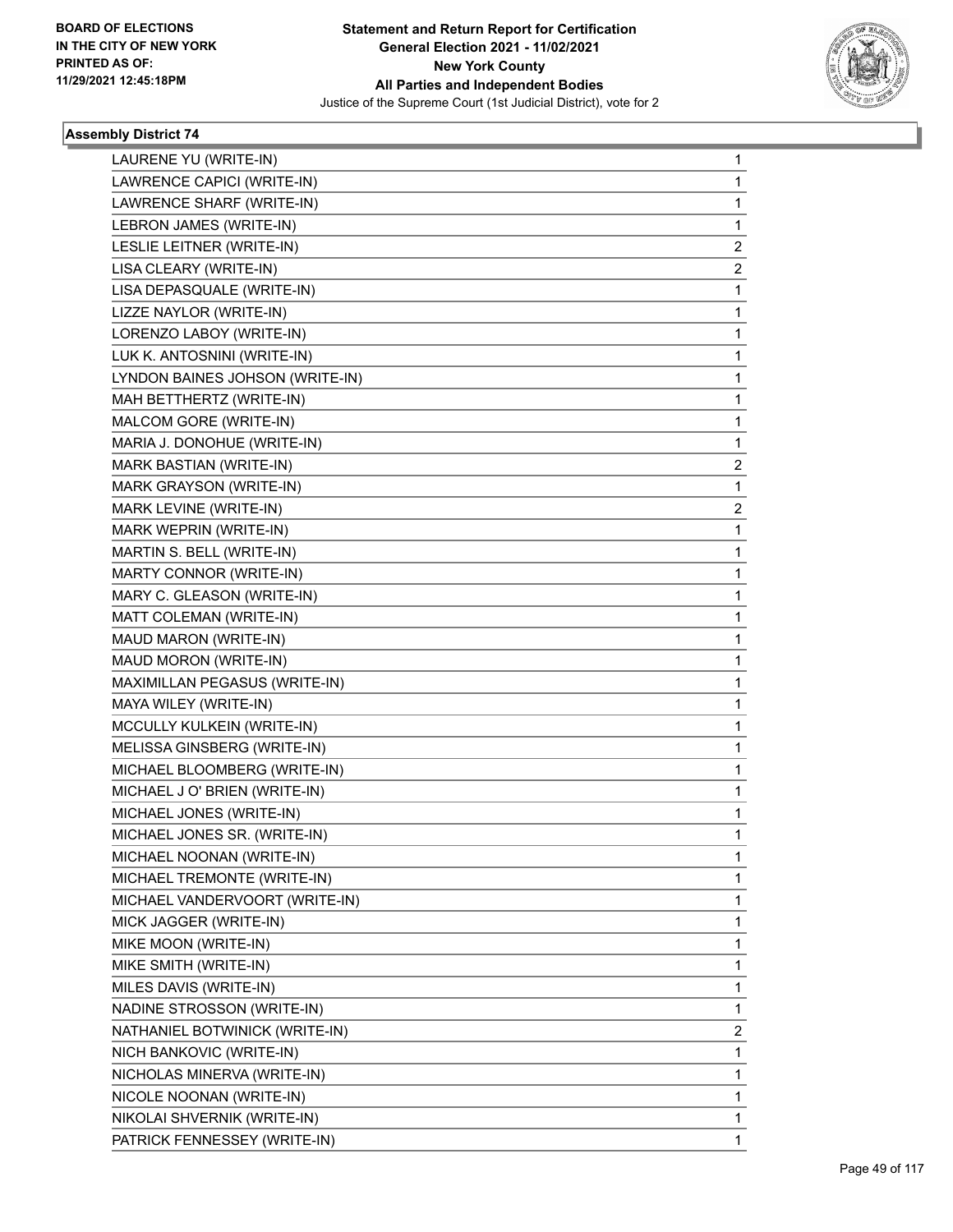

| LAURENE YU (WRITE-IN)           | 1                       |
|---------------------------------|-------------------------|
| LAWRENCE CAPICI (WRITE-IN)      | 1                       |
| LAWRENCE SHARF (WRITE-IN)       | 1                       |
| LEBRON JAMES (WRITE-IN)         | 1                       |
| LESLIE LEITNER (WRITE-IN)       | 2                       |
| LISA CLEARY (WRITE-IN)          | 2                       |
| LISA DEPASQUALE (WRITE-IN)      | 1                       |
| LIZZE NAYLOR (WRITE-IN)         | 1                       |
| LORENZO LABOY (WRITE-IN)        | 1                       |
| LUK K. ANTOSNINI (WRITE-IN)     | 1                       |
| LYNDON BAINES JOHSON (WRITE-IN) | 1                       |
| MAH BETTHERTZ (WRITE-IN)        | 1                       |
| MALCOM GORE (WRITE-IN)          | 1                       |
| MARIA J. DONOHUE (WRITE-IN)     | 1                       |
| MARK BASTIAN (WRITE-IN)         | $\overline{\mathbf{c}}$ |
| MARK GRAYSON (WRITE-IN)         | 1                       |
| MARK LEVINE (WRITE-IN)          | 2                       |
| MARK WEPRIN (WRITE-IN)          | 1                       |
| MARTIN S. BELL (WRITE-IN)       | 1                       |
| MARTY CONNOR (WRITE-IN)         | 1                       |
| MARY C. GLEASON (WRITE-IN)      | 1                       |
| MATT COLEMAN (WRITE-IN)         | 1                       |
| MAUD MARON (WRITE-IN)           | 1                       |
| MAUD MORON (WRITE-IN)           | 1                       |
| MAXIMILLAN PEGASUS (WRITE-IN)   | 1                       |
| MAYA WILEY (WRITE-IN)           | 1                       |
| MCCULLY KULKEIN (WRITE-IN)      | 1                       |
| MELISSA GINSBERG (WRITE-IN)     | 1                       |
| MICHAEL BLOOMBERG (WRITE-IN)    | 1                       |
| MICHAEL J O' BRIEN (WRITE-IN)   | 1                       |
| MICHAEL JONES (WRITE-IN)        | 1                       |
| MICHAEL JONES SR. (WRITE-IN)    | 1                       |
| MICHAEL NOONAN (WRITE-IN)       | 1                       |
| MICHAEL TREMONTE (WRITE-IN)     | 1                       |
| MICHAEL VANDERVOORT (WRITE-IN)  | 1                       |
| MICK JAGGER (WRITE-IN)          | 1                       |
| MIKE MOON (WRITE-IN)            | 1                       |
| MIKE SMITH (WRITE-IN)           | 1                       |
| MILES DAVIS (WRITE-IN)          | 1                       |
| NADINE STROSSON (WRITE-IN)      | 1                       |
| NATHANIEL BOTWINICK (WRITE-IN)  | 2                       |
| NICH BANKOVIC (WRITE-IN)        | 1                       |
| NICHOLAS MINERVA (WRITE-IN)     | 1                       |
| NICOLE NOONAN (WRITE-IN)        | 1                       |
| NIKOLAI SHVERNIK (WRITE-IN)     | 1                       |
| PATRICK FENNESSEY (WRITE-IN)    | 1                       |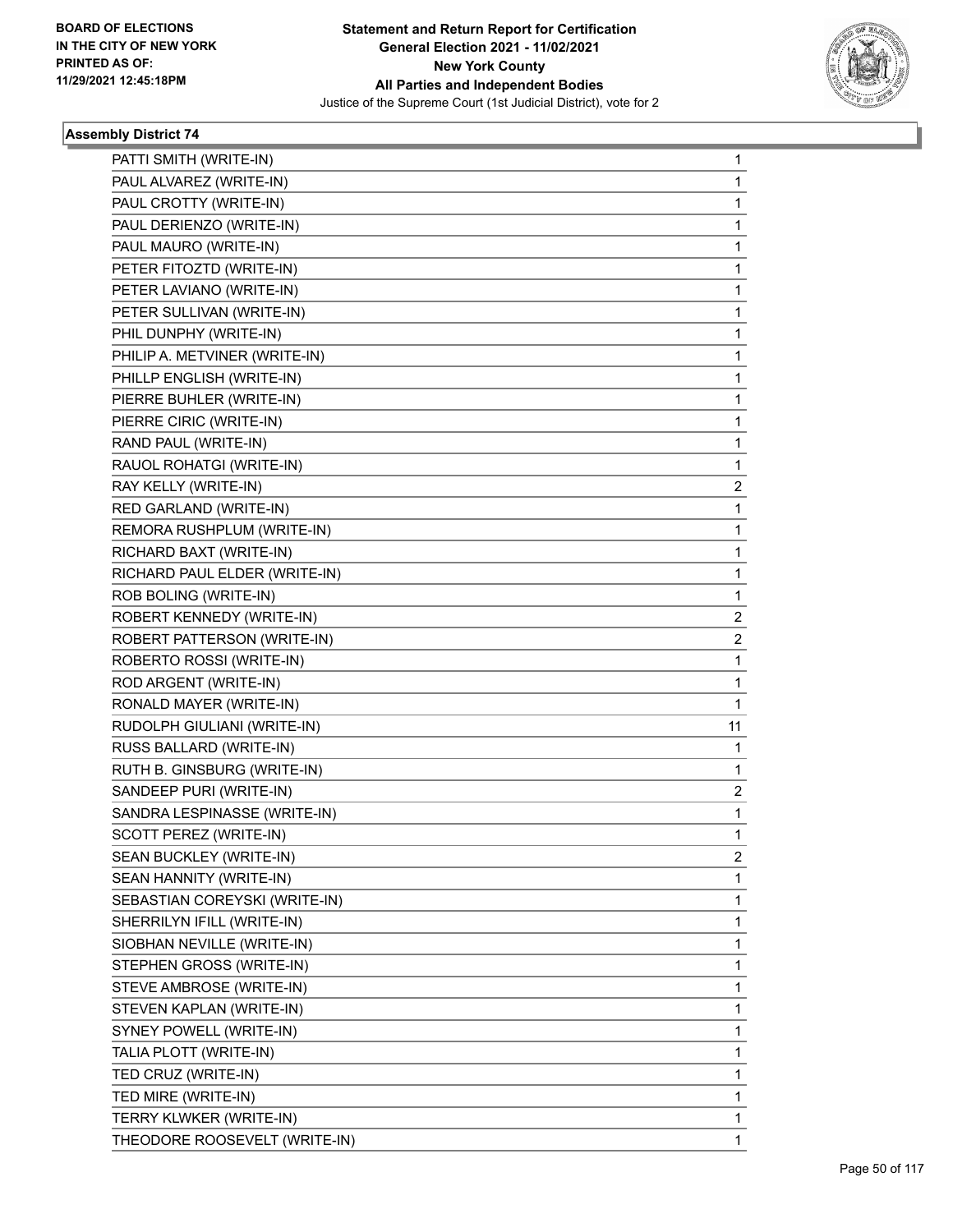

| PATTI SMITH (WRITE-IN)        | 1            |
|-------------------------------|--------------|
| PAUL ALVAREZ (WRITE-IN)       | 1            |
| PAUL CROTTY (WRITE-IN)        | 1            |
| PAUL DERIENZO (WRITE-IN)      | 1            |
| PAUL MAURO (WRITE-IN)         | 1            |
| PETER FITOZTD (WRITE-IN)      | 1            |
| PETER LAVIANO (WRITE-IN)      | 1            |
| PETER SULLIVAN (WRITE-IN)     | 1            |
| PHIL DUNPHY (WRITE-IN)        | 1            |
| PHILIP A. METVINER (WRITE-IN) | 1            |
| PHILLP ENGLISH (WRITE-IN)     | 1            |
| PIERRE BUHLER (WRITE-IN)      | 1            |
| PIERRE CIRIC (WRITE-IN)       | 1            |
| RAND PAUL (WRITE-IN)          | 1            |
| RAUOL ROHATGI (WRITE-IN)      | 1            |
| RAY KELLY (WRITE-IN)          | 2            |
| RED GARLAND (WRITE-IN)        | 1            |
| REMORA RUSHPLUM (WRITE-IN)    | 1            |
| RICHARD BAXT (WRITE-IN)       | 1            |
| RICHARD PAUL ELDER (WRITE-IN) | 1            |
| ROB BOLING (WRITE-IN)         | 1            |
| ROBERT KENNEDY (WRITE-IN)     | 2            |
| ROBERT PATTERSON (WRITE-IN)   | 2            |
| ROBERTO ROSSI (WRITE-IN)      | 1            |
| ROD ARGENT (WRITE-IN)         | 1            |
| RONALD MAYER (WRITE-IN)       | 1            |
| RUDOLPH GIULIANI (WRITE-IN)   | 11           |
| RUSS BALLARD (WRITE-IN)       | 1            |
| RUTH B. GINSBURG (WRITE-IN)   | 1            |
| SANDEEP PURI (WRITE-IN)       | 2            |
| SANDRA LESPINASSE (WRITE-IN)  | 1            |
| SCOTT PEREZ (WRITE-IN)        | $\mathbf{1}$ |
| SEAN BUCKLEY (WRITE-IN)       | 2            |
| SEAN HANNITY (WRITE-IN)       | 1            |
| SEBASTIAN COREYSKI (WRITE-IN) | 1            |
| SHERRILYN IFILL (WRITE-IN)    | 1            |
| SIOBHAN NEVILLE (WRITE-IN)    | 1            |
| STEPHEN GROSS (WRITE-IN)      | 1            |
| STEVE AMBROSE (WRITE-IN)      | 1            |
| STEVEN KAPLAN (WRITE-IN)      | 1            |
| SYNEY POWELL (WRITE-IN)       | 1            |
| TALIA PLOTT (WRITE-IN)        | 1            |
| TED CRUZ (WRITE-IN)           | 1            |
| TED MIRE (WRITE-IN)           | 1            |
| TERRY KLWKER (WRITE-IN)       | 1            |
| THEODORE ROOSEVELT (WRITE-IN) | 1            |
|                               |              |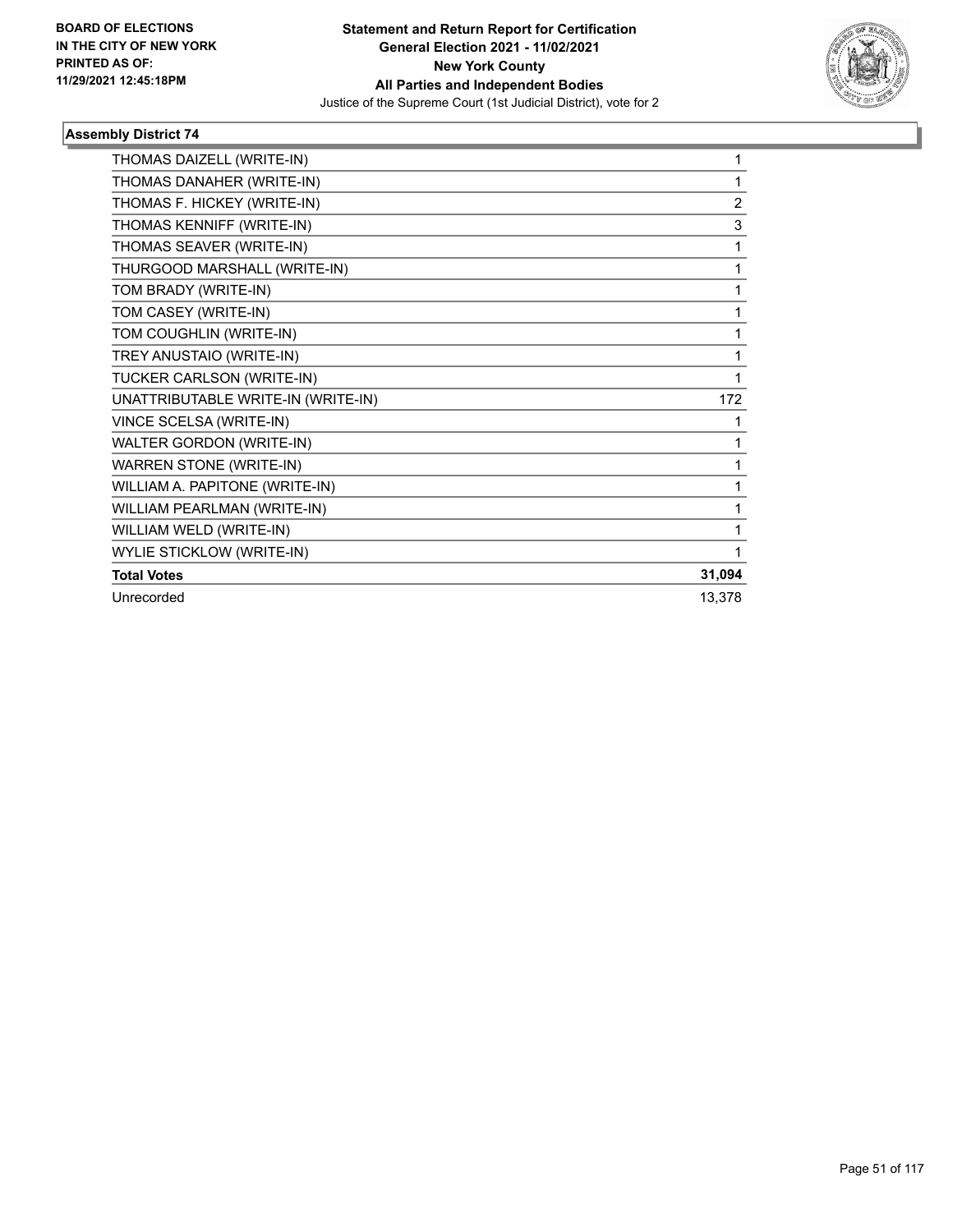

| THOMAS DAIZELL (WRITE-IN)          | 1              |
|------------------------------------|----------------|
| THOMAS DANAHER (WRITE-IN)          | 1              |
| THOMAS F. HICKEY (WRITE-IN)        | $\overline{2}$ |
| THOMAS KENNIFF (WRITE-IN)          | 3              |
| THOMAS SEAVER (WRITE-IN)           | 1              |
| THURGOOD MARSHALL (WRITE-IN)       | 1              |
| TOM BRADY (WRITE-IN)               | 1              |
| TOM CASEY (WRITE-IN)               | 1              |
| TOM COUGHLIN (WRITE-IN)            | 1              |
| TREY ANUSTAIO (WRITE-IN)           | 1              |
| TUCKER CARLSON (WRITE-IN)          | 1              |
| UNATTRIBUTABLE WRITE-IN (WRITE-IN) | 172            |
| VINCE SCELSA (WRITE-IN)            | 1              |
| WALTER GORDON (WRITE-IN)           | 1              |
| <b>WARREN STONE (WRITE-IN)</b>     | 1              |
| WILLIAM A. PAPITONE (WRITE-IN)     | 1              |
| WILLIAM PEARLMAN (WRITE-IN)        | 1              |
| WILLIAM WELD (WRITE-IN)            | 1              |
| <b>WYLIE STICKLOW (WRITE-IN)</b>   | 1              |
| <b>Total Votes</b>                 | 31,094         |
| Unrecorded                         | 13,378         |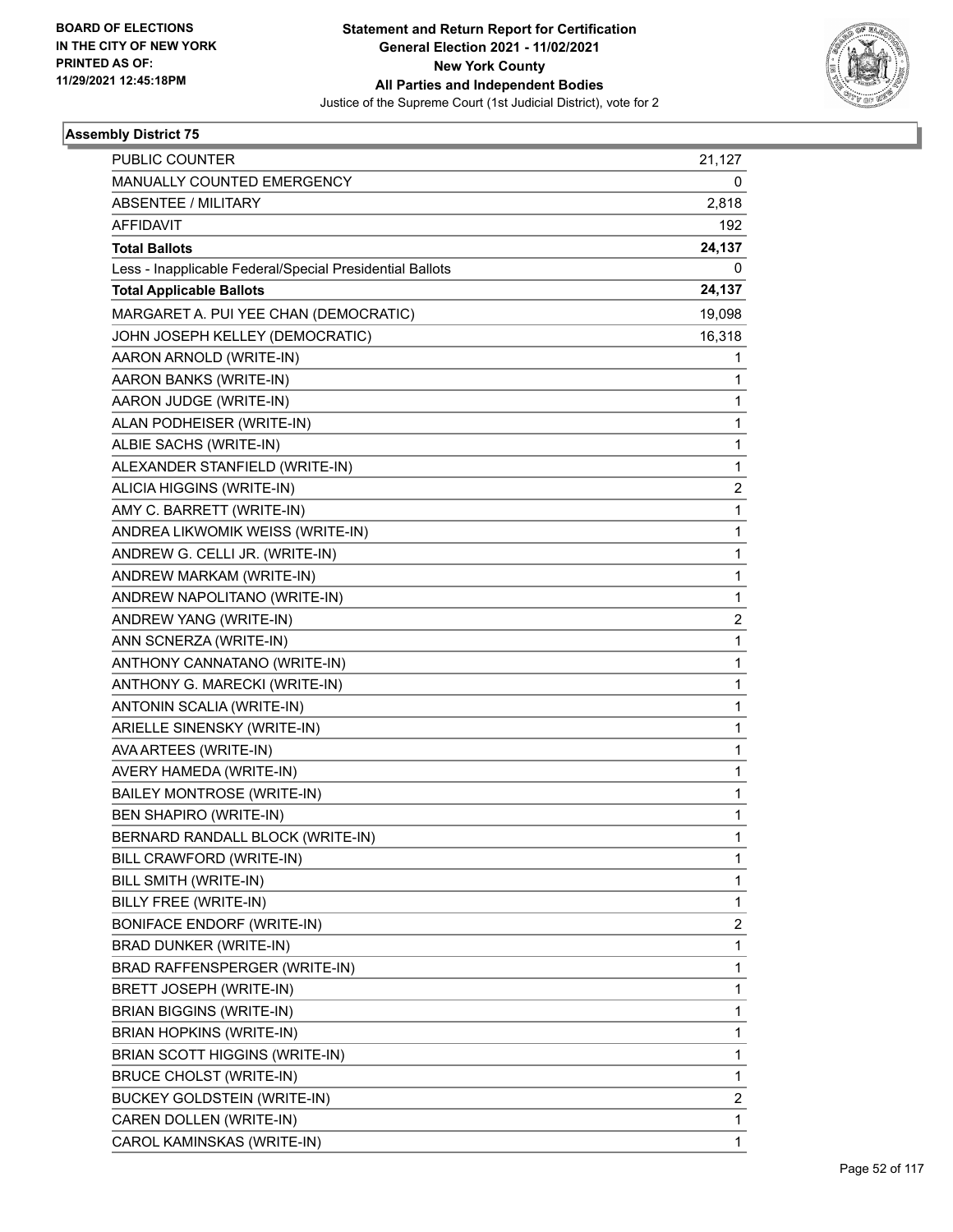

| <b>PUBLIC COUNTER</b>                                    | 21,127                  |
|----------------------------------------------------------|-------------------------|
| MANUALLY COUNTED EMERGENCY                               | 0                       |
| <b>ABSENTEE / MILITARY</b>                               | 2,818                   |
| AFFIDAVIT                                                | 192                     |
| <b>Total Ballots</b>                                     | 24,137                  |
| Less - Inapplicable Federal/Special Presidential Ballots | 0                       |
| <b>Total Applicable Ballots</b>                          | 24,137                  |
| MARGARET A. PUI YEE CHAN (DEMOCRATIC)                    | 19,098                  |
| JOHN JOSEPH KELLEY (DEMOCRATIC)                          | 16,318                  |
| AARON ARNOLD (WRITE-IN)                                  | 1                       |
| AARON BANKS (WRITE-IN)                                   | 1                       |
| AARON JUDGE (WRITE-IN)                                   | 1                       |
| ALAN PODHEISER (WRITE-IN)                                | 1                       |
| ALBIE SACHS (WRITE-IN)                                   | $\mathbf{1}$            |
| ALEXANDER STANFIELD (WRITE-IN)                           | 1                       |
| ALICIA HIGGINS (WRITE-IN)                                | $\overline{\mathbf{c}}$ |
| AMY C. BARRETT (WRITE-IN)                                | $\mathbf{1}$            |
| ANDREA LIKWOMIK WEISS (WRITE-IN)                         | 1                       |
| ANDREW G. CELLI JR. (WRITE-IN)                           | 1                       |
| ANDREW MARKAM (WRITE-IN)                                 | $\mathbf{1}$            |
| ANDREW NAPOLITANO (WRITE-IN)                             | 1                       |
| ANDREW YANG (WRITE-IN)                                   | $\overline{\mathbf{c}}$ |
| ANN SCNERZA (WRITE-IN)                                   | $\mathbf{1}$            |
| ANTHONY CANNATANO (WRITE-IN)                             | 1                       |
| ANTHONY G. MARECKI (WRITE-IN)                            | 1                       |
| ANTONIN SCALIA (WRITE-IN)                                | $\mathbf{1}$            |
| ARIELLE SINENSKY (WRITE-IN)                              | 1                       |
| AVA ARTEES (WRITE-IN)                                    | 1                       |
| AVERY HAMEDA (WRITE-IN)                                  | 1                       |
| <b>BAILEY MONTROSE (WRITE-IN)</b>                        | 1                       |
| BEN SHAPIRO (WRITE-IN)                                   | 1                       |
| BERNARD RANDALL BLOCK (WRITE-IN)                         | 1                       |
| BILL CRAWFORD (WRITE-IN)                                 | 1                       |
| BILL SMITH (WRITE-IN)                                    | 1                       |
| BILLY FREE (WRITE-IN)                                    | 1                       |
| <b>BONIFACE ENDORF (WRITE-IN)</b>                        | 2                       |
| BRAD DUNKER (WRITE-IN)                                   | 1                       |
| BRAD RAFFENSPERGER (WRITE-IN)                            | 1                       |
| BRETT JOSEPH (WRITE-IN)                                  | 1                       |
| <b>BRIAN BIGGINS (WRITE-IN)</b>                          | 1                       |
| <b>BRIAN HOPKINS (WRITE-IN)</b>                          | 1                       |
| BRIAN SCOTT HIGGINS (WRITE-IN)                           | 1                       |
| <b>BRUCE CHOLST (WRITE-IN)</b>                           | 1                       |
| <b>BUCKEY GOLDSTEIN (WRITE-IN)</b>                       | 2                       |
| CAREN DOLLEN (WRITE-IN)                                  | 1                       |
| CAROL KAMINSKAS (WRITE-IN)                               | $\mathbf{1}$            |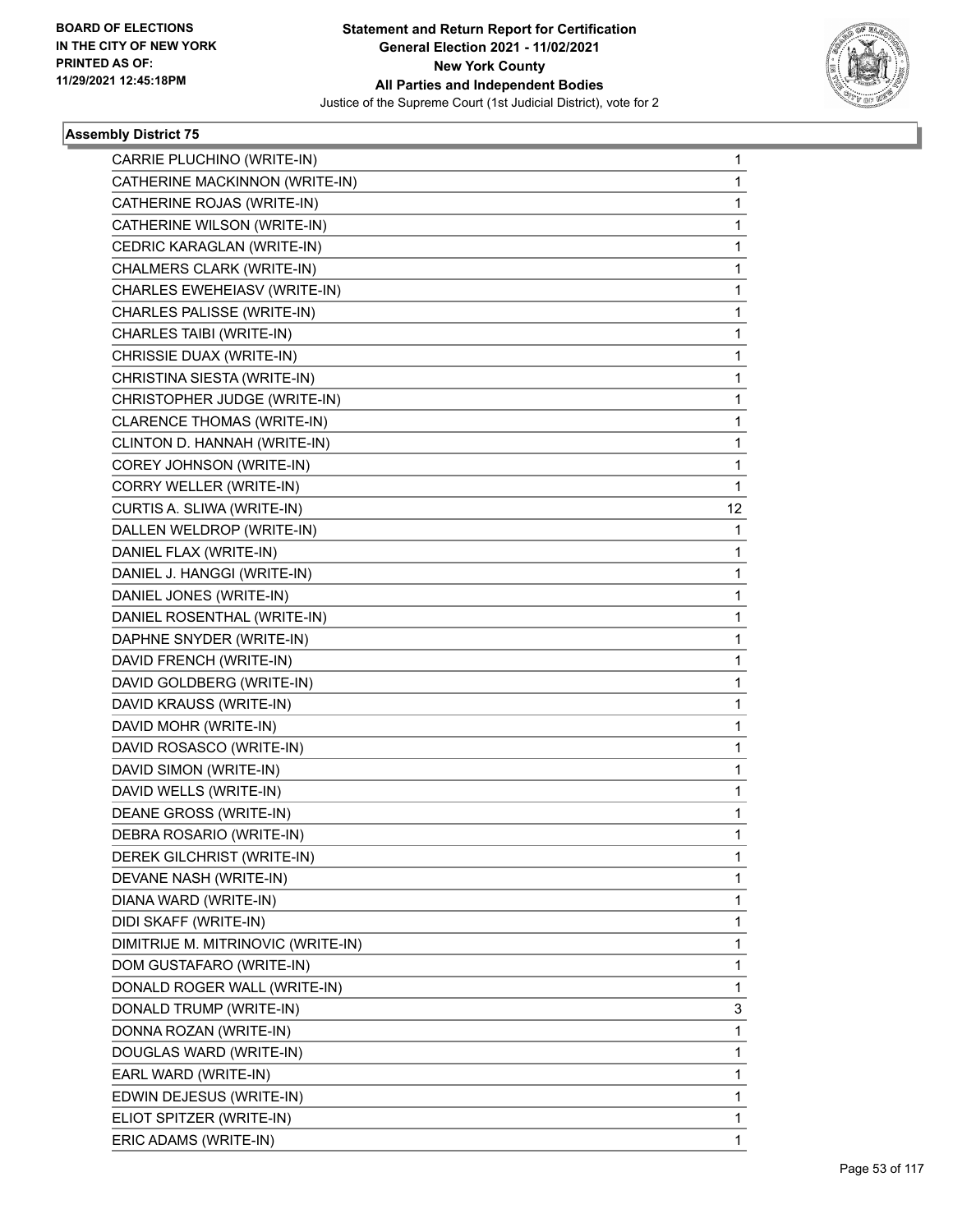

| CARRIE PLUCHINO (WRITE-IN)         | $\mathbf{1}$    |
|------------------------------------|-----------------|
| CATHERINE MACKINNON (WRITE-IN)     | 1               |
| CATHERINE ROJAS (WRITE-IN)         | 1               |
| CATHERINE WILSON (WRITE-IN)        | 1               |
| CEDRIC KARAGLAN (WRITE-IN)         | 1               |
| CHALMERS CLARK (WRITE-IN)          | 1               |
| CHARLES EWEHEIASV (WRITE-IN)       | 1               |
| CHARLES PALISSE (WRITE-IN)         | 1               |
| CHARLES TAIBI (WRITE-IN)           | 1               |
| CHRISSIE DUAX (WRITE-IN)           | 1               |
| CHRISTINA SIESTA (WRITE-IN)        | 1               |
| CHRISTOPHER JUDGE (WRITE-IN)       | 1               |
| CLARENCE THOMAS (WRITE-IN)         | 1               |
| CLINTON D. HANNAH (WRITE-IN)       | 1               |
| COREY JOHNSON (WRITE-IN)           | 1               |
| CORRY WELLER (WRITE-IN)            | 1               |
| CURTIS A. SLIWA (WRITE-IN)         | 12 <sup>2</sup> |
| DALLEN WELDROP (WRITE-IN)          | 1               |
| DANIEL FLAX (WRITE-IN)             | 1               |
| DANIEL J. HANGGI (WRITE-IN)        | 1               |
| DANIEL JONES (WRITE-IN)            | 1               |
| DANIEL ROSENTHAL (WRITE-IN)        | 1               |
| DAPHNE SNYDER (WRITE-IN)           | 1               |
| DAVID FRENCH (WRITE-IN)            | 1               |
| DAVID GOLDBERG (WRITE-IN)          | 1               |
| DAVID KRAUSS (WRITE-IN)            | 1               |
| DAVID MOHR (WRITE-IN)              | 1               |
| DAVID ROSASCO (WRITE-IN)           | 1               |
| DAVID SIMON (WRITE-IN)             | 1               |
| DAVID WELLS (WRITE-IN)             | 1               |
| DEANE GROSS (WRITE-IN)             | 1               |
| DEBRA ROSARIO (WRITE-IN)           | 1               |
| DEREK GILCHRIST (WRITE-IN)         | 1               |
| DEVANE NASH (WRITE-IN)             | 1               |
| DIANA WARD (WRITE-IN)              | 1               |
| DIDI SKAFF (WRITE-IN)              | 1               |
| DIMITRIJE M. MITRINOVIC (WRITE-IN) | 1               |
| DOM GUSTAFARO (WRITE-IN)           | 1               |
| DONALD ROGER WALL (WRITE-IN)       | 1               |
| DONALD TRUMP (WRITE-IN)            | 3               |
| DONNA ROZAN (WRITE-IN)             | 1               |
| DOUGLAS WARD (WRITE-IN)            | 1               |
| EARL WARD (WRITE-IN)               | 1               |
| EDWIN DEJESUS (WRITE-IN)           | 1               |
| ELIOT SPITZER (WRITE-IN)           | 1               |
| ERIC ADAMS (WRITE-IN)              | 1               |
|                                    |                 |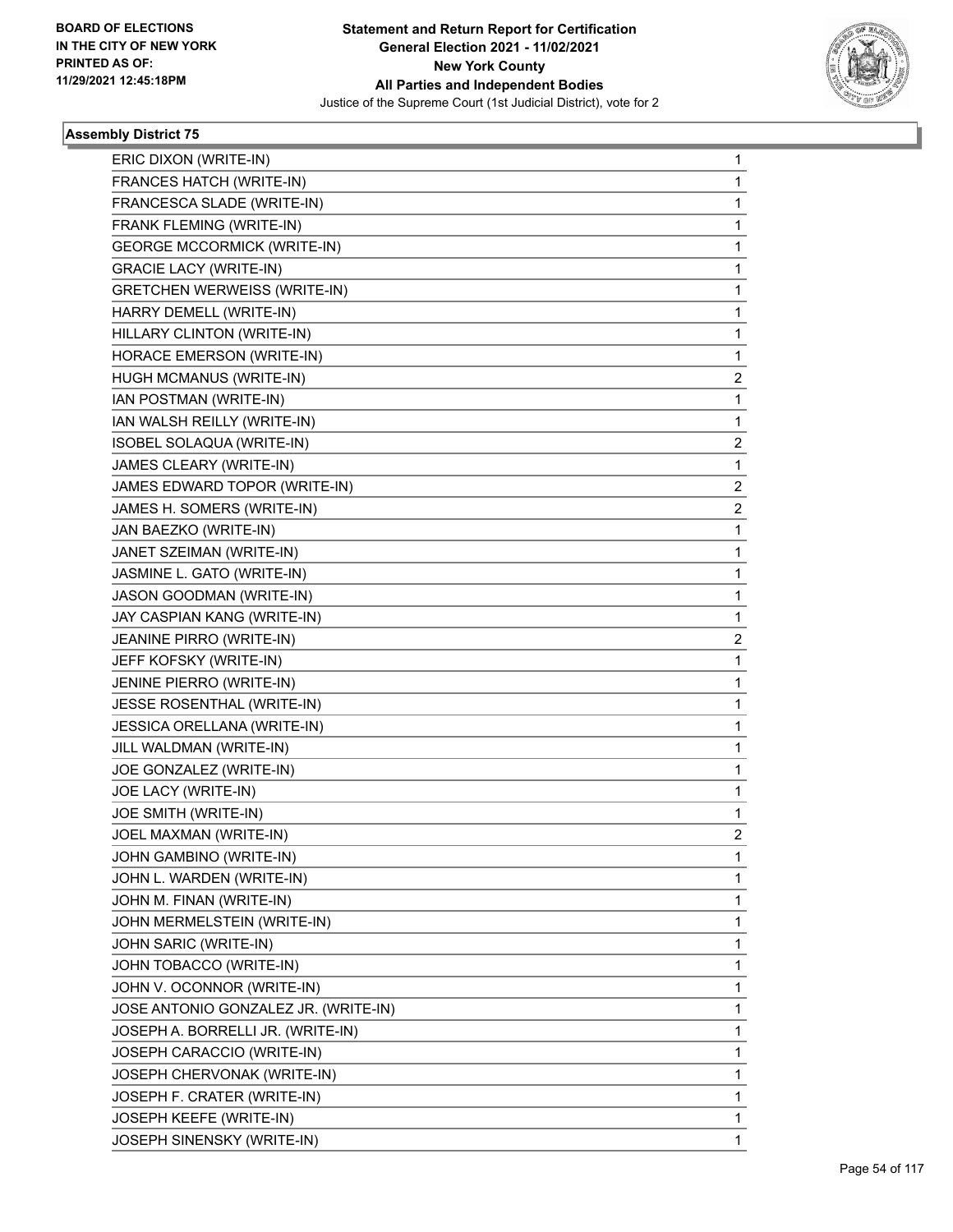

| ERIC DIXON (WRITE-IN)<br>FRANCES HATCH (WRITE-IN)<br>FRANCESCA SLADE (WRITE-IN)<br>FRANK FLEMING (WRITE-IN)<br><b>GEORGE MCCORMICK (WRITE-IN)</b><br><b>GRACIE LACY (WRITE-IN)</b><br><b>GRETCHEN WERWEISS (WRITE-IN)</b><br>HARRY DEMELL (WRITE-IN)<br>HILLARY CLINTON (WRITE-IN)<br>HORACE EMERSON (WRITE-IN)<br>HUGH MCMANUS (WRITE-IN)<br>IAN POSTMAN (WRITE-IN)<br>IAN WALSH REILLY (WRITE-IN)<br>ISOBEL SOLAQUA (WRITE-IN)<br>JAMES CLEARY (WRITE-IN)<br>JAMES EDWARD TOPOR (WRITE-IN)<br>JAMES H. SOMERS (WRITE-IN)<br>JAN BAEZKO (WRITE-IN)<br>JANET SZEIMAN (WRITE-IN)<br>JASMINE L. GATO (WRITE-IN)<br>JASON GOODMAN (WRITE-IN)<br>JAY CASPIAN KANG (WRITE-IN)<br>JEANINE PIRRO (WRITE-IN)<br>JEFF KOFSKY (WRITE-IN)<br>JENINE PIERRO (WRITE-IN)<br>JESSE ROSENTHAL (WRITE-IN)<br>JESSICA ORELLANA (WRITE-IN)<br>JILL WALDMAN (WRITE-IN)<br>JOE GONZALEZ (WRITE-IN)<br>JOE LACY (WRITE-IN)<br>JOE SMITH (WRITE-IN)<br>JOEL MAXMAN (WRITE-IN)<br>JOHN GAMBINO (WRITE-IN)<br>JOHN L. WARDEN (WRITE-IN)<br>JOHN M. FINAN (WRITE-IN)<br>JOHN MERMELSTEIN (WRITE-IN)<br>JOHN SARIC (WRITE-IN)<br>JOHN TOBACCO (WRITE-IN)<br>JOHN V. OCONNOR (WRITE-IN)<br>JOSE ANTONIO GONZALEZ JR. (WRITE-IN)<br>JOSEPH A. BORRELLI JR. (WRITE-IN)<br>JOSEPH CARACCIO (WRITE-IN)<br>JOSEPH CHERVONAK (WRITE-IN)<br>JOSEPH F. CRATER (WRITE-IN)<br>JOSEPH KEEFE (WRITE-IN) |                            |   |
|-----------------------------------------------------------------------------------------------------------------------------------------------------------------------------------------------------------------------------------------------------------------------------------------------------------------------------------------------------------------------------------------------------------------------------------------------------------------------------------------------------------------------------------------------------------------------------------------------------------------------------------------------------------------------------------------------------------------------------------------------------------------------------------------------------------------------------------------------------------------------------------------------------------------------------------------------------------------------------------------------------------------------------------------------------------------------------------------------------------------------------------------------------------------------------------------------------------------------------------------------------------------------------------------------------------------------------------------------------------------|----------------------------|---|
|                                                                                                                                                                                                                                                                                                                                                                                                                                                                                                                                                                                                                                                                                                                                                                                                                                                                                                                                                                                                                                                                                                                                                                                                                                                                                                                                                                 |                            | 1 |
|                                                                                                                                                                                                                                                                                                                                                                                                                                                                                                                                                                                                                                                                                                                                                                                                                                                                                                                                                                                                                                                                                                                                                                                                                                                                                                                                                                 |                            | 1 |
|                                                                                                                                                                                                                                                                                                                                                                                                                                                                                                                                                                                                                                                                                                                                                                                                                                                                                                                                                                                                                                                                                                                                                                                                                                                                                                                                                                 |                            | 1 |
|                                                                                                                                                                                                                                                                                                                                                                                                                                                                                                                                                                                                                                                                                                                                                                                                                                                                                                                                                                                                                                                                                                                                                                                                                                                                                                                                                                 |                            | 1 |
|                                                                                                                                                                                                                                                                                                                                                                                                                                                                                                                                                                                                                                                                                                                                                                                                                                                                                                                                                                                                                                                                                                                                                                                                                                                                                                                                                                 |                            | 1 |
|                                                                                                                                                                                                                                                                                                                                                                                                                                                                                                                                                                                                                                                                                                                                                                                                                                                                                                                                                                                                                                                                                                                                                                                                                                                                                                                                                                 |                            | 1 |
|                                                                                                                                                                                                                                                                                                                                                                                                                                                                                                                                                                                                                                                                                                                                                                                                                                                                                                                                                                                                                                                                                                                                                                                                                                                                                                                                                                 |                            | 1 |
|                                                                                                                                                                                                                                                                                                                                                                                                                                                                                                                                                                                                                                                                                                                                                                                                                                                                                                                                                                                                                                                                                                                                                                                                                                                                                                                                                                 |                            | 1 |
|                                                                                                                                                                                                                                                                                                                                                                                                                                                                                                                                                                                                                                                                                                                                                                                                                                                                                                                                                                                                                                                                                                                                                                                                                                                                                                                                                                 |                            | 1 |
|                                                                                                                                                                                                                                                                                                                                                                                                                                                                                                                                                                                                                                                                                                                                                                                                                                                                                                                                                                                                                                                                                                                                                                                                                                                                                                                                                                 |                            | 1 |
|                                                                                                                                                                                                                                                                                                                                                                                                                                                                                                                                                                                                                                                                                                                                                                                                                                                                                                                                                                                                                                                                                                                                                                                                                                                                                                                                                                 |                            | 2 |
|                                                                                                                                                                                                                                                                                                                                                                                                                                                                                                                                                                                                                                                                                                                                                                                                                                                                                                                                                                                                                                                                                                                                                                                                                                                                                                                                                                 |                            | 1 |
|                                                                                                                                                                                                                                                                                                                                                                                                                                                                                                                                                                                                                                                                                                                                                                                                                                                                                                                                                                                                                                                                                                                                                                                                                                                                                                                                                                 |                            | 1 |
|                                                                                                                                                                                                                                                                                                                                                                                                                                                                                                                                                                                                                                                                                                                                                                                                                                                                                                                                                                                                                                                                                                                                                                                                                                                                                                                                                                 |                            | 2 |
|                                                                                                                                                                                                                                                                                                                                                                                                                                                                                                                                                                                                                                                                                                                                                                                                                                                                                                                                                                                                                                                                                                                                                                                                                                                                                                                                                                 |                            | 1 |
|                                                                                                                                                                                                                                                                                                                                                                                                                                                                                                                                                                                                                                                                                                                                                                                                                                                                                                                                                                                                                                                                                                                                                                                                                                                                                                                                                                 |                            | 2 |
|                                                                                                                                                                                                                                                                                                                                                                                                                                                                                                                                                                                                                                                                                                                                                                                                                                                                                                                                                                                                                                                                                                                                                                                                                                                                                                                                                                 |                            | 2 |
|                                                                                                                                                                                                                                                                                                                                                                                                                                                                                                                                                                                                                                                                                                                                                                                                                                                                                                                                                                                                                                                                                                                                                                                                                                                                                                                                                                 |                            | 1 |
|                                                                                                                                                                                                                                                                                                                                                                                                                                                                                                                                                                                                                                                                                                                                                                                                                                                                                                                                                                                                                                                                                                                                                                                                                                                                                                                                                                 |                            | 1 |
|                                                                                                                                                                                                                                                                                                                                                                                                                                                                                                                                                                                                                                                                                                                                                                                                                                                                                                                                                                                                                                                                                                                                                                                                                                                                                                                                                                 |                            | 1 |
|                                                                                                                                                                                                                                                                                                                                                                                                                                                                                                                                                                                                                                                                                                                                                                                                                                                                                                                                                                                                                                                                                                                                                                                                                                                                                                                                                                 |                            | 1 |
|                                                                                                                                                                                                                                                                                                                                                                                                                                                                                                                                                                                                                                                                                                                                                                                                                                                                                                                                                                                                                                                                                                                                                                                                                                                                                                                                                                 |                            | 1 |
|                                                                                                                                                                                                                                                                                                                                                                                                                                                                                                                                                                                                                                                                                                                                                                                                                                                                                                                                                                                                                                                                                                                                                                                                                                                                                                                                                                 |                            | 2 |
|                                                                                                                                                                                                                                                                                                                                                                                                                                                                                                                                                                                                                                                                                                                                                                                                                                                                                                                                                                                                                                                                                                                                                                                                                                                                                                                                                                 |                            | 1 |
|                                                                                                                                                                                                                                                                                                                                                                                                                                                                                                                                                                                                                                                                                                                                                                                                                                                                                                                                                                                                                                                                                                                                                                                                                                                                                                                                                                 |                            | 1 |
|                                                                                                                                                                                                                                                                                                                                                                                                                                                                                                                                                                                                                                                                                                                                                                                                                                                                                                                                                                                                                                                                                                                                                                                                                                                                                                                                                                 |                            | 1 |
|                                                                                                                                                                                                                                                                                                                                                                                                                                                                                                                                                                                                                                                                                                                                                                                                                                                                                                                                                                                                                                                                                                                                                                                                                                                                                                                                                                 |                            | 1 |
|                                                                                                                                                                                                                                                                                                                                                                                                                                                                                                                                                                                                                                                                                                                                                                                                                                                                                                                                                                                                                                                                                                                                                                                                                                                                                                                                                                 |                            | 1 |
|                                                                                                                                                                                                                                                                                                                                                                                                                                                                                                                                                                                                                                                                                                                                                                                                                                                                                                                                                                                                                                                                                                                                                                                                                                                                                                                                                                 |                            | 1 |
|                                                                                                                                                                                                                                                                                                                                                                                                                                                                                                                                                                                                                                                                                                                                                                                                                                                                                                                                                                                                                                                                                                                                                                                                                                                                                                                                                                 |                            | 1 |
|                                                                                                                                                                                                                                                                                                                                                                                                                                                                                                                                                                                                                                                                                                                                                                                                                                                                                                                                                                                                                                                                                                                                                                                                                                                                                                                                                                 |                            | 1 |
|                                                                                                                                                                                                                                                                                                                                                                                                                                                                                                                                                                                                                                                                                                                                                                                                                                                                                                                                                                                                                                                                                                                                                                                                                                                                                                                                                                 |                            | 2 |
|                                                                                                                                                                                                                                                                                                                                                                                                                                                                                                                                                                                                                                                                                                                                                                                                                                                                                                                                                                                                                                                                                                                                                                                                                                                                                                                                                                 |                            | 1 |
|                                                                                                                                                                                                                                                                                                                                                                                                                                                                                                                                                                                                                                                                                                                                                                                                                                                                                                                                                                                                                                                                                                                                                                                                                                                                                                                                                                 |                            | 1 |
|                                                                                                                                                                                                                                                                                                                                                                                                                                                                                                                                                                                                                                                                                                                                                                                                                                                                                                                                                                                                                                                                                                                                                                                                                                                                                                                                                                 |                            | 1 |
|                                                                                                                                                                                                                                                                                                                                                                                                                                                                                                                                                                                                                                                                                                                                                                                                                                                                                                                                                                                                                                                                                                                                                                                                                                                                                                                                                                 |                            | 1 |
|                                                                                                                                                                                                                                                                                                                                                                                                                                                                                                                                                                                                                                                                                                                                                                                                                                                                                                                                                                                                                                                                                                                                                                                                                                                                                                                                                                 |                            | 1 |
|                                                                                                                                                                                                                                                                                                                                                                                                                                                                                                                                                                                                                                                                                                                                                                                                                                                                                                                                                                                                                                                                                                                                                                                                                                                                                                                                                                 |                            | 1 |
|                                                                                                                                                                                                                                                                                                                                                                                                                                                                                                                                                                                                                                                                                                                                                                                                                                                                                                                                                                                                                                                                                                                                                                                                                                                                                                                                                                 |                            | 1 |
|                                                                                                                                                                                                                                                                                                                                                                                                                                                                                                                                                                                                                                                                                                                                                                                                                                                                                                                                                                                                                                                                                                                                                                                                                                                                                                                                                                 |                            | 1 |
|                                                                                                                                                                                                                                                                                                                                                                                                                                                                                                                                                                                                                                                                                                                                                                                                                                                                                                                                                                                                                                                                                                                                                                                                                                                                                                                                                                 |                            | 1 |
|                                                                                                                                                                                                                                                                                                                                                                                                                                                                                                                                                                                                                                                                                                                                                                                                                                                                                                                                                                                                                                                                                                                                                                                                                                                                                                                                                                 |                            | 1 |
|                                                                                                                                                                                                                                                                                                                                                                                                                                                                                                                                                                                                                                                                                                                                                                                                                                                                                                                                                                                                                                                                                                                                                                                                                                                                                                                                                                 |                            | 1 |
|                                                                                                                                                                                                                                                                                                                                                                                                                                                                                                                                                                                                                                                                                                                                                                                                                                                                                                                                                                                                                                                                                                                                                                                                                                                                                                                                                                 |                            | 1 |
|                                                                                                                                                                                                                                                                                                                                                                                                                                                                                                                                                                                                                                                                                                                                                                                                                                                                                                                                                                                                                                                                                                                                                                                                                                                                                                                                                                 |                            | 1 |
|                                                                                                                                                                                                                                                                                                                                                                                                                                                                                                                                                                                                                                                                                                                                                                                                                                                                                                                                                                                                                                                                                                                                                                                                                                                                                                                                                                 | JOSEPH SINENSKY (WRITE-IN) | 1 |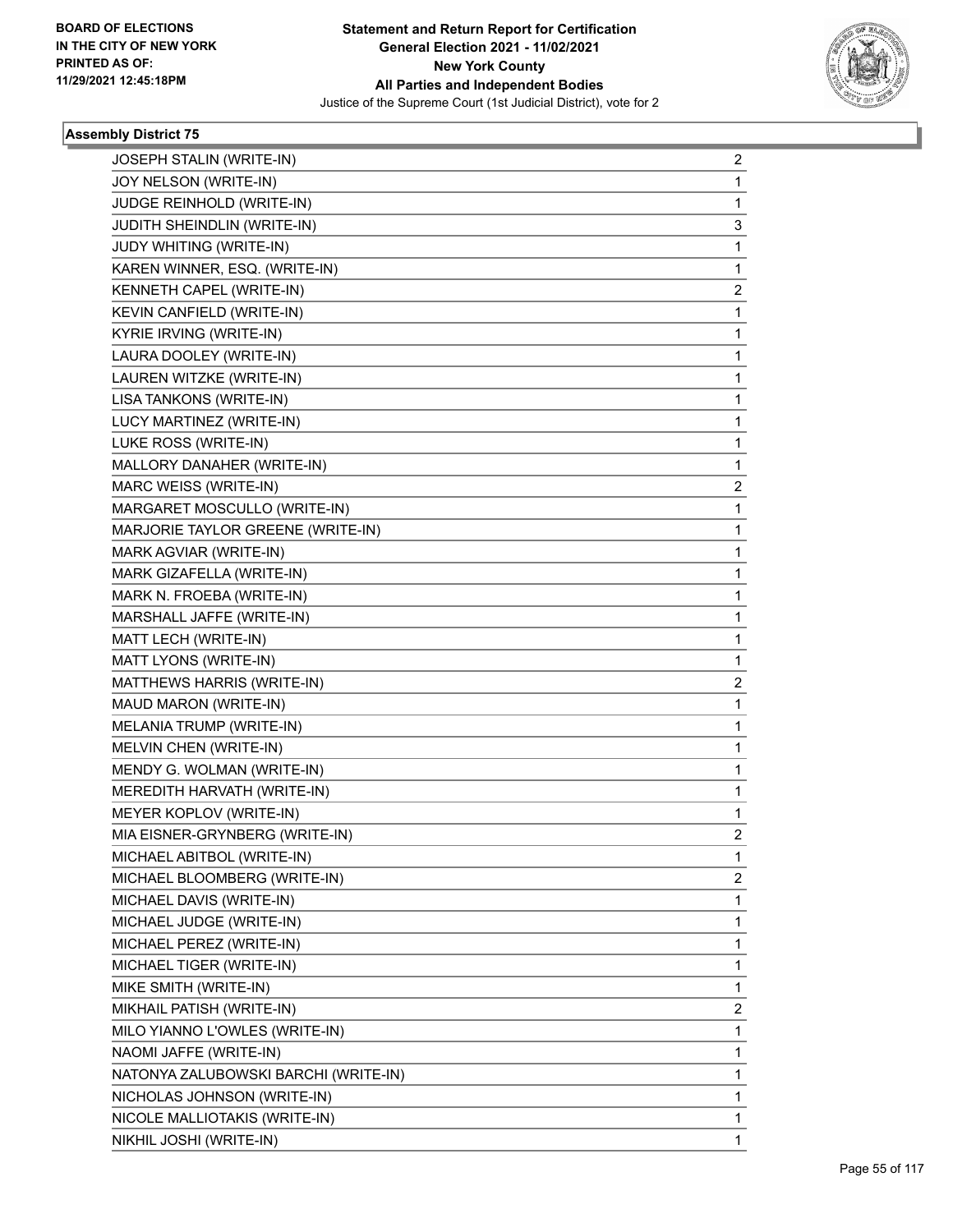

| JOSEPH STALIN (WRITE-IN)             | $\overline{2}$          |
|--------------------------------------|-------------------------|
| JOY NELSON (WRITE-IN)                | 1                       |
| JUDGE REINHOLD (WRITE-IN)            | 1                       |
| JUDITH SHEINDLIN (WRITE-IN)          | 3                       |
| JUDY WHITING (WRITE-IN)              | 1                       |
| KAREN WINNER, ESQ. (WRITE-IN)        | 1                       |
| KENNETH CAPEL (WRITE-IN)             | $\overline{\mathbf{c}}$ |
| KEVIN CANFIELD (WRITE-IN)            | 1                       |
| KYRIE IRVING (WRITE-IN)              | 1                       |
| LAURA DOOLEY (WRITE-IN)              | 1                       |
| LAUREN WITZKE (WRITE-IN)             | 1                       |
| LISA TANKONS (WRITE-IN)              | 1                       |
| LUCY MARTINEZ (WRITE-IN)             | 1                       |
| LUKE ROSS (WRITE-IN)                 | 1                       |
| MALLORY DANAHER (WRITE-IN)           | 1                       |
| MARC WEISS (WRITE-IN)                | 2                       |
| MARGARET MOSCULLO (WRITE-IN)         | 1                       |
| MARJORIE TAYLOR GREENE (WRITE-IN)    | 1                       |
| MARK AGVIAR (WRITE-IN)               | 1                       |
| MARK GIZAFELLA (WRITE-IN)            | 1                       |
| MARK N. FROEBA (WRITE-IN)            | 1                       |
| MARSHALL JAFFE (WRITE-IN)            | 1                       |
| MATT LECH (WRITE-IN)                 | 1                       |
| MATT LYONS (WRITE-IN)                | 1                       |
| MATTHEWS HARRIS (WRITE-IN)           | $\overline{\mathbf{c}}$ |
| MAUD MARON (WRITE-IN)                | 1                       |
| MELANIA TRUMP (WRITE-IN)             | 1                       |
| MELVIN CHEN (WRITE-IN)               | 1                       |
| MENDY G. WOLMAN (WRITE-IN)           | 1                       |
| MEREDITH HARVATH (WRITE-IN)          | 1                       |
| MEYER KOPLOV (WRITE-IN)              | 1                       |
| MIA EISNER-GRYNBERG (WRITE-IN)       | 2                       |
| MICHAEL ABITBOL (WRITE-IN)           | 1                       |
| MICHAEL BLOOMBERG (WRITE-IN)         | $\overline{2}$          |
| MICHAEL DAVIS (WRITE-IN)             | 1                       |
| MICHAEL JUDGE (WRITE-IN)             | 1                       |
| MICHAEL PEREZ (WRITE-IN)             | 1                       |
| MICHAEL TIGER (WRITE-IN)             | 1                       |
| MIKE SMITH (WRITE-IN)                | 1                       |
| MIKHAIL PATISH (WRITE-IN)            | $\overline{c}$          |
| MILO YIANNO L'OWLES (WRITE-IN)       | 1                       |
| NAOMI JAFFE (WRITE-IN)               | 1                       |
| NATONYA ZALUBOWSKI BARCHI (WRITE-IN) | 1                       |
| NICHOLAS JOHNSON (WRITE-IN)          | 1                       |
| NICOLE MALLIOTAKIS (WRITE-IN)        | 1                       |
| NIKHIL JOSHI (WRITE-IN)              | 1                       |
|                                      |                         |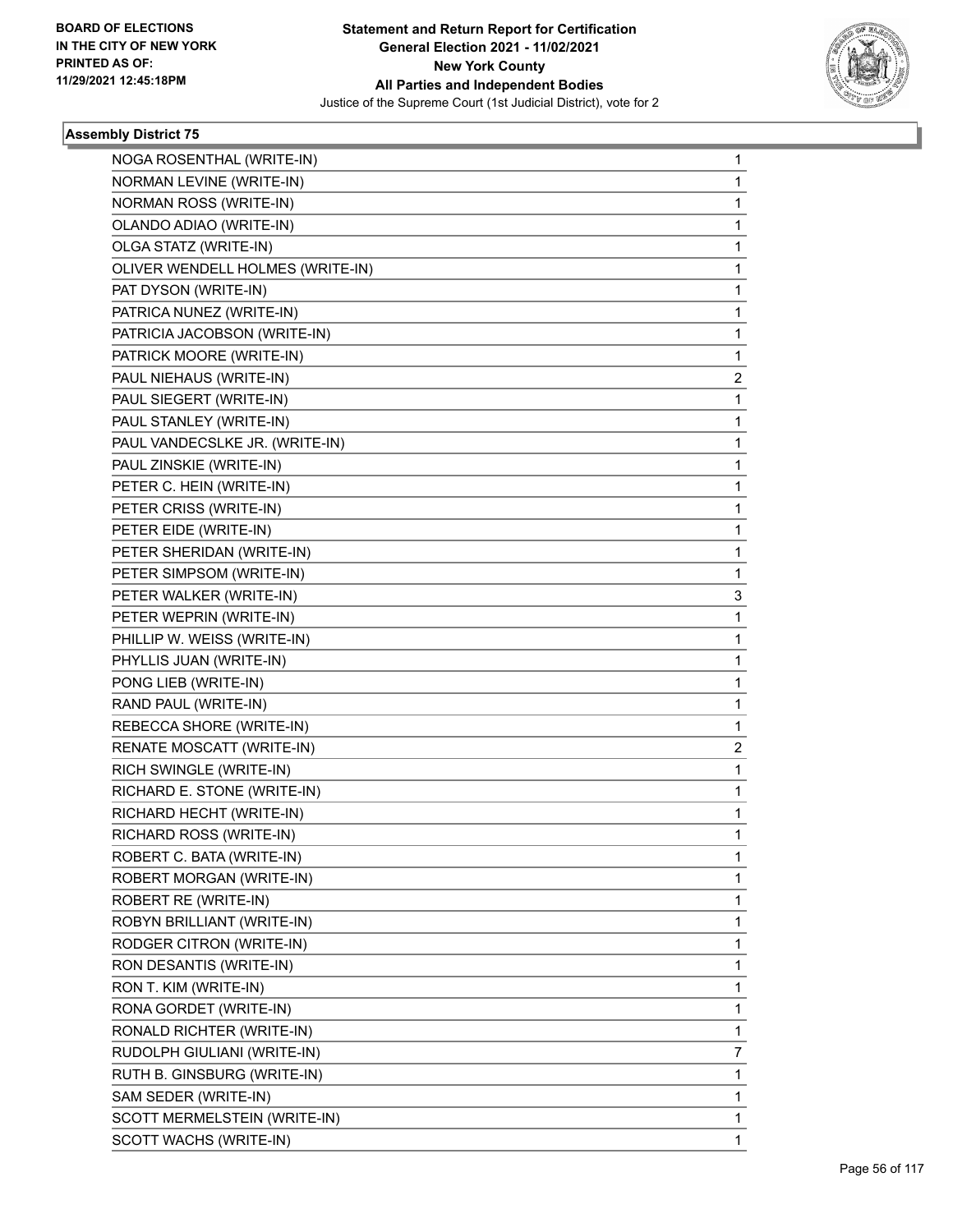

| NOGA ROSENTHAL (WRITE-IN)        | $\mathbf 1$  |
|----------------------------------|--------------|
| NORMAN LEVINE (WRITE-IN)         | 1            |
| NORMAN ROSS (WRITE-IN)           | 1            |
| OLANDO ADIAO (WRITE-IN)          | 1            |
| OLGA STATZ (WRITE-IN)            | 1            |
| OLIVER WENDELL HOLMES (WRITE-IN) | 1            |
| PAT DYSON (WRITE-IN)             | 1            |
| PATRICA NUNEZ (WRITE-IN)         | 1            |
| PATRICIA JACOBSON (WRITE-IN)     | $\mathbf{1}$ |
| PATRICK MOORE (WRITE-IN)         | 1            |
| PAUL NIEHAUS (WRITE-IN)          | 2            |
| PAUL SIEGERT (WRITE-IN)          | 1            |
| PAUL STANLEY (WRITE-IN)          | 1            |
| PAUL VANDECSLKE JR. (WRITE-IN)   | 1            |
| PAUL ZINSKIE (WRITE-IN)          | 1            |
| PETER C. HEIN (WRITE-IN)         | 1            |
| PETER CRISS (WRITE-IN)           | 1            |
| PETER EIDE (WRITE-IN)            | 1            |
| PETER SHERIDAN (WRITE-IN)        | 1            |
| PETER SIMPSOM (WRITE-IN)         | 1            |
| PETER WALKER (WRITE-IN)          | 3            |
| PETER WEPRIN (WRITE-IN)          | 1            |
| PHILLIP W. WEISS (WRITE-IN)      | 1            |
| PHYLLIS JUAN (WRITE-IN)          | $\mathbf{1}$ |
| PONG LIEB (WRITE-IN)             | 1            |
| RAND PAUL (WRITE-IN)             | 1            |
| REBECCA SHORE (WRITE-IN)         | 1            |
| RENATE MOSCATT (WRITE-IN)        | 2            |
| RICH SWINGLE (WRITE-IN)          | 1            |
| RICHARD E. STONE (WRITE-IN)      | $\mathbf{1}$ |
| RICHARD HECHT (WRITE-IN)         | 1            |
| RICHARD ROSS (WRITE-IN)          | 1            |
| ROBERT C. BATA (WRITE-IN)        | 1            |
| ROBERT MORGAN (WRITE-IN)         | 1            |
| ROBERT RE (WRITE-IN)             | 1            |
| ROBYN BRILLIANT (WRITE-IN)       | 1            |
| RODGER CITRON (WRITE-IN)         | 1            |
| RON DESANTIS (WRITE-IN)          | 1            |
| RON T. KIM (WRITE-IN)            | 1            |
| RONA GORDET (WRITE-IN)           | 1            |
| RONALD RICHTER (WRITE-IN)        | 1            |
| RUDOLPH GIULIANI (WRITE-IN)      | 7            |
| RUTH B. GINSBURG (WRITE-IN)      | 1            |
| SAM SEDER (WRITE-IN)             | 1            |
| SCOTT MERMELSTEIN (WRITE-IN)     | 1            |
| SCOTT WACHS (WRITE-IN)           | 1            |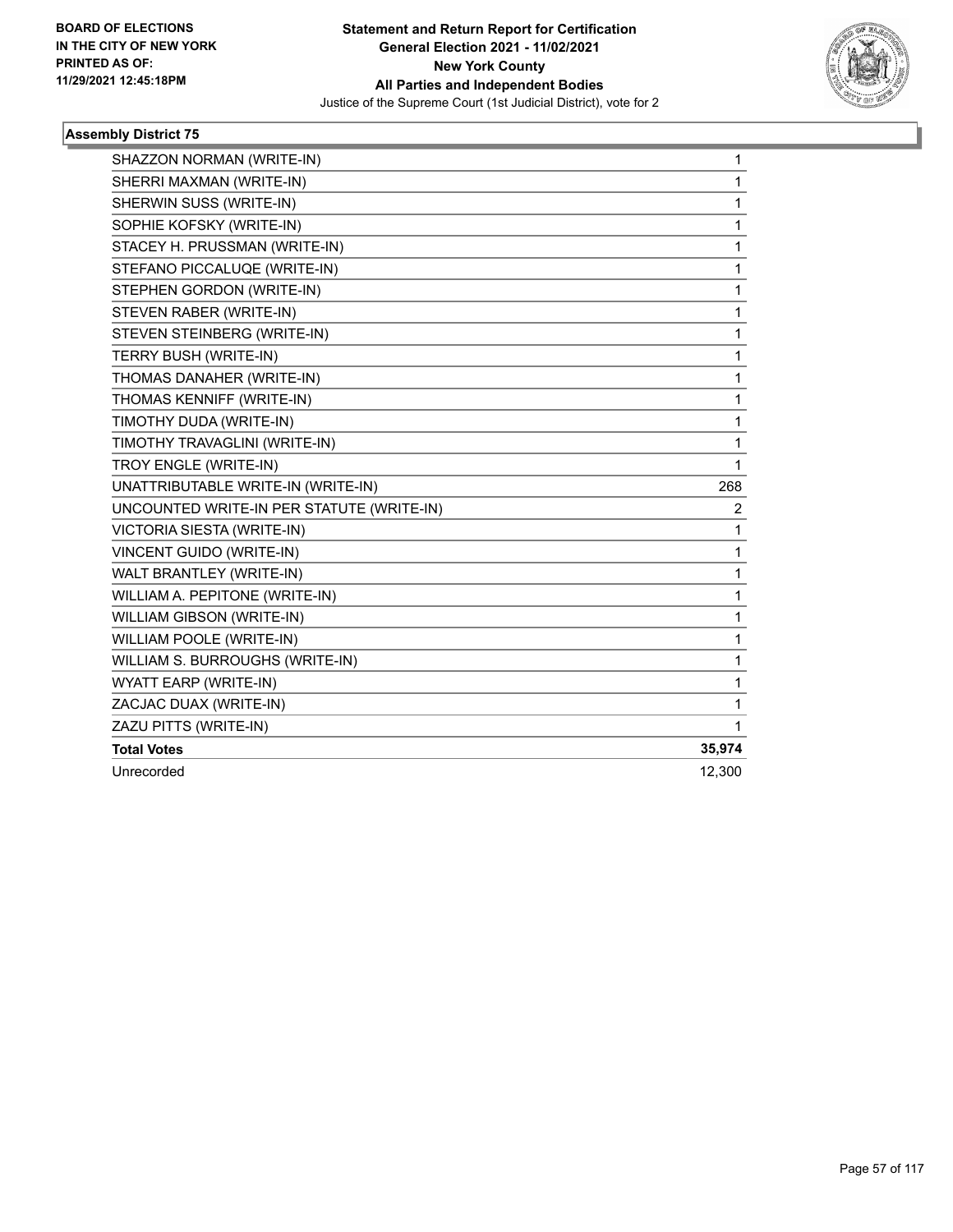

| SHAZZON NORMAN (WRITE-IN)                 | 1            |
|-------------------------------------------|--------------|
| SHERRI MAXMAN (WRITE-IN)                  | $\mathbf{1}$ |
| SHERWIN SUSS (WRITE-IN)                   | $\mathbf{1}$ |
| SOPHIE KOFSKY (WRITE-IN)                  | $\mathbf{1}$ |
| STACEY H. PRUSSMAN (WRITE-IN)             | 1            |
| STEFANO PICCALUQE (WRITE-IN)              | 1            |
| STEPHEN GORDON (WRITE-IN)                 | 1            |
| STEVEN RABER (WRITE-IN)                   | 1            |
| STEVEN STEINBERG (WRITE-IN)               | 1            |
| TERRY BUSH (WRITE-IN)                     | $\mathbf{1}$ |
| THOMAS DANAHER (WRITE-IN)                 | 1            |
| THOMAS KENNIFF (WRITE-IN)                 | $\mathbf{1}$ |
| TIMOTHY DUDA (WRITE-IN)                   | $\mathbf 1$  |
| TIMOTHY TRAVAGLINI (WRITE-IN)             | 1            |
| TROY ENGLE (WRITE-IN)                     | 1            |
| UNATTRIBUTABLE WRITE-IN (WRITE-IN)        | 268          |
| UNCOUNTED WRITE-IN PER STATUTE (WRITE-IN) | 2            |
| <b>VICTORIA SIESTA (WRITE-IN)</b>         | 1            |
| <b>VINCENT GUIDO (WRITE-IN)</b>           | $\mathbf{1}$ |
| WALT BRANTLEY (WRITE-IN)                  | 1            |
| WILLIAM A. PEPITONE (WRITE-IN)            | 1            |
| WILLIAM GIBSON (WRITE-IN)                 | $\mathbf{1}$ |
| WILLIAM POOLE (WRITE-IN)                  | $\mathbf 1$  |
| WILLIAM S. BURROUGHS (WRITE-IN)           | 1            |
| WYATT EARP (WRITE-IN)                     | 1            |
| ZACJAC DUAX (WRITE-IN)                    | 1            |
| ZAZU PITTS (WRITE-IN)                     | $\mathbf{1}$ |
| <b>Total Votes</b>                        | 35,974       |
| Unrecorded                                | 12,300       |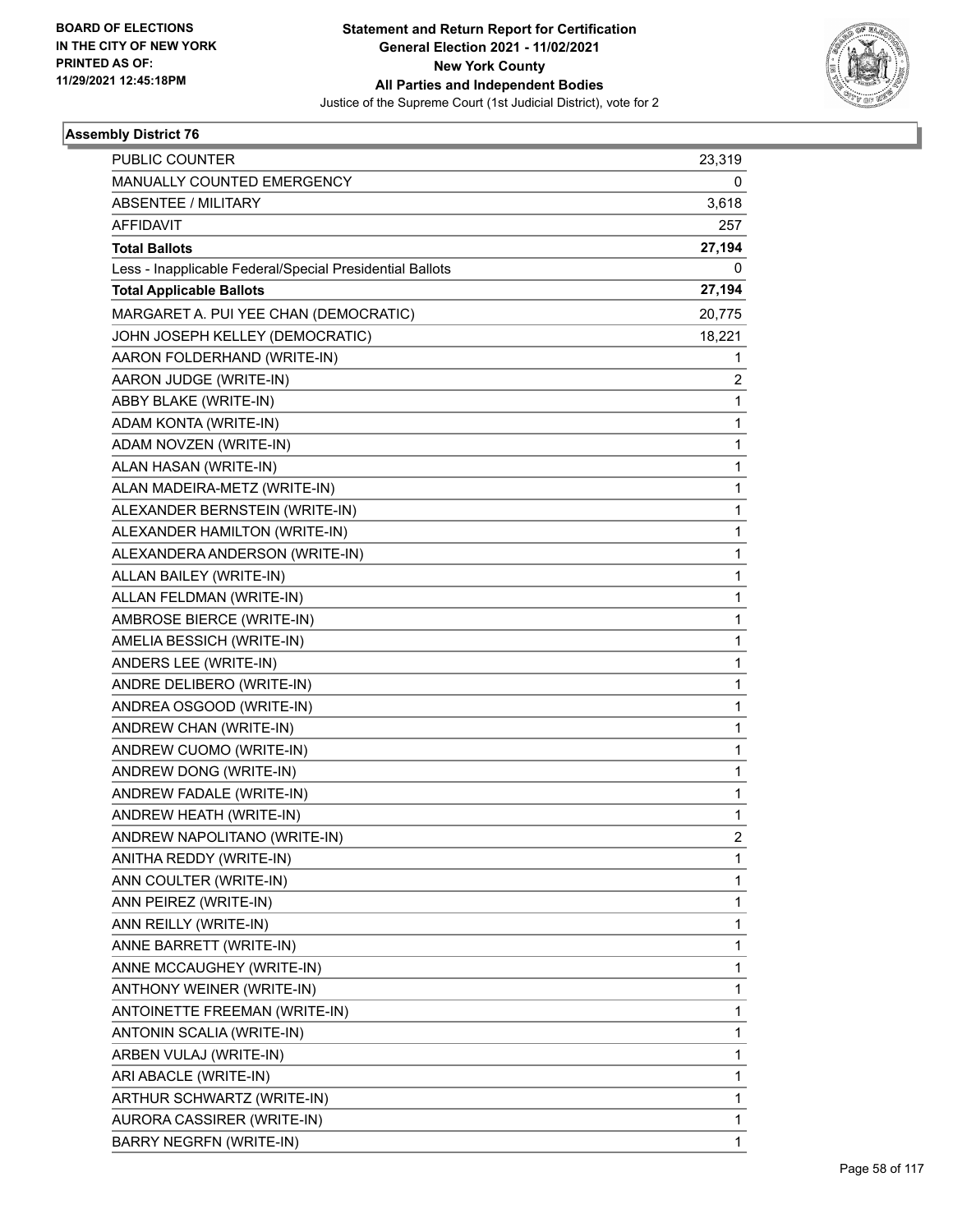

| PUBLIC COUNTER                                           | 23,319         |
|----------------------------------------------------------|----------------|
| MANUALLY COUNTED EMERGENCY                               | 0              |
| <b>ABSENTEE / MILITARY</b>                               | 3,618          |
| <b>AFFIDAVIT</b>                                         | 257            |
| <b>Total Ballots</b>                                     | 27,194         |
| Less - Inapplicable Federal/Special Presidential Ballots | 0              |
| <b>Total Applicable Ballots</b>                          | 27,194         |
| MARGARET A. PUI YEE CHAN (DEMOCRATIC)                    | 20,775         |
| JOHN JOSEPH KELLEY (DEMOCRATIC)                          | 18,221         |
| AARON FOLDERHAND (WRITE-IN)                              | 1              |
| AARON JUDGE (WRITE-IN)                                   | 2              |
| ABBY BLAKE (WRITE-IN)                                    | 1              |
| ADAM KONTA (WRITE-IN)                                    | 1              |
| ADAM NOVZEN (WRITE-IN)                                   | 1              |
| ALAN HASAN (WRITE-IN)                                    | 1              |
| ALAN MADEIRA-METZ (WRITE-IN)                             | 1              |
| ALEXANDER BERNSTEIN (WRITE-IN)                           | 1              |
| ALEXANDER HAMILTON (WRITE-IN)                            | 1              |
| ALEXANDERA ANDERSON (WRITE-IN)                           | 1              |
| ALLAN BAILEY (WRITE-IN)                                  | 1              |
| ALLAN FELDMAN (WRITE-IN)                                 | 1              |
| AMBROSE BIERCE (WRITE-IN)                                | 1              |
| AMELIA BESSICH (WRITE-IN)                                | 1              |
| ANDERS LEE (WRITE-IN)                                    | 1              |
| ANDRE DELIBERO (WRITE-IN)                                | 1              |
| ANDREA OSGOOD (WRITE-IN)                                 | 1              |
| ANDREW CHAN (WRITE-IN)                                   | 1              |
| ANDREW CUOMO (WRITE-IN)                                  | 1              |
| ANDREW DONG (WRITE-IN)                                   | 1              |
| ANDREW FADALE (WRITE-IN)                                 | 1              |
| ANDREW HEATH (WRITE-IN)                                  | 1              |
| ANDREW NAPOLITANO (WRITE-IN)                             | $\overline{2}$ |
| ANITHA REDDY (WRITE-IN)                                  | 1              |
| ANN COULTER (WRITE-IN)                                   | 1              |
| ANN PEIREZ (WRITE-IN)                                    | 1              |
| ANN REILLY (WRITE-IN)                                    | 1              |
| ANNE BARRETT (WRITE-IN)                                  | 1              |
| ANNE MCCAUGHEY (WRITE-IN)                                | 1              |
| ANTHONY WEINER (WRITE-IN)                                | 1              |
| ANTOINETTE FREEMAN (WRITE-IN)                            | 1              |
| ANTONIN SCALIA (WRITE-IN)                                | 1              |
| ARBEN VULAJ (WRITE-IN)                                   | 1              |
| ARI ABACLE (WRITE-IN)                                    | 1              |
| ARTHUR SCHWARTZ (WRITE-IN)                               | 1              |
| AURORA CASSIRER (WRITE-IN)                               | 1              |
| <b>BARRY NEGRFN (WRITE-IN)</b>                           | 1              |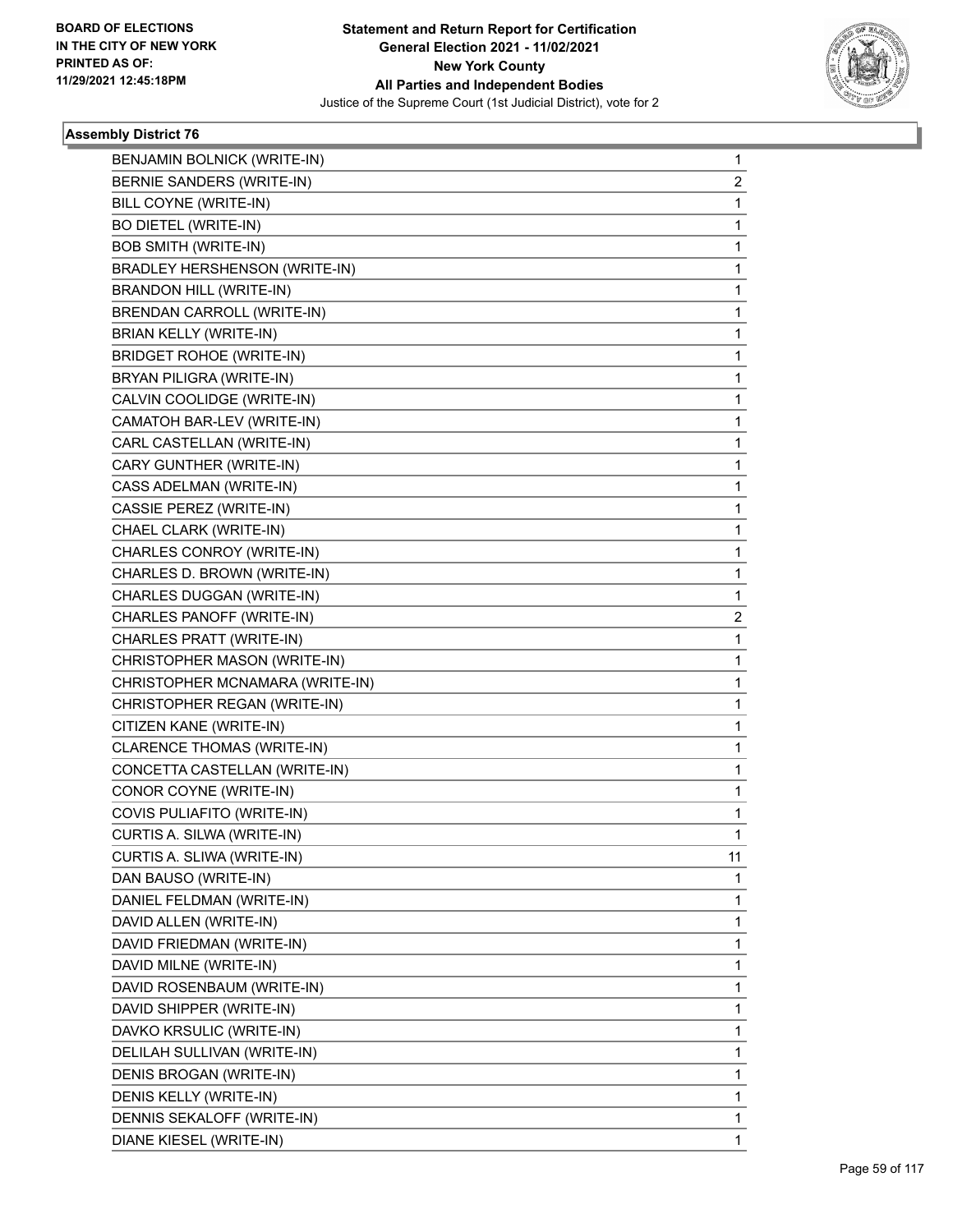

| BENJAMIN BOLNICK (WRITE-IN)          | $\mathbf{1}$   |
|--------------------------------------|----------------|
| BERNIE SANDERS (WRITE-IN)            | $\overline{2}$ |
| BILL COYNE (WRITE-IN)                | $\mathbf{1}$   |
| BO DIETEL (WRITE-IN)                 | 1              |
| <b>BOB SMITH (WRITE-IN)</b>          | 1              |
| <b>BRADLEY HERSHENSON (WRITE-IN)</b> | 1              |
| <b>BRANDON HILL (WRITE-IN)</b>       | 1              |
| BRENDAN CARROLL (WRITE-IN)           | 1              |
| <b>BRIAN KELLY (WRITE-IN)</b>        | 1              |
| <b>BRIDGET ROHOE (WRITE-IN)</b>      | 1              |
| BRYAN PILIGRA (WRITE-IN)             | 1              |
| CALVIN COOLIDGE (WRITE-IN)           | 1              |
| CAMATOH BAR-LEV (WRITE-IN)           | 1              |
| CARL CASTELLAN (WRITE-IN)            | 1              |
| CARY GUNTHER (WRITE-IN)              | 1              |
| CASS ADELMAN (WRITE-IN)              | 1              |
| CASSIE PEREZ (WRITE-IN)              | 1              |
| CHAEL CLARK (WRITE-IN)               | 1              |
| CHARLES CONROY (WRITE-IN)            | 1              |
| CHARLES D. BROWN (WRITE-IN)          | 1              |
| CHARLES DUGGAN (WRITE-IN)            | 1              |
| CHARLES PANOFF (WRITE-IN)            | 2              |
| CHARLES PRATT (WRITE-IN)             | 1              |
| CHRISTOPHER MASON (WRITE-IN)         | 1              |
| CHRISTOPHER MCNAMARA (WRITE-IN)      | 1              |
| CHRISTOPHER REGAN (WRITE-IN)         | 1              |
| CITIZEN KANE (WRITE-IN)              | 1              |
| <b>CLARENCE THOMAS (WRITE-IN)</b>    | 1              |
| CONCETTA CASTELLAN (WRITE-IN)        | 1              |
| CONOR COYNE (WRITE-IN)               | $\mathbf{1}$   |
| COVIS PULIAFITO (WRITE-IN)           | $\mathbf{1}$   |
| CURTIS A. SILWA (WRITE-IN)           | 1              |
| CURTIS A. SLIWA (WRITE-IN)           | 11             |
| DAN BAUSO (WRITE-IN)                 | 1              |
| DANIEL FELDMAN (WRITE-IN)            | 1              |
| DAVID ALLEN (WRITE-IN)               | 1              |
| DAVID FRIEDMAN (WRITE-IN)            | 1              |
| DAVID MILNE (WRITE-IN)               | 1              |
| DAVID ROSENBAUM (WRITE-IN)           | 1              |
| DAVID SHIPPER (WRITE-IN)             | 1              |
| DAVKO KRSULIC (WRITE-IN)             | 1              |
| DELILAH SULLIVAN (WRITE-IN)          | 1              |
| DENIS BROGAN (WRITE-IN)              | 1              |
| DENIS KELLY (WRITE-IN)               | 1              |
| DENNIS SEKALOFF (WRITE-IN)           | 1              |
| DIANE KIESEL (WRITE-IN)              | $\mathbf{1}$   |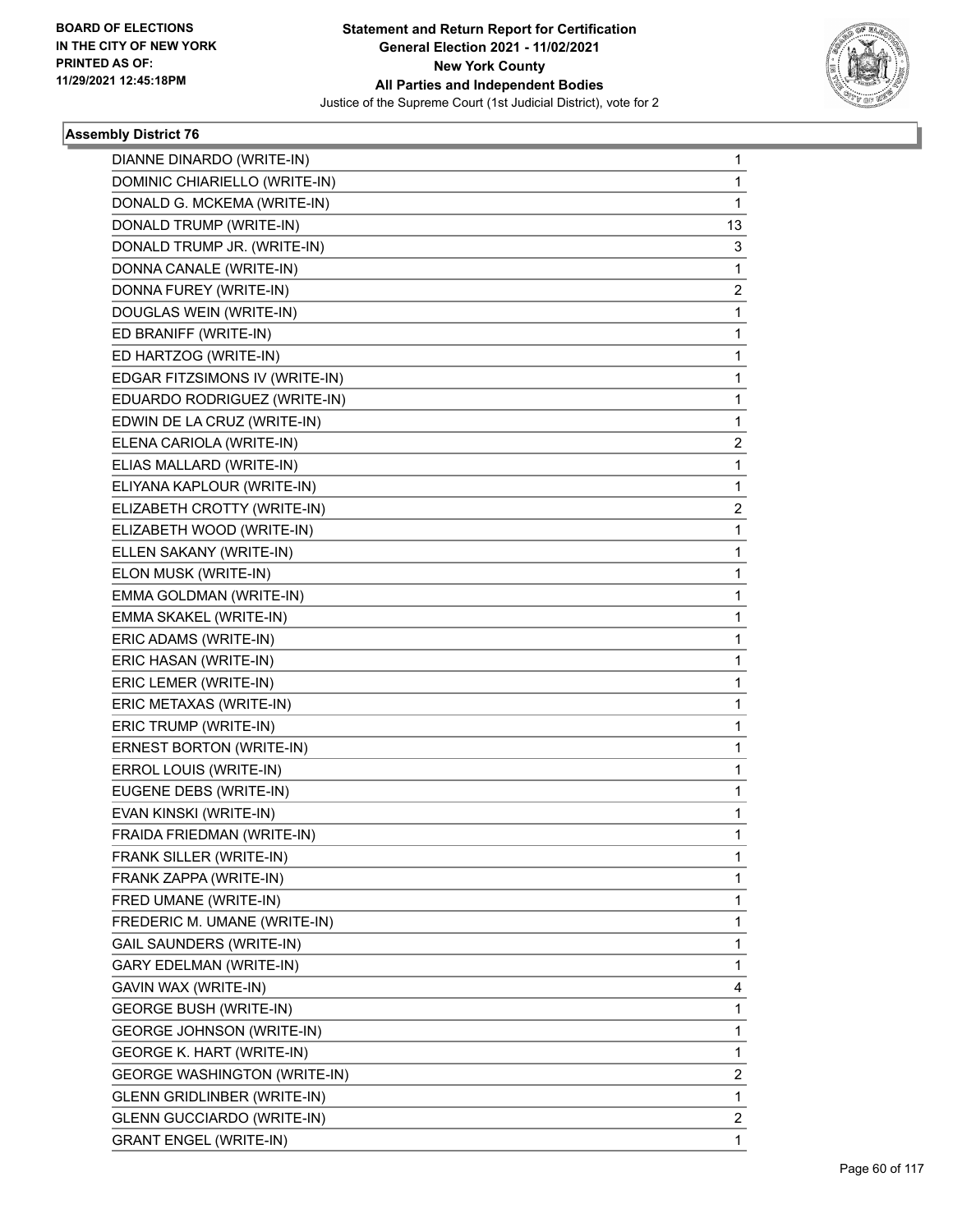

| DIANNE DINARDO (WRITE-IN)           | 1  |
|-------------------------------------|----|
| DOMINIC CHIARIELLO (WRITE-IN)       | 1  |
| DONALD G. MCKEMA (WRITE-IN)         | 1  |
| DONALD TRUMP (WRITE-IN)             | 13 |
| DONALD TRUMP JR. (WRITE-IN)         | 3  |
| DONNA CANALE (WRITE-IN)             | 1  |
| DONNA FUREY (WRITE-IN)              | 2  |
| DOUGLAS WEIN (WRITE-IN)             | 1  |
| ED BRANIFF (WRITE-IN)               | 1  |
| ED HARTZOG (WRITE-IN)               | 1  |
| EDGAR FITZSIMONS IV (WRITE-IN)      | 1  |
| EDUARDO RODRIGUEZ (WRITE-IN)        | 1  |
| EDWIN DE LA CRUZ (WRITE-IN)         | 1  |
| ELENA CARIOLA (WRITE-IN)            | 2  |
| ELIAS MALLARD (WRITE-IN)            | 1  |
| ELIYANA KAPLOUR (WRITE-IN)          | 1  |
| ELIZABETH CROTTY (WRITE-IN)         | 2  |
| ELIZABETH WOOD (WRITE-IN)           | 1  |
| ELLEN SAKANY (WRITE-IN)             | 1  |
| ELON MUSK (WRITE-IN)                | 1  |
| EMMA GOLDMAN (WRITE-IN)             | 1  |
| EMMA SKAKEL (WRITE-IN)              | 1  |
| ERIC ADAMS (WRITE-IN)               | 1  |
| ERIC HASAN (WRITE-IN)               | 1  |
| ERIC LEMER (WRITE-IN)               | 1  |
| ERIC METAXAS (WRITE-IN)             | 1  |
| ERIC TRUMP (WRITE-IN)               | 1  |
| ERNEST BORTON (WRITE-IN)            | 1  |
| ERROL LOUIS (WRITE-IN)              | 1  |
| EUGENE DEBS (WRITE-IN)              | 1  |
| EVAN KINSKI (WRITE-IN)              | 1  |
| FRAIDA FRIEDMAN (WRITE-IN)          | 1  |
| FRANK SILLER (WRITE-IN)             | 1  |
| FRANK ZAPPA (WRITE-IN)              | 1  |
| FRED UMANE (WRITE-IN)               | 1  |
| FREDERIC M. UMANE (WRITE-IN)        | 1  |
| <b>GAIL SAUNDERS (WRITE-IN)</b>     | 1  |
| GARY EDELMAN (WRITE-IN)             | 1  |
| GAVIN WAX (WRITE-IN)                | 4  |
| <b>GEORGE BUSH (WRITE-IN)</b>       | 1  |
| <b>GEORGE JOHNSON (WRITE-IN)</b>    | 1  |
| <b>GEORGE K. HART (WRITE-IN)</b>    | 1  |
| <b>GEORGE WASHINGTON (WRITE-IN)</b> | 2  |
| GLENN GRIDLINBER (WRITE-IN)         | 1  |
| <b>GLENN GUCCIARDO (WRITE-IN)</b>   | 2  |
| <b>GRANT ENGEL (WRITE-IN)</b>       | 1  |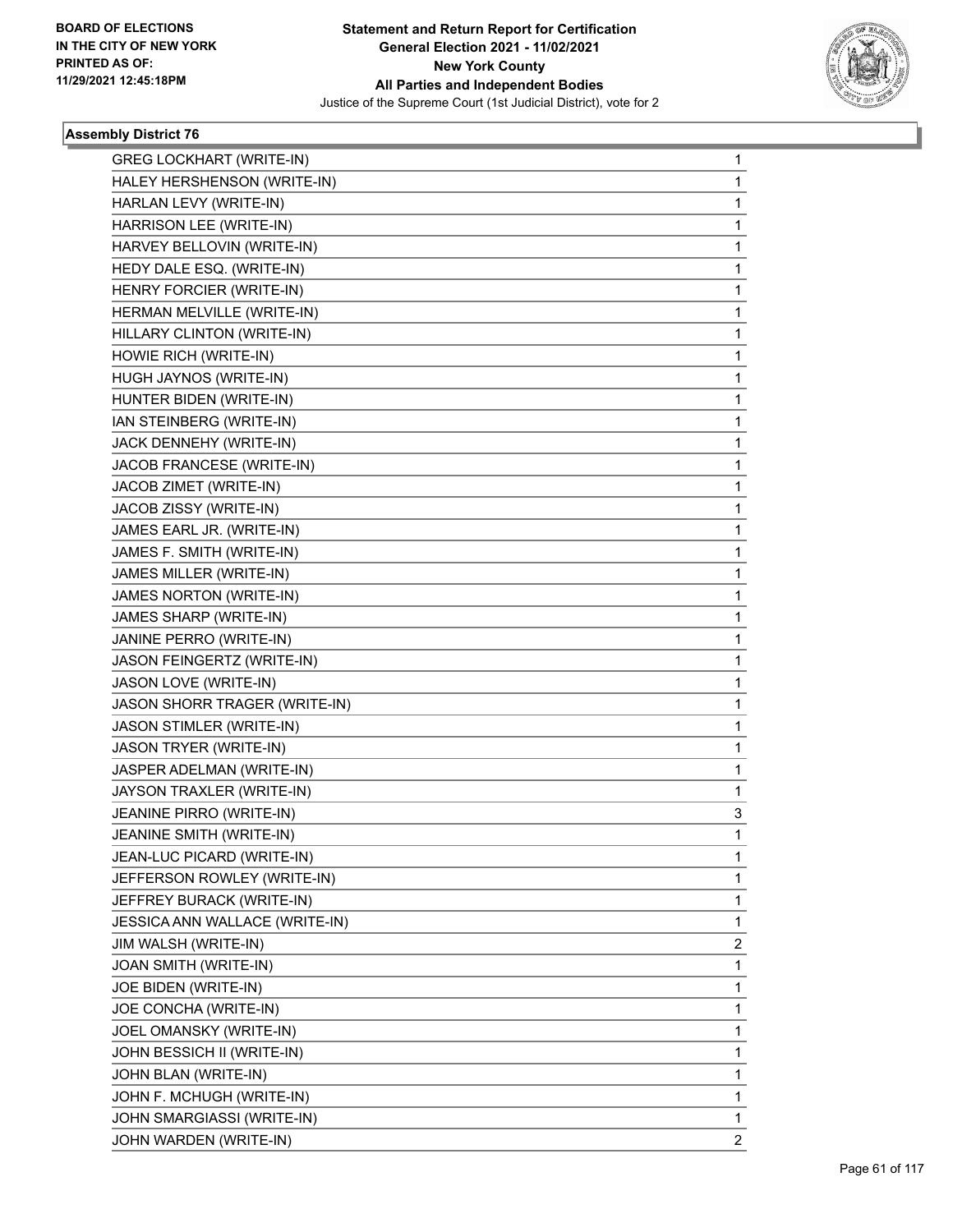

| <b>GREG LOCKHART (WRITE-IN)</b> | $\mathbf 1$    |
|---------------------------------|----------------|
| HALEY HERSHENSON (WRITE-IN)     | 1              |
| HARLAN LEVY (WRITE-IN)          | $\mathbf 1$    |
| HARRISON LEE (WRITE-IN)         | 1              |
| HARVEY BELLOVIN (WRITE-IN)      | 1              |
| HEDY DALE ESQ. (WRITE-IN)       | 1              |
| HENRY FORCIER (WRITE-IN)        | 1              |
| HERMAN MELVILLE (WRITE-IN)      | 1              |
| HILLARY CLINTON (WRITE-IN)      | $\mathbf 1$    |
| HOWIE RICH (WRITE-IN)           | 1              |
| HUGH JAYNOS (WRITE-IN)          | 1              |
| HUNTER BIDEN (WRITE-IN)         | 1              |
| IAN STEINBERG (WRITE-IN)        | 1              |
| JACK DENNEHY (WRITE-IN)         | 1              |
| JACOB FRANCESE (WRITE-IN)       | $\mathbf 1$    |
| JACOB ZIMET (WRITE-IN)          | 1              |
| JACOB ZISSY (WRITE-IN)          | 1              |
| JAMES EARL JR. (WRITE-IN)       | $\mathbf{1}$   |
| JAMES F. SMITH (WRITE-IN)       | 1              |
| JAMES MILLER (WRITE-IN)         | 1              |
| JAMES NORTON (WRITE-IN)         | $\mathbf 1$    |
| JAMES SHARP (WRITE-IN)          | 1              |
| JANINE PERRO (WRITE-IN)         | 1              |
| JASON FEINGERTZ (WRITE-IN)      | $\mathbf{1}$   |
| JASON LOVE (WRITE-IN)           | 1              |
| JASON SHORR TRAGER (WRITE-IN)   | 1              |
| JASON STIMLER (WRITE-IN)        | $\mathbf 1$    |
| JASON TRYER (WRITE-IN)          | 1              |
| JASPER ADELMAN (WRITE-IN)       | 1              |
| JAYSON TRAXLER (WRITE-IN)       | 1              |
| JEANINE PIRRO (WRITE-IN)        | 3              |
| JEANINE SMITH (WRITE-IN)        | 1              |
| JEAN-LUC PICARD (WRITE-IN)      | 1              |
| JEFFERSON ROWLEY (WRITE-IN)     | 1              |
| JEFFREY BURACK (WRITE-IN)       | 1              |
| JESSICA ANN WALLACE (WRITE-IN)  | 1              |
| JIM WALSH (WRITE-IN)            | 2              |
| JOAN SMITH (WRITE-IN)           | 1              |
| JOE BIDEN (WRITE-IN)            | 1              |
| JOE CONCHA (WRITE-IN)           | 1              |
| JOEL OMANSKY (WRITE-IN)         | 1              |
| JOHN BESSICH II (WRITE-IN)      | $\mathbf 1$    |
| JOHN BLAN (WRITE-IN)            | 1              |
| JOHN F. MCHUGH (WRITE-IN)       | 1              |
| JOHN SMARGIASSI (WRITE-IN)      | 1              |
| JOHN WARDEN (WRITE-IN)          | $\overline{2}$ |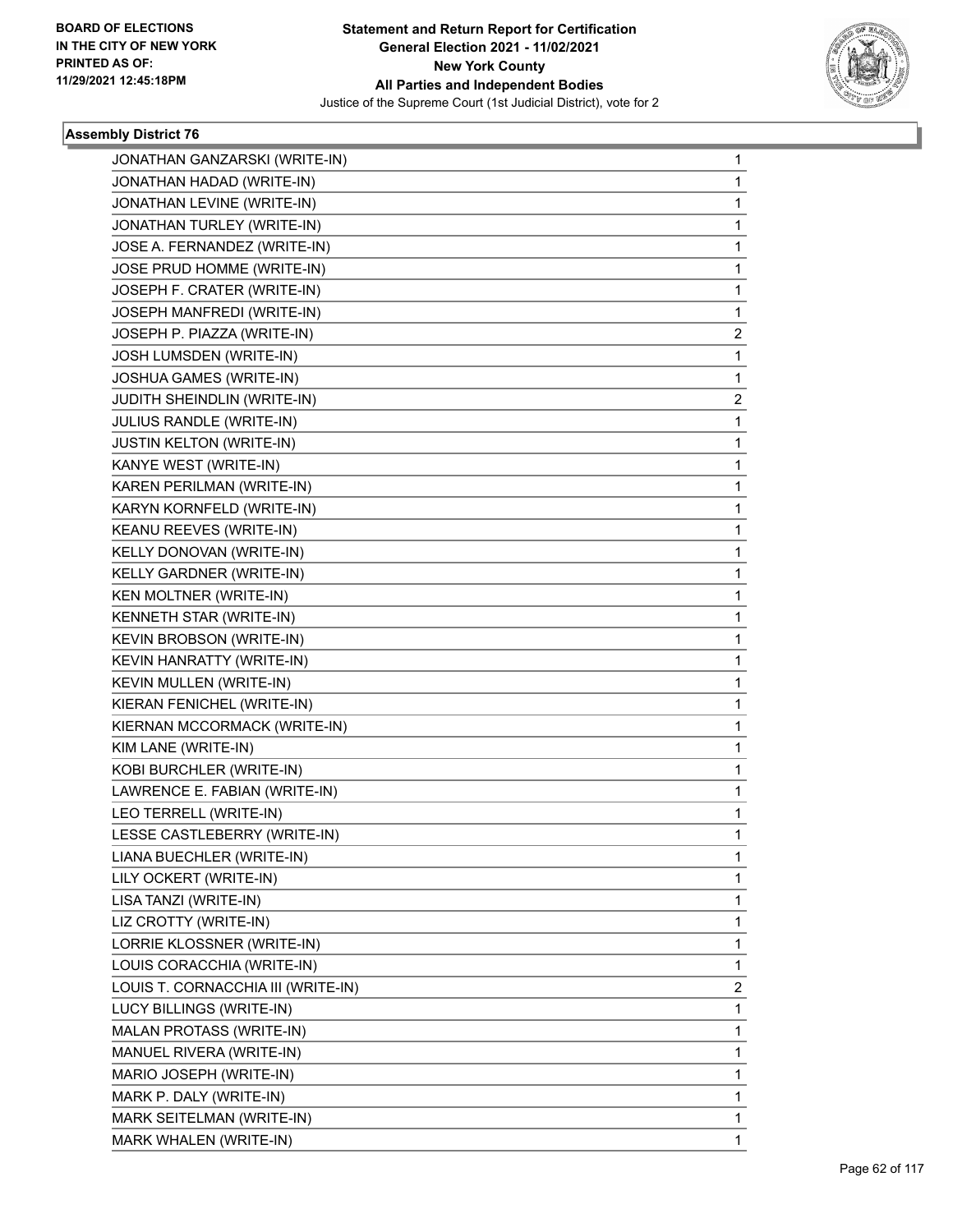

| JONATHAN GANZARSKI (WRITE-IN)      | $\mathbf{1}$ |
|------------------------------------|--------------|
| JONATHAN HADAD (WRITE-IN)          | 1            |
| JONATHAN LEVINE (WRITE-IN)         | 1            |
| JONATHAN TURLEY (WRITE-IN)         | 1            |
| JOSE A. FERNANDEZ (WRITE-IN)       | 1            |
| JOSE PRUD HOMME (WRITE-IN)         | 1            |
| JOSEPH F. CRATER (WRITE-IN)        | 1            |
| JOSEPH MANFREDI (WRITE-IN)         | 1            |
| JOSEPH P. PIAZZA (WRITE-IN)        | 2            |
| JOSH LUMSDEN (WRITE-IN)            | 1            |
| JOSHUA GAMES (WRITE-IN)            | 1            |
| JUDITH SHEINDLIN (WRITE-IN)        | 2            |
| JULIUS RANDLE (WRITE-IN)           | 1            |
| JUSTIN KELTON (WRITE-IN)           | 1            |
| KANYE WEST (WRITE-IN)              | 1            |
| KAREN PERILMAN (WRITE-IN)          | 1            |
| KARYN KORNFELD (WRITE-IN)          | 1            |
| KEANU REEVES (WRITE-IN)            | 1            |
| KELLY DONOVAN (WRITE-IN)           | 1            |
| KELLY GARDNER (WRITE-IN)           | 1            |
| KEN MOLTNER (WRITE-IN)             | 1            |
| KENNETH STAR (WRITE-IN)            | 1            |
| KEVIN BROBSON (WRITE-IN)           | 1            |
| KEVIN HANRATTY (WRITE-IN)          | 1            |
| KEVIN MULLEN (WRITE-IN)            | 1            |
| KIERAN FENICHEL (WRITE-IN)         | 1            |
| KIERNAN MCCORMACK (WRITE-IN)       | 1            |
| KIM LANE (WRITE-IN)                | 1            |
| KOBI BURCHLER (WRITE-IN)           | 1            |
| LAWRENCE E. FABIAN (WRITE-IN)      | 1            |
| LEO TERRELL (WRITE-IN)             | 1            |
| LESSE CASTLEBERRY (WRITE-IN)       | 1            |
| LIANA BUECHLER (WRITE-IN)          | 1            |
| LILY OCKERT (WRITE-IN)             | 1            |
| LISA TANZI (WRITE-IN)              | 1            |
| LIZ CROTTY (WRITE-IN)              | 1            |
| LORRIE KLOSSNER (WRITE-IN)         | 1            |
| LOUIS CORACCHIA (WRITE-IN)         | 1            |
| LOUIS T. CORNACCHIA III (WRITE-IN) | 2            |
| LUCY BILLINGS (WRITE-IN)           | 1            |
| MALAN PROTASS (WRITE-IN)           | 1            |
| MANUEL RIVERA (WRITE-IN)           | 1            |
| MARIO JOSEPH (WRITE-IN)            | 1            |
| MARK P. DALY (WRITE-IN)            | 1            |
| MARK SEITELMAN (WRITE-IN)          | 1            |
| MARK WHALEN (WRITE-IN)             | 1            |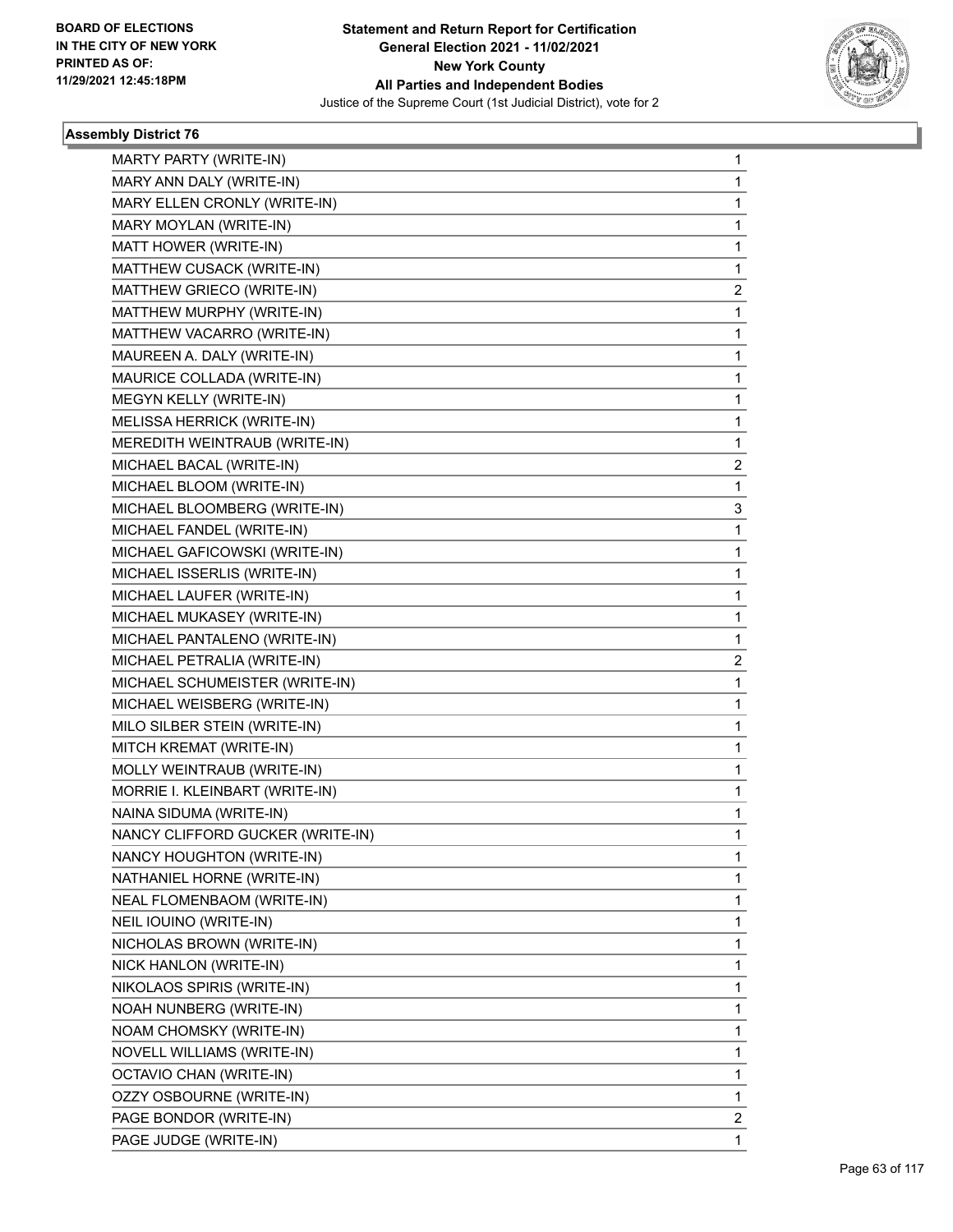

| MARTY PARTY (WRITE-IN)           | $\mathbf{1}$ |
|----------------------------------|--------------|
| MARY ANN DALY (WRITE-IN)         | 1            |
| MARY ELLEN CRONLY (WRITE-IN)     | 1            |
| MARY MOYLAN (WRITE-IN)           | $\mathbf{1}$ |
| MATT HOWER (WRITE-IN)            | 1            |
| MATTHEW CUSACK (WRITE-IN)        | 1            |
| MATTHEW GRIECO (WRITE-IN)        | 2            |
| MATTHEW MURPHY (WRITE-IN)        | 1            |
| MATTHEW VACARRO (WRITE-IN)       | 1            |
| MAUREEN A. DALY (WRITE-IN)       | $\mathbf{1}$ |
| MAURICE COLLADA (WRITE-IN)       | 1            |
| MEGYN KELLY (WRITE-IN)           | 1            |
| MELISSA HERRICK (WRITE-IN)       | $\mathbf{1}$ |
| MEREDITH WEINTRAUB (WRITE-IN)    | 1            |
| MICHAEL BACAL (WRITE-IN)         | 2            |
| MICHAEL BLOOM (WRITE-IN)         | 1            |
| MICHAEL BLOOMBERG (WRITE-IN)     | 3            |
| MICHAEL FANDEL (WRITE-IN)        | 1            |
| MICHAEL GAFICOWSKI (WRITE-IN)    | $\mathbf{1}$ |
| MICHAEL ISSERLIS (WRITE-IN)      | 1            |
| MICHAEL LAUFER (WRITE-IN)        | 1            |
| MICHAEL MUKASEY (WRITE-IN)       | $\mathbf{1}$ |
| MICHAEL PANTALENO (WRITE-IN)     | 1            |
| MICHAEL PETRALIA (WRITE-IN)      | 2            |
| MICHAEL SCHUMEISTER (WRITE-IN)   | $\mathbf{1}$ |
| MICHAEL WEISBERG (WRITE-IN)      | 1            |
| MILO SILBER STEIN (WRITE-IN)     | 1            |
| MITCH KREMAT (WRITE-IN)          | $\mathbf{1}$ |
| MOLLY WEINTRAUB (WRITE-IN)       | 1            |
| MORRIE I. KLEINBART (WRITE-IN)   | 1            |
| NAINA SIDUMA (WRITE-IN)          | $\mathbf{1}$ |
| NANCY CLIFFORD GUCKER (WRITE-IN) | 1            |
| NANCY HOUGHTON (WRITE-IN)        | 1            |
| NATHANIEL HORNE (WRITE-IN)       | 1            |
| NEAL FLOMENBAOM (WRITE-IN)       | 1            |
| NEIL IOUINO (WRITE-IN)           | 1            |
| NICHOLAS BROWN (WRITE-IN)        | 1            |
| NICK HANLON (WRITE-IN)           | 1            |
| NIKOLAOS SPIRIS (WRITE-IN)       | 1            |
| NOAH NUNBERG (WRITE-IN)          | 1            |
| NOAM CHOMSKY (WRITE-IN)          | 1            |
| NOVELL WILLIAMS (WRITE-IN)       | 1            |
| OCTAVIO CHAN (WRITE-IN)          | 1            |
| OZZY OSBOURNE (WRITE-IN)         | 1            |
| PAGE BONDOR (WRITE-IN)           | $\mathbf{2}$ |
| PAGE JUDGE (WRITE-IN)            | $\mathbf{1}$ |
|                                  |              |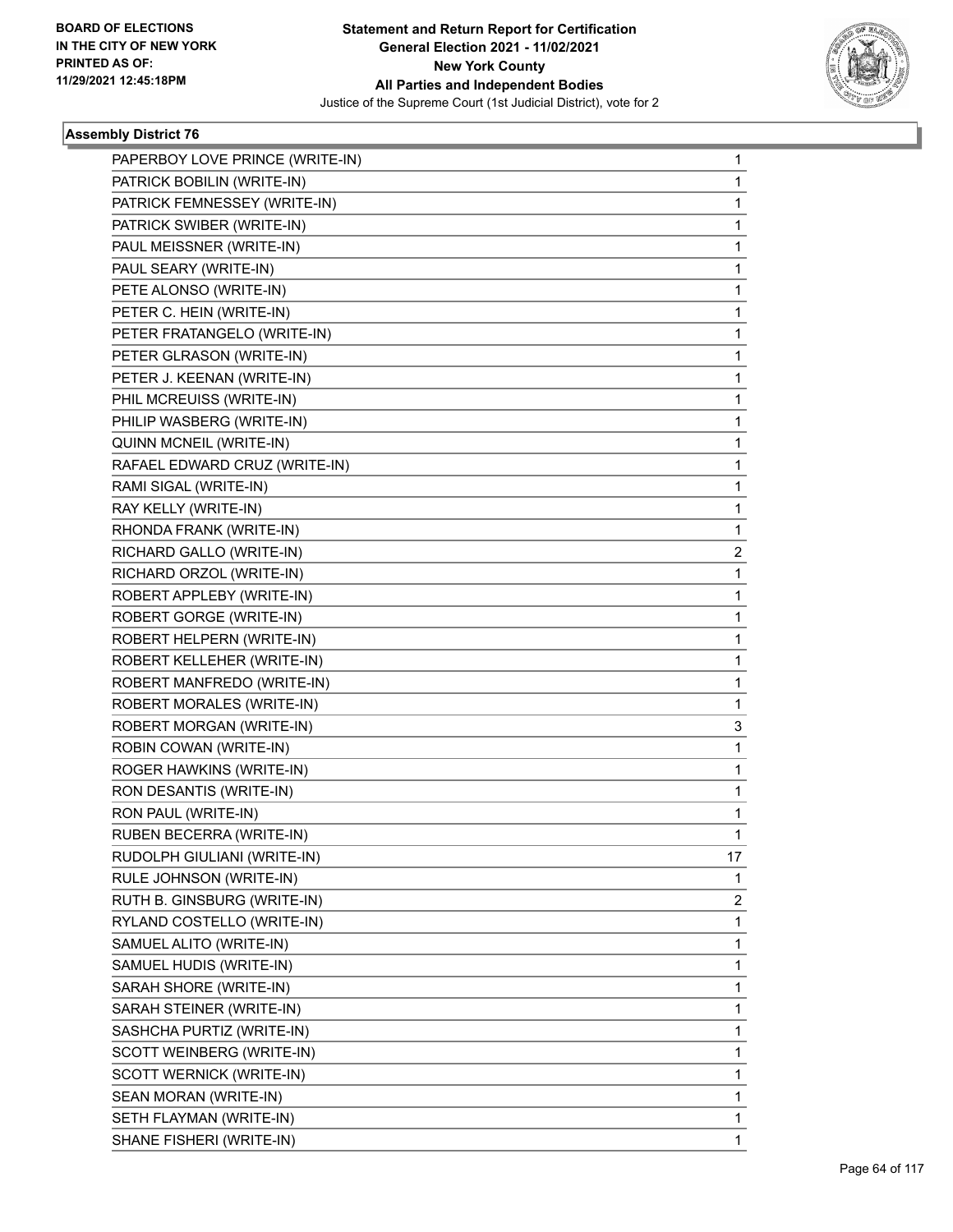

| PAPERBOY LOVE PRINCE (WRITE-IN) | 1  |
|---------------------------------|----|
| PATRICK BOBILIN (WRITE-IN)      | 1  |
| PATRICK FEMNESSEY (WRITE-IN)    | 1  |
| PATRICK SWIBER (WRITE-IN)       | 1  |
| PAUL MEISSNER (WRITE-IN)        | 1  |
| PAUL SEARY (WRITE-IN)           | 1  |
| PETE ALONSO (WRITE-IN)          | 1  |
| PETER C. HEIN (WRITE-IN)        | 1  |
| PETER FRATANGELO (WRITE-IN)     | 1  |
| PETER GLRASON (WRITE-IN)        | 1  |
| PETER J. KEENAN (WRITE-IN)      | 1  |
| PHIL MCREUISS (WRITE-IN)        | 1  |
| PHILIP WASBERG (WRITE-IN)       | 1  |
| QUINN MCNEIL (WRITE-IN)         | 1  |
| RAFAEL EDWARD CRUZ (WRITE-IN)   | 1  |
| RAMI SIGAL (WRITE-IN)           | 1  |
| RAY KELLY (WRITE-IN)            | 1  |
| RHONDA FRANK (WRITE-IN)         | 1  |
| RICHARD GALLO (WRITE-IN)        | 2  |
| RICHARD ORZOL (WRITE-IN)        | 1  |
| ROBERT APPLEBY (WRITE-IN)       | 1  |
| ROBERT GORGE (WRITE-IN)         | 1  |
| ROBERT HELPERN (WRITE-IN)       | 1  |
| ROBERT KELLEHER (WRITE-IN)      | 1  |
| ROBERT MANFREDO (WRITE-IN)      | 1  |
| ROBERT MORALES (WRITE-IN)       | 1  |
| ROBERT MORGAN (WRITE-IN)        | 3  |
| ROBIN COWAN (WRITE-IN)          | 1  |
| ROGER HAWKINS (WRITE-IN)        | 1  |
| RON DESANTIS (WRITE-IN)         | 1  |
| RON PAUL (WRITE-IN)             | 1  |
| RUBEN BECERRA (WRITE-IN)        | 1  |
| RUDOLPH GIULIANI (WRITE-IN)     | 17 |
| RULE JOHNSON (WRITE-IN)         | 1  |
| RUTH B. GINSBURG (WRITE-IN)     | 2  |
| RYLAND COSTELLO (WRITE-IN)      | 1  |
| SAMUEL ALITO (WRITE-IN)         | 1  |
| SAMUEL HUDIS (WRITE-IN)         | 1  |
| SARAH SHORE (WRITE-IN)          | 1  |
| SARAH STEINER (WRITE-IN)        | 1  |
| SASHCHA PURTIZ (WRITE-IN)       | 1  |
| SCOTT WEINBERG (WRITE-IN)       | 1  |
| SCOTT WERNICK (WRITE-IN)        | 1  |
| SEAN MORAN (WRITE-IN)           | 1  |
| SETH FLAYMAN (WRITE-IN)         | 1  |
| SHANE FISHERI (WRITE-IN)        | 1  |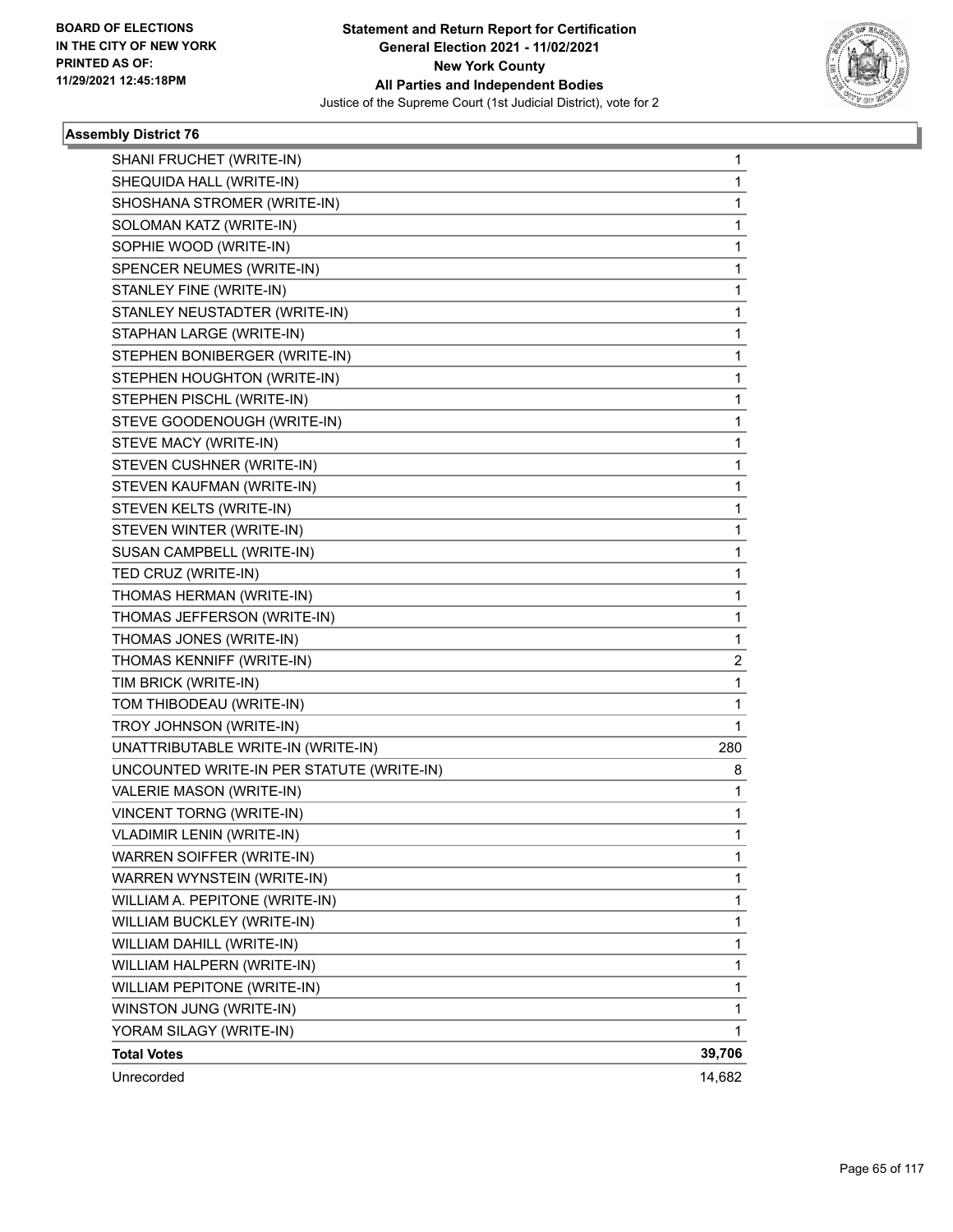

| SHANI FRUCHET (WRITE-IN)                  | 1            |
|-------------------------------------------|--------------|
| SHEQUIDA HALL (WRITE-IN)                  | 1            |
| SHOSHANA STROMER (WRITE-IN)               | $\mathbf 1$  |
| SOLOMAN KATZ (WRITE-IN)                   | 1            |
| SOPHIE WOOD (WRITE-IN)                    | 1            |
| SPENCER NEUMES (WRITE-IN)                 | 1            |
| STANLEY FINE (WRITE-IN)                   | 1            |
| STANLEY NEUSTADTER (WRITE-IN)             | 1            |
| STAPHAN LARGE (WRITE-IN)                  | $\mathbf 1$  |
| STEPHEN BONIBERGER (WRITE-IN)             | 1            |
| STEPHEN HOUGHTON (WRITE-IN)               | 1            |
| STEPHEN PISCHL (WRITE-IN)                 | 1            |
| STEVE GOODENOUGH (WRITE-IN)               | 1            |
| STEVE MACY (WRITE-IN)                     | 1            |
| STEVEN CUSHNER (WRITE-IN)                 | $\mathbf 1$  |
| STEVEN KAUFMAN (WRITE-IN)                 | 1            |
| STEVEN KELTS (WRITE-IN)                   | 1            |
| STEVEN WINTER (WRITE-IN)                  | 1            |
| SUSAN CAMPBELL (WRITE-IN)                 | 1            |
| TED CRUZ (WRITE-IN)                       | 1            |
| THOMAS HERMAN (WRITE-IN)                  | $\mathbf 1$  |
| THOMAS JEFFERSON (WRITE-IN)               | 1            |
| THOMAS JONES (WRITE-IN)                   | 1            |
| THOMAS KENNIFF (WRITE-IN)                 | 2            |
| TIM BRICK (WRITE-IN)                      | $\mathbf 1$  |
| TOM THIBODEAU (WRITE-IN)                  | 1            |
| TROY JOHNSON (WRITE-IN)                   | $\mathbf{1}$ |
| UNATTRIBUTABLE WRITE-IN (WRITE-IN)        | 280          |
| UNCOUNTED WRITE-IN PER STATUTE (WRITE-IN) | 8            |
| VALERIE MASON (WRITE-IN)                  | 1            |
| <b>VINCENT TORNG (WRITE-IN)</b>           | 1            |
| <b>VLADIMIR LENIN (WRITE-IN)</b>          | 1            |
| WARREN SOIFFER (WRITE-IN)                 | 1            |
| WARREN WYNSTEIN (WRITE-IN)                | 1            |
| WILLIAM A. PEPITONE (WRITE-IN)            | 1            |
| WILLIAM BUCKLEY (WRITE-IN)                | $\mathbf 1$  |
| WILLIAM DAHILL (WRITE-IN)                 | 1            |
| WILLIAM HALPERN (WRITE-IN)                | 1            |
| WILLIAM PEPITONE (WRITE-IN)               | 1            |
| WINSTON JUNG (WRITE-IN)                   | 1            |
| YORAM SILAGY (WRITE-IN)                   | 1            |
| <b>Total Votes</b>                        | 39,706       |
| Unrecorded                                | 14,682       |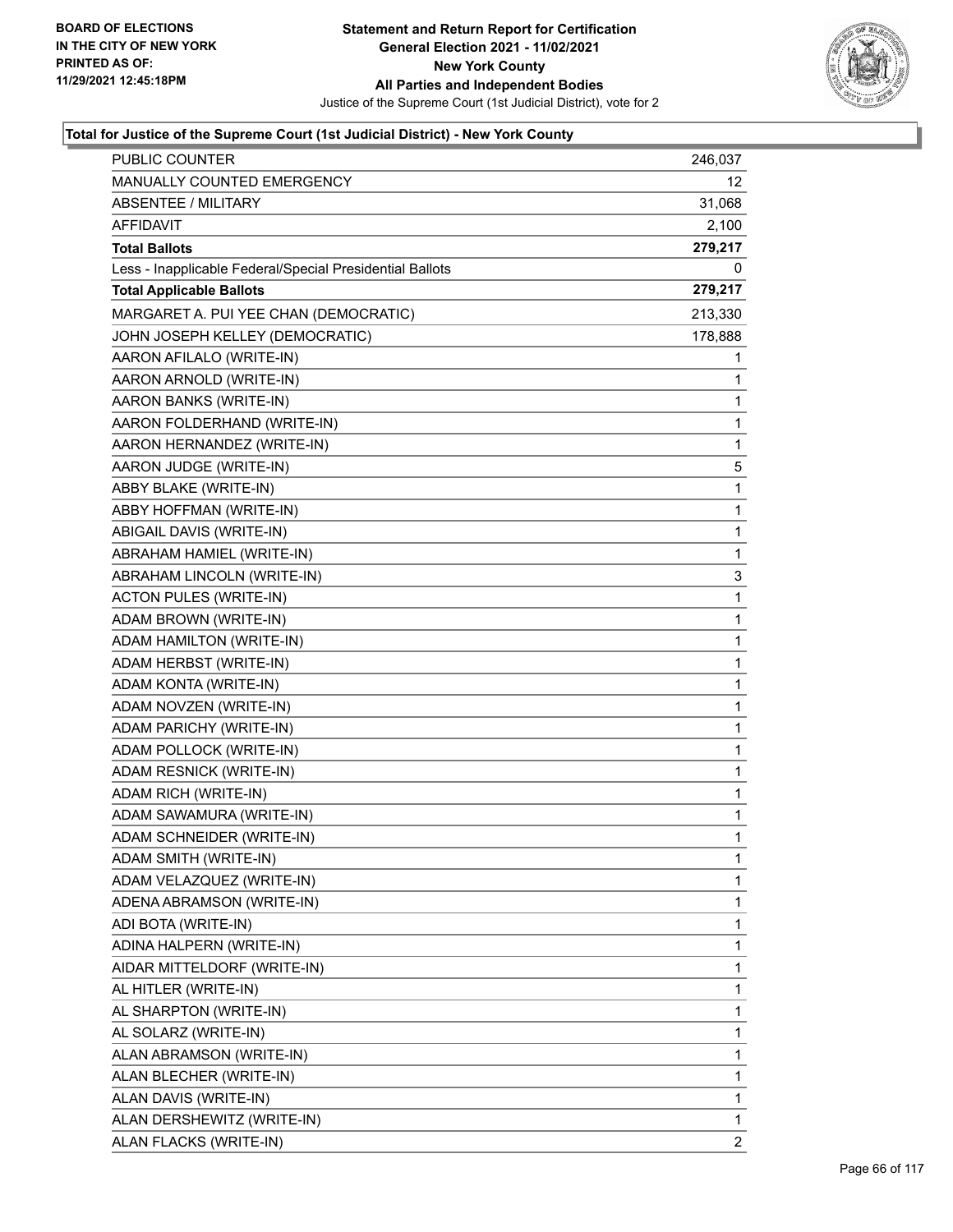

| <b>PUBLIC COUNTER</b>                                    | 246,037 |
|----------------------------------------------------------|---------|
| <b>MANUALLY COUNTED EMERGENCY</b>                        | 12      |
| ABSENTEE / MILITARY                                      | 31,068  |
| AFFIDAVIT                                                | 2,100   |
| <b>Total Ballots</b>                                     | 279,217 |
| Less - Inapplicable Federal/Special Presidential Ballots | 0       |
| <b>Total Applicable Ballots</b>                          | 279,217 |
| MARGARET A. PUI YEE CHAN (DEMOCRATIC)                    | 213,330 |
| JOHN JOSEPH KELLEY (DEMOCRATIC)                          | 178,888 |
| AARON AFILALO (WRITE-IN)                                 | 1       |
| AARON ARNOLD (WRITE-IN)                                  | 1       |
| AARON BANKS (WRITE-IN)                                   | 1       |
| AARON FOLDERHAND (WRITE-IN)                              | 1       |
| AARON HERNANDEZ (WRITE-IN)                               | 1       |
| AARON JUDGE (WRITE-IN)                                   | 5       |
| ABBY BLAKE (WRITE-IN)                                    | 1       |
| ABBY HOFFMAN (WRITE-IN)                                  | 1       |
| ABIGAIL DAVIS (WRITE-IN)                                 | 1       |
| ABRAHAM HAMIEL (WRITE-IN)                                | 1       |
| ABRAHAM LINCOLN (WRITE-IN)                               | 3       |
| <b>ACTON PULES (WRITE-IN)</b>                            | 1       |
| ADAM BROWN (WRITE-IN)                                    | 1       |
| ADAM HAMILTON (WRITE-IN)                                 | 1       |
| ADAM HERBST (WRITE-IN)                                   | 1       |
| ADAM KONTA (WRITE-IN)                                    | 1       |
| ADAM NOVZEN (WRITE-IN)                                   | 1       |
| ADAM PARICHY (WRITE-IN)                                  | 1       |
| ADAM POLLOCK (WRITE-IN)                                  | 1       |
| ADAM RESNICK (WRITE-IN)                                  | 1       |
| ADAM RICH (WRITE-IN)                                     | 1       |
| ADAM SAWAMURA (WRITE-IN)                                 | 1       |
| ADAM SCHNEIDER (WRITE-IN)                                | 1       |
| ADAM SMITH (WRITE-IN)                                    | 1       |
| ADAM VELAZQUEZ (WRITE-IN)                                | 1       |
| ADENA ABRAMSON (WRITE-IN)                                | 1       |
| ADI BOTA (WRITE-IN)                                      | 1       |
| ADINA HALPERN (WRITE-IN)                                 | 1       |
| AIDAR MITTELDORF (WRITE-IN)                              | 1       |
| AL HITLER (WRITE-IN)                                     | 1       |
| AL SHARPTON (WRITE-IN)                                   | 1       |
| AL SOLARZ (WRITE-IN)                                     | 1       |
| ALAN ABRAMSON (WRITE-IN)                                 | 1       |
| ALAN BLECHER (WRITE-IN)                                  | 1       |
| ALAN DAVIS (WRITE-IN)                                    | 1       |
| ALAN DERSHEWITZ (WRITE-IN)                               | 1       |
| ALAN FLACKS (WRITE-IN)                                   | 2       |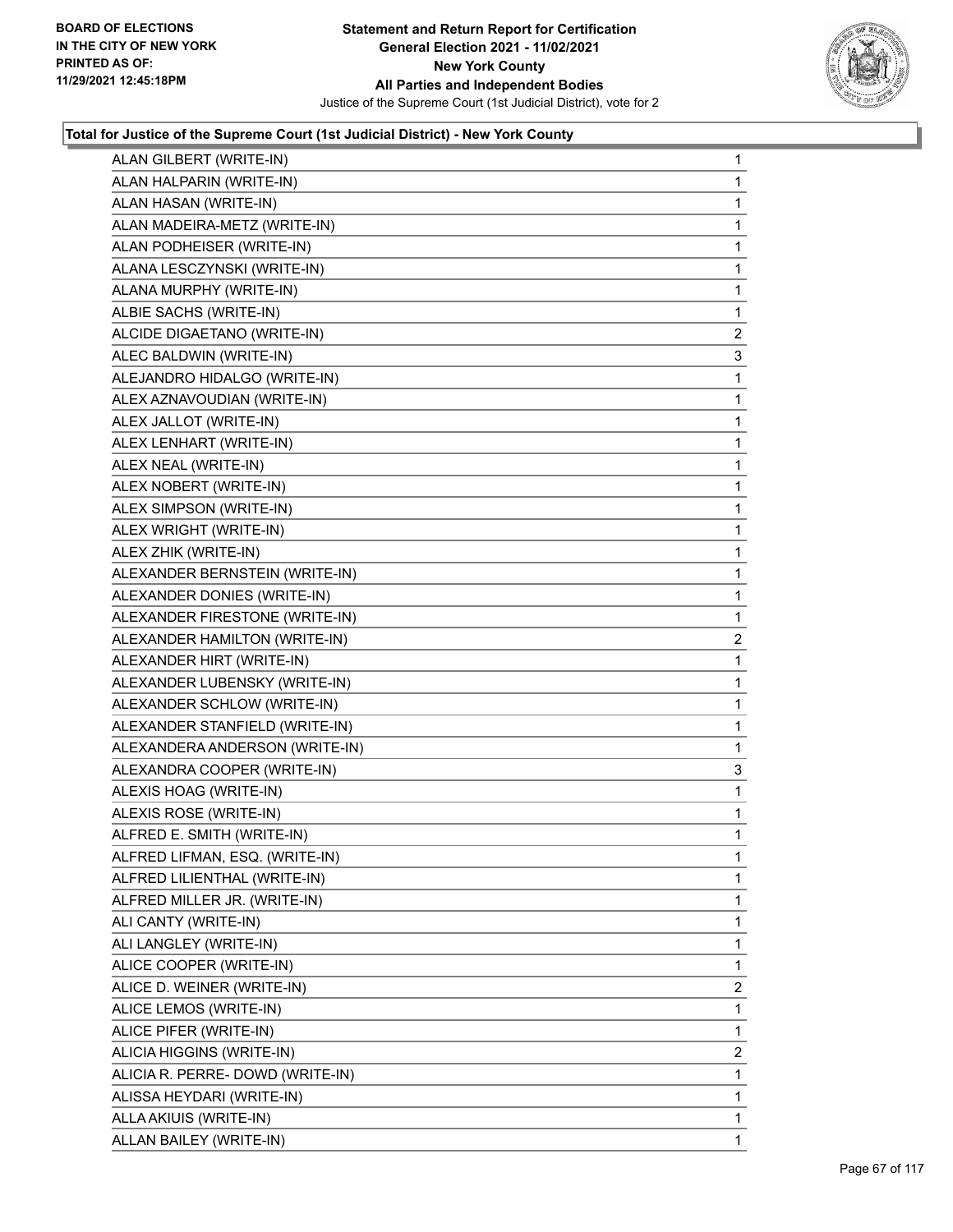

| ALAN GILBERT (WRITE-IN)          | $\mathbf{1}$   |
|----------------------------------|----------------|
| ALAN HALPARIN (WRITE-IN)         | 1              |
| ALAN HASAN (WRITE-IN)            | 1              |
| ALAN MADEIRA-METZ (WRITE-IN)     | $\mathbf{1}$   |
| ALAN PODHEISER (WRITE-IN)        | 1              |
| ALANA LESCZYNSKI (WRITE-IN)      | 1              |
| ALANA MURPHY (WRITE-IN)          | $\mathbf{1}$   |
| ALBIE SACHS (WRITE-IN)           | 1              |
| ALCIDE DIGAETANO (WRITE-IN)      | $\overline{2}$ |
| ALEC BALDWIN (WRITE-IN)          | 3              |
| ALEJANDRO HIDALGO (WRITE-IN)     | 1              |
| ALEX AZNAVOUDIAN (WRITE-IN)      | 1              |
| ALEX JALLOT (WRITE-IN)           | $\mathbf{1}$   |
| ALEX LENHART (WRITE-IN)          | 1              |
| ALEX NEAL (WRITE-IN)             | 1              |
| ALEX NOBERT (WRITE-IN)           | $\mathbf{1}$   |
| ALEX SIMPSON (WRITE-IN)          | 1              |
| ALEX WRIGHT (WRITE-IN)           | 1              |
| ALEX ZHIK (WRITE-IN)             | $\mathbf{1}$   |
| ALEXANDER BERNSTEIN (WRITE-IN)   | 1              |
| ALEXANDER DONIES (WRITE-IN)      | 1              |
| ALEXANDER FIRESTONE (WRITE-IN)   | $\mathbf{1}$   |
| ALEXANDER HAMILTON (WRITE-IN)    | 2              |
| ALEXANDER HIRT (WRITE-IN)        | 1              |
| ALEXANDER LUBENSKY (WRITE-IN)    | $\mathbf{1}$   |
| ALEXANDER SCHLOW (WRITE-IN)      | 1              |
| ALEXANDER STANFIELD (WRITE-IN)   | 1              |
| ALEXANDERA ANDERSON (WRITE-IN)   | 1              |
| ALEXANDRA COOPER (WRITE-IN)      | 3              |
| ALEXIS HOAG (WRITE-IN)           | 1              |
| ALEXIS ROSE (WRITE-IN)           | $\mathbf{1}$   |
| ALFRED E. SMITH (WRITE-IN)       | 1              |
| ALFRED LIFMAN, ESQ. (WRITE-IN)   | 1              |
| ALFRED LILIENTHAL (WRITE-IN)     | 1              |
| ALFRED MILLER JR. (WRITE-IN)     | $\mathbf{1}$   |
| ALI CANTY (WRITE-IN)             | 1              |
| ALI LANGLEY (WRITE-IN)           | 1              |
| ALICE COOPER (WRITE-IN)          | 1              |
| ALICE D. WEINER (WRITE-IN)       | $\overline{2}$ |
| ALICE LEMOS (WRITE-IN)           | $\mathbf{1}$   |
| ALICE PIFER (WRITE-IN)           | 1              |
| ALICIA HIGGINS (WRITE-IN)        | $\overline{2}$ |
| ALICIA R. PERRE- DOWD (WRITE-IN) | 1              |
| ALISSA HEYDARI (WRITE-IN)        | 1              |
| ALLA AKIUIS (WRITE-IN)           | 1              |
| ALLAN BAILEY (WRITE-IN)          | $\mathbf{1}$   |
|                                  |                |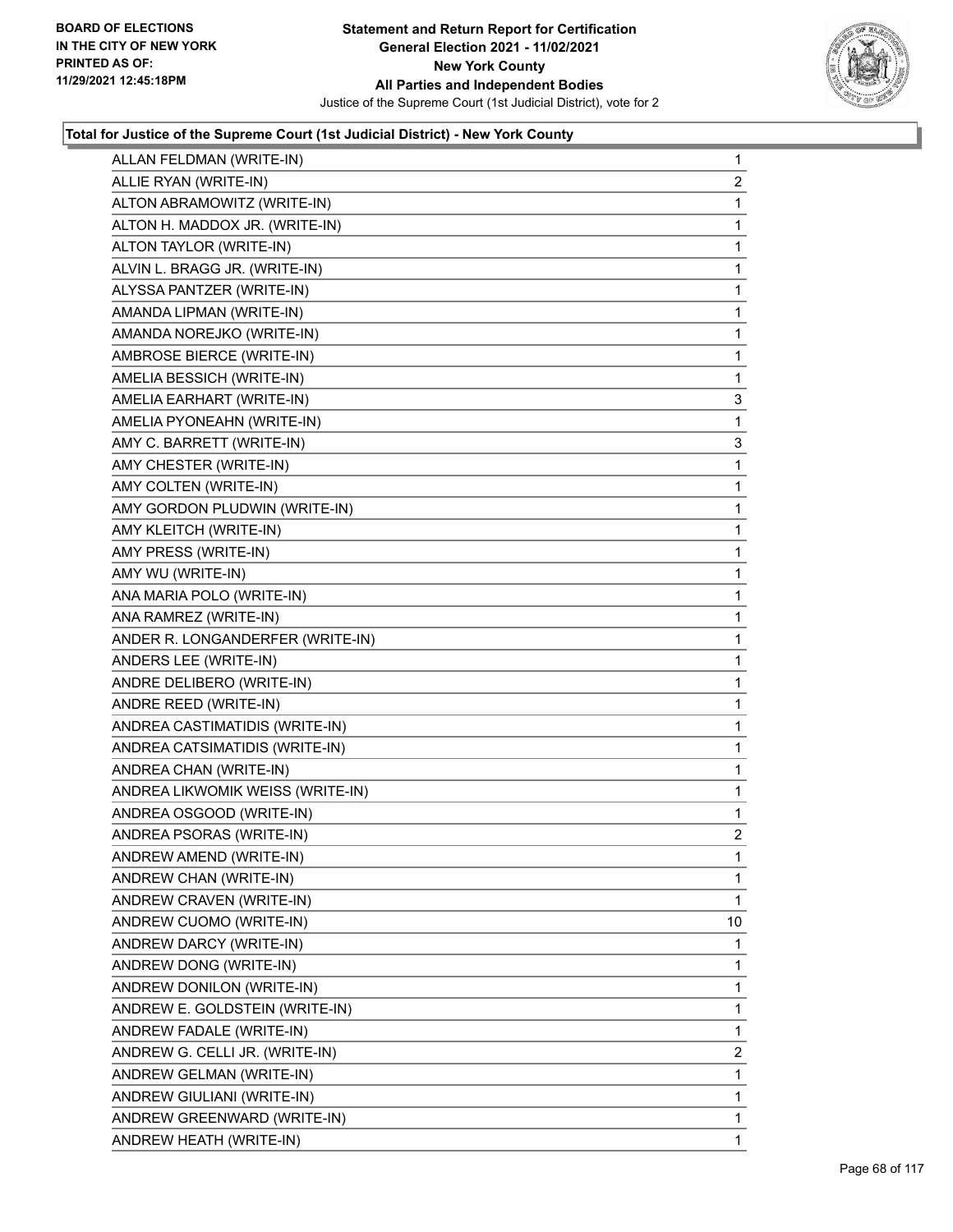

| ALLAN FELDMAN (WRITE-IN)         | $\mathbf{1}$   |
|----------------------------------|----------------|
| ALLIE RYAN (WRITE-IN)            | 2              |
| ALTON ABRAMOWITZ (WRITE-IN)      | 1              |
| ALTON H. MADDOX JR. (WRITE-IN)   | 1              |
| ALTON TAYLOR (WRITE-IN)          | 1              |
| ALVIN L. BRAGG JR. (WRITE-IN)    | 1              |
| ALYSSA PANTZER (WRITE-IN)        | 1              |
| AMANDA LIPMAN (WRITE-IN)         | 1              |
| AMANDA NOREJKO (WRITE-IN)        | 1              |
| AMBROSE BIERCE (WRITE-IN)        | $\mathbf{1}$   |
| AMELIA BESSICH (WRITE-IN)        | 1              |
| AMELIA EARHART (WRITE-IN)        | 3              |
| AMELIA PYONEAHN (WRITE-IN)       | 1              |
| AMY C. BARRETT (WRITE-IN)        | 3              |
| AMY CHESTER (WRITE-IN)           | 1              |
| AMY COLTEN (WRITE-IN)            | 1              |
| AMY GORDON PLUDWIN (WRITE-IN)    | 1              |
| AMY KLEITCH (WRITE-IN)           | 1              |
| AMY PRESS (WRITE-IN)             | 1              |
| AMY WU (WRITE-IN)                | 1              |
| ANA MARIA POLO (WRITE-IN)        | 1              |
| ANA RAMREZ (WRITE-IN)            | 1              |
| ANDER R. LONGANDERFER (WRITE-IN) | 1              |
| ANDERS LEE (WRITE-IN)            | 1              |
| ANDRE DELIBERO (WRITE-IN)        | 1              |
| ANDRE REED (WRITE-IN)            | 1              |
| ANDREA CASTIMATIDIS (WRITE-IN)   | 1              |
| ANDREA CATSIMATIDIS (WRITE-IN)   | 1              |
| ANDREA CHAN (WRITE-IN)           | 1              |
| ANDREA LIKWOMIK WEISS (WRITE-IN) | 1              |
| ANDREA OSGOOD (WRITE-IN)         | 1              |
| ANDREA PSORAS (WRITE-IN)         | $\overline{2}$ |
| ANDREW AMEND (WRITE-IN)          | $\mathbf{1}$   |
| ANDREW CHAN (WRITE-IN)           | 1              |
| ANDREW CRAVEN (WRITE-IN)         | 1              |
| ANDREW CUOMO (WRITE-IN)          | 10             |
| ANDREW DARCY (WRITE-IN)          | 1              |
| ANDREW DONG (WRITE-IN)           | 1              |
| ANDREW DONILON (WRITE-IN)        | 1              |
| ANDREW E. GOLDSTEIN (WRITE-IN)   | 1              |
| ANDREW FADALE (WRITE-IN)         | 1              |
| ANDREW G. CELLI JR. (WRITE-IN)   | 2              |
| ANDREW GELMAN (WRITE-IN)         | 1              |
| ANDREW GIULIANI (WRITE-IN)       | 1              |
| ANDREW GREENWARD (WRITE-IN)      | 1              |
| ANDREW HEATH (WRITE-IN)          | 1              |
|                                  |                |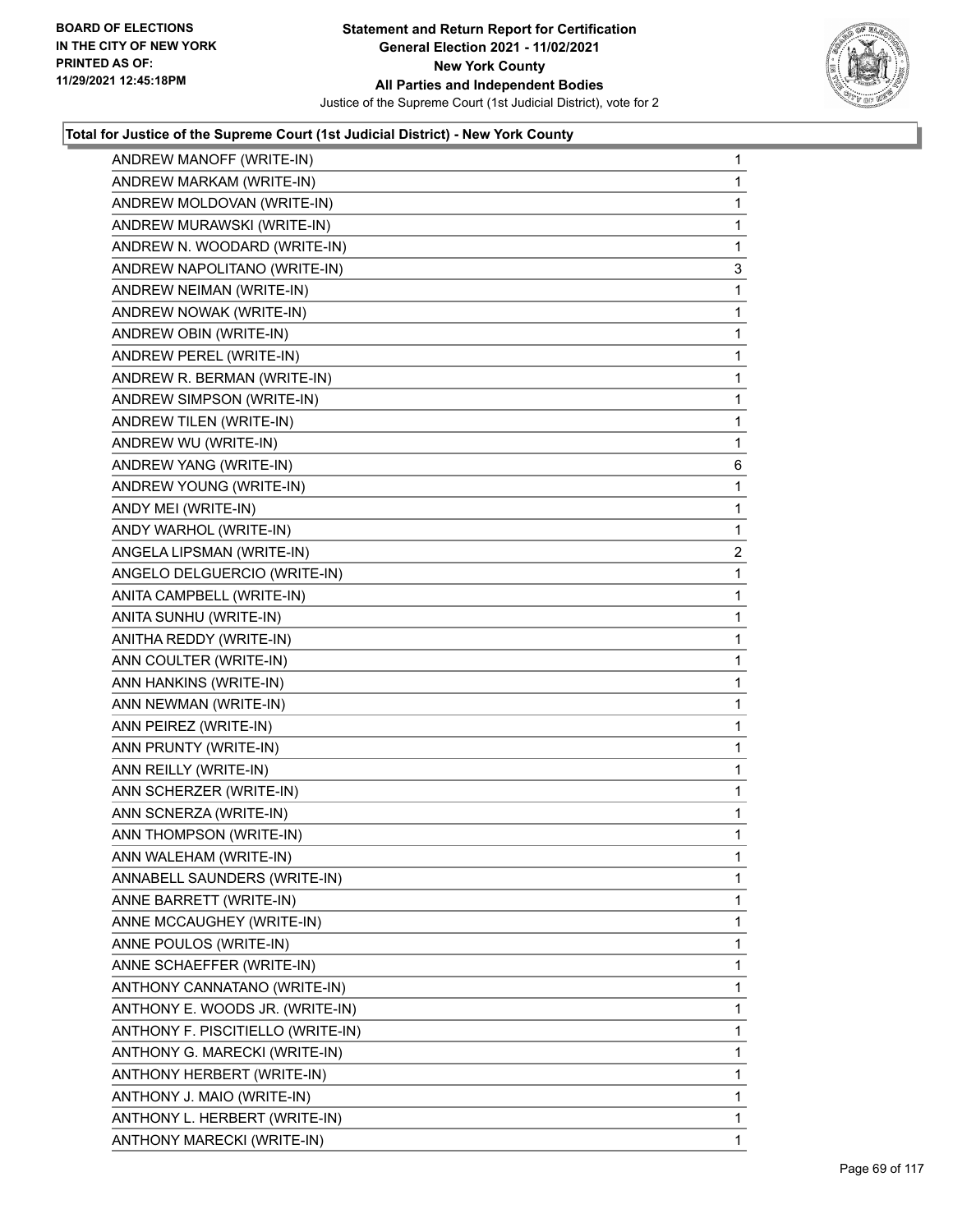

| ANDREW MANOFF (WRITE-IN)          | $\mathbf{1}$   |
|-----------------------------------|----------------|
| ANDREW MARKAM (WRITE-IN)          | 1              |
| ANDREW MOLDOVAN (WRITE-IN)        | 1              |
| ANDREW MURAWSKI (WRITE-IN)        | $\mathbf{1}$   |
| ANDREW N. WOODARD (WRITE-IN)      | 1              |
| ANDREW NAPOLITANO (WRITE-IN)      | 3              |
| ANDREW NEIMAN (WRITE-IN)          | $\mathbf{1}$   |
| ANDREW NOWAK (WRITE-IN)           | $\mathbf{1}$   |
| ANDREW OBIN (WRITE-IN)            | 1              |
| ANDREW PEREL (WRITE-IN)           | $\mathbf{1}$   |
| ANDREW R. BERMAN (WRITE-IN)       | 1              |
| ANDREW SIMPSON (WRITE-IN)         | 1              |
| ANDREW TILEN (WRITE-IN)           | $\mathbf{1}$   |
| ANDREW WU (WRITE-IN)              | 1              |
| ANDREW YANG (WRITE-IN)            | 6              |
| ANDREW YOUNG (WRITE-IN)           | $\mathbf{1}$   |
| ANDY MEI (WRITE-IN)               | 1              |
| ANDY WARHOL (WRITE-IN)            | $\mathbf{1}$   |
| ANGELA LIPSMAN (WRITE-IN)         | $\overline{a}$ |
| ANGELO DELGUERCIO (WRITE-IN)      | $\mathbf{1}$   |
| ANITA CAMPBELL (WRITE-IN)         | 1              |
| ANITA SUNHU (WRITE-IN)            | $\mathbf{1}$   |
| ANITHA REDDY (WRITE-IN)           | 1              |
| ANN COULTER (WRITE-IN)            | $\mathbf{1}$   |
| ANN HANKINS (WRITE-IN)            | $\mathbf{1}$   |
| ANN NEWMAN (WRITE-IN)             | 1              |
| ANN PEIREZ (WRITE-IN)             | 1              |
| ANN PRUNTY (WRITE-IN)             | $\mathbf 1$    |
| ANN REILLY (WRITE-IN)             | 1              |
| ANN SCHERZER (WRITE-IN)           | 1              |
| ANN SCNERZA (WRITE-IN)            | $\mathbf{1}$   |
| ANN THOMPSON (WRITE-IN)           | 1              |
| ANN WALEHAM (WRITE-IN)            | $\mathbf 1$    |
| ANNABELL SAUNDERS (WRITE-IN)      | 1              |
| ANNE BARRETT (WRITE-IN)           | 1              |
| ANNE MCCAUGHEY (WRITE-IN)         | 1              |
| ANNE POULOS (WRITE-IN)            | 1              |
| ANNE SCHAEFFER (WRITE-IN)         | 1              |
| ANTHONY CANNATANO (WRITE-IN)      | 1              |
| ANTHONY E. WOODS JR. (WRITE-IN)   | 1              |
| ANTHONY F. PISCITIELLO (WRITE-IN) | 1              |
| ANTHONY G. MARECKI (WRITE-IN)     | 1              |
| ANTHONY HERBERT (WRITE-IN)        | 1              |
| ANTHONY J. MAIO (WRITE-IN)        | 1              |
| ANTHONY L. HERBERT (WRITE-IN)     | 1              |
| ANTHONY MARECKI (WRITE-IN)        | 1              |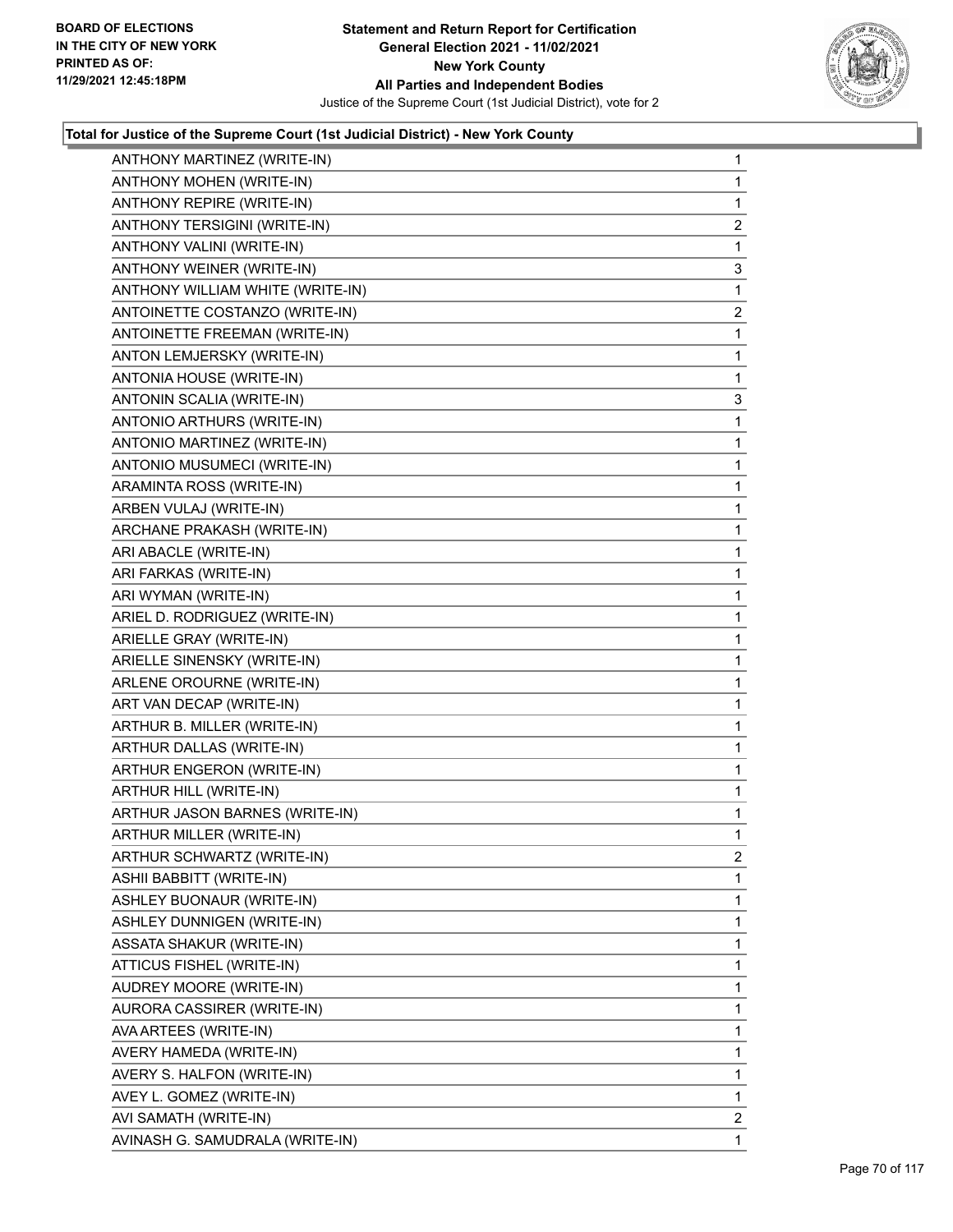

| ANTHONY MARTINEZ (WRITE-IN)      | $\mathbf{1}$   |
|----------------------------------|----------------|
| ANTHONY MOHEN (WRITE-IN)         | $\mathbf{1}$   |
| ANTHONY REPIRE (WRITE-IN)        | 1              |
| ANTHONY TERSIGINI (WRITE-IN)     | $\overline{2}$ |
| ANTHONY VALINI (WRITE-IN)        | 1              |
| ANTHONY WEINER (WRITE-IN)        | 3              |
| ANTHONY WILLIAM WHITE (WRITE-IN) | 1              |
| ANTOINETTE COSTANZO (WRITE-IN)   | $\overline{2}$ |
| ANTOINETTE FREEMAN (WRITE-IN)    | 1              |
| ANTON LEMJERSKY (WRITE-IN)       | $\mathbf 1$    |
| ANTONIA HOUSE (WRITE-IN)         | $\mathbf{1}$   |
| ANTONIN SCALIA (WRITE-IN)        | 3              |
| ANTONIO ARTHURS (WRITE-IN)       | $\mathbf 1$    |
| ANTONIO MARTINEZ (WRITE-IN)      | $\mathbf{1}$   |
| ANTONIO MUSUMECI (WRITE-IN)      | 1              |
| ARAMINTA ROSS (WRITE-IN)         | $\mathbf 1$    |
| ARBEN VULAJ (WRITE-IN)           | $\mathbf{1}$   |
| ARCHANE PRAKASH (WRITE-IN)       | 1              |
| ARI ABACLE (WRITE-IN)            | $\mathbf 1$    |
| ARI FARKAS (WRITE-IN)            | $\mathbf{1}$   |
| ARI WYMAN (WRITE-IN)             | 1              |
| ARIEL D. RODRIGUEZ (WRITE-IN)    | $\mathbf 1$    |
| ARIELLE GRAY (WRITE-IN)          | $\mathbf{1}$   |
| ARIELLE SINENSKY (WRITE-IN)      | 1              |
| ARLENE OROURNE (WRITE-IN)        | $\mathbf 1$    |
| ART VAN DECAP (WRITE-IN)         | $\mathbf{1}$   |
| ARTHUR B. MILLER (WRITE-IN)      | 1              |
| ARTHUR DALLAS (WRITE-IN)         | $\mathbf 1$    |
| ARTHUR ENGERON (WRITE-IN)        | $\mathbf{1}$   |
| ARTHUR HILL (WRITE-IN)           | 1              |
| ARTHUR JASON BARNES (WRITE-IN)   | $\mathbf{1}$   |
| ARTHUR MILLER (WRITE-IN)         | $\mathbf{1}$   |
| ARTHUR SCHWARTZ (WRITE-IN)       | 2              |
| ASHII BABBITT (WRITE-IN)         | 1              |
| ASHLEY BUONAUR (WRITE-IN)        | 1              |
| ASHLEY DUNNIGEN (WRITE-IN)       | 1              |
| ASSATA SHAKUR (WRITE-IN)         | 1              |
| ATTICUS FISHEL (WRITE-IN)        | 1              |
| AUDREY MOORE (WRITE-IN)          | 1              |
| AURORA CASSIRER (WRITE-IN)       | 1              |
| AVA ARTEES (WRITE-IN)            | 1              |
| AVERY HAMEDA (WRITE-IN)          | 1              |
| AVERY S. HALFON (WRITE-IN)       | 1              |
| AVEY L. GOMEZ (WRITE-IN)         | 1              |
| AVI SAMATH (WRITE-IN)            | 2              |
| AVINASH G. SAMUDRALA (WRITE-IN)  | 1              |
|                                  |                |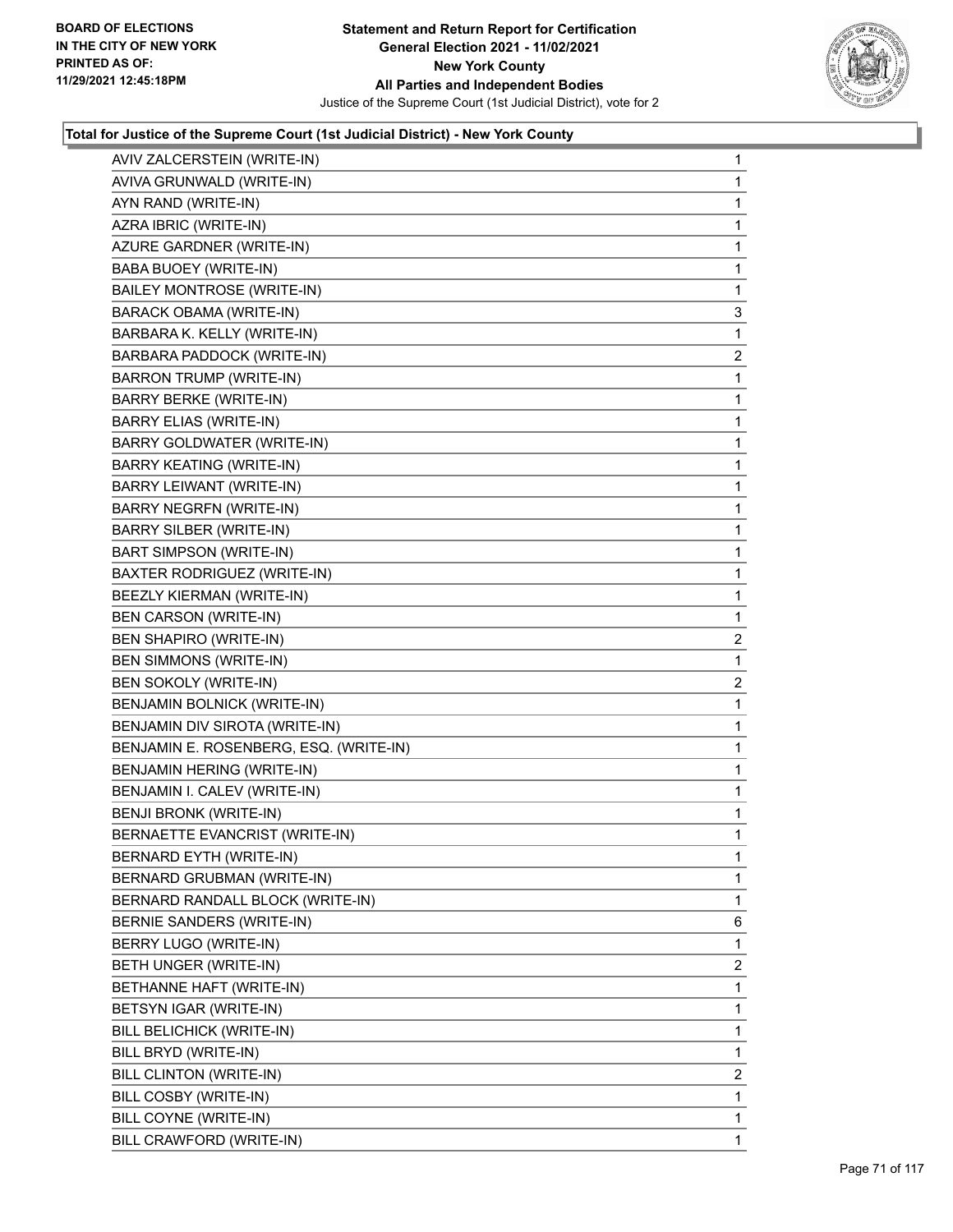

| AVIV ZALCERSTEIN (WRITE-IN)            | 1              |
|----------------------------------------|----------------|
| AVIVA GRUNWALD (WRITE-IN)              | 1              |
| AYN RAND (WRITE-IN)                    | 1              |
| AZRA IBRIC (WRITE-IN)                  | 1              |
| AZURE GARDNER (WRITE-IN)               | 1              |
| <b>BABA BUOEY (WRITE-IN)</b>           | 1              |
| <b>BAILEY MONTROSE (WRITE-IN)</b>      | 1              |
| <b>BARACK OBAMA (WRITE-IN)</b>         | 3              |
| BARBARA K. KELLY (WRITE-IN)            | 1              |
| BARBARA PADDOCK (WRITE-IN)             | 2              |
| <b>BARRON TRUMP (WRITE-IN)</b>         | 1              |
| <b>BARRY BERKE (WRITE-IN)</b>          | 1              |
| <b>BARRY ELIAS (WRITE-IN)</b>          | 1              |
| <b>BARRY GOLDWATER (WRITE-IN)</b>      | 1              |
| <b>BARRY KEATING (WRITE-IN)</b>        | 1              |
| BARRY LEIWANT (WRITE-IN)               | 1              |
| <b>BARRY NEGRFN (WRITE-IN)</b>         | 1              |
| <b>BARRY SILBER (WRITE-IN)</b>         | 1              |
| <b>BART SIMPSON (WRITE-IN)</b>         | 1              |
| BAXTER RODRIGUEZ (WRITE-IN)            | 1              |
| BEEZLY KIERMAN (WRITE-IN)              | 1              |
| <b>BEN CARSON (WRITE-IN)</b>           | 1              |
| BEN SHAPIRO (WRITE-IN)                 | $\overline{2}$ |
| BEN SIMMONS (WRITE-IN)                 | 1              |
| BEN SOKOLY (WRITE-IN)                  | $\overline{c}$ |
| BENJAMIN BOLNICK (WRITE-IN)            | 1              |
| BENJAMIN DIV SIROTA (WRITE-IN)         | 1              |
| BENJAMIN E. ROSENBERG, ESQ. (WRITE-IN) | 1              |
| <b>BENJAMIN HERING (WRITE-IN)</b>      | 1              |
| BENJAMIN I. CALEV (WRITE-IN)           | 1              |
| BENJI BRONK (WRITE-IN)                 | 1              |
| BERNAETTE EVANCRIST (WRITE-IN)         | 1              |
| BERNARD EYTH (WRITE-IN)                | 1              |
| BERNARD GRUBMAN (WRITE-IN)             | 1              |
| BERNARD RANDALL BLOCK (WRITE-IN)       | 1              |
| BERNIE SANDERS (WRITE-IN)              | 6              |
| BERRY LUGO (WRITE-IN)                  | 1              |
| BETH UNGER (WRITE-IN)                  | $\overline{2}$ |
| BETHANNE HAFT (WRITE-IN)               | 1              |
| BETSYN IGAR (WRITE-IN)                 | 1              |
| BILL BELICHICK (WRITE-IN)              | 1              |
| BILL BRYD (WRITE-IN)                   | 1              |
| BILL CLINTON (WRITE-IN)                | $\overline{2}$ |
| BILL COSBY (WRITE-IN)                  | 1              |
| BILL COYNE (WRITE-IN)                  | 1              |
| BILL CRAWFORD (WRITE-IN)               | 1.             |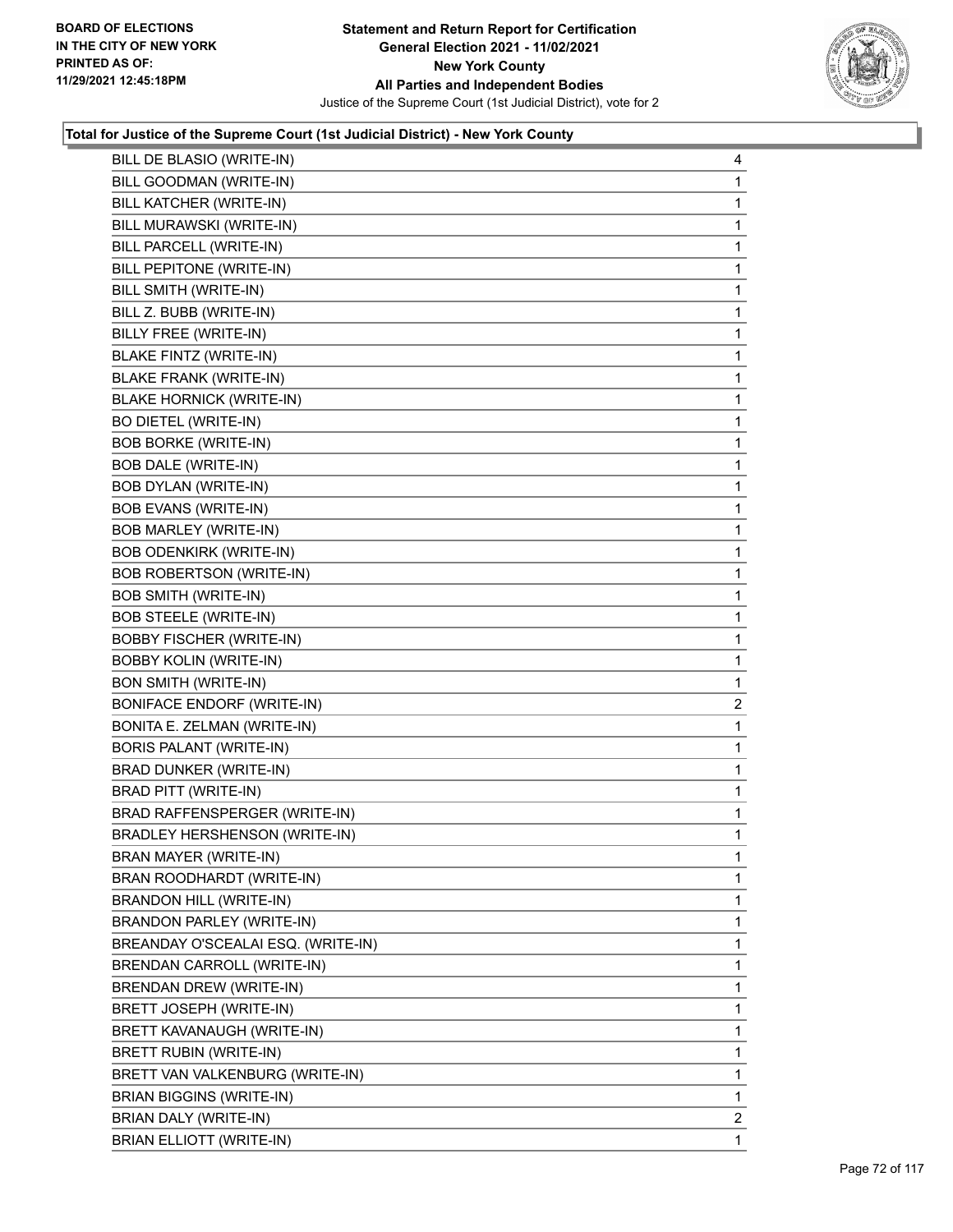

| BILL DE BLASIO (WRITE-IN)          | 4           |
|------------------------------------|-------------|
| BILL GOODMAN (WRITE-IN)            | 1           |
| BILL KATCHER (WRITE-IN)            | 1           |
| BILL MURAWSKI (WRITE-IN)           | 1           |
| BILL PARCELL (WRITE-IN)            | 1           |
| BILL PEPITONE (WRITE-IN)           | 1           |
| BILL SMITH (WRITE-IN)              | 1           |
| BILL Z. BUBB (WRITE-IN)            | 1           |
| BILLY FREE (WRITE-IN)              | 1           |
| <b>BLAKE FINTZ (WRITE-IN)</b>      | 1           |
| <b>BLAKE FRANK (WRITE-IN)</b>      | 1           |
| <b>BLAKE HORNICK (WRITE-IN)</b>    | 1           |
| <b>BO DIETEL (WRITE-IN)</b>        | 1           |
| <b>BOB BORKE (WRITE-IN)</b>        | 1           |
| <b>BOB DALE (WRITE-IN)</b>         | 1           |
| <b>BOB DYLAN (WRITE-IN)</b>        | 1           |
| <b>BOB EVANS (WRITE-IN)</b>        | 1           |
| <b>BOB MARLEY (WRITE-IN)</b>       | 1           |
| <b>BOB ODENKIRK (WRITE-IN)</b>     | 1           |
| BOB ROBERTSON (WRITE-IN)           | 1           |
| <b>BOB SMITH (WRITE-IN)</b>        | 1           |
| <b>BOB STEELE (WRITE-IN)</b>       | 1           |
| <b>BOBBY FISCHER (WRITE-IN)</b>    | 1           |
| <b>BOBBY KOLIN (WRITE-IN)</b>      | 1           |
| <b>BON SMITH (WRITE-IN)</b>        | $\mathbf 1$ |
| <b>BONIFACE ENDORF (WRITE-IN)</b>  | 2           |
| BONITA E. ZELMAN (WRITE-IN)        | 1           |
| <b>BORIS PALANT (WRITE-IN)</b>     | 1           |
| BRAD DUNKER (WRITE-IN)             | 1           |
| BRAD PITT (WRITE-IN)               | 1           |
| BRAD RAFFENSPERGER (WRITE-IN)      | 1           |
| BRADLEY HERSHENSON (WRITE-IN)      | 1           |
| BRAN MAYER (WRITE-IN)              | 1           |
| BRAN ROODHARDT (WRITE-IN)          | 1           |
| <b>BRANDON HILL (WRITE-IN)</b>     | 1           |
| BRANDON PARLEY (WRITE-IN)          | 1           |
| BREANDAY O'SCEALAI ESQ. (WRITE-IN) | 1           |
| BRENDAN CARROLL (WRITE-IN)         | 1           |
| BRENDAN DREW (WRITE-IN)            | 1           |
| BRETT JOSEPH (WRITE-IN)            | 1           |
| BRETT KAVANAUGH (WRITE-IN)         | 1           |
| BRETT RUBIN (WRITE-IN)             | 1           |
| BRETT VAN VALKENBURG (WRITE-IN)    | 1           |
| <b>BRIAN BIGGINS (WRITE-IN)</b>    | 1           |
| BRIAN DALY (WRITE-IN)              | 2           |
| <b>BRIAN ELLIOTT (WRITE-IN)</b>    | 1           |
|                                    |             |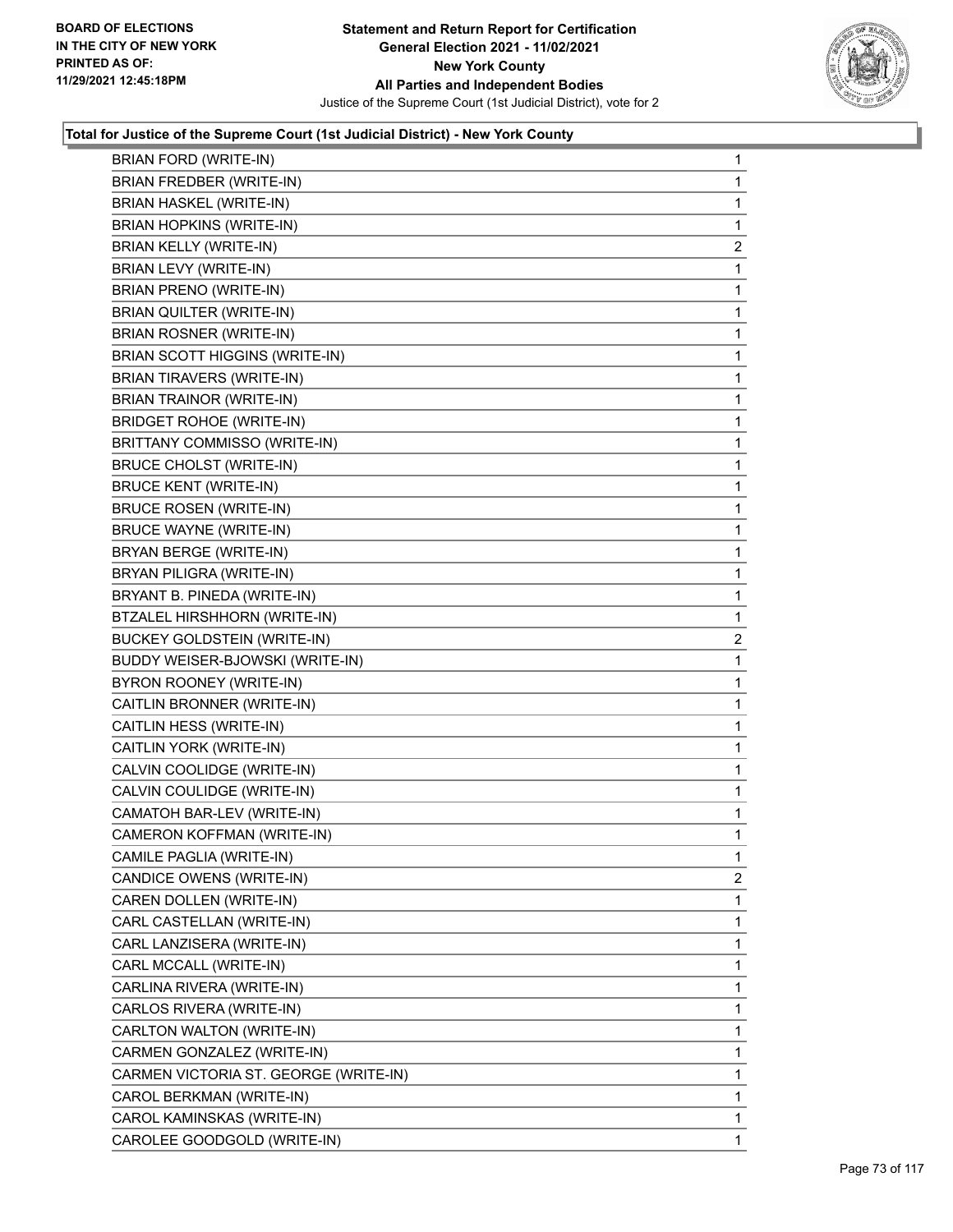

| <b>BRIAN FORD (WRITE-IN)</b>          | $\mathbf{1}$   |
|---------------------------------------|----------------|
| <b>BRIAN FREDBER (WRITE-IN)</b>       | $\mathbf 1$    |
| <b>BRIAN HASKEL (WRITE-IN)</b>        | $\mathbf 1$    |
| <b>BRIAN HOPKINS (WRITE-IN)</b>       | $\mathbf 1$    |
| <b>BRIAN KELLY (WRITE-IN)</b>         | 2              |
| BRIAN LEVY (WRITE-IN)                 | 1              |
| <b>BRIAN PRENO (WRITE-IN)</b>         | $\mathbf 1$    |
| BRIAN QUILTER (WRITE-IN)              | $\mathbf 1$    |
| BRIAN ROSNER (WRITE-IN)               | 1              |
| BRIAN SCOTT HIGGINS (WRITE-IN)        | $\mathbf{1}$   |
| <b>BRIAN TIRAVERS (WRITE-IN)</b>      | 1              |
| BRIAN TRAINOR (WRITE-IN)              | 1              |
| <b>BRIDGET ROHOE (WRITE-IN)</b>       | $\mathbf 1$    |
| BRITTANY COMMISSO (WRITE-IN)          | $\mathbf 1$    |
| <b>BRUCE CHOLST (WRITE-IN)</b>        | 1              |
| <b>BRUCE KENT (WRITE-IN)</b>          | $\mathbf{1}$   |
| <b>BRUCE ROSEN (WRITE-IN)</b>         | 1              |
| <b>BRUCE WAYNE (WRITE-IN)</b>         | 1              |
| BRYAN BERGE (WRITE-IN)                | $\mathbf 1$    |
| BRYAN PILIGRA (WRITE-IN)              | 1              |
| BRYANT B. PINEDA (WRITE-IN)           | 1              |
| BTZALEL HIRSHHORN (WRITE-IN)          | $\mathbf{1}$   |
| <b>BUCKEY GOLDSTEIN (WRITE-IN)</b>    | 2              |
| BUDDY WEISER-BJOWSKI (WRITE-IN)       | 1              |
| BYRON ROONEY (WRITE-IN)               | $\mathbf 1$    |
| CAITLIN BRONNER (WRITE-IN)            | 1              |
| CAITLIN HESS (WRITE-IN)               | 1              |
| CAITLIN YORK (WRITE-IN)               | $\mathbf{1}$   |
| CALVIN COOLIDGE (WRITE-IN)            | 1              |
| CALVIN COULIDGE (WRITE-IN)            | 1              |
| CAMATOH BAR-LEV (WRITE-IN)            | $\mathbf 1$    |
| CAMERON KOFFMAN (WRITE-IN)            | 1              |
| CAMILE PAGLIA (WRITE-IN)              | 1              |
| CANDICE OWENS (WRITE-IN)              | $\overline{2}$ |
| CAREN DOLLEN (WRITE-IN)               | 1              |
| CARL CASTELLAN (WRITE-IN)             | 1              |
| CARL LANZISERA (WRITE-IN)             | 1              |
| CARL MCCALL (WRITE-IN)                | 1              |
| CARLINA RIVERA (WRITE-IN)             | 1              |
| CARLOS RIVERA (WRITE-IN)              | 1              |
| CARLTON WALTON (WRITE-IN)             | 1              |
| CARMEN GONZALEZ (WRITE-IN)            | 1              |
| CARMEN VICTORIA ST. GEORGE (WRITE-IN) | 1              |
| CAROL BERKMAN (WRITE-IN)              | 1              |
| CAROL KAMINSKAS (WRITE-IN)            | 1              |
| CAROLEE GOODGOLD (WRITE-IN)           | $\mathbf{1}$   |
|                                       |                |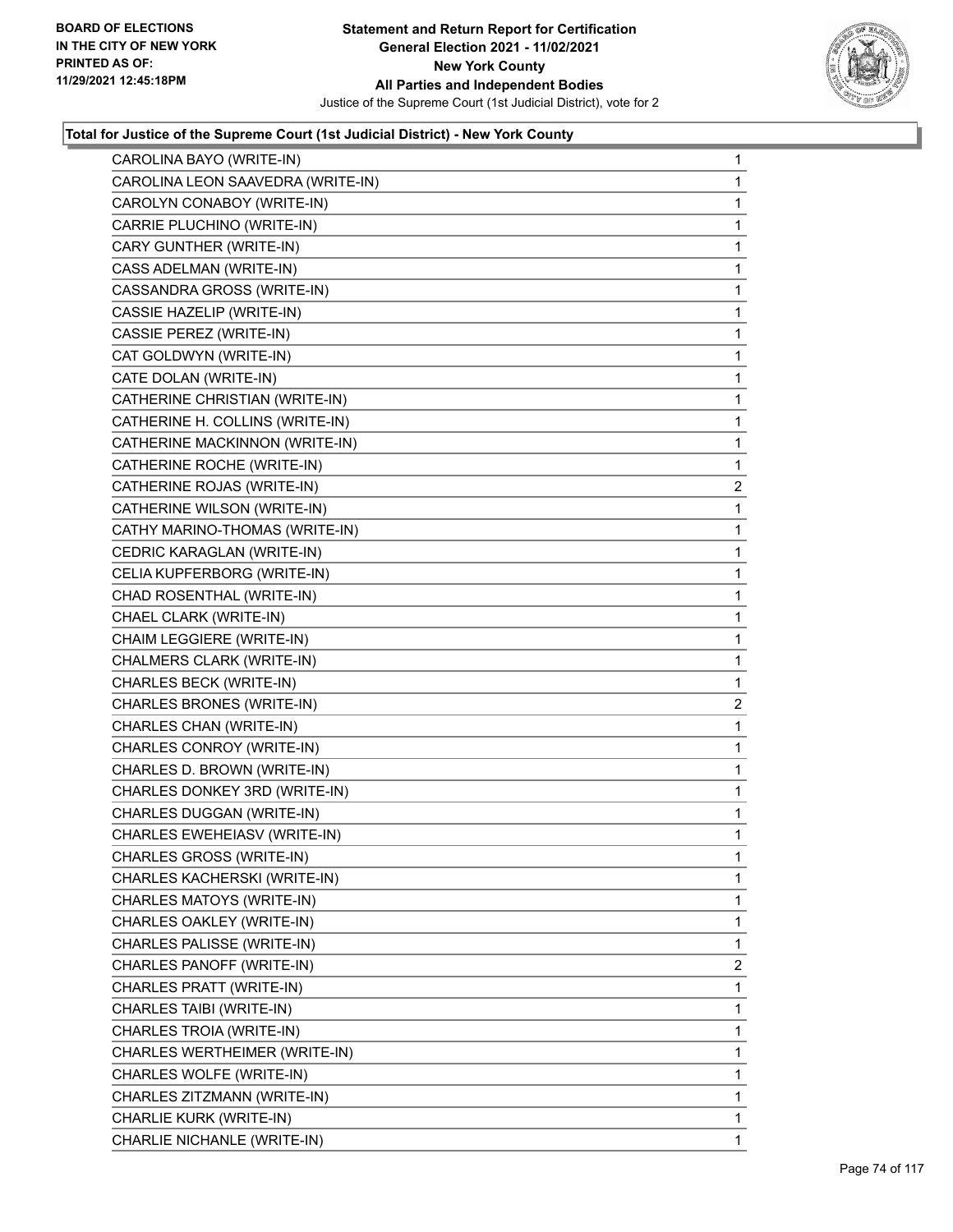

| CAROLINA BAYO (WRITE-IN)          | 1              |
|-----------------------------------|----------------|
| CAROLINA LEON SAAVEDRA (WRITE-IN) | 1              |
| CAROLYN CONABOY (WRITE-IN)        | 1              |
| CARRIE PLUCHINO (WRITE-IN)        | 1              |
| CARY GUNTHER (WRITE-IN)           | 1              |
| CASS ADELMAN (WRITE-IN)           | 1              |
| CASSANDRA GROSS (WRITE-IN)        | 1              |
| CASSIE HAZELIP (WRITE-IN)         | 1              |
| CASSIE PEREZ (WRITE-IN)           | 1              |
| CAT GOLDWYN (WRITE-IN)            | 1              |
| CATE DOLAN (WRITE-IN)             | 1              |
| CATHERINE CHRISTIAN (WRITE-IN)    | $\mathbf{1}$   |
| CATHERINE H. COLLINS (WRITE-IN)   | 1              |
| CATHERINE MACKINNON (WRITE-IN)    | 1              |
| CATHERINE ROCHE (WRITE-IN)        | 1              |
| CATHERINE ROJAS (WRITE-IN)        | $\overline{2}$ |
| CATHERINE WILSON (WRITE-IN)       | 1              |
| CATHY MARINO-THOMAS (WRITE-IN)    | $\mathbf{1}$   |
| CEDRIC KARAGLAN (WRITE-IN)        | 1              |
| CELIA KUPFERBORG (WRITE-IN)       | 1              |
| CHAD ROSENTHAL (WRITE-IN)         | 1              |
| CHAEL CLARK (WRITE-IN)            | 1              |
| CHAIM LEGGIERE (WRITE-IN)         | 1              |
| CHALMERS CLARK (WRITE-IN)         | $\mathbf{1}$   |
| CHARLES BECK (WRITE-IN)           | 1              |
| CHARLES BRONES (WRITE-IN)         | 2              |
| CHARLES CHAN (WRITE-IN)           | 1              |
| CHARLES CONROY (WRITE-IN)         | 1              |
| CHARLES D. BROWN (WRITE-IN)       | 1              |
| CHARLES DONKEY 3RD (WRITE-IN)     | $\mathbf{1}$   |
| CHARLES DUGGAN (WRITE-IN)         | 1              |
| CHARLES EWEHEIASV (WRITE-IN)      | 1              |
| CHARLES GROSS (WRITE-IN)          | 1              |
| CHARLES KACHERSKI (WRITE-IN)      | 1              |
| CHARLES MATOYS (WRITE-IN)         | 1              |
| CHARLES OAKLEY (WRITE-IN)         | 1              |
| CHARLES PALISSE (WRITE-IN)        | 1              |
| CHARLES PANOFF (WRITE-IN)         | 2              |
| CHARLES PRATT (WRITE-IN)          | 1              |
| CHARLES TAIBI (WRITE-IN)          | 1              |
| CHARLES TROIA (WRITE-IN)          | 1              |
| CHARLES WERTHEIMER (WRITE-IN)     | 1              |
| CHARLES WOLFE (WRITE-IN)          | 1              |
| CHARLES ZITZMANN (WRITE-IN)       | 1              |
| CHARLIE KURK (WRITE-IN)           | 1              |
| CHARLIE NICHANLE (WRITE-IN)       | 1              |
|                                   |                |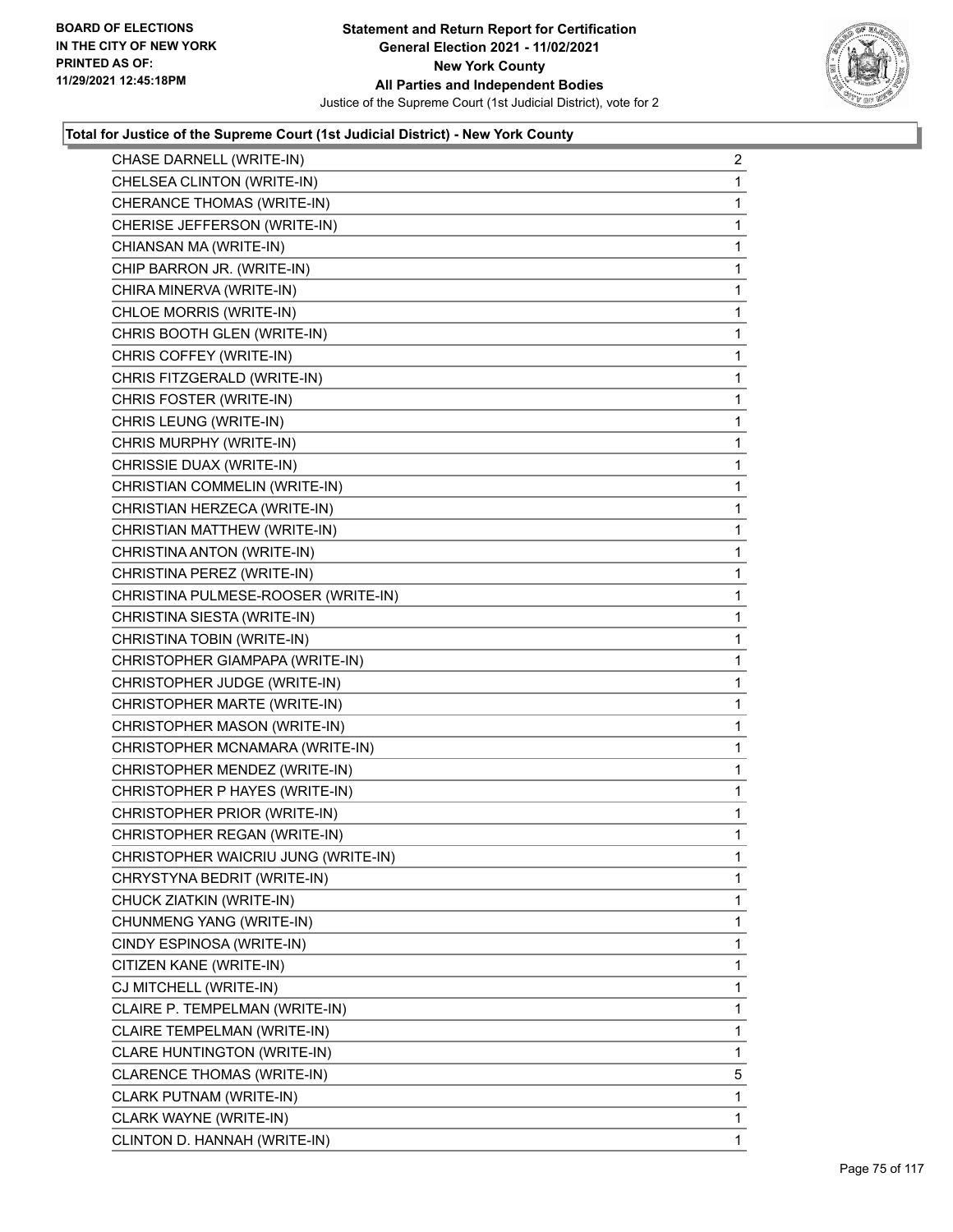

| CHASE DARNELL (WRITE-IN)            | $\overline{2}$ |
|-------------------------------------|----------------|
| CHELSEA CLINTON (WRITE-IN)          | 1              |
| CHERANCE THOMAS (WRITE-IN)          | 1              |
| CHERISE JEFFERSON (WRITE-IN)        | 1              |
| CHIANSAN MA (WRITE-IN)              | $\mathbf{1}$   |
| CHIP BARRON JR. (WRITE-IN)          | 1              |
| CHIRA MINERVA (WRITE-IN)            | 1              |
| CHLOE MORRIS (WRITE-IN)             | 1              |
| CHRIS BOOTH GLEN (WRITE-IN)         | 1              |
| CHRIS COFFEY (WRITE-IN)             | 1              |
| CHRIS FITZGERALD (WRITE-IN)         | 1              |
| CHRIS FOSTER (WRITE-IN)             | 1              |
| CHRIS LEUNG (WRITE-IN)              | 1              |
| CHRIS MURPHY (WRITE-IN)             | 1              |
| CHRISSIE DUAX (WRITE-IN)            | 1              |
| CHRISTIAN COMMELIN (WRITE-IN)       | 1              |
| CHRISTIAN HERZECA (WRITE-IN)        | 1              |
| CHRISTIAN MATTHEW (WRITE-IN)        | 1              |
| CHRISTINA ANTON (WRITE-IN)          | 1              |
| CHRISTINA PEREZ (WRITE-IN)          | 1              |
| CHRISTINA PULMESE-ROOSER (WRITE-IN) | 1              |
| CHRISTINA SIESTA (WRITE-IN)         | 1              |
| CHRISTINA TOBIN (WRITE-IN)          | 1              |
| CHRISTOPHER GIAMPAPA (WRITE-IN)     | 1              |
| CHRISTOPHER JUDGE (WRITE-IN)        | 1              |
| CHRISTOPHER MARTE (WRITE-IN)        | 1              |
| CHRISTOPHER MASON (WRITE-IN)        | 1              |
| CHRISTOPHER MCNAMARA (WRITE-IN)     | 1              |
| CHRISTOPHER MENDEZ (WRITE-IN)       | 1              |
| CHRISTOPHER P HAYES (WRITE-IN)      | 1              |
| CHRISTOPHER PRIOR (WRITE-IN)        | 1              |
| CHRISTOPHER REGAN (WRITE-IN)        | 1              |
| CHRISTOPHER WAICRIU JUNG (WRITE-IN) | 1              |
| CHRYSTYNA BEDRIT (WRITE-IN)         | 1.             |
| CHUCK ZIATKIN (WRITE-IN)            | 1              |
| CHUNMENG YANG (WRITE-IN)            | 1              |
| CINDY ESPINOSA (WRITE-IN)           | 1              |
| CITIZEN KANE (WRITE-IN)             | 1              |
| CJ MITCHELL (WRITE-IN)              | 1              |
| CLAIRE P. TEMPELMAN (WRITE-IN)      | 1              |
| CLAIRE TEMPELMAN (WRITE-IN)         | 1              |
| CLARE HUNTINGTON (WRITE-IN)         | 1              |
| CLARENCE THOMAS (WRITE-IN)          | 5              |
| CLARK PUTNAM (WRITE-IN)             | 1              |
| CLARK WAYNE (WRITE-IN)              | 1              |
| CLINTON D. HANNAH (WRITE-IN)        | 1              |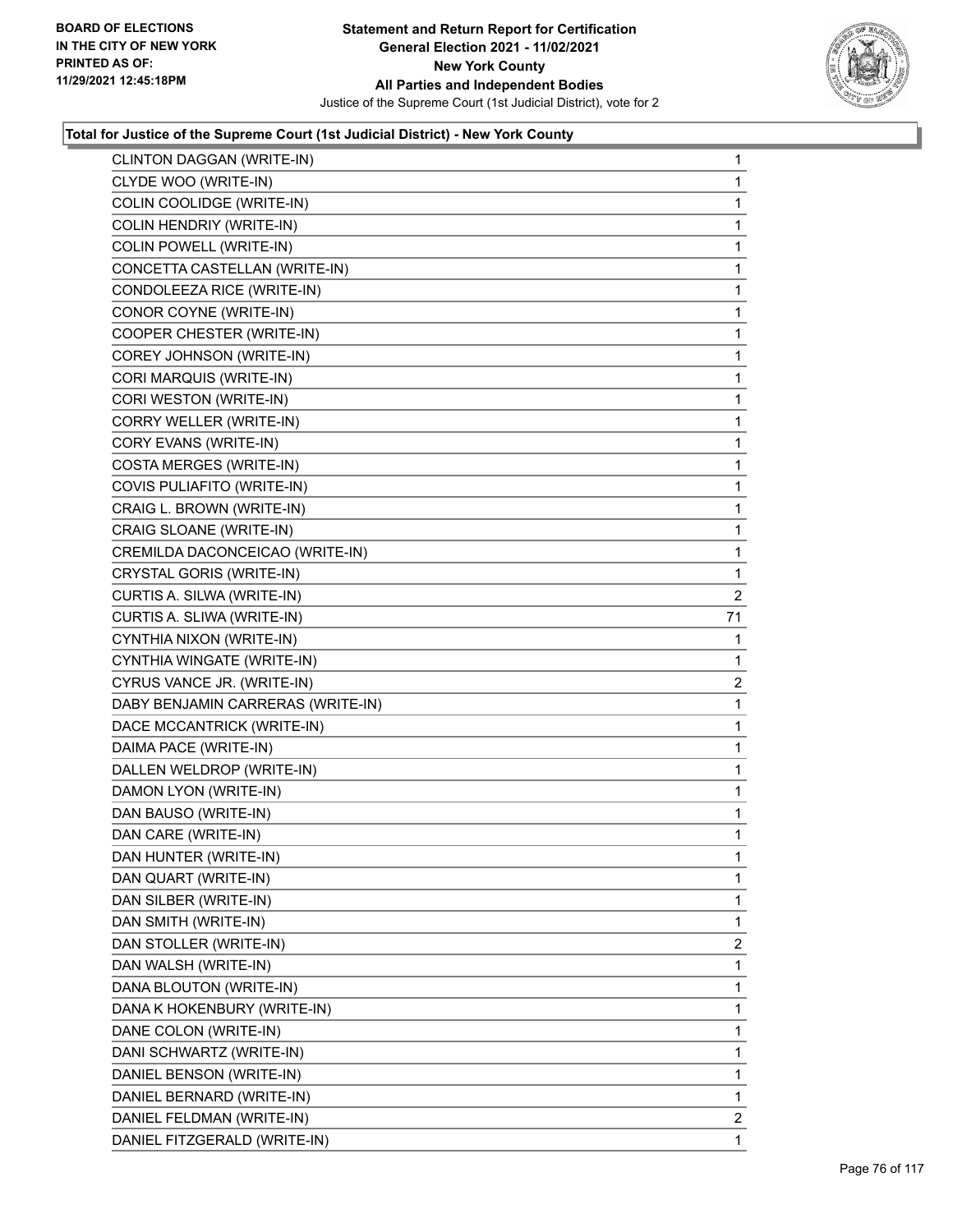

|                                   | 1              |
|-----------------------------------|----------------|
| CLYDE WOO (WRITE-IN)              | 1              |
| COLIN COOLIDGE (WRITE-IN)         | 1              |
| COLIN HENDRIY (WRITE-IN)          | 1              |
| COLIN POWELL (WRITE-IN)           | 1              |
| CONCETTA CASTELLAN (WRITE-IN)     | 1              |
| CONDOLEEZA RICE (WRITE-IN)        | 1              |
| CONOR COYNE (WRITE-IN)            | 1              |
| COOPER CHESTER (WRITE-IN)         | 1              |
| COREY JOHNSON (WRITE-IN)          | 1              |
| CORI MARQUIS (WRITE-IN)           | 1              |
| CORI WESTON (WRITE-IN)            | 1              |
| CORRY WELLER (WRITE-IN)           | 1              |
| CORY EVANS (WRITE-IN)             | 1              |
| <b>COSTA MERGES (WRITE-IN)</b>    | 1              |
| COVIS PULIAFITO (WRITE-IN)        | 1              |
| CRAIG L. BROWN (WRITE-IN)         | 1              |
| CRAIG SLOANE (WRITE-IN)           | 1              |
| CREMILDA DACONCEICAO (WRITE-IN)   | 1              |
| CRYSTAL GORIS (WRITE-IN)          | 1              |
| CURTIS A. SILWA (WRITE-IN)        | $\overline{2}$ |
| CURTIS A. SLIWA (WRITE-IN)        | 71             |
| CYNTHIA NIXON (WRITE-IN)          | 1              |
| CYNTHIA WINGATE (WRITE-IN)        | 1              |
| CYRUS VANCE JR. (WRITE-IN)        |                |
|                                   | $\overline{2}$ |
| DABY BENJAMIN CARRERAS (WRITE-IN) | 1              |
| DACE MCCANTRICK (WRITE-IN)        | 1              |
| DAIMA PACE (WRITE-IN)             | 1              |
| DALLEN WELDROP (WRITE-IN)         | 1              |
| DAMON LYON (WRITE-IN)             | 1              |
| DAN BAUSO (WRITE-IN)              | 1              |
| DAN CARE (WRITE-IN)               | 1              |
| DAN HUNTER (WRITE-IN)             | 1              |
| DAN QUART (WRITE-IN)              | 1              |
| DAN SILBER (WRITE-IN)             | 1              |
| DAN SMITH (WRITE-IN)              | 1              |
| DAN STOLLER (WRITE-IN)            | 2              |
| DAN WALSH (WRITE-IN)              | 1              |
| DANA BLOUTON (WRITE-IN)           | 1              |
| DANA K HOKENBURY (WRITE-IN)       | 1              |
| DANE COLON (WRITE-IN)             | 1              |
| DANI SCHWARTZ (WRITE-IN)          | 1              |
| DANIEL BENSON (WRITE-IN)          | 1              |
| DANIEL BERNARD (WRITE-IN)         | 1              |
| DANIEL FELDMAN (WRITE-IN)         | $\overline{2}$ |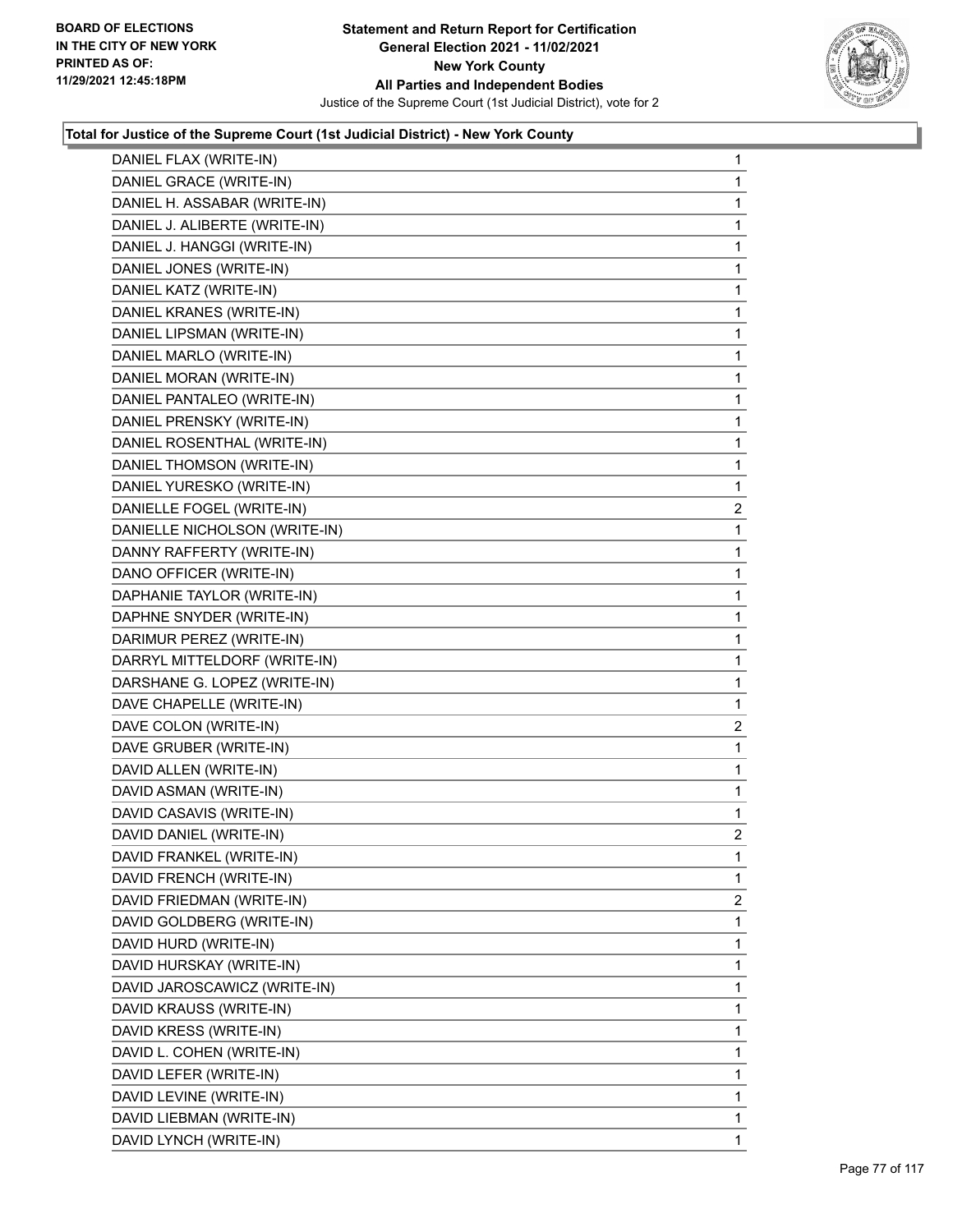

|                               | $\mathbf{1}$   |
|-------------------------------|----------------|
| DANIEL GRACE (WRITE-IN)       | 1              |
| DANIEL H. ASSABAR (WRITE-IN)  | 1              |
| DANIEL J. ALIBERTE (WRITE-IN) | 1              |
| DANIEL J. HANGGI (WRITE-IN)   | 1              |
| DANIEL JONES (WRITE-IN)       | 1              |
| DANIEL KATZ (WRITE-IN)        | 1              |
| DANIEL KRANES (WRITE-IN)      | 1              |
| DANIEL LIPSMAN (WRITE-IN)     | 1              |
| DANIEL MARLO (WRITE-IN)       | 1              |
| DANIEL MORAN (WRITE-IN)       | 1              |
| DANIEL PANTALEO (WRITE-IN)    | 1              |
| DANIEL PRENSKY (WRITE-IN)     | $\mathbf{1}$   |
| DANIEL ROSENTHAL (WRITE-IN)   | 1              |
| DANIEL THOMSON (WRITE-IN)     | 1              |
| DANIEL YURESKO (WRITE-IN)     | 1              |
| DANIELLE FOGEL (WRITE-IN)     | $\overline{2}$ |
| DANIELLE NICHOLSON (WRITE-IN) | 1              |
| DANNY RAFFERTY (WRITE-IN)     | 1              |
| DANO OFFICER (WRITE-IN)       | 1              |
| DAPHANIE TAYLOR (WRITE-IN)    | 1              |
| DAPHNE SNYDER (WRITE-IN)      | 1              |
| DARIMUR PEREZ (WRITE-IN)      | 1              |
| DARRYL MITTELDORF (WRITE-IN)  | 1              |
| DARSHANE G. LOPEZ (WRITE-IN)  | 1              |
| DAVE CHAPELLE (WRITE-IN)      | 1              |
| DAVE COLON (WRITE-IN)         | $\overline{a}$ |
| DAVE GRUBER (WRITE-IN)        | 1              |
|                               | 1              |
| DAVID ALLEN (WRITE-IN)        |                |
| DAVID ASMAN (WRITE-IN)        | 1              |
| DAVID CASAVIS (WRITE-IN)      | 1              |
| DAVID DANIEL (WRITE-IN)       | $\overline{2}$ |
| DAVID FRANKEL (WRITE-IN)      | 1              |
| DAVID FRENCH (WRITE-IN)       | 1              |
| DAVID FRIEDMAN (WRITE-IN)     | $\overline{2}$ |
| DAVID GOLDBERG (WRITE-IN)     | 1              |
| DAVID HURD (WRITE-IN)         | 1              |
| DAVID HURSKAY (WRITE-IN)      | 1              |
| DAVID JAROSCAWICZ (WRITE-IN)  | 1              |
| DAVID KRAUSS (WRITE-IN)       | 1              |
| DAVID KRESS (WRITE-IN)        | 1              |
| DAVID L. COHEN (WRITE-IN)     | 1              |
| DAVID LEFER (WRITE-IN)        | 1              |
| DAVID LEVINE (WRITE-IN)       | 1              |
| DAVID LIEBMAN (WRITE-IN)      | 1              |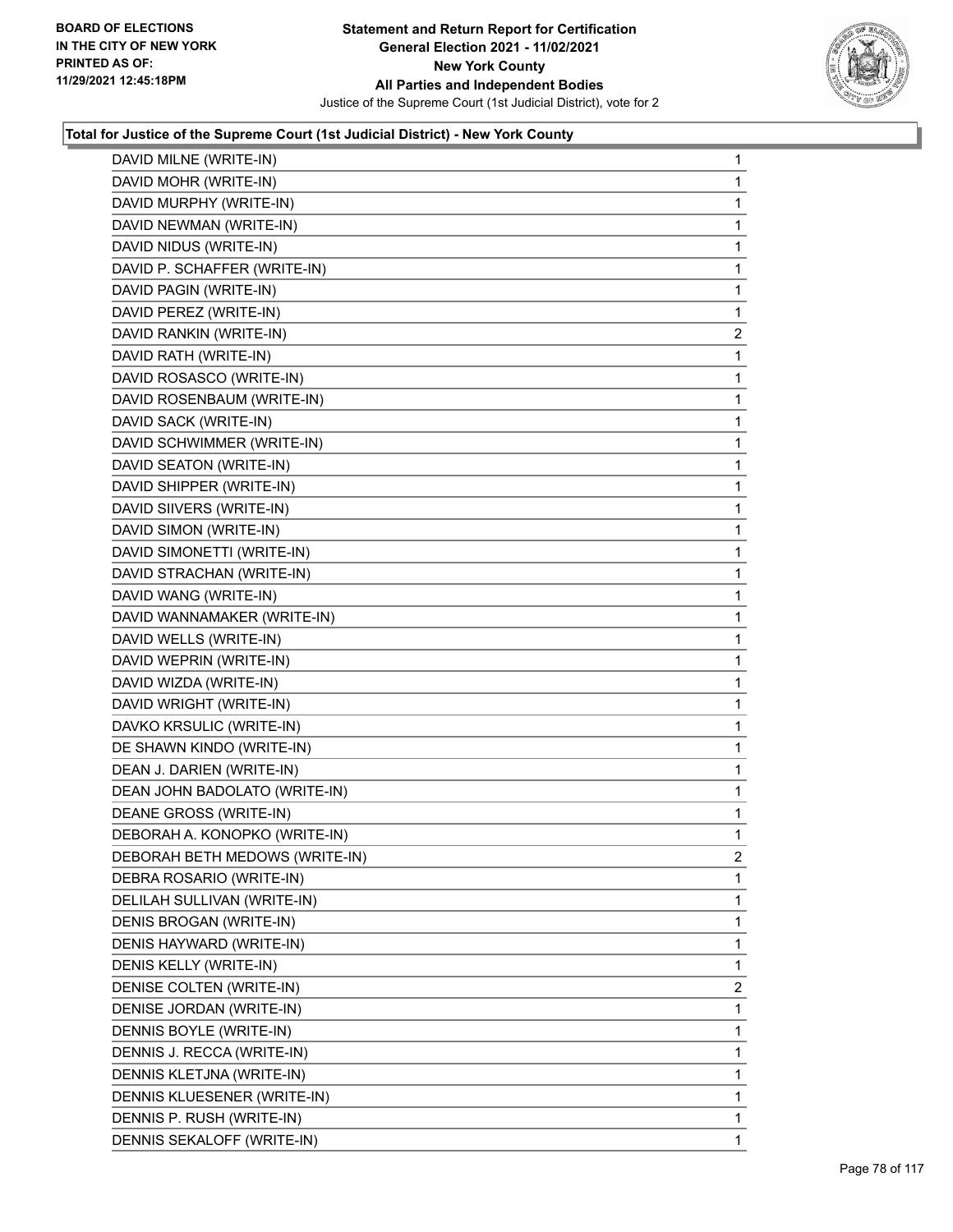

| DAVID MILNE (WRITE-IN)         | 1              |
|--------------------------------|----------------|
| DAVID MOHR (WRITE-IN)          | 1              |
| DAVID MURPHY (WRITE-IN)        | 1              |
| DAVID NEWMAN (WRITE-IN)        | 1              |
| DAVID NIDUS (WRITE-IN)         | 1              |
| DAVID P. SCHAFFER (WRITE-IN)   | 1              |
| DAVID PAGIN (WRITE-IN)         | 1              |
| DAVID PEREZ (WRITE-IN)         | 1              |
| DAVID RANKIN (WRITE-IN)        | $\overline{c}$ |
| DAVID RATH (WRITE-IN)          | 1              |
| DAVID ROSASCO (WRITE-IN)       | 1              |
| DAVID ROSENBAUM (WRITE-IN)     | 1              |
| DAVID SACK (WRITE-IN)          | 1              |
| DAVID SCHWIMMER (WRITE-IN)     | 1              |
| DAVID SEATON (WRITE-IN)        | 1              |
| DAVID SHIPPER (WRITE-IN)       | 1              |
| DAVID SIIVERS (WRITE-IN)       | 1              |
| DAVID SIMON (WRITE-IN)         | 1              |
| DAVID SIMONETTI (WRITE-IN)     | 1              |
| DAVID STRACHAN (WRITE-IN)      | 1              |
| DAVID WANG (WRITE-IN)          | 1              |
| DAVID WANNAMAKER (WRITE-IN)    | 1              |
| DAVID WELLS (WRITE-IN)         | 1              |
| DAVID WEPRIN (WRITE-IN)        | 1              |
| DAVID WIZDA (WRITE-IN)         | 1              |
| DAVID WRIGHT (WRITE-IN)        | 1              |
| DAVKO KRSULIC (WRITE-IN)       | 1              |
| DE SHAWN KINDO (WRITE-IN)      | 1              |
| DEAN J. DARIEN (WRITE-IN)      | 1              |
| DEAN JOHN BADOLATO (WRITE-IN)  | 1              |
| DEANE GROSS (WRITE-IN)         | 1              |
| DEBORAH A. KONOPKO (WRITE-IN)  | 1              |
| DEBORAH BETH MEDOWS (WRITE-IN) | 2              |
| DEBRA ROSARIO (WRITE-IN)       | 1              |
| DELILAH SULLIVAN (WRITE-IN)    | 1              |
| DENIS BROGAN (WRITE-IN)        | 1              |
| DENIS HAYWARD (WRITE-IN)       | 1              |
| DENIS KELLY (WRITE-IN)         | 1              |
| DENISE COLTEN (WRITE-IN)       | 2              |
| DENISE JORDAN (WRITE-IN)       | 1              |
| DENNIS BOYLE (WRITE-IN)        | 1              |
| DENNIS J. RECCA (WRITE-IN)     | 1              |
| DENNIS KLETJNA (WRITE-IN)      | 1              |
| DENNIS KLUESENER (WRITE-IN)    | 1              |
| DENNIS P. RUSH (WRITE-IN)      | 1              |
| DENNIS SEKALOFF (WRITE-IN)     | 1              |
|                                |                |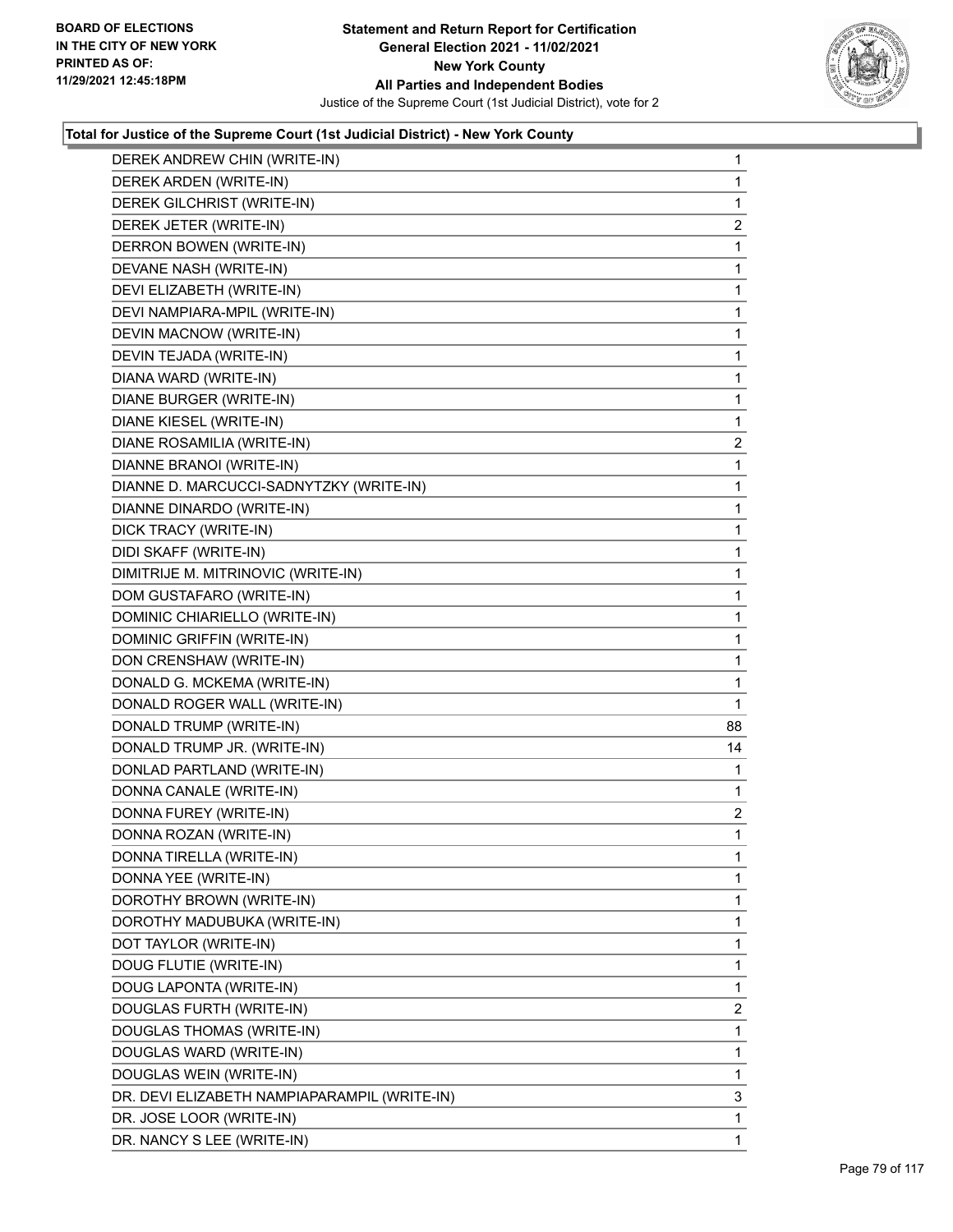

| DEREK ANDREW CHIN (WRITE-IN)                 | $\mathbf{1}$   |
|----------------------------------------------|----------------|
| DEREK ARDEN (WRITE-IN)                       | 1              |
| DEREK GILCHRIST (WRITE-IN)                   | 1              |
| DEREK JETER (WRITE-IN)                       | $\overline{a}$ |
| DERRON BOWEN (WRITE-IN)                      | 1              |
| DEVANE NASH (WRITE-IN)                       | 1              |
| DEVI ELIZABETH (WRITE-IN)                    | 1              |
| DEVI NAMPIARA-MPIL (WRITE-IN)                | 1              |
| DEVIN MACNOW (WRITE-IN)                      | 1              |
| DEVIN TEJADA (WRITE-IN)                      | 1              |
| DIANA WARD (WRITE-IN)                        | 1              |
| DIANE BURGER (WRITE-IN)                      | 1              |
| DIANE KIESEL (WRITE-IN)                      | 1              |
| DIANE ROSAMILIA (WRITE-IN)                   | $\overline{2}$ |
| DIANNE BRANOI (WRITE-IN)                     | 1              |
| DIANNE D. MARCUCCI-SADNYTZKY (WRITE-IN)      | 1              |
| DIANNE DINARDO (WRITE-IN)                    | 1              |
| DICK TRACY (WRITE-IN)                        | 1              |
| DIDI SKAFF (WRITE-IN)                        | 1              |
| DIMITRIJE M. MITRINOVIC (WRITE-IN)           | 1              |
| DOM GUSTAFARO (WRITE-IN)                     | 1              |
| DOMINIC CHIARIELLO (WRITE-IN)                | 1              |
| DOMINIC GRIFFIN (WRITE-IN)                   | 1              |
| DON CRENSHAW (WRITE-IN)                      | 1              |
| DONALD G. MCKEMA (WRITE-IN)                  | 1              |
| DONALD ROGER WALL (WRITE-IN)                 | 1              |
| DONALD TRUMP (WRITE-IN)                      | 88             |
| DONALD TRUMP JR. (WRITE-IN)                  | 14             |
| DONLAD PARTLAND (WRITE-IN)                   | 1              |
| DONNA CANALE (WRITE-IN)                      | 1              |
| DONNA FUREY (WRITE-IN)                       | $\overline{a}$ |
| DONNA ROZAN (WRITE-IN)                       | 1              |
| DONNA TIRELLA (WRITE-IN)                     | 1              |
| DONNA YEE (WRITE-IN)                         | 1              |
| DOROTHY BROWN (WRITE-IN)                     | 1              |
| DOROTHY MADUBUKA (WRITE-IN)                  | 1              |
| DOT TAYLOR (WRITE-IN)                        | 1              |
|                                              |                |
| DOUG FLUTIE (WRITE-IN)                       | 1              |
| DOUG LAPONTA (WRITE-IN)                      | 1              |
| DOUGLAS FURTH (WRITE-IN)                     | 2              |
| DOUGLAS THOMAS (WRITE-IN)                    | 1              |
| DOUGLAS WARD (WRITE-IN)                      | 1              |
| DOUGLAS WEIN (WRITE-IN)                      | 1              |
| DR. DEVI ELIZABETH NAMPIAPARAMPIL (WRITE-IN) | 3              |
| DR. JOSE LOOR (WRITE-IN)                     | 1              |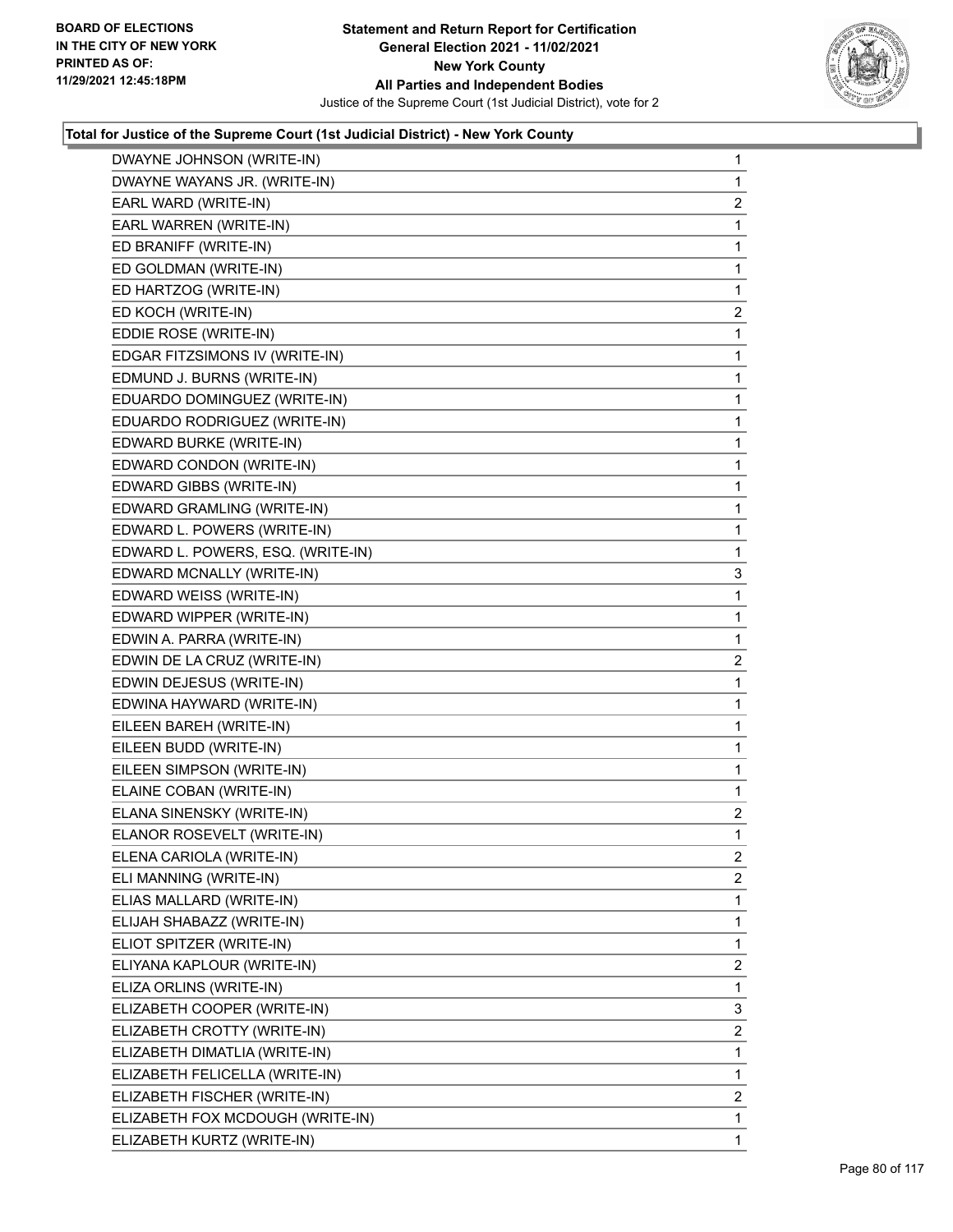

| DWAYNE JOHNSON (WRITE-IN)         | 1              |
|-----------------------------------|----------------|
| DWAYNE WAYANS JR. (WRITE-IN)      | 1              |
| EARL WARD (WRITE-IN)              | 2              |
| EARL WARREN (WRITE-IN)            | 1              |
| ED BRANIFF (WRITE-IN)             | 1              |
| ED GOLDMAN (WRITE-IN)             | $\mathbf{1}$   |
| ED HARTZOG (WRITE-IN)             | 1              |
| ED KOCH (WRITE-IN)                | $\overline{2}$ |
| EDDIE ROSE (WRITE-IN)             | 1              |
| EDGAR FITZSIMONS IV (WRITE-IN)    | 1              |
| EDMUND J. BURNS (WRITE-IN)        | 1              |
| EDUARDO DOMINGUEZ (WRITE-IN)      | 1              |
| EDUARDO RODRIGUEZ (WRITE-IN)      | 1              |
| EDWARD BURKE (WRITE-IN)           | 1              |
| EDWARD CONDON (WRITE-IN)          | 1              |
| EDWARD GIBBS (WRITE-IN)           | 1              |
| EDWARD GRAMLING (WRITE-IN)        | 1              |
| EDWARD L. POWERS (WRITE-IN)       | $\mathbf{1}$   |
| EDWARD L. POWERS, ESQ. (WRITE-IN) | 1              |
| EDWARD MCNALLY (WRITE-IN)         | 3              |
| EDWARD WEISS (WRITE-IN)           | 1              |
| EDWARD WIPPER (WRITE-IN)          | 1              |
| EDWIN A. PARRA (WRITE-IN)         | 1              |
| EDWIN DE LA CRUZ (WRITE-IN)       | 2              |
| EDWIN DEJESUS (WRITE-IN)          | 1              |
| EDWINA HAYWARD (WRITE-IN)         | 1              |
| EILEEN BAREH (WRITE-IN)           | 1              |
| EILEEN BUDD (WRITE-IN)            | 1              |
| EILEEN SIMPSON (WRITE-IN)         | 1              |
| ELAINE COBAN (WRITE-IN)           | 1              |
| ELANA SINENSKY (WRITE-IN)         | $\overline{c}$ |
| ELANOR ROSEVELT (WRITE-IN)        | 1              |
| ELENA CARIOLA (WRITE-IN)          | 2              |
| ELI MANNING (WRITE-IN)            | 2              |
| ELIAS MALLARD (WRITE-IN)          | 1              |
| ELIJAH SHABAZZ (WRITE-IN)         | 1              |
| ELIOT SPITZER (WRITE-IN)          | 1              |
| ELIYANA KAPLOUR (WRITE-IN)        | $\overline{2}$ |
| ELIZA ORLINS (WRITE-IN)           | 1              |
| ELIZABETH COOPER (WRITE-IN)       | 3              |
| ELIZABETH CROTTY (WRITE-IN)       | $\overline{2}$ |
| ELIZABETH DIMATLIA (WRITE-IN)     | 1              |
| ELIZABETH FELICELLA (WRITE-IN)    | 1              |
| ELIZABETH FISCHER (WRITE-IN)      | $\overline{2}$ |
| ELIZABETH FOX MCDOUGH (WRITE-IN)  | 1              |
| ELIZABETH KURTZ (WRITE-IN)        | 1              |
|                                   |                |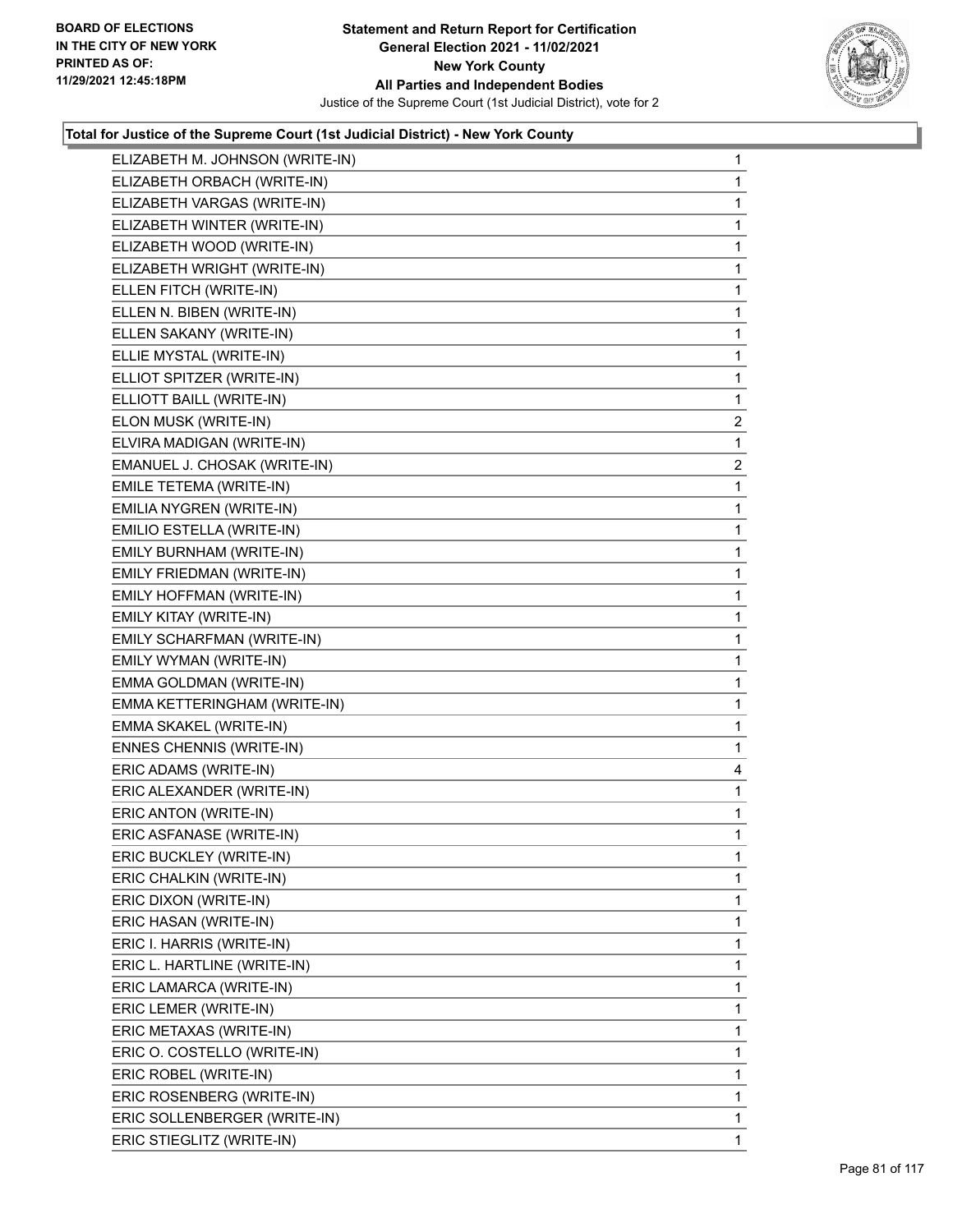

| ELIZABETH M. JOHNSON (WRITE-IN) | 1              |
|---------------------------------|----------------|
| ELIZABETH ORBACH (WRITE-IN)     | 1              |
| ELIZABETH VARGAS (WRITE-IN)     | 1              |
| ELIZABETH WINTER (WRITE-IN)     | 1              |
| ELIZABETH WOOD (WRITE-IN)       | $\mathbf{1}$   |
| ELIZABETH WRIGHT (WRITE-IN)     | 1              |
| ELLEN FITCH (WRITE-IN)          | 1              |
| ELLEN N. BIBEN (WRITE-IN)       | $\mathbf{1}$   |
| ELLEN SAKANY (WRITE-IN)         | 1              |
| ELLIE MYSTAL (WRITE-IN)         | 1              |
| ELLIOT SPITZER (WRITE-IN)       | 1              |
| ELLIOTT BAILL (WRITE-IN)        | $\mathbf{1}$   |
| ELON MUSK (WRITE-IN)            | $\overline{2}$ |
| ELVIRA MADIGAN (WRITE-IN)       | 1              |
| EMANUEL J. CHOSAK (WRITE-IN)    | $\overline{2}$ |
| EMILE TETEMA (WRITE-IN)         | 1              |
| EMILIA NYGREN (WRITE-IN)        | 1              |
| EMILIO ESTELLA (WRITE-IN)       | 1              |
| EMILY BURNHAM (WRITE-IN)        | 1              |
| EMILY FRIEDMAN (WRITE-IN)       | 1              |
| EMILY HOFFMAN (WRITE-IN)        | 1              |
| EMILY KITAY (WRITE-IN)          | 1              |
| EMILY SCHARFMAN (WRITE-IN)      | 1              |
| EMILY WYMAN (WRITE-IN)          | 1              |
| EMMA GOLDMAN (WRITE-IN)         | 1              |
| EMMA KETTERINGHAM (WRITE-IN)    | $\mathbf{1}$   |
| EMMA SKAKEL (WRITE-IN)          | 1              |
| ENNES CHENNIS (WRITE-IN)        | 1              |
| ERIC ADAMS (WRITE-IN)           | 4              |
| ERIC ALEXANDER (WRITE-IN)       | 1              |
| ERIC ANTON (WRITE-IN)           | 1              |
| ERIC ASFANASE (WRITE-IN)        | 1              |
| ERIC BUCKLEY (WRITE-IN)         | 1              |
| ERIC CHALKIN (WRITE-IN)         | 1              |
| ERIC DIXON (WRITE-IN)           | 1              |
| ERIC HASAN (WRITE-IN)           | 1              |
| ERIC I. HARRIS (WRITE-IN)       | 1              |
| ERIC L. HARTLINE (WRITE-IN)     | 1              |
| ERIC LAMARCA (WRITE-IN)         | 1              |
| ERIC LEMER (WRITE-IN)           | 1              |
| ERIC METAXAS (WRITE-IN)         | 1              |
| ERIC O. COSTELLO (WRITE-IN)     | 1              |
| ERIC ROBEL (WRITE-IN)           | 1              |
| ERIC ROSENBERG (WRITE-IN)       | 1              |
| ERIC SOLLENBERGER (WRITE-IN)    | 1              |
| ERIC STIEGLITZ (WRITE-IN)       | 1.             |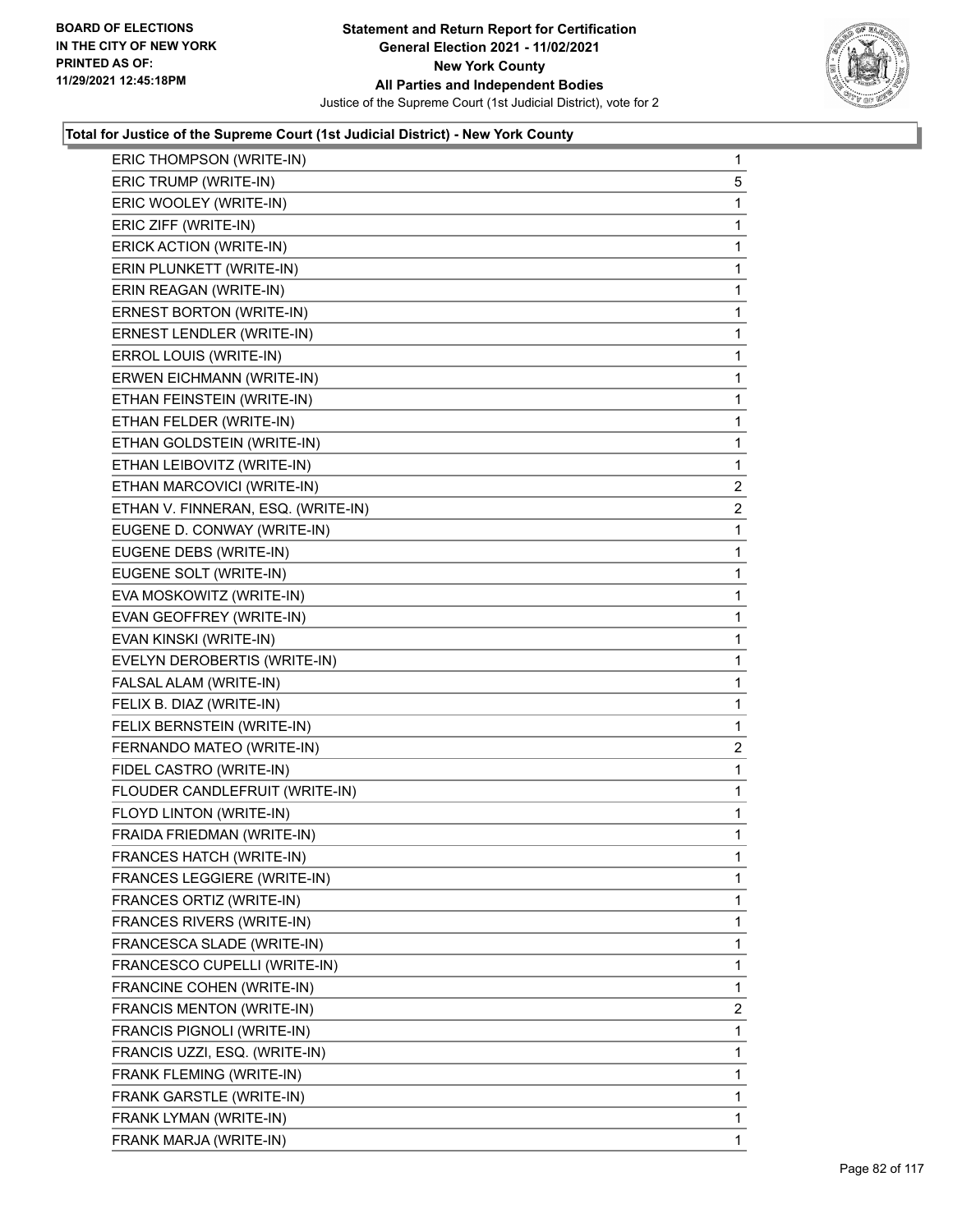

| ERIC THOMPSON (WRITE-IN)           | 1              |
|------------------------------------|----------------|
| ERIC TRUMP (WRITE-IN)              | 5              |
| ERIC WOOLEY (WRITE-IN)             | 1              |
| ERIC ZIFF (WRITE-IN)               | 1              |
| ERICK ACTION (WRITE-IN)            | $\mathbf{1}$   |
| ERIN PLUNKETT (WRITE-IN)           | 1              |
| ERIN REAGAN (WRITE-IN)             | 1              |
| ERNEST BORTON (WRITE-IN)           | $\mathbf{1}$   |
| ERNEST LENDLER (WRITE-IN)          | $\mathbf{1}$   |
| ERROL LOUIS (WRITE-IN)             | 1              |
| ERWEN EICHMANN (WRITE-IN)          | $\mathbf{1}$   |
| ETHAN FEINSTEIN (WRITE-IN)         | 1              |
| ETHAN FELDER (WRITE-IN)            | 1              |
| ETHAN GOLDSTEIN (WRITE-IN)         | $\mathbf{1}$   |
| ETHAN LEIBOVITZ (WRITE-IN)         | 1              |
| ETHAN MARCOVICI (WRITE-IN)         | $\overline{2}$ |
| ETHAN V. FINNERAN, ESQ. (WRITE-IN) | $\overline{c}$ |
| EUGENE D. CONWAY (WRITE-IN)        | 1              |
| EUGENE DEBS (WRITE-IN)             | 1              |
| EUGENE SOLT (WRITE-IN)             | $\mathbf{1}$   |
| EVA MOSKOWITZ (WRITE-IN)           | 1              |
| EVAN GEOFFREY (WRITE-IN)           | 1              |
| EVAN KINSKI (WRITE-IN)             | 1              |
| EVELYN DEROBERTIS (WRITE-IN)       | 1              |
| FALSAL ALAM (WRITE-IN)             | 1              |
| FELIX B. DIAZ (WRITE-IN)           | $\mathbf{1}$   |
| FELIX BERNSTEIN (WRITE-IN)         | 1              |
| FERNANDO MATEO (WRITE-IN)          | 2              |
| FIDEL CASTRO (WRITE-IN)            | 1              |
| FLOUDER CANDLEFRUIT (WRITE-IN)     | 1              |
| FLOYD LINTON (WRITE-IN)            | 1              |
| FRAIDA FRIEDMAN (WRITE-IN)         | 1              |
| <b>FRANCES HATCH (WRITE-IN)</b>    | 1              |
| FRANCES LEGGIERE (WRITE-IN)        | 1              |
| FRANCES ORTIZ (WRITE-IN)           | 1              |
| FRANCES RIVERS (WRITE-IN)          | 1              |
| FRANCESCA SLADE (WRITE-IN)         | 1              |
| FRANCESCO CUPELLI (WRITE-IN)       | 1              |
| FRANCINE COHEN (WRITE-IN)          | 1              |
| FRANCIS MENTON (WRITE-IN)          | 2              |
| FRANCIS PIGNOLI (WRITE-IN)         | 1              |
| FRANCIS UZZI, ESQ. (WRITE-IN)      | 1              |
| FRANK FLEMING (WRITE-IN)           | 1              |
| FRANK GARSTLE (WRITE-IN)           | 1              |
| FRANK LYMAN (WRITE-IN)             | 1              |
| FRANK MARJA (WRITE-IN)             | 1              |
|                                    |                |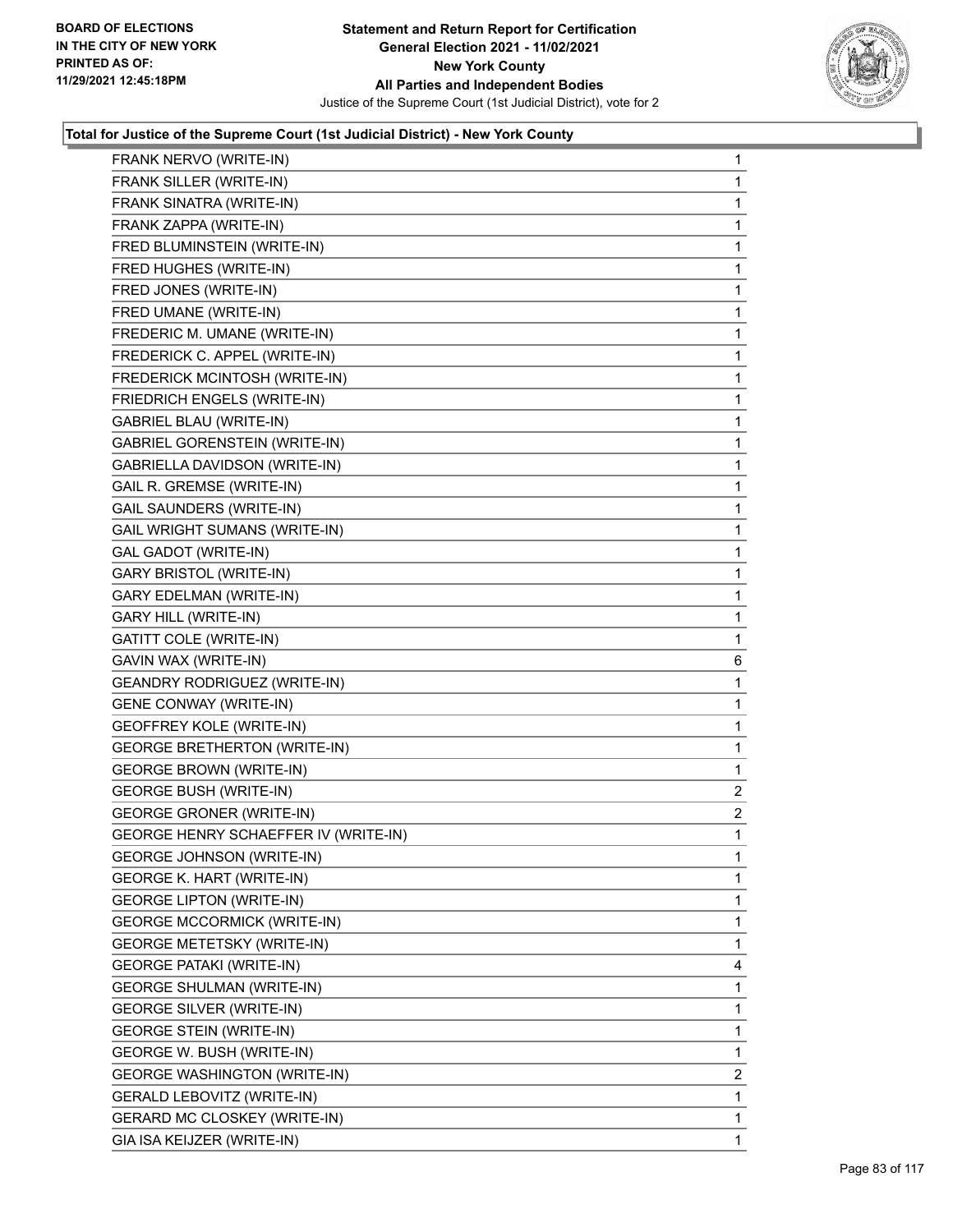

| FRANK NERVO (WRITE-IN)               | 1              |
|--------------------------------------|----------------|
| FRANK SILLER (WRITE-IN)              | $\mathbf{1}$   |
| FRANK SINATRA (WRITE-IN)             | 1              |
| FRANK ZAPPA (WRITE-IN)               | 1              |
| FRED BLUMINSTEIN (WRITE-IN)          | 1              |
| FRED HUGHES (WRITE-IN)               | 1              |
| FRED JONES (WRITE-IN)                | 1              |
| FRED UMANE (WRITE-IN)                | 1              |
| FREDERIC M. UMANE (WRITE-IN)         | 1              |
| FREDERICK C. APPEL (WRITE-IN)        | 1              |
| FREDERICK MCINTOSH (WRITE-IN)        | 1              |
| FRIEDRICH ENGELS (WRITE-IN)          | 1              |
| <b>GABRIEL BLAU (WRITE-IN)</b>       | 1              |
| <b>GABRIEL GORENSTEIN (WRITE-IN)</b> | 1              |
| <b>GABRIELLA DAVIDSON (WRITE-IN)</b> | 1              |
| <b>GAIL R. GREMSE (WRITE-IN)</b>     | 1              |
| GAIL SAUNDERS (WRITE-IN)             | 1              |
| <b>GAIL WRIGHT SUMANS (WRITE-IN)</b> | 1              |
| <b>GAL GADOT (WRITE-IN)</b>          | 1              |
| <b>GARY BRISTOL (WRITE-IN)</b>       | 1              |
| <b>GARY EDELMAN (WRITE-IN)</b>       | 1              |
| <b>GARY HILL (WRITE-IN)</b>          | 1              |
| <b>GATITT COLE (WRITE-IN)</b>        | 1              |
|                                      |                |
| GAVIN WAX (WRITE-IN)                 | 6              |
| <b>GEANDRY RODRIGUEZ (WRITE-IN)</b>  | 1              |
| <b>GENE CONWAY (WRITE-IN)</b>        | 1              |
| GEOFFREY KOLE (WRITE-IN)             | 1              |
| <b>GEORGE BRETHERTON (WRITE-IN)</b>  | 1              |
| <b>GEORGE BROWN (WRITE-IN)</b>       | 1              |
| <b>GEORGE BUSH (WRITE-IN)</b>        | 2              |
| <b>GEORGE GRONER (WRITE-IN)</b>      | $\overline{a}$ |
| GEORGE HENRY SCHAEFFER IV (WRITE-IN) | 1              |
| GEORGE JOHNSON (WRITE-IN)            | 1              |
| <b>GEORGE K. HART (WRITE-IN)</b>     | 1              |
| <b>GEORGE LIPTON (WRITE-IN)</b>      | 1              |
| <b>GEORGE MCCORMICK (WRITE-IN)</b>   | 1              |
| <b>GEORGE METETSKY (WRITE-IN)</b>    | 1              |
| <b>GEORGE PATAKI (WRITE-IN)</b>      | 4              |
| GEORGE SHULMAN (WRITE-IN)            | 1              |
| <b>GEORGE SILVER (WRITE-IN)</b>      | 1              |
| <b>GEORGE STEIN (WRITE-IN)</b>       | 1              |
| GEORGE W. BUSH (WRITE-IN)            | 1              |
| <b>GEORGE WASHINGTON (WRITE-IN)</b>  | $\overline{2}$ |
| GERALD LEBOVITZ (WRITE-IN)           | 1              |
| GERARD MC CLOSKEY (WRITE-IN)         | 1              |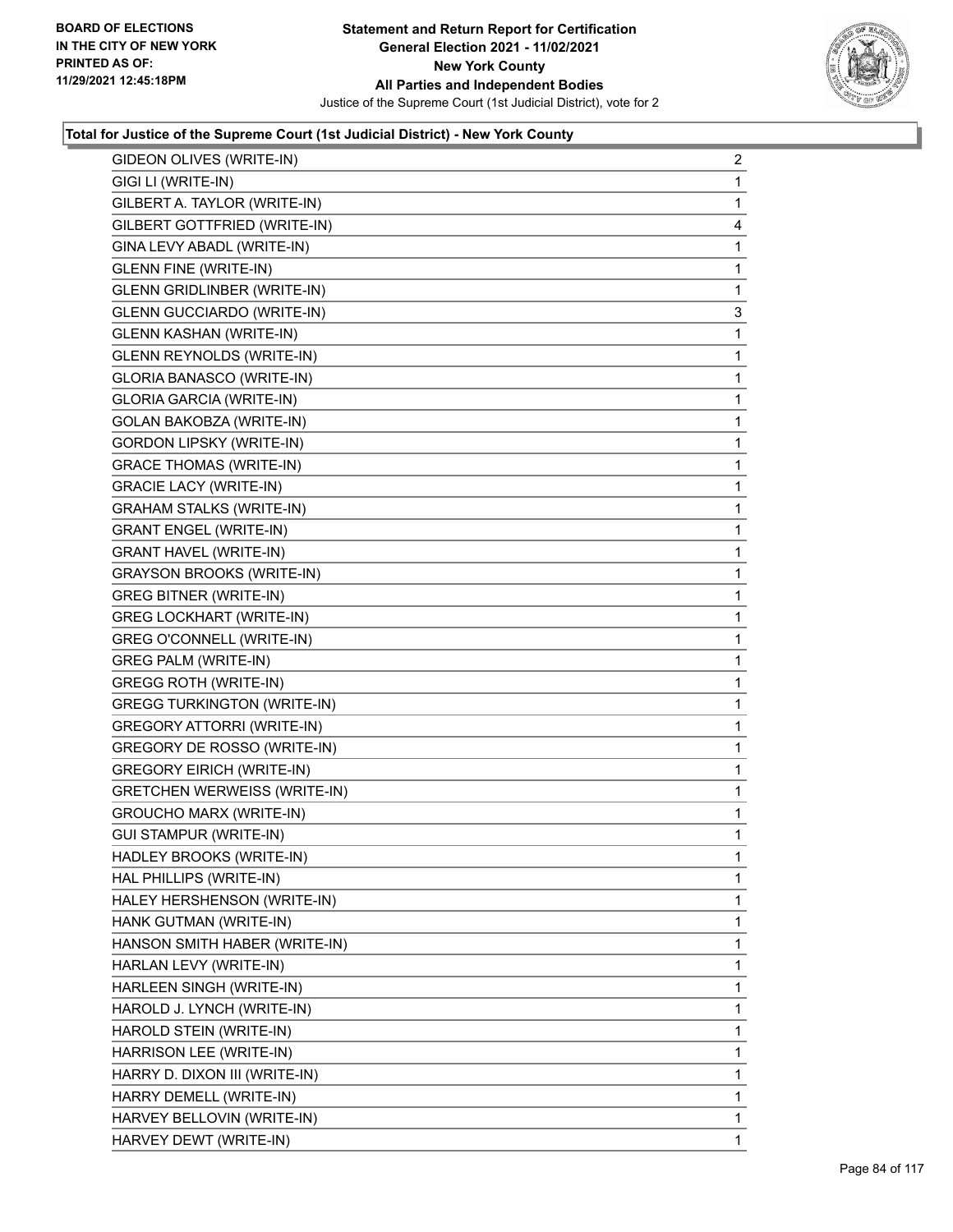

| GIDEON OLIVES (WRITE-IN)            | $\overline{2}$ |
|-------------------------------------|----------------|
| GIGI LI (WRITE-IN)                  | 1              |
| GILBERT A. TAYLOR (WRITE-IN)        | 1              |
| GILBERT GOTTFRIED (WRITE-IN)        | 4              |
| GINA LEVY ABADL (WRITE-IN)          | 1              |
| <b>GLENN FINE (WRITE-IN)</b>        | 1              |
| <b>GLENN GRIDLINBER (WRITE-IN)</b>  | 1              |
| <b>GLENN GUCCIARDO (WRITE-IN)</b>   | 3              |
| <b>GLENN KASHAN (WRITE-IN)</b>      | 1              |
| GLENN REYNOLDS (WRITE-IN)           | 1              |
| <b>GLORIA BANASCO (WRITE-IN)</b>    | 1              |
| GLORIA GARCIA (WRITE-IN)            | 1              |
| <b>GOLAN BAKOBZA (WRITE-IN)</b>     | $\mathbf{1}$   |
| <b>GORDON LIPSKY (WRITE-IN)</b>     | 1              |
| <b>GRACE THOMAS (WRITE-IN)</b>      | 1              |
| <b>GRACIE LACY (WRITE-IN)</b>       | 1              |
| <b>GRAHAM STALKS (WRITE-IN)</b>     | 1              |
| <b>GRANT ENGEL (WRITE-IN)</b>       | 1              |
| <b>GRANT HAVEL (WRITE-IN)</b>       | $\mathbf{1}$   |
| <b>GRAYSON BROOKS (WRITE-IN)</b>    | 1              |
| <b>GREG BITNER (WRITE-IN)</b>       | 1              |
| <b>GREG LOCKHART (WRITE-IN)</b>     | 1              |
| GREG O'CONNELL (WRITE-IN)           | 1              |
| <b>GREG PALM (WRITE-IN)</b>         | 1              |
| <b>GREGG ROTH (WRITE-IN)</b>        | $\mathbf{1}$   |
| <b>GREGG TURKINGTON (WRITE-IN)</b>  | 1              |
| <b>GREGORY ATTORRI (WRITE-IN)</b>   | 1              |
| GREGORY DE ROSSO (WRITE-IN)         | 1              |
| <b>GREGORY EIRICH (WRITE-IN)</b>    | 1              |
| <b>GRETCHEN WERWEISS (WRITE-IN)</b> | 1              |
| <b>GROUCHO MARX (WRITE-IN)</b>      | $\mathbf{1}$   |
| <b>GUI STAMPUR (WRITE-IN)</b>       | 1              |
| HADLEY BROOKS (WRITE-IN)            | 1              |
| HAL PHILLIPS (WRITE-IN)             | 1              |
| HALEY HERSHENSON (WRITE-IN)         | 1              |
| HANK GUTMAN (WRITE-IN)              | 1              |
| HANSON SMITH HABER (WRITE-IN)       | 1              |
| HARLAN LEVY (WRITE-IN)              | 1              |
| HARLEEN SINGH (WRITE-IN)            | 1              |
| HAROLD J. LYNCH (WRITE-IN)          | 1              |
| HAROLD STEIN (WRITE-IN)             | 1              |
| HARRISON LEE (WRITE-IN)             | 1              |
| HARRY D. DIXON III (WRITE-IN)       | 1              |
| HARRY DEMELL (WRITE-IN)             | 1              |
| HARVEY BELLOVIN (WRITE-IN)          | 1              |
| HARVEY DEWT (WRITE-IN)              | 1              |
|                                     |                |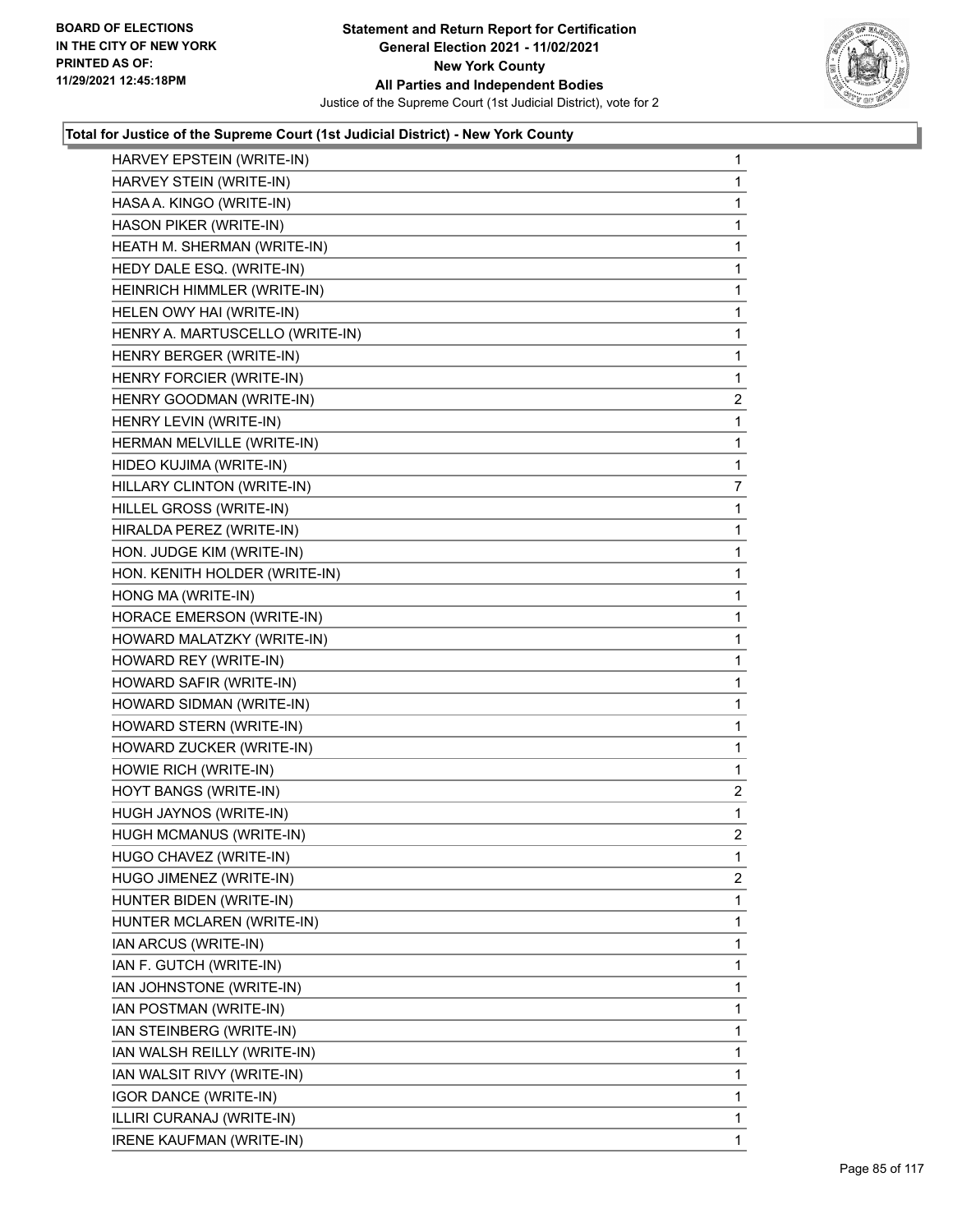

| HARVEY EPSTEIN (WRITE-IN)       | 1              |
|---------------------------------|----------------|
| HARVEY STEIN (WRITE-IN)         | 1              |
| HASA A. KINGO (WRITE-IN)        | 1              |
| HASON PIKER (WRITE-IN)          | 1              |
| HEATH M. SHERMAN (WRITE-IN)     | 1              |
| HEDY DALE ESQ. (WRITE-IN)       | 1              |
| HEINRICH HIMMLER (WRITE-IN)     | 1              |
| HELEN OWY HAI (WRITE-IN)        | $\mathbf{1}$   |
| HENRY A. MARTUSCELLO (WRITE-IN) | 1              |
| HENRY BERGER (WRITE-IN)         | 1              |
| HENRY FORCIER (WRITE-IN)        | 1              |
| HENRY GOODMAN (WRITE-IN)        | $\overline{2}$ |
| HENRY LEVIN (WRITE-IN)          | 1              |
| HERMAN MELVILLE (WRITE-IN)      | $\mathbf{1}$   |
| HIDEO KUJIMA (WRITE-IN)         | 1              |
| HILLARY CLINTON (WRITE-IN)      | 7              |
| HILLEL GROSS (WRITE-IN)         | 1              |
| HIRALDA PEREZ (WRITE-IN)        | 1              |
| HON. JUDGE KIM (WRITE-IN)       | 1              |
| HON. KENITH HOLDER (WRITE-IN)   | $\mathbf{1}$   |
| HONG MA (WRITE-IN)              | 1              |
| HORACE EMERSON (WRITE-IN)       | 1              |
| HOWARD MALATZKY (WRITE-IN)      | $\mathbf{1}$   |
| HOWARD REY (WRITE-IN)           | 1              |
| HOWARD SAFIR (WRITE-IN)         | 1              |
| HOWARD SIDMAN (WRITE-IN)        | $\mathbf{1}$   |
| HOWARD STERN (WRITE-IN)         | 1              |
| HOWARD ZUCKER (WRITE-IN)        | 1              |
| HOWIE RICH (WRITE-IN)           | 1              |
| HOYT BANGS (WRITE-IN)           | $\overline{2}$ |
| HUGH JAYNOS (WRITE-IN)          | 1              |
| HUGH MCMANUS (WRITE-IN)         | $\overline{2}$ |
| HUGO CHAVEZ (WRITE-IN)          | 1              |
| HUGO JIMENEZ (WRITE-IN)         | 2              |
| HUNTER BIDEN (WRITE-IN)         | 1              |
| HUNTER MCLAREN (WRITE-IN)       | 1              |
| IAN ARCUS (WRITE-IN)            | 1              |
| IAN F. GUTCH (WRITE-IN)         | 1              |
| IAN JOHNSTONE (WRITE-IN)        | 1              |
| IAN POSTMAN (WRITE-IN)          | 1              |
| IAN STEINBERG (WRITE-IN)        | 1              |
| IAN WALSH REILLY (WRITE-IN)     | 1              |
| IAN WALSIT RIVY (WRITE-IN)      | 1              |
| <b>IGOR DANCE (WRITE-IN)</b>    | 1              |
| ILLIRI CURANAJ (WRITE-IN)       | 1              |
| <b>IRENE KAUFMAN (WRITE-IN)</b> | 1              |
|                                 |                |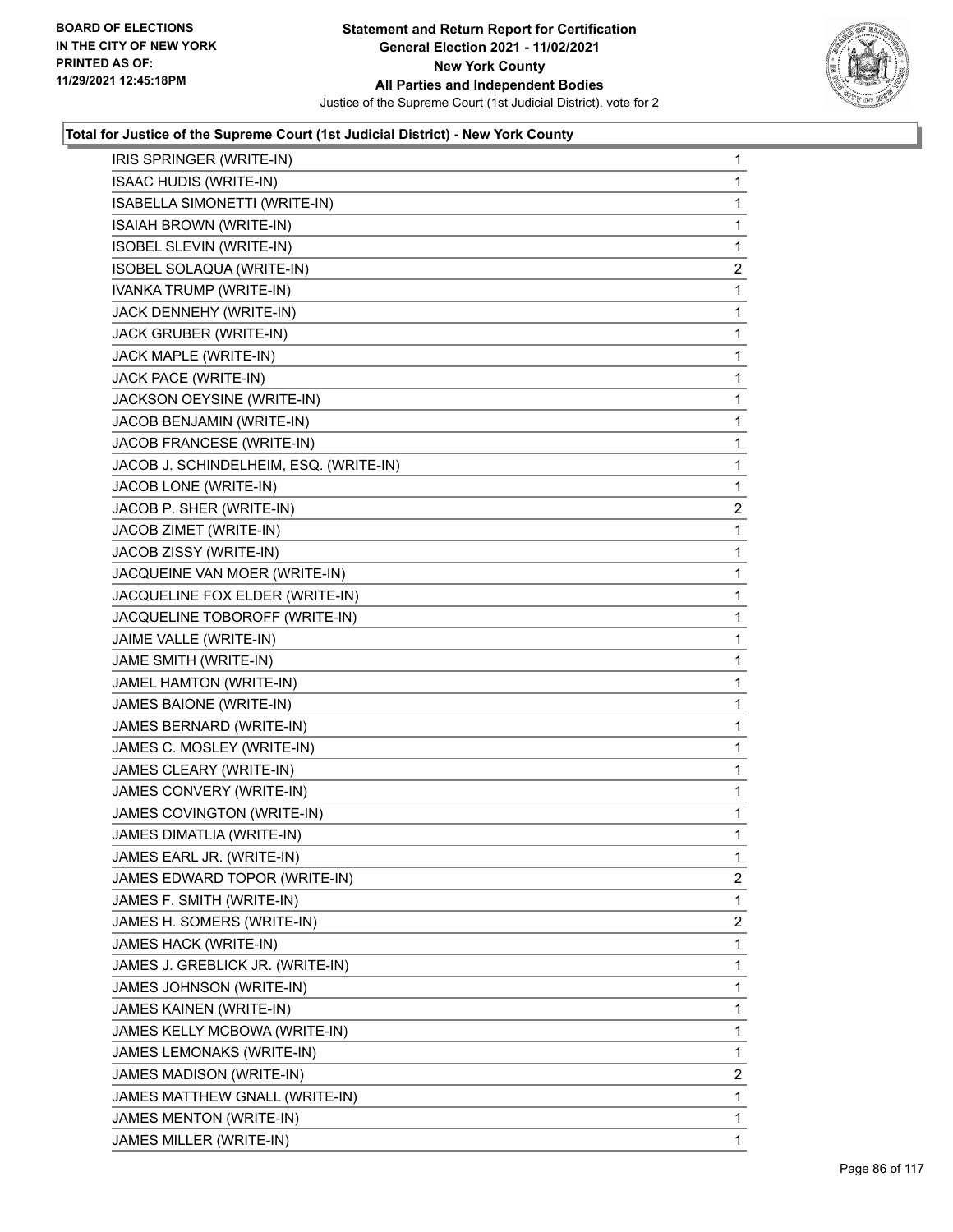

| IRIS SPRINGER (WRITE-IN)               | $\mathbf{1}$   |
|----------------------------------------|----------------|
| ISAAC HUDIS (WRITE-IN)                 | 1              |
| ISABELLA SIMONETTI (WRITE-IN)          | 1              |
| ISAIAH BROWN (WRITE-IN)                | 1              |
| ISOBEL SLEVIN (WRITE-IN)               | 1              |
| ISOBEL SOLAQUA (WRITE-IN)              | 2              |
| IVANKA TRUMP (WRITE-IN)                | $\mathbf{1}$   |
| JACK DENNEHY (WRITE-IN)                | 1              |
| JACK GRUBER (WRITE-IN)                 | 1              |
| JACK MAPLE (WRITE-IN)                  | 1              |
| JACK PACE (WRITE-IN)                   | 1              |
| JACKSON OEYSINE (WRITE-IN)             | 1              |
| JACOB BENJAMIN (WRITE-IN)              | 1              |
| JACOB FRANCESE (WRITE-IN)              | 1              |
| JACOB J. SCHINDELHEIM, ESQ. (WRITE-IN) | 1              |
| JACOB LONE (WRITE-IN)                  | 1              |
| JACOB P. SHER (WRITE-IN)               | 2              |
| JACOB ZIMET (WRITE-IN)                 | 1              |
| JACOB ZISSY (WRITE-IN)                 | 1              |
| JACQUEINE VAN MOER (WRITE-IN)          | 1              |
| JACQUELINE FOX ELDER (WRITE-IN)        | 1              |
| JACQUELINE TOBOROFF (WRITE-IN)         | 1              |
| JAIME VALLE (WRITE-IN)                 | 1              |
| JAME SMITH (WRITE-IN)                  | 1              |
| JAMEL HAMTON (WRITE-IN)                | 1              |
| JAMES BAIONE (WRITE-IN)                | 1              |
| JAMES BERNARD (WRITE-IN)               | 1              |
| JAMES C. MOSLEY (WRITE-IN)             | 1              |
| JAMES CLEARY (WRITE-IN)                | 1              |
| JAMES CONVERY (WRITE-IN)               | 1              |
| JAMES COVINGTON (WRITE-IN)             | 1              |
| JAMES DIMATLIA (WRITE-IN)              | 1              |
| JAMES EARL JR. (WRITE-IN)              | 1              |
| JAMES EDWARD TOPOR (WRITE-IN)          | $\overline{2}$ |
| JAMES F. SMITH (WRITE-IN)              | 1              |
| JAMES H. SOMERS (WRITE-IN)             | $\overline{2}$ |
| JAMES HACK (WRITE-IN)                  | 1              |
| JAMES J. GREBLICK JR. (WRITE-IN)       | 1              |
| JAMES JOHNSON (WRITE-IN)               | 1              |
| JAMES KAINEN (WRITE-IN)                | 1              |
| JAMES KELLY MCBOWA (WRITE-IN)          | 1              |
| JAMES LEMONAKS (WRITE-IN)              | 1              |
| JAMES MADISON (WRITE-IN)               | $\overline{2}$ |
| JAMES MATTHEW GNALL (WRITE-IN)         | 1              |
| JAMES MENTON (WRITE-IN)                | 1              |
| JAMES MILLER (WRITE-IN)                | $\mathbf{1}$   |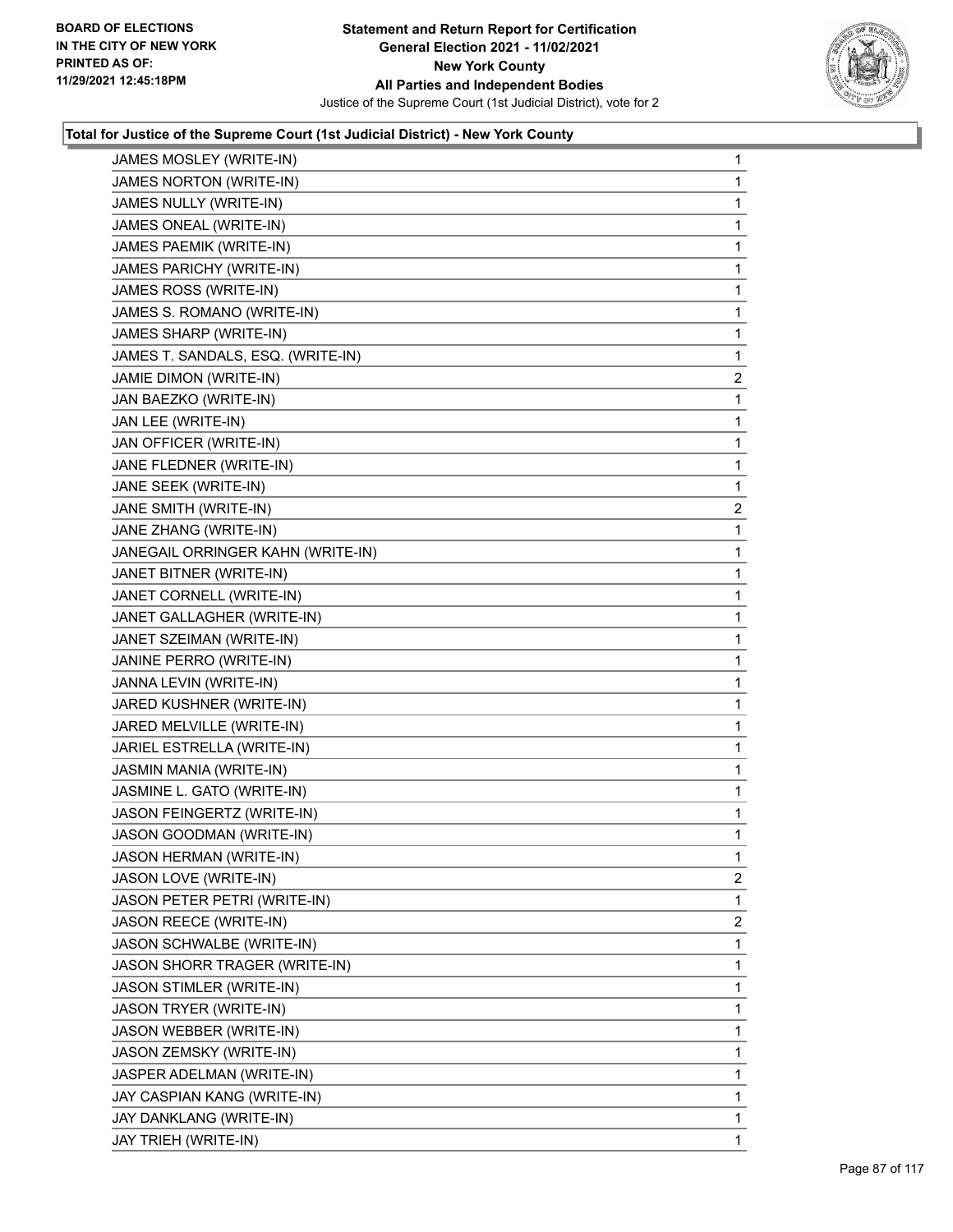

| JAMES MOSLEY (WRITE-IN)           | $\mathbf{1}$   |
|-----------------------------------|----------------|
| JAMES NORTON (WRITE-IN)           | 1              |
| JAMES NULLY (WRITE-IN)            | 1              |
| JAMES ONEAL (WRITE-IN)            | 1              |
| JAMES PAEMIK (WRITE-IN)           | 1              |
| JAMES PARICHY (WRITE-IN)          | 1              |
| JAMES ROSS (WRITE-IN)             | 1              |
| JAMES S. ROMANO (WRITE-IN)        | 1              |
| JAMES SHARP (WRITE-IN)            | 1              |
| JAMES T. SANDALS, ESQ. (WRITE-IN) | 1              |
| JAMIE DIMON (WRITE-IN)            | $\overline{c}$ |
| JAN BAEZKO (WRITE-IN)             | 1              |
| JAN LEE (WRITE-IN)                | 1              |
| JAN OFFICER (WRITE-IN)            | 1              |
| JANE FLEDNER (WRITE-IN)           | 1              |
| JANE SEEK (WRITE-IN)              | 1              |
| JANE SMITH (WRITE-IN)             | $\overline{c}$ |
| JANE ZHANG (WRITE-IN)             | 1              |
| JANEGAIL ORRINGER KAHN (WRITE-IN) | 1              |
| JANET BITNER (WRITE-IN)           | 1              |
| JANET CORNELL (WRITE-IN)          | 1              |
| JANET GALLAGHER (WRITE-IN)        | 1              |
| JANET SZEIMAN (WRITE-IN)          | 1              |
| JANINE PERRO (WRITE-IN)           | 1              |
| JANNA LEVIN (WRITE-IN)            | 1              |
| JARED KUSHNER (WRITE-IN)          | 1              |
| JARED MELVILLE (WRITE-IN)         | 1              |
| JARIEL ESTRELLA (WRITE-IN)        | 1              |
| JASMIN MANIA (WRITE-IN)           | 1              |
| JASMINE L. GATO (WRITE-IN)        | 1              |
| <b>JASON FEINGERTZ (WRITE-IN)</b> | 1              |
| JASON GOODMAN (WRITE-IN)          | 1              |
| JASON HERMAN (WRITE-IN)           | 1              |
| JASON LOVE (WRITE-IN)             | $\overline{2}$ |
| JASON PETER PETRI (WRITE-IN)      | 1              |
| JASON REECE (WRITE-IN)            | $\overline{2}$ |
| JASON SCHWALBE (WRITE-IN)         | 1              |
| JASON SHORR TRAGER (WRITE-IN)     | 1              |
| JASON STIMLER (WRITE-IN)          | 1              |
| JASON TRYER (WRITE-IN)            | 1              |
| JASON WEBBER (WRITE-IN)           | 1              |
| JASON ZEMSKY (WRITE-IN)           | 1              |
| JASPER ADELMAN (WRITE-IN)         | 1              |
| JAY CASPIAN KANG (WRITE-IN)       | 1              |
| JAY DANKLANG (WRITE-IN)           | 1              |
| JAY TRIEH (WRITE-IN)              | 1              |
|                                   |                |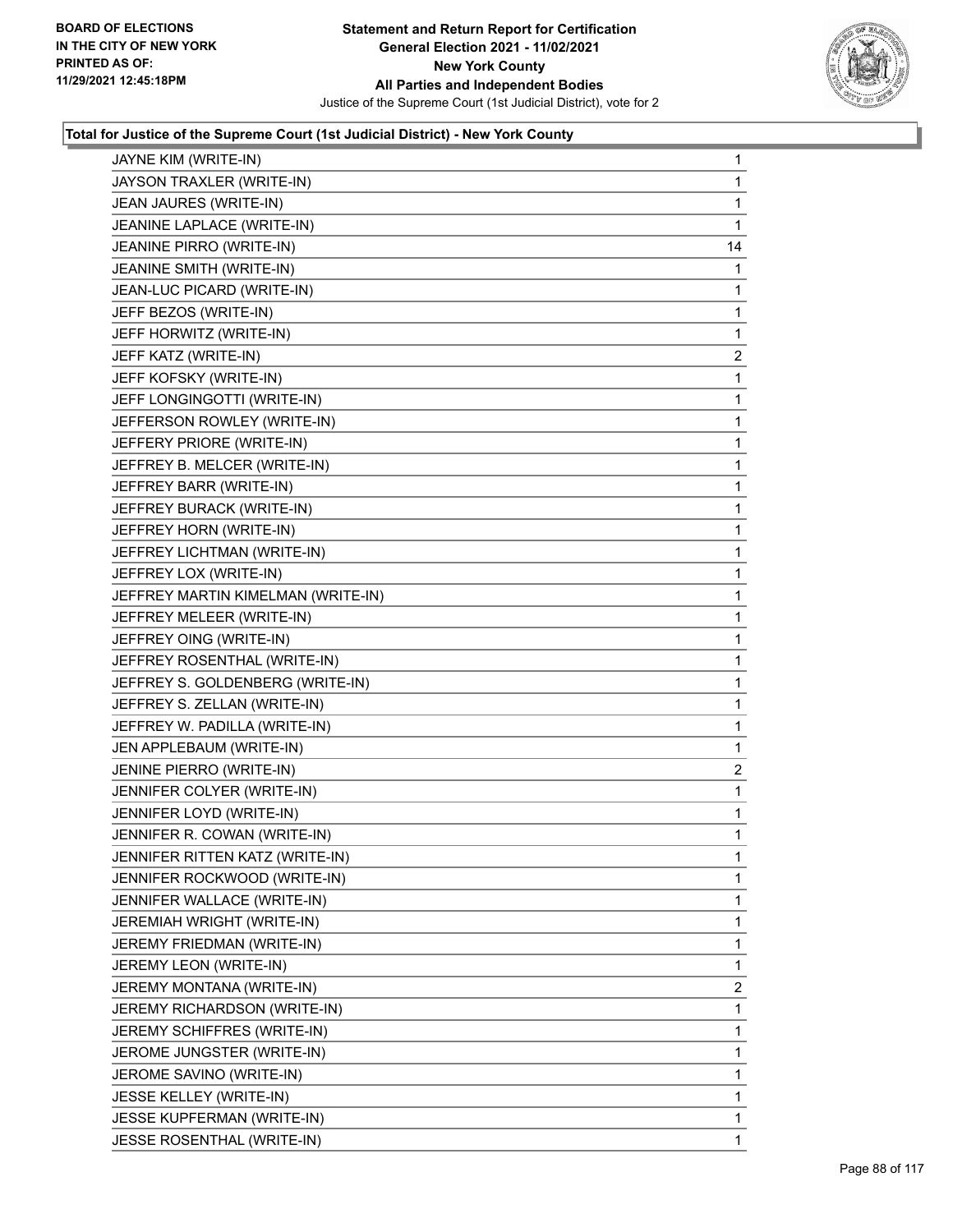

| JAYNE KIM (WRITE-IN)               | 1              |
|------------------------------------|----------------|
| JAYSON TRAXLER (WRITE-IN)          | $\mathbf{1}$   |
| JEAN JAURES (WRITE-IN)             | 1              |
| JEANINE LAPLACE (WRITE-IN)         | 1              |
| JEANINE PIRRO (WRITE-IN)           | 14             |
| JEANINE SMITH (WRITE-IN)           | 1              |
| JEAN-LUC PICARD (WRITE-IN)         | 1              |
| JEFF BEZOS (WRITE-IN)              | 1              |
| JEFF HORWITZ (WRITE-IN)            | 1              |
| JEFF KATZ (WRITE-IN)               | $\overline{c}$ |
| JEFF KOFSKY (WRITE-IN)             | 1              |
| JEFF LONGINGOTTI (WRITE-IN)        | 1              |
| JEFFERSON ROWLEY (WRITE-IN)        | 1              |
| JEFFERY PRIORE (WRITE-IN)          | 1              |
| JEFFREY B. MELCER (WRITE-IN)       | 1              |
| JEFFREY BARR (WRITE-IN)            | 1              |
| JEFFREY BURACK (WRITE-IN)          | 1              |
| JEFFREY HORN (WRITE-IN)            | 1              |
| JEFFREY LICHTMAN (WRITE-IN)        | 1              |
| JEFFREY LOX (WRITE-IN)             | 1              |
| JEFFREY MARTIN KIMELMAN (WRITE-IN) | 1              |
| JEFFREY MELEER (WRITE-IN)          | 1              |
| JEFFREY OING (WRITE-IN)            | 1              |
| JEFFREY ROSENTHAL (WRITE-IN)       | 1              |
| JEFFREY S. GOLDENBERG (WRITE-IN)   | 1              |
| JEFFREY S. ZELLAN (WRITE-IN)       | 1              |
| JEFFREY W. PADILLA (WRITE-IN)      | 1              |
| JEN APPLEBAUM (WRITE-IN)           | 1              |
| JENINE PIERRO (WRITE-IN)           | $\overline{c}$ |
| JENNIFER COLYER (WRITE-IN)         | 1              |
| JENNIFER LOYD (WRITE-IN)           | 1              |
| JENNIFER R. COWAN (WRITE-IN)       | 1              |
| JENNIFER RITTEN KATZ (WRITE-IN)    | 1              |
| JENNIFER ROCKWOOD (WRITE-IN)       | 1              |
| JENNIFER WALLACE (WRITE-IN)        | 1              |
| JEREMIAH WRIGHT (WRITE-IN)         | 1              |
| JEREMY FRIEDMAN (WRITE-IN)         | 1              |
| JEREMY LEON (WRITE-IN)             | 1              |
| JEREMY MONTANA (WRITE-IN)          | 2              |
| JEREMY RICHARDSON (WRITE-IN)       | 1              |
| JEREMY SCHIFFRES (WRITE-IN)        | 1              |
| JEROME JUNGSTER (WRITE-IN)         | 1              |
| JEROME SAVINO (WRITE-IN)           | 1              |
| JESSE KELLEY (WRITE-IN)            | 1              |
| JESSE KUPFERMAN (WRITE-IN)         | 1              |
| JESSE ROSENTHAL (WRITE-IN)         | 1              |
|                                    |                |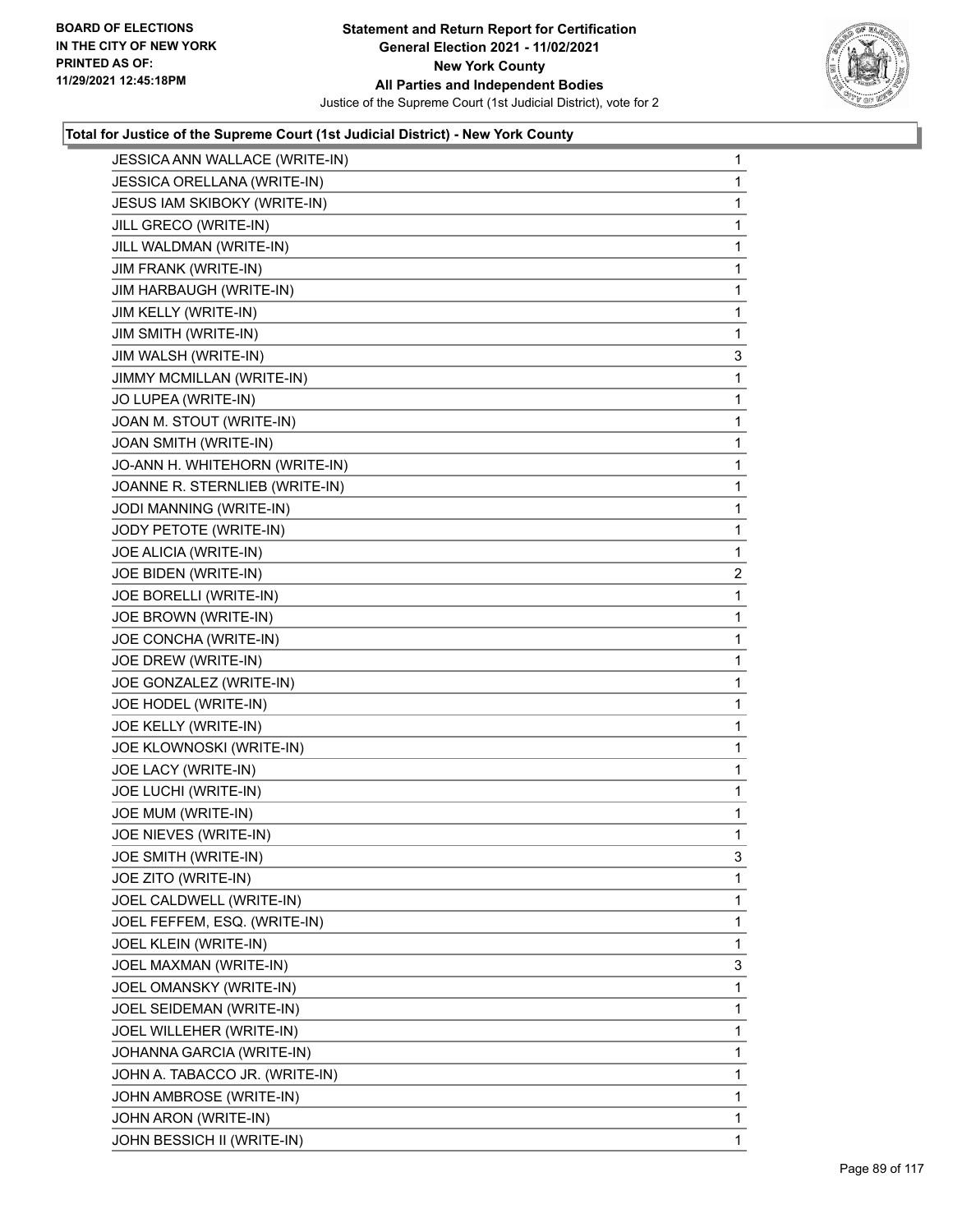

| JESSICA ANN WALLACE (WRITE-IN) | 1              |
|--------------------------------|----------------|
| JESSICA ORELLANA (WRITE-IN)    | 1              |
| JESUS IAM SKIBOKY (WRITE-IN)   | 1              |
| JILL GRECO (WRITE-IN)          | 1              |
| JILL WALDMAN (WRITE-IN)        | 1              |
| JIM FRANK (WRITE-IN)           | 1              |
| JIM HARBAUGH (WRITE-IN)        | 1              |
| JIM KELLY (WRITE-IN)           | 1              |
| <b>JIM SMITH (WRITE-IN)</b>    | 1              |
| JIM WALSH (WRITE-IN)           | 3              |
| JIMMY MCMILLAN (WRITE-IN)      | 1              |
| JO LUPEA (WRITE-IN)            | 1              |
| JOAN M. STOUT (WRITE-IN)       | 1              |
| JOAN SMITH (WRITE-IN)          | 1              |
| JO-ANN H. WHITEHORN (WRITE-IN) | 1              |
| JOANNE R. STERNLIEB (WRITE-IN) | 1              |
| JODI MANNING (WRITE-IN)        | 1              |
| JODY PETOTE (WRITE-IN)         | 1              |
| JOE ALICIA (WRITE-IN)          | 1              |
| JOE BIDEN (WRITE-IN)           | $\overline{c}$ |
| JOE BORELLI (WRITE-IN)         | 1              |
| JOE BROWN (WRITE-IN)           | 1              |
| JOE CONCHA (WRITE-IN)          | 1              |
| JOE DREW (WRITE-IN)            | 1              |
| JOE GONZALEZ (WRITE-IN)        | 1              |
| JOE HODEL (WRITE-IN)           | 1              |
| JOE KELLY (WRITE-IN)           | 1              |
| JOE KLOWNOSKI (WRITE-IN)       | 1              |
| JOE LACY (WRITE-IN)            | 1              |
| JOE LUCHI (WRITE-IN)           | 1              |
| JOE MUM (WRITE-IN)             | 1              |
| JOE NIEVES (WRITE-IN)          | $\mathbf{1}$   |
| JOE SMITH (WRITE-IN)           | 3              |
| JOE ZITO (WRITE-IN)            | 1              |
| JOEL CALDWELL (WRITE-IN)       | 1              |
| JOEL FEFFEM, ESQ. (WRITE-IN)   | 1              |
| JOEL KLEIN (WRITE-IN)          | 1              |
| JOEL MAXMAN (WRITE-IN)         | 3              |
| JOEL OMANSKY (WRITE-IN)        | 1              |
| JOEL SEIDEMAN (WRITE-IN)       | 1              |
| JOEL WILLEHER (WRITE-IN)       | 1              |
| JOHANNA GARCIA (WRITE-IN)      | 1              |
| JOHN A. TABACCO JR. (WRITE-IN) | 1              |
| JOHN AMBROSE (WRITE-IN)        | 1              |
| JOHN ARON (WRITE-IN)           | 1              |
| JOHN BESSICH II (WRITE-IN)     | 1              |
|                                |                |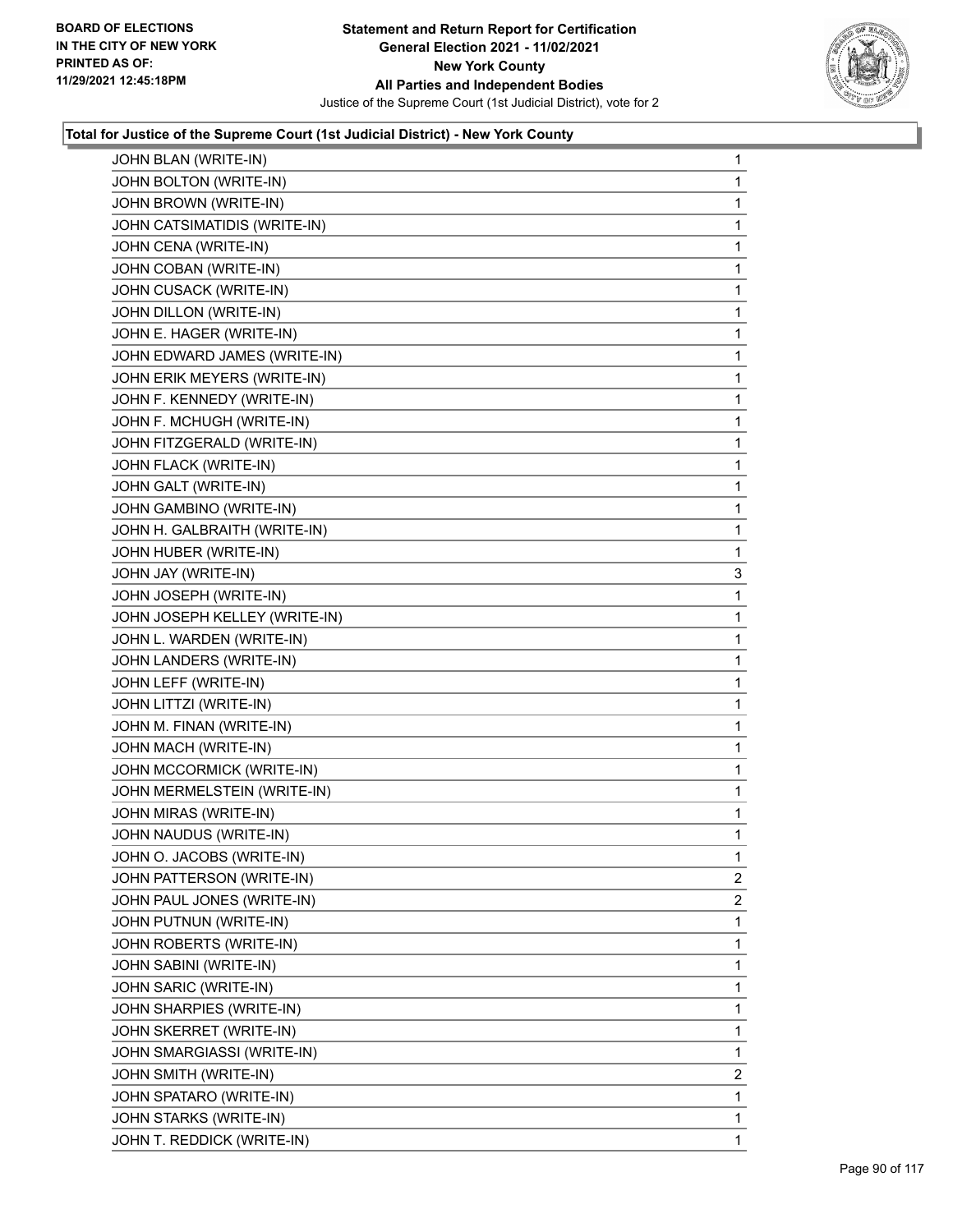

| JOHN BLAN (WRITE-IN)          | $\mathbf{1}$   |
|-------------------------------|----------------|
| JOHN BOLTON (WRITE-IN)        | 1              |
| JOHN BROWN (WRITE-IN)         | 1              |
| JOHN CATSIMATIDIS (WRITE-IN)  | 1              |
| JOHN CENA (WRITE-IN)          | 1              |
| JOHN COBAN (WRITE-IN)         | 1              |
| JOHN CUSACK (WRITE-IN)        | 1              |
| JOHN DILLON (WRITE-IN)        | 1              |
| JOHN E. HAGER (WRITE-IN)      | 1              |
| JOHN EDWARD JAMES (WRITE-IN)  | 1              |
| JOHN ERIK MEYERS (WRITE-IN)   | 1              |
| JOHN F. KENNEDY (WRITE-IN)    | 1              |
| JOHN F. MCHUGH (WRITE-IN)     | 1              |
| JOHN FITZGERALD (WRITE-IN)    | 1              |
| JOHN FLACK (WRITE-IN)         | 1              |
| JOHN GALT (WRITE-IN)          | 1              |
| JOHN GAMBINO (WRITE-IN)       | 1              |
| JOHN H. GALBRAITH (WRITE-IN)  | 1              |
| JOHN HUBER (WRITE-IN)         | 1              |
| JOHN JAY (WRITE-IN)           | 3              |
| JOHN JOSEPH (WRITE-IN)        | 1              |
| JOHN JOSEPH KELLEY (WRITE-IN) | 1              |
| JOHN L. WARDEN (WRITE-IN)     | 1              |
| JOHN LANDERS (WRITE-IN)       | 1              |
| JOHN LEFF (WRITE-IN)          | 1              |
| JOHN LITTZI (WRITE-IN)        | 1              |
| JOHN M. FINAN (WRITE-IN)      | 1              |
| JOHN MACH (WRITE-IN)          | 1              |
| JOHN MCCORMICK (WRITE-IN)     | 1              |
| JOHN MERMELSTEIN (WRITE-IN)   | 1              |
| JOHN MIRAS (WRITE-IN)         | $\mathbf{1}$   |
| JOHN NAUDUS (WRITE-IN)        | 1              |
| JOHN O. JACOBS (WRITE-IN)     | 1              |
| JOHN PATTERSON (WRITE-IN)     | $\overline{2}$ |
| JOHN PAUL JONES (WRITE-IN)    | $\overline{2}$ |
| JOHN PUTNUN (WRITE-IN)        | 1              |
| JOHN ROBERTS (WRITE-IN)       | 1              |
| JOHN SABINI (WRITE-IN)        | 1              |
| JOHN SARIC (WRITE-IN)         | 1              |
| JOHN SHARPIES (WRITE-IN)      | 1              |
| JOHN SKERRET (WRITE-IN)       | 1              |
| JOHN SMARGIASSI (WRITE-IN)    | 1              |
| JOHN SMITH (WRITE-IN)         | $\overline{2}$ |
| JOHN SPATARO (WRITE-IN)       | 1              |
| JOHN STARKS (WRITE-IN)        | 1              |
| JOHN T. REDDICK (WRITE-IN)    | 1              |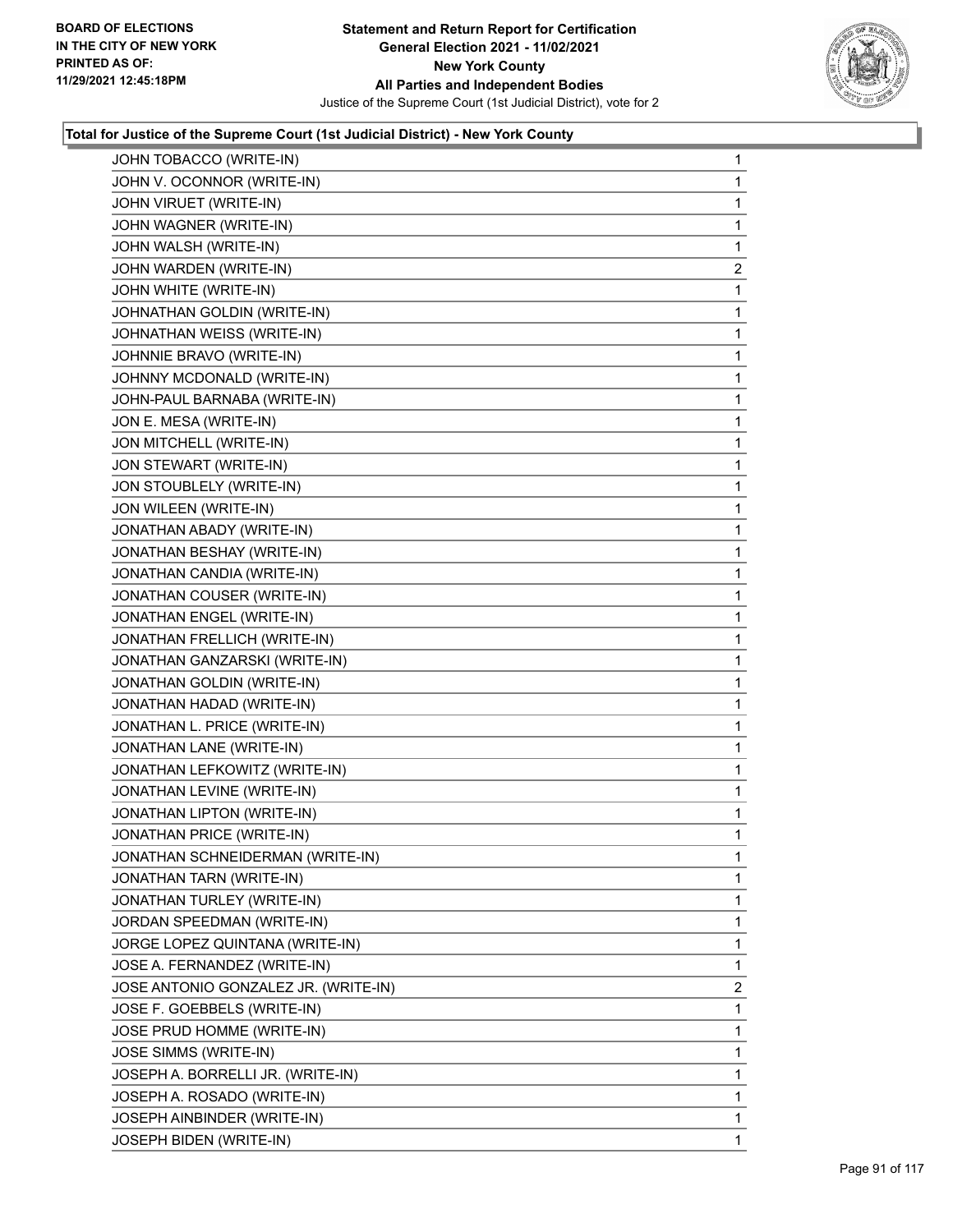

| JOHN TOBACCO (WRITE-IN)              | $\mathbf{1}$ |
|--------------------------------------|--------------|
| JOHN V. OCONNOR (WRITE-IN)           | 1            |
| JOHN VIRUET (WRITE-IN)               | 1            |
| JOHN WAGNER (WRITE-IN)               | $\mathbf{1}$ |
| JOHN WALSH (WRITE-IN)                | 1            |
| JOHN WARDEN (WRITE-IN)               | 2            |
| JOHN WHITE (WRITE-IN)                | 1            |
| JOHNATHAN GOLDIN (WRITE-IN)          | 1            |
| JOHNATHAN WEISS (WRITE-IN)           | 1            |
| JOHNNIE BRAVO (WRITE-IN)             | 1            |
| JOHNNY MCDONALD (WRITE-IN)           | 1            |
| JOHN-PAUL BARNABA (WRITE-IN)         | 1            |
| JON E. MESA (WRITE-IN)               | 1            |
| JON MITCHELL (WRITE-IN)              | 1            |
| JON STEWART (WRITE-IN)               | 1            |
| JON STOUBLELY (WRITE-IN)             | 1            |
| JON WILEEN (WRITE-IN)                | 1            |
| JONATHAN ABADY (WRITE-IN)            | 1            |
| JONATHAN BESHAY (WRITE-IN)           | 1            |
| JONATHAN CANDIA (WRITE-IN)           | 1            |
| JONATHAN COUSER (WRITE-IN)           | 1            |
| JONATHAN ENGEL (WRITE-IN)            | $\mathbf{1}$ |
| JONATHAN FRELLICH (WRITE-IN)         | 1            |
| JONATHAN GANZARSKI (WRITE-IN)        | 1            |
| JONATHAN GOLDIN (WRITE-IN)           | 1            |
| JONATHAN HADAD (WRITE-IN)            | 1            |
| JONATHAN L. PRICE (WRITE-IN)         | 1            |
| JONATHAN LANE (WRITE-IN)             | 1            |
| JONATHAN LEFKOWITZ (WRITE-IN)        | 1            |
| JONATHAN LEVINE (WRITE-IN)           | 1            |
| JONATHAN LIPTON (WRITE-IN)           | 1            |
| JONATHAN PRICE (WRITE-IN)            | 1            |
| JONATHAN SCHNEIDERMAN (WRITE-IN)     | 1            |
| JONATHAN TARN (WRITE-IN)             | 1            |
| JONATHAN TURLEY (WRITE-IN)           | 1            |
| JORDAN SPEEDMAN (WRITE-IN)           | 1            |
| JORGE LOPEZ QUINTANA (WRITE-IN)      | 1            |
| JOSE A. FERNANDEZ (WRITE-IN)         | 1            |
| JOSE ANTONIO GONZALEZ JR. (WRITE-IN) | 2            |
| JOSE F. GOEBBELS (WRITE-IN)          | 1            |
| JOSE PRUD HOMME (WRITE-IN)           | 1            |
| <b>JOSE SIMMS (WRITE-IN)</b>         | 1            |
| JOSEPH A. BORRELLI JR. (WRITE-IN)    | 1            |
| JOSEPH A. ROSADO (WRITE-IN)          | 1            |
| JOSEPH AINBINDER (WRITE-IN)          | 1            |
| JOSEPH BIDEN (WRITE-IN)              | 1            |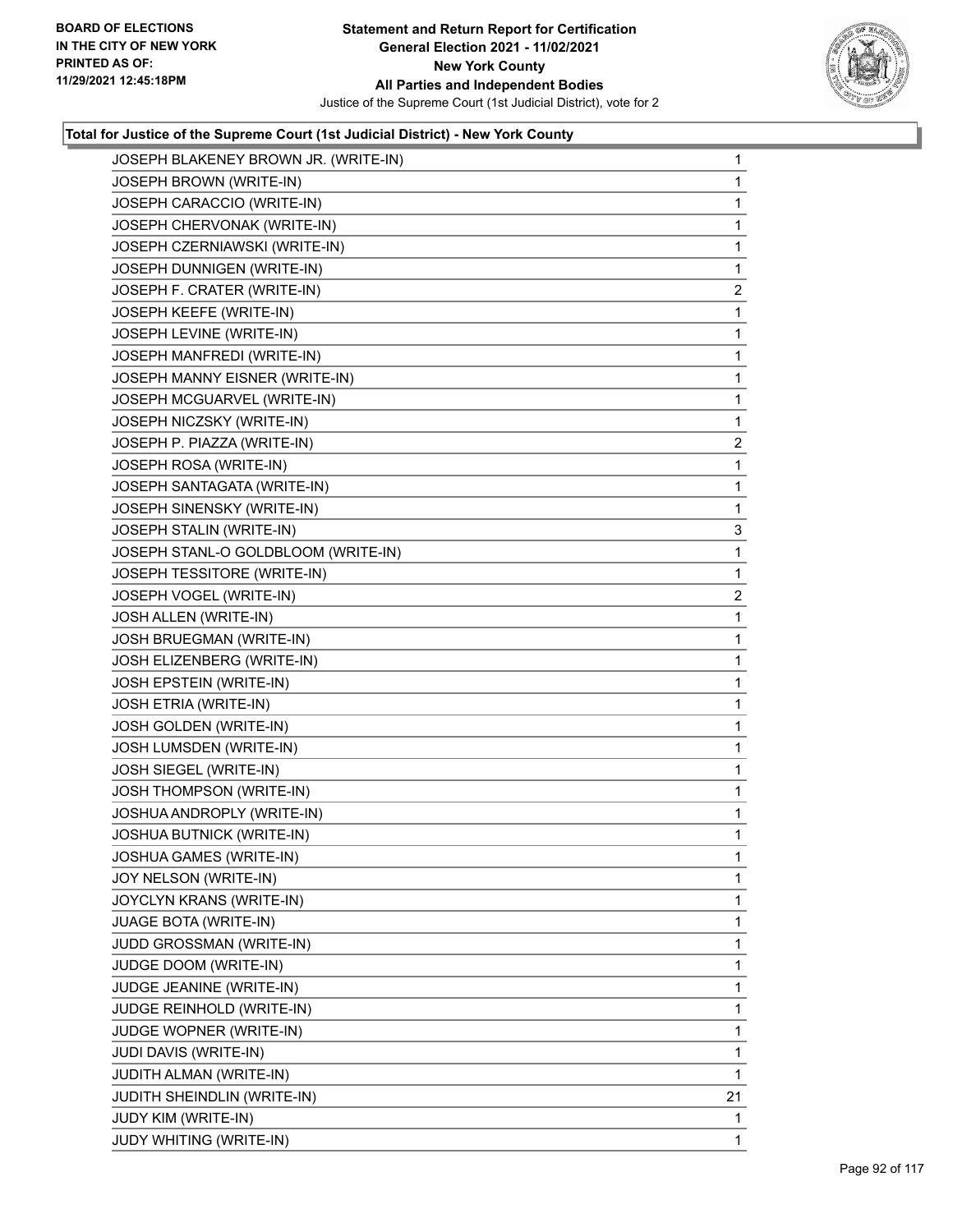

| JOSEPH BLAKENEY BROWN JR. (WRITE-IN) | 1              |
|--------------------------------------|----------------|
| JOSEPH BROWN (WRITE-IN)              | 1              |
| JOSEPH CARACCIO (WRITE-IN)           | 1              |
| JOSEPH CHERVONAK (WRITE-IN)          | 1              |
| JOSEPH CZERNIAWSKI (WRITE-IN)        | 1              |
| JOSEPH DUNNIGEN (WRITE-IN)           | 1              |
| JOSEPH F. CRATER (WRITE-IN)          | $\overline{2}$ |
| JOSEPH KEEFE (WRITE-IN)              | 1              |
| JOSEPH LEVINE (WRITE-IN)             | 1              |
| JOSEPH MANFREDI (WRITE-IN)           | 1              |
| JOSEPH MANNY EISNER (WRITE-IN)       | 1              |
| JOSEPH MCGUARVEL (WRITE-IN)          | 1              |
| JOSEPH NICZSKY (WRITE-IN)            | 1              |
| JOSEPH P. PIAZZA (WRITE-IN)          | $\overline{a}$ |
| JOSEPH ROSA (WRITE-IN)               | 1              |
| JOSEPH SANTAGATA (WRITE-IN)          | 1              |
| JOSEPH SINENSKY (WRITE-IN)           | 1              |
| JOSEPH STALIN (WRITE-IN)             | 3              |
| JOSEPH STANL-O GOLDBLOOM (WRITE-IN)  | 1              |
| JOSEPH TESSITORE (WRITE-IN)          | 1              |
| JOSEPH VOGEL (WRITE-IN)              | $\overline{2}$ |
| JOSH ALLEN (WRITE-IN)                | 1              |
| JOSH BRUEGMAN (WRITE-IN)             | 1              |
| JOSH ELIZENBERG (WRITE-IN)           | 1              |
| <b>JOSH EPSTEIN (WRITE-IN)</b>       | 1              |
| JOSH ETRIA (WRITE-IN)                | $\mathbf{1}$   |
| JOSH GOLDEN (WRITE-IN)               | 1              |
| JOSH LUMSDEN (WRITE-IN)              | 1              |
| JOSH SIEGEL (WRITE-IN)               | 1              |
| JOSH THOMPSON (WRITE-IN)             | 1              |
| JOSHUA ANDROPLY (WRITE-IN)           | 1              |
| JOSHUA BUTNICK (WRITE-IN)            | 1              |
| JOSHUA GAMES (WRITE-IN)              | 1              |
| JOY NELSON (WRITE-IN)                | 1              |
| JOYCLYN KRANS (WRITE-IN)             | 1              |
| <b>JUAGE BOTA (WRITE-IN)</b>         | 1              |
| JUDD GROSSMAN (WRITE-IN)             | 1              |
| JUDGE DOOM (WRITE-IN)                | 1              |
| JUDGE JEANINE (WRITE-IN)             | 1              |
| JUDGE REINHOLD (WRITE-IN)            | 1              |
| JUDGE WOPNER (WRITE-IN)              | 1              |
| JUDI DAVIS (WRITE-IN)                | 1              |
| JUDITH ALMAN (WRITE-IN)              | 1              |
| JUDITH SHEINDLIN (WRITE-IN)          | 21             |
| JUDY KIM (WRITE-IN)                  | 1              |
| JUDY WHITING (WRITE-IN)              | 1.             |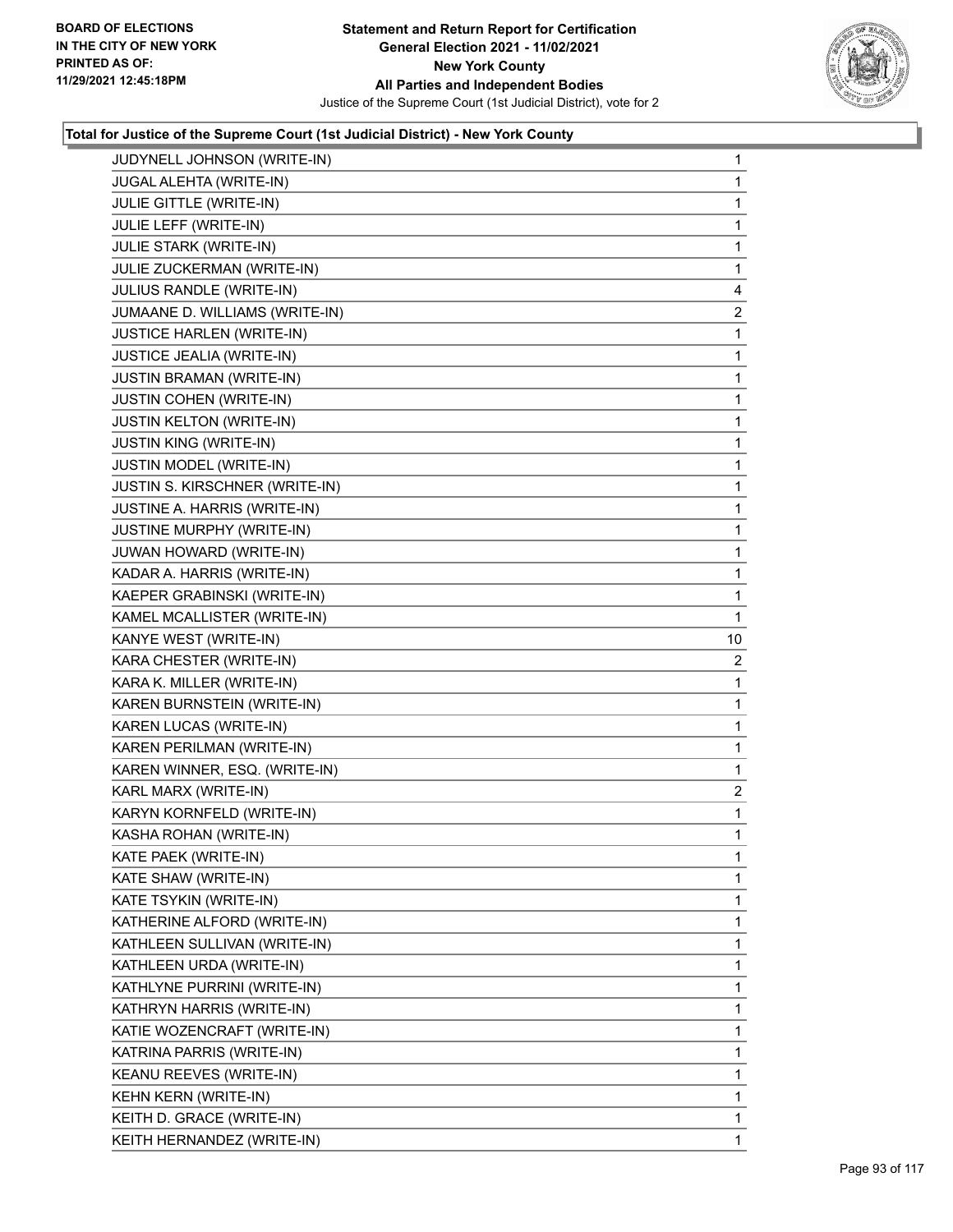

| JUDYNELL JOHNSON (WRITE-IN)      | 1              |
|----------------------------------|----------------|
| JUGAL ALEHTA (WRITE-IN)          | $\mathbf{1}$   |
| JULIE GITTLE (WRITE-IN)          | 1              |
| JULIE LEFF (WRITE-IN)            | 1              |
| JULIE STARK (WRITE-IN)           | 1              |
| JULIE ZUCKERMAN (WRITE-IN)       | 1              |
| JULIUS RANDLE (WRITE-IN)         | 4              |
| JUMAANE D. WILLIAMS (WRITE-IN)   | $\overline{c}$ |
| <b>JUSTICE HARLEN (WRITE-IN)</b> | 1              |
| JUSTICE JEALIA (WRITE-IN)        | 1              |
| JUSTIN BRAMAN (WRITE-IN)         | 1              |
| <b>JUSTIN COHEN (WRITE-IN)</b>   | 1              |
| JUSTIN KELTON (WRITE-IN)         | 1              |
| JUSTIN KING (WRITE-IN)           | 1              |
| <b>JUSTIN MODEL (WRITE-IN)</b>   | 1              |
| JUSTIN S. KIRSCHNER (WRITE-IN)   | 1              |
| JUSTINE A. HARRIS (WRITE-IN)     | 1              |
| <b>JUSTINE MURPHY (WRITE-IN)</b> | 1              |
| JUWAN HOWARD (WRITE-IN)          | 1              |
| KADAR A. HARRIS (WRITE-IN)       | 1              |
| KAEPER GRABINSKI (WRITE-IN)      | 1              |
| KAMEL MCALLISTER (WRITE-IN)      | 1              |
| KANYE WEST (WRITE-IN)            | 10             |
| KARA CHESTER (WRITE-IN)          | 2              |
| KARA K. MILLER (WRITE-IN)        | 1              |
| KAREN BURNSTEIN (WRITE-IN)       | 1              |
| KAREN LUCAS (WRITE-IN)           | 1              |
| KAREN PERILMAN (WRITE-IN)        | 1              |
| KAREN WINNER, ESQ. (WRITE-IN)    | 1              |
| KARL MARX (WRITE-IN)             | $\overline{2}$ |
| KARYN KORNFELD (WRITE-IN)        | 1              |
| KASHA ROHAN (WRITE-IN)           | $\mathbf{1}$   |
| KATE PAEK (WRITE-IN)             | 1              |
| KATE SHAW (WRITE-IN)             | 1              |
| KATE TSYKIN (WRITE-IN)           | 1              |
| KATHERINE ALFORD (WRITE-IN)      | 1              |
| KATHLEEN SULLIVAN (WRITE-IN)     | 1              |
| KATHLEEN URDA (WRITE-IN)         | 1              |
| KATHLYNE PURRINI (WRITE-IN)      | 1              |
| KATHRYN HARRIS (WRITE-IN)        | 1              |
| KATIE WOZENCRAFT (WRITE-IN)      | 1              |
| KATRINA PARRIS (WRITE-IN)        | 1              |
| KEANU REEVES (WRITE-IN)          | 1              |
| KEHN KERN (WRITE-IN)             | 1              |
| KEITH D. GRACE (WRITE-IN)        | $\mathbf{1}$   |
| KEITH HERNANDEZ (WRITE-IN)       | 1              |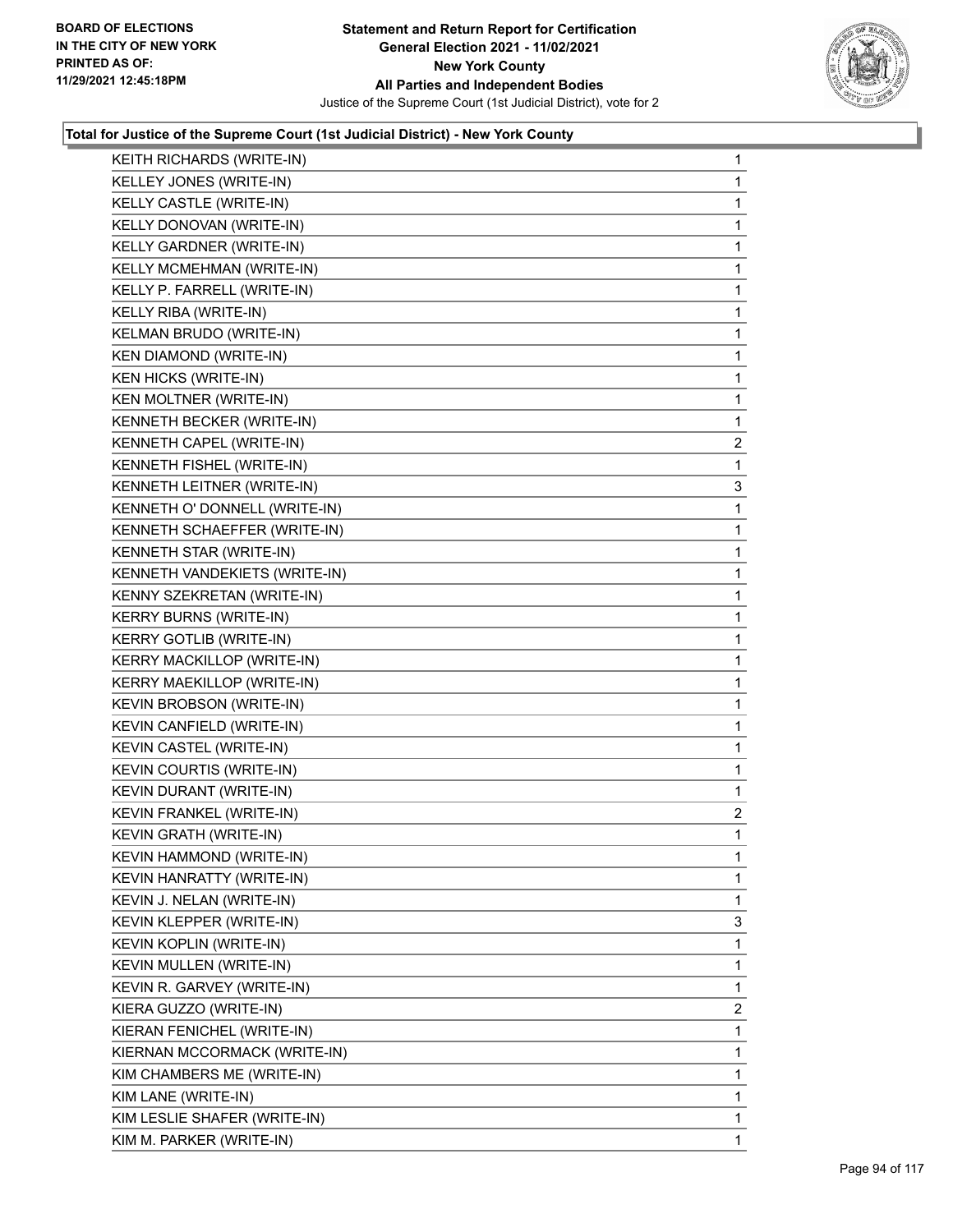

| KEITH RICHARDS (WRITE-IN)     | $\mathbf{1}$   |
|-------------------------------|----------------|
| KELLEY JONES (WRITE-IN)       | 1              |
| KELLY CASTLE (WRITE-IN)       | 1              |
| KELLY DONOVAN (WRITE-IN)      | $\mathbf{1}$   |
| KELLY GARDNER (WRITE-IN)      | 1              |
| KELLY MCMEHMAN (WRITE-IN)     | 1              |
| KELLY P. FARRELL (WRITE-IN)   | $\mathbf{1}$   |
| KELLY RIBA (WRITE-IN)         | $\mathbf{1}$   |
| KELMAN BRUDO (WRITE-IN)       | 1              |
| <b>KEN DIAMOND (WRITE-IN)</b> | $\mathbf{1}$   |
| <b>KEN HICKS (WRITE-IN)</b>   | 1              |
| KEN MOLTNER (WRITE-IN)        | $\mathbf{1}$   |
| KENNETH BECKER (WRITE-IN)     | $\mathbf{1}$   |
| KENNETH CAPEL (WRITE-IN)      | 2              |
| KENNETH FISHEL (WRITE-IN)     | 1              |
| KENNETH LEITNER (WRITE-IN)    | 3              |
| KENNETH O' DONNELL (WRITE-IN) | 1              |
| KENNETH SCHAEFFER (WRITE-IN)  | $\mathbf{1}$   |
| KENNETH STAR (WRITE-IN)       | $\mathbf{1}$   |
| KENNETH VANDEKIETS (WRITE-IN) | 1              |
| KENNY SZEKRETAN (WRITE-IN)    | 1              |
| <b>KERRY BURNS (WRITE-IN)</b> | $\mathbf{1}$   |
| KERRY GOTLIB (WRITE-IN)       | 1              |
| KERRY MACKILLOP (WRITE-IN)    | $\mathbf{1}$   |
| KERRY MAEKILLOP (WRITE-IN)    | $\mathbf{1}$   |
| KEVIN BROBSON (WRITE-IN)      | 1              |
| KEVIN CANFIELD (WRITE-IN)     | 1              |
| KEVIN CASTEL (WRITE-IN)       | $\mathbf{1}$   |
| KEVIN COURTIS (WRITE-IN)      | 1              |
| KEVIN DURANT (WRITE-IN)       | $\mathbf{1}$   |
| KEVIN FRANKEL (WRITE-IN)      | $\overline{a}$ |
| KEVIN GRATH (WRITE-IN)        | $\mathbf{1}$   |
| KEVIN HAMMOND (WRITE-IN)      | $\mathbf{1}$   |
| KEVIN HANRATTY (WRITE-IN)     | 1              |
| KEVIN J. NELAN (WRITE-IN)     | 1              |
| KEVIN KLEPPER (WRITE-IN)      | 3              |
| KEVIN KOPLIN (WRITE-IN)       | 1              |
| KEVIN MULLEN (WRITE-IN)       | 1              |
| KEVIN R. GARVEY (WRITE-IN)    | 1              |
| KIERA GUZZO (WRITE-IN)        | 2              |
| KIERAN FENICHEL (WRITE-IN)    | 1              |
| KIERNAN MCCORMACK (WRITE-IN)  | 1              |
| KIM CHAMBERS ME (WRITE-IN)    | 1              |
| KIM LANE (WRITE-IN)           | 1              |
| KIM LESLIE SHAFER (WRITE-IN)  | 1              |
| KIM M. PARKER (WRITE-IN)      | $\mathbf{1}$   |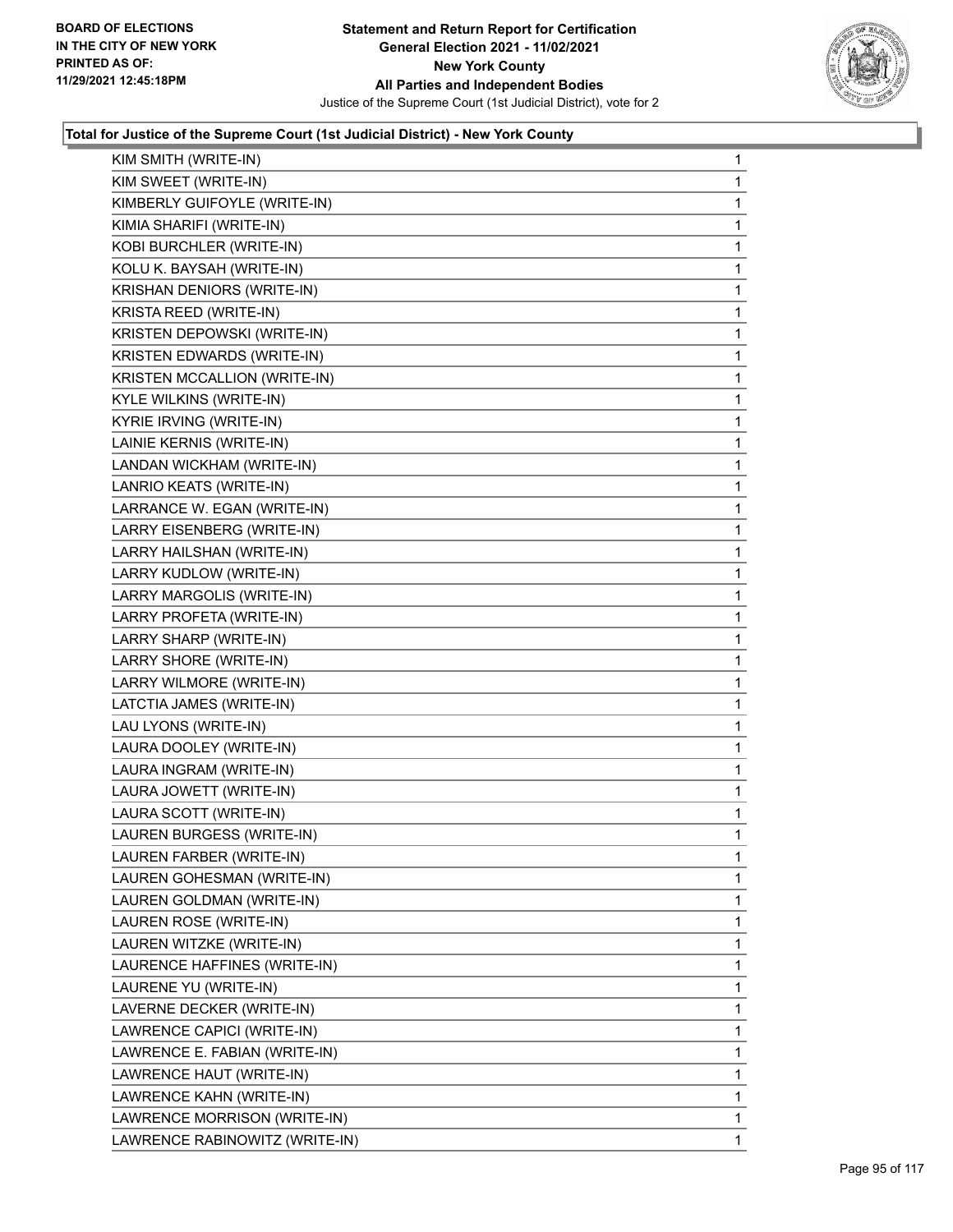

| KIM SMITH (WRITE-IN)           | $\mathbf{1}$ |
|--------------------------------|--------------|
| KIM SWEET (WRITE-IN)           | 1            |
| KIMBERLY GUIFOYLE (WRITE-IN)   | 1            |
| KIMIA SHARIFI (WRITE-IN)       | $\mathbf{1}$ |
| KOBI BURCHLER (WRITE-IN)       | 1            |
| KOLU K. BAYSAH (WRITE-IN)      | 1            |
| KRISHAN DENIORS (WRITE-IN)     | $\mathbf 1$  |
| KRISTA REED (WRITE-IN)         | 1            |
| KRISTEN DEPOWSKI (WRITE-IN)    | 1            |
| KRISTEN EDWARDS (WRITE-IN)     | $\mathbf 1$  |
| KRISTEN MCCALLION (WRITE-IN)   | 1            |
| KYLE WILKINS (WRITE-IN)        | 1            |
| KYRIE IRVING (WRITE-IN)        | $\mathbf 1$  |
| LAINIE KERNIS (WRITE-IN)       | 1            |
| LANDAN WICKHAM (WRITE-IN)      | 1            |
| LANRIO KEATS (WRITE-IN)        | $\mathbf 1$  |
| LARRANCE W. EGAN (WRITE-IN)    | 1            |
| LARRY EISENBERG (WRITE-IN)     | 1            |
| LARRY HAILSHAN (WRITE-IN)      | $\mathbf 1$  |
| LARRY KUDLOW (WRITE-IN)        | 1            |
| LARRY MARGOLIS (WRITE-IN)      | 1            |
| LARRY PROFETA (WRITE-IN)       | $\mathbf 1$  |
| LARRY SHARP (WRITE-IN)         | 1            |
| LARRY SHORE (WRITE-IN)         | 1            |
| LARRY WILMORE (WRITE-IN)       | $\mathbf 1$  |
| LATCTIA JAMES (WRITE-IN)       | 1            |
| LAU LYONS (WRITE-IN)           | 1            |
| LAURA DOOLEY (WRITE-IN)        | $\mathbf 1$  |
| LAURA INGRAM (WRITE-IN)        | 1            |
| LAURA JOWETT (WRITE-IN)        | 1            |
| LAURA SCOTT (WRITE-IN)         | $\mathbf 1$  |
| LAUREN BURGESS (WRITE-IN)      | 1            |
| LAUREN FARBER (WRITE-IN)       | 1            |
| LAUREN GOHESMAN (WRITE-IN)     | 1            |
| LAUREN GOLDMAN (WRITE-IN)      | 1            |
| LAUREN ROSE (WRITE-IN)         | 1            |
| LAUREN WITZKE (WRITE-IN)       | 1            |
| LAURENCE HAFFINES (WRITE-IN)   | 1            |
| LAURENE YU (WRITE-IN)          | 1            |
| LAVERNE DECKER (WRITE-IN)      | $\mathbf 1$  |
| LAWRENCE CAPICI (WRITE-IN)     | 1            |
| LAWRENCE E. FABIAN (WRITE-IN)  | 1            |
| LAWRENCE HAUT (WRITE-IN)       | 1            |
| LAWRENCE KAHN (WRITE-IN)       | 1            |
| LAWRENCE MORRISON (WRITE-IN)   | 1            |
| LAWRENCE RABINOWITZ (WRITE-IN) | $\mathbf{1}$ |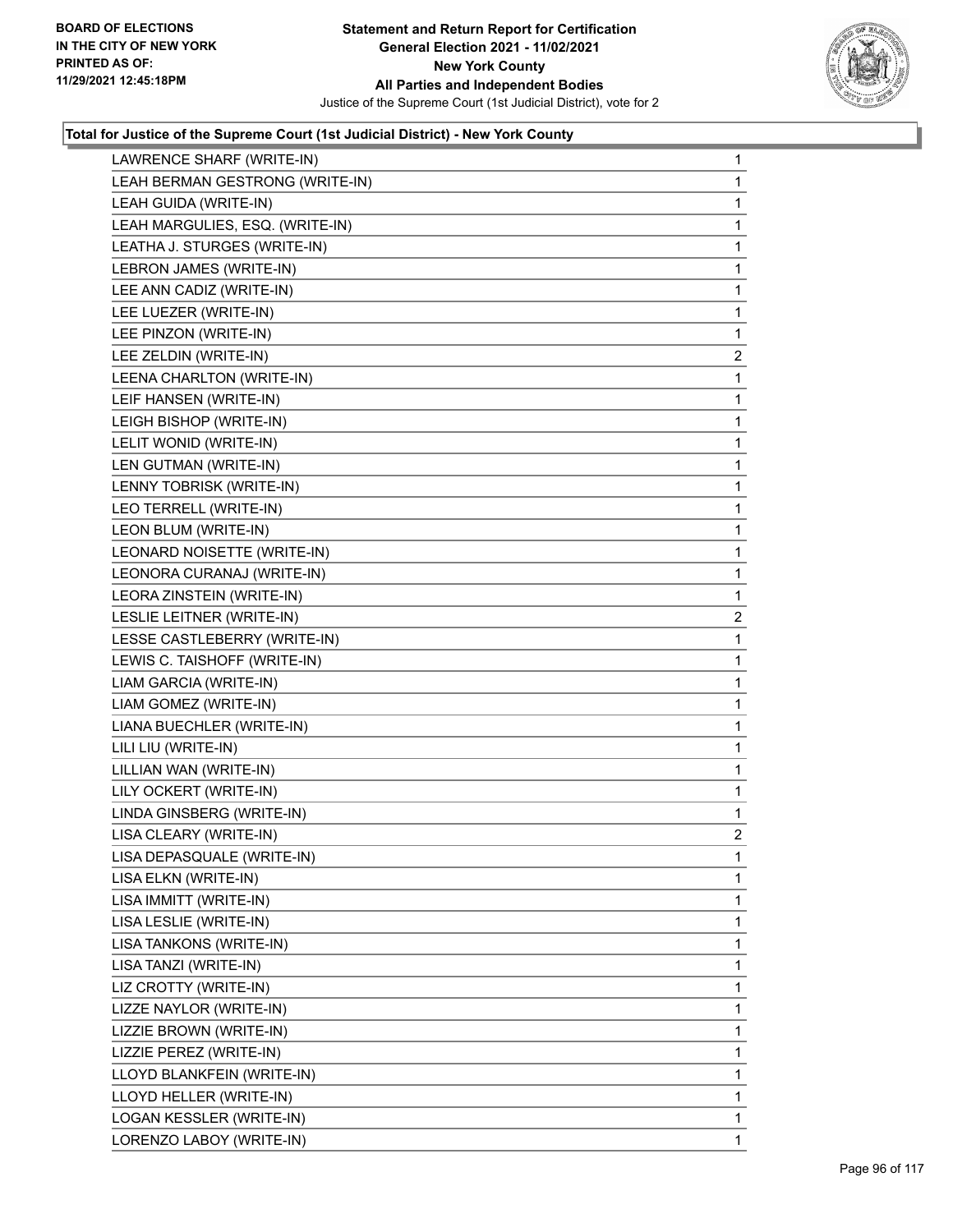

| LAWRENCE SHARF (WRITE-IN)       | $\mathbf{1}$   |
|---------------------------------|----------------|
| LEAH BERMAN GESTRONG (WRITE-IN) | 1              |
| LEAH GUIDA (WRITE-IN)           | 1              |
| LEAH MARGULIES, ESQ. (WRITE-IN) | 1              |
| LEATHA J. STURGES (WRITE-IN)    | 1              |
| LEBRON JAMES (WRITE-IN)         | 1              |
| LEE ANN CADIZ (WRITE-IN)        | 1              |
| LEE LUEZER (WRITE-IN)           | 1              |
| LEE PINZON (WRITE-IN)           | 1              |
| LEE ZELDIN (WRITE-IN)           | $\overline{c}$ |
| LEENA CHARLTON (WRITE-IN)       | 1              |
| LEIF HANSEN (WRITE-IN)          | 1              |
| LEIGH BISHOP (WRITE-IN)         | 1              |
| LELIT WONID (WRITE-IN)          | 1              |
| LEN GUTMAN (WRITE-IN)           | 1              |
| LENNY TOBRISK (WRITE-IN)        | 1              |
| LEO TERRELL (WRITE-IN)          | 1              |
| LEON BLUM (WRITE-IN)            | 1              |
| LEONARD NOISETTE (WRITE-IN)     | 1              |
| LEONORA CURANAJ (WRITE-IN)      | 1              |
| LEORA ZINSTEIN (WRITE-IN)       | 1              |
| LESLIE LEITNER (WRITE-IN)       | $\overline{c}$ |
| LESSE CASTLEBERRY (WRITE-IN)    | 1              |
| LEWIS C. TAISHOFF (WRITE-IN)    | 1              |
| LIAM GARCIA (WRITE-IN)          | $\mathbf{1}$   |
| LIAM GOMEZ (WRITE-IN)           | 1              |
| LIANA BUECHLER (WRITE-IN)       | 1              |
| LILI LIU (WRITE-IN)             | 1              |
| LILLIAN WAN (WRITE-IN)          | 1              |
| LILY OCKERT (WRITE-IN)          | $\mathbf{1}$   |
| LINDA GINSBERG (WRITE-IN)       | $\mathbf{1}$   |
| LISA CLEARY (WRITE-IN)          | $\overline{2}$ |
| LISA DEPASQUALE (WRITE-IN)      | 1              |
| LISA ELKN (WRITE-IN)            | 1              |
| LISA IMMITT (WRITE-IN)          | 1              |
| LISA LESLIE (WRITE-IN)          | 1              |
| LISA TANKONS (WRITE-IN)         | 1              |
| LISA TANZI (WRITE-IN)           | 1              |
| LIZ CROTTY (WRITE-IN)           | 1              |
| LIZZE NAYLOR (WRITE-IN)         | 1              |
| LIZZIE BROWN (WRITE-IN)         | 1              |
| LIZZIE PEREZ (WRITE-IN)         | 1              |
| LLOYD BLANKFEIN (WRITE-IN)      | 1              |
| LLOYD HELLER (WRITE-IN)         | 1              |
| LOGAN KESSLER (WRITE-IN)        | 1              |
| LORENZO LABOY (WRITE-IN)        | 1              |
|                                 |                |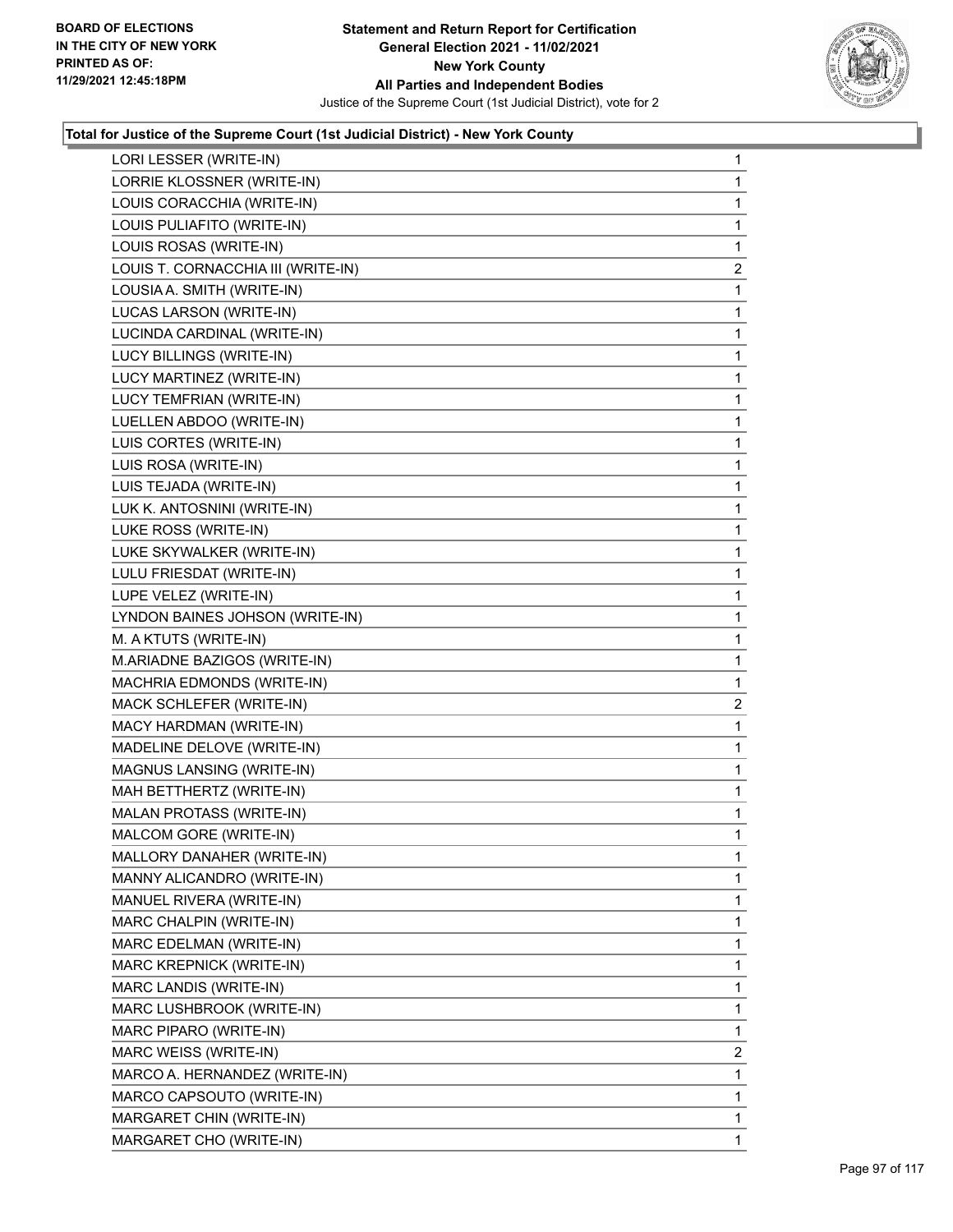

| LORI LESSER (WRITE-IN)             | 1              |
|------------------------------------|----------------|
| LORRIE KLOSSNER (WRITE-IN)         | $\mathbf{1}$   |
| LOUIS CORACCHIA (WRITE-IN)         | 1              |
| LOUIS PULIAFITO (WRITE-IN)         | 1              |
| LOUIS ROSAS (WRITE-IN)             | 1              |
| LOUIS T. CORNACCHIA III (WRITE-IN) | $\overline{c}$ |
| LOUSIA A. SMITH (WRITE-IN)         | 1              |
| LUCAS LARSON (WRITE-IN)            | 1              |
| LUCINDA CARDINAL (WRITE-IN)        | 1              |
| LUCY BILLINGS (WRITE-IN)           | 1              |
| LUCY MARTINEZ (WRITE-IN)           | 1              |
| LUCY TEMFRIAN (WRITE-IN)           | 1              |
| LUELLEN ABDOO (WRITE-IN)           | 1              |
| LUIS CORTES (WRITE-IN)             | 1              |
| LUIS ROSA (WRITE-IN)               | 1              |
| LUIS TEJADA (WRITE-IN)             | 1              |
| LUK K. ANTOSNINI (WRITE-IN)        | 1              |
| LUKE ROSS (WRITE-IN)               | 1              |
| LUKE SKYWALKER (WRITE-IN)          | 1              |
| LULU FRIESDAT (WRITE-IN)           | 1              |
| LUPE VELEZ (WRITE-IN)              | 1              |
| LYNDON BAINES JOHSON (WRITE-IN)    | 1              |
| M. A KTUTS (WRITE-IN)              | $\mathbf{1}$   |
| M.ARIADNE BAZIGOS (WRITE-IN)       | 1              |
| MACHRIA EDMONDS (WRITE-IN)         | 1              |
| MACK SCHLEFER (WRITE-IN)           | $\overline{a}$ |
| MACY HARDMAN (WRITE-IN)            | 1              |
| MADELINE DELOVE (WRITE-IN)         | 1              |
| MAGNUS LANSING (WRITE-IN)          | $\mathbf{1}$   |
| MAH BETTHERTZ (WRITE-IN)           | 1              |
| MALAN PROTASS (WRITE-IN)           | 1              |
| MALCOM GORE (WRITE-IN)             | 1              |
| MALLORY DANAHER (WRITE-IN)         | 1              |
| MANNY ALICANDRO (WRITE-IN)         | 1              |
| MANUEL RIVERA (WRITE-IN)           | 1              |
| MARC CHALPIN (WRITE-IN)            | 1              |
| MARC EDELMAN (WRITE-IN)            | 1              |
| MARC KREPNICK (WRITE-IN)           | 1              |
| MARC LANDIS (WRITE-IN)             | 1              |
| MARC LUSHBROOK (WRITE-IN)          | 1              |
| MARC PIPARO (WRITE-IN)             | 1              |
| MARC WEISS (WRITE-IN)              | 2              |
| MARCO A. HERNANDEZ (WRITE-IN)      | 1              |
| MARCO CAPSOUTO (WRITE-IN)          | 1              |
| MARGARET CHIN (WRITE-IN)           | 1              |
| MARGARET CHO (WRITE-IN)            | 1              |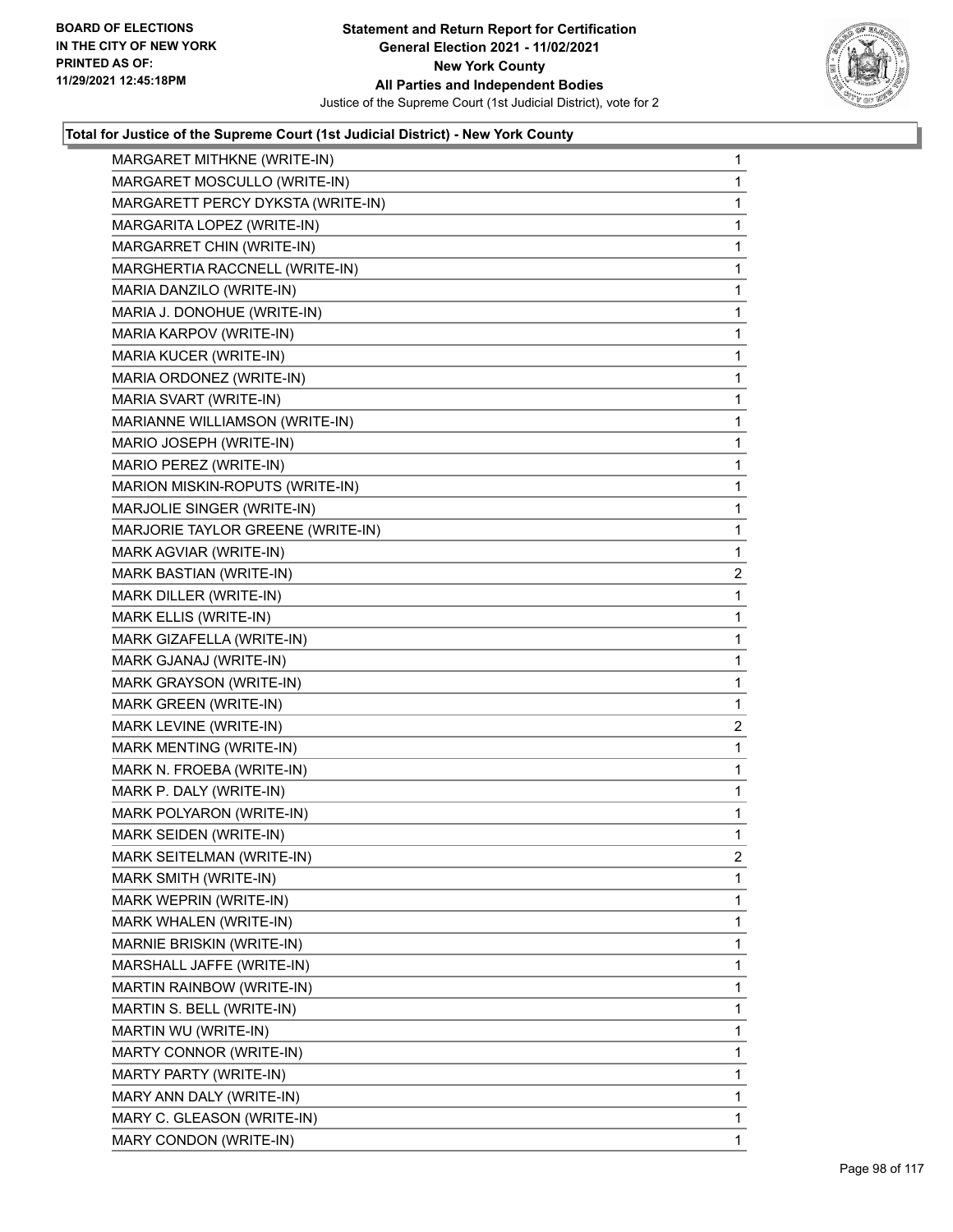

| MARGARET MITHKNE (WRITE-IN)       | $\mathbf{1}$ |
|-----------------------------------|--------------|
| MARGARET MOSCULLO (WRITE-IN)      | 1            |
| MARGARETT PERCY DYKSTA (WRITE-IN) | 1            |
| MARGARITA LOPEZ (WRITE-IN)        | $\mathbf{1}$ |
| MARGARRET CHIN (WRITE-IN)         | 1            |
| MARGHERTIA RACCNELL (WRITE-IN)    | 1            |
| MARIA DANZILO (WRITE-IN)          | $\mathbf{1}$ |
| MARIA J. DONOHUE (WRITE-IN)       | 1            |
| MARIA KARPOV (WRITE-IN)           | 1            |
| MARIA KUCER (WRITE-IN)            | 1            |
| MARIA ORDONEZ (WRITE-IN)          | 1            |
| MARIA SVART (WRITE-IN)            | 1            |
| MARIANNE WILLIAMSON (WRITE-IN)    | $\mathbf{1}$ |
| MARIO JOSEPH (WRITE-IN)           | 1            |
| MARIO PEREZ (WRITE-IN)            | 1            |
| MARION MISKIN-ROPUTS (WRITE-IN)   | $\mathbf{1}$ |
| MARJOLIE SINGER (WRITE-IN)        | 1            |
| MARJORIE TAYLOR GREENE (WRITE-IN) | 1            |
| MARK AGVIAR (WRITE-IN)            | 1            |
| MARK BASTIAN (WRITE-IN)           | 2            |
| MARK DILLER (WRITE-IN)            | 1            |
| MARK ELLIS (WRITE-IN)             | 1            |
| MARK GIZAFELLA (WRITE-IN)         | 1            |
| MARK GJANAJ (WRITE-IN)            | 1            |
| MARK GRAYSON (WRITE-IN)           | $\mathbf{1}$ |
| MARK GREEN (WRITE-IN)             | $\mathbf{1}$ |
| MARK LEVINE (WRITE-IN)            | 2            |
| MARK MENTING (WRITE-IN)           | $\mathbf{1}$ |
| MARK N. FROEBA (WRITE-IN)         | 1            |
| MARK P. DALY (WRITE-IN)           | 1            |
| MARK POLYARON (WRITE-IN)          | $\mathbf{1}$ |
| MARK SEIDEN (WRITE-IN)            | 1            |
| MARK SEITELMAN (WRITE-IN)         | 2            |
| MARK SMITH (WRITE-IN)             | 1            |
| MARK WEPRIN (WRITE-IN)            | 1            |
| MARK WHALEN (WRITE-IN)            | 1            |
| MARNIE BRISKIN (WRITE-IN)         | 1            |
| MARSHALL JAFFE (WRITE-IN)         | 1            |
| MARTIN RAINBOW (WRITE-IN)         | 1            |
| MARTIN S. BELL (WRITE-IN)         | 1            |
| MARTIN WU (WRITE-IN)              | 1            |
| MARTY CONNOR (WRITE-IN)           | 1            |
| MARTY PARTY (WRITE-IN)            | 1            |
| MARY ANN DALY (WRITE-IN)          | 1            |
| MARY C. GLEASON (WRITE-IN)        | 1            |
| MARY CONDON (WRITE-IN)            | 1            |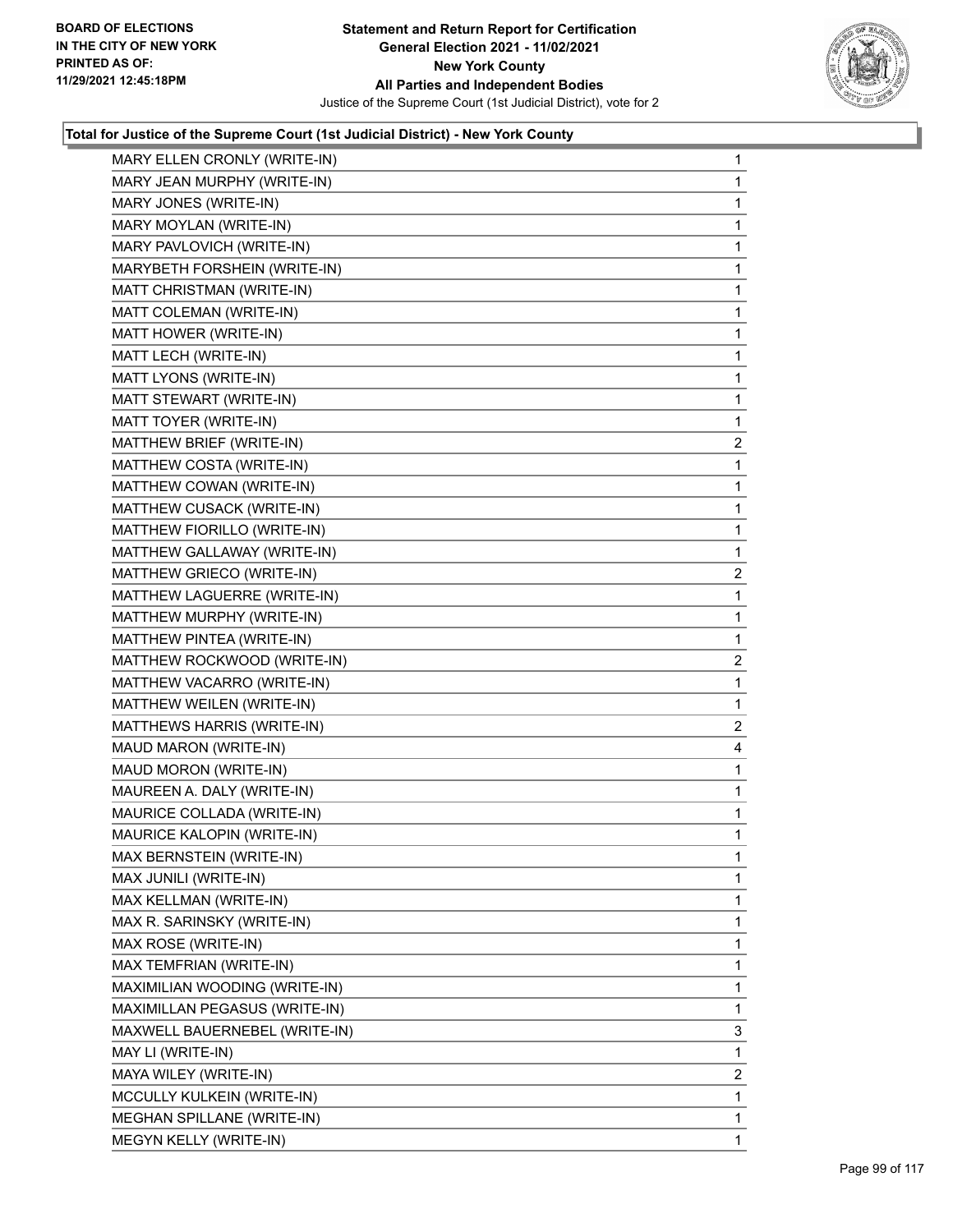

| MARY ELLEN CRONLY (WRITE-IN)  | 1              |
|-------------------------------|----------------|
| MARY JEAN MURPHY (WRITE-IN)   | 1              |
| MARY JONES (WRITE-IN)         | 1              |
| MARY MOYLAN (WRITE-IN)        | $\mathbf{1}$   |
| MARY PAVLOVICH (WRITE-IN)     | $\mathbf{1}$   |
| MARYBETH FORSHEIN (WRITE-IN)  | 1              |
| MATT CHRISTMAN (WRITE-IN)     | 1              |
| MATT COLEMAN (WRITE-IN)       | $\mathbf{1}$   |
| MATT HOWER (WRITE-IN)         | 1              |
| MATT LECH (WRITE-IN)          | 1              |
| MATT LYONS (WRITE-IN)         | $\mathbf{1}$   |
| MATT STEWART (WRITE-IN)       | 1              |
| MATT TOYER (WRITE-IN)         | 1              |
| MATTHEW BRIEF (WRITE-IN)      | $\overline{a}$ |
| MATTHEW COSTA (WRITE-IN)      | 1              |
| MATTHEW COWAN (WRITE-IN)      | 1              |
| MATTHEW CUSACK (WRITE-IN)     | $\mathbf{1}$   |
| MATTHEW FIORILLO (WRITE-IN)   | 1              |
| MATTHEW GALLAWAY (WRITE-IN)   | 1              |
| MATTHEW GRIECO (WRITE-IN)     | $\overline{a}$ |
| MATTHEW LAGUERRE (WRITE-IN)   | 1              |
| MATTHEW MURPHY (WRITE-IN)     | $\mathbf{1}$   |
| MATTHEW PINTEA (WRITE-IN)     | 1              |
| MATTHEW ROCKWOOD (WRITE-IN)   | $\overline{2}$ |
| MATTHEW VACARRO (WRITE-IN)    | 1              |
| MATTHEW WEILEN (WRITE-IN)     | $\mathbf{1}$   |
| MATTHEWS HARRIS (WRITE-IN)    | $\overline{2}$ |
| MAUD MARON (WRITE-IN)         | 4              |
| MAUD MORON (WRITE-IN)         | 1              |
| MAUREEN A. DALY (WRITE-IN)    | 1              |
| MAURICE COLLADA (WRITE-IN)    | 1              |
| MAURICE KALOPIN (WRITE-IN)    | 1              |
| MAX BERNSTEIN (WRITE-IN)      | 1              |
| MAX JUNILI (WRITE-IN)         | 1              |
| MAX KELLMAN (WRITE-IN)        | 1              |
| MAX R. SARINSKY (WRITE-IN)    | 1              |
| MAX ROSE (WRITE-IN)           | 1              |
| MAX TEMFRIAN (WRITE-IN)       | 1              |
| MAXIMILIAN WOODING (WRITE-IN) | 1              |
| MAXIMILLAN PEGASUS (WRITE-IN) | 1              |
| MAXWELL BAUERNEBEL (WRITE-IN) | 3              |
| MAY LI (WRITE-IN)             | 1              |
| MAYA WILEY (WRITE-IN)         | 2              |
| MCCULLY KULKEIN (WRITE-IN)    | 1              |
| MEGHAN SPILLANE (WRITE-IN)    | 1              |
| MEGYN KELLY (WRITE-IN)        | 1.             |
|                               |                |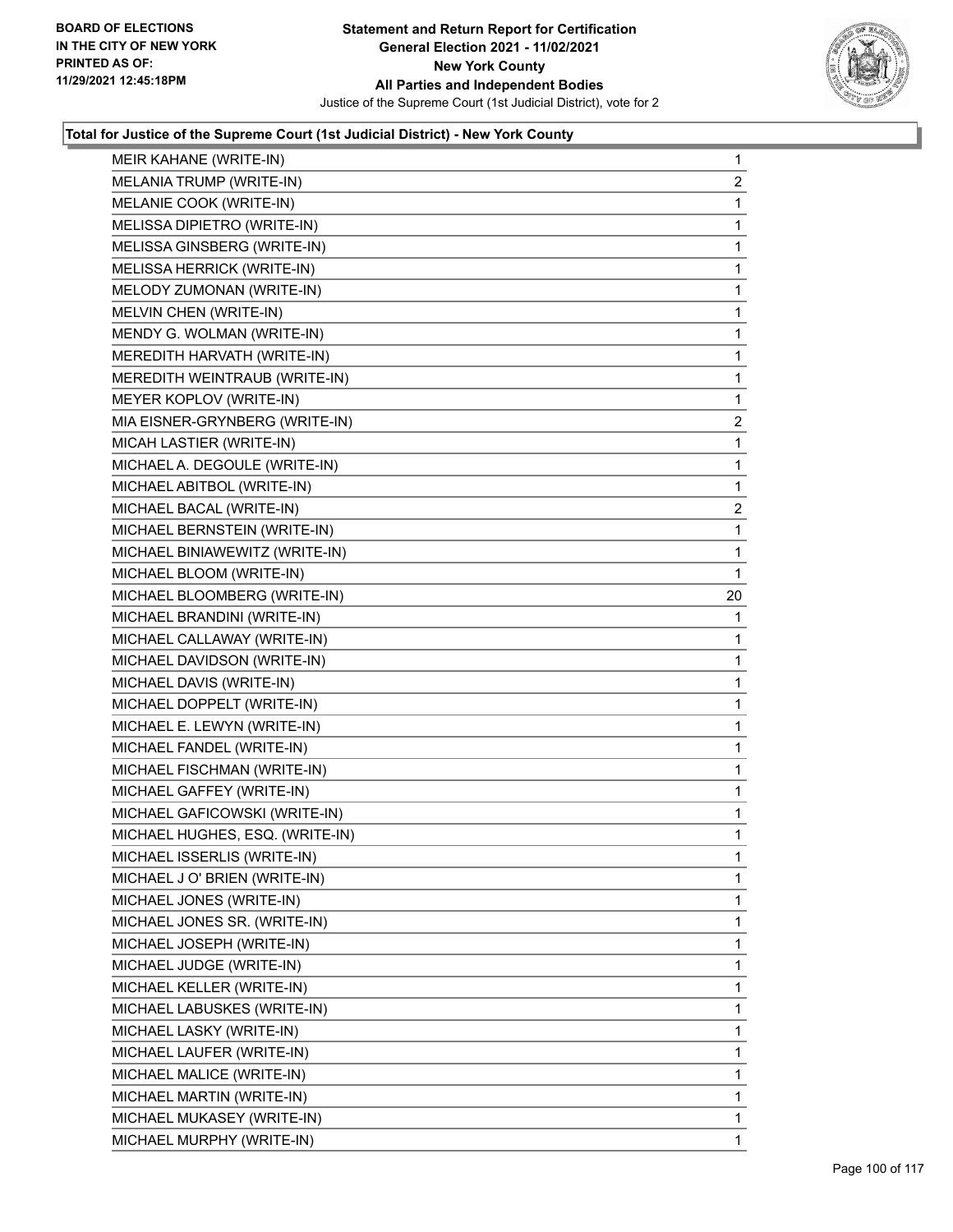

| MEIR KAHANE (WRITE-IN)          | $\mathbf{1}$   |
|---------------------------------|----------------|
| MELANIA TRUMP (WRITE-IN)        | $\overline{2}$ |
| MELANIE COOK (WRITE-IN)         | 1              |
| MELISSA DIPIETRO (WRITE-IN)     | 1              |
| MELISSA GINSBERG (WRITE-IN)     | 1              |
| MELISSA HERRICK (WRITE-IN)      | 1              |
| MELODY ZUMONAN (WRITE-IN)       | $\mathbf{1}$   |
| MELVIN CHEN (WRITE-IN)          | 1              |
| MENDY G. WOLMAN (WRITE-IN)      | 1              |
| MEREDITH HARVATH (WRITE-IN)     | 1              |
| MEREDITH WEINTRAUB (WRITE-IN)   | 1              |
| MEYER KOPLOV (WRITE-IN)         | 1              |
| MIA EISNER-GRYNBERG (WRITE-IN)  | $\overline{a}$ |
| MICAH LASTIER (WRITE-IN)        | 1              |
| MICHAEL A. DEGOULE (WRITE-IN)   | 1              |
| MICHAEL ABITBOL (WRITE-IN)      | 1              |
| MICHAEL BACAL (WRITE-IN)        | $\overline{2}$ |
| MICHAEL BERNSTEIN (WRITE-IN)    | 1              |
| MICHAEL BINIAWEWITZ (WRITE-IN)  | 1              |
| MICHAEL BLOOM (WRITE-IN)        | 1              |
| MICHAEL BLOOMBERG (WRITE-IN)    | 20             |
| MICHAEL BRANDINI (WRITE-IN)     | 1              |
| MICHAEL CALLAWAY (WRITE-IN)     | 1              |
| MICHAEL DAVIDSON (WRITE-IN)     | 1              |
| MICHAEL DAVIS (WRITE-IN)        | 1              |
| MICHAEL DOPPELT (WRITE-IN)      | 1              |
| MICHAEL E. LEWYN (WRITE-IN)     | 1              |
| MICHAEL FANDEL (WRITE-IN)       | 1              |
| MICHAEL FISCHMAN (WRITE-IN)     | 1              |
| MICHAEL GAFFEY (WRITE-IN)       | $\mathbf{1}$   |
| MICHAEL GAFICOWSKI (WRITE-IN)   | 1              |
| MICHAEL HUGHES, ESQ. (WRITE-IN) | 1              |
| MICHAEL ISSERLIS (WRITE-IN)     | 1              |
| MICHAEL J O' BRIEN (WRITE-IN)   | 1              |
| MICHAEL JONES (WRITE-IN)        | 1              |
| MICHAEL JONES SR. (WRITE-IN)    | 1              |
| MICHAEL JOSEPH (WRITE-IN)       | 1              |
| MICHAEL JUDGE (WRITE-IN)        | 1              |
| MICHAEL KELLER (WRITE-IN)       | 1              |
| MICHAEL LABUSKES (WRITE-IN)     | 1              |
| MICHAEL LASKY (WRITE-IN)        | 1              |
| MICHAEL LAUFER (WRITE-IN)       | 1              |
| MICHAEL MALICE (WRITE-IN)       | 1              |
| MICHAEL MARTIN (WRITE-IN)       | 1              |
| MICHAEL MUKASEY (WRITE-IN)      | 1              |
| MICHAEL MURPHY (WRITE-IN)       | 1.             |
|                                 |                |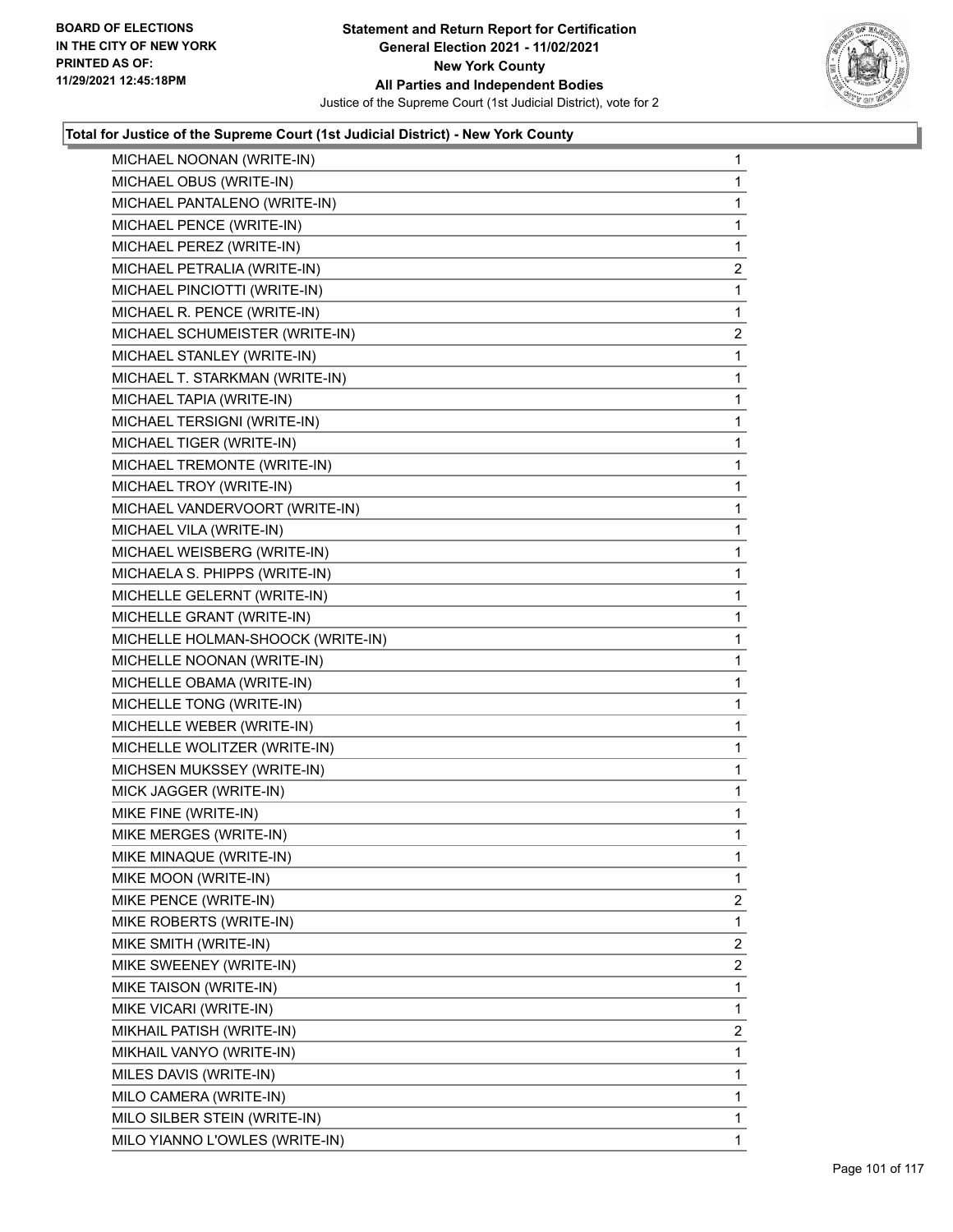

| MICHAEL NOONAN (WRITE-IN)         | 1              |
|-----------------------------------|----------------|
| MICHAEL OBUS (WRITE-IN)           | 1              |
| MICHAEL PANTALENO (WRITE-IN)      | 1              |
| MICHAEL PENCE (WRITE-IN)          | 1              |
| MICHAEL PEREZ (WRITE-IN)          | 1              |
| MICHAEL PETRALIA (WRITE-IN)       | $\overline{2}$ |
| MICHAEL PINCIOTTI (WRITE-IN)      | 1              |
| MICHAEL R. PENCE (WRITE-IN)       | 1              |
| MICHAEL SCHUMEISTER (WRITE-IN)    | 2              |
| MICHAEL STANLEY (WRITE-IN)        | 1              |
| MICHAEL T. STARKMAN (WRITE-IN)    | 1              |
| MICHAEL TAPIA (WRITE-IN)          | 1              |
| MICHAEL TERSIGNI (WRITE-IN)       | 1              |
| MICHAEL TIGER (WRITE-IN)          | 1              |
| MICHAEL TREMONTE (WRITE-IN)       | 1              |
| MICHAEL TROY (WRITE-IN)           | 1              |
| MICHAEL VANDERVOORT (WRITE-IN)    | 1              |
| MICHAEL VILA (WRITE-IN)           | 1              |
| MICHAEL WEISBERG (WRITE-IN)       | 1              |
| MICHAELA S. PHIPPS (WRITE-IN)     | 1              |
| MICHELLE GELERNT (WRITE-IN)       | 1              |
| MICHELLE GRANT (WRITE-IN)         | 1              |
| MICHELLE HOLMAN-SHOOCK (WRITE-IN) | 1              |
| MICHELLE NOONAN (WRITE-IN)        | 1              |
| MICHELLE OBAMA (WRITE-IN)         | 1              |
| MICHELLE TONG (WRITE-IN)          | 1              |
| MICHELLE WEBER (WRITE-IN)         | 1              |
| MICHELLE WOLITZER (WRITE-IN)      | 1              |
| MICHSEN MUKSSEY (WRITE-IN)        | 1              |
| MICK JAGGER (WRITE-IN)            | 1              |
| MIKE FINE (WRITE-IN)              | 1              |
| MIKE MERGES (WRITE-IN)            | 1              |
| MIKE MINAQUE (WRITE-IN)           | 1              |
| MIKE MOON (WRITE-IN)              | 1              |
| MIKE PENCE (WRITE-IN)             | 2              |
| MIKE ROBERTS (WRITE-IN)           | 1              |
| MIKE SMITH (WRITE-IN)             | 2              |
| MIKE SWEENEY (WRITE-IN)           | 2              |
| MIKE TAISON (WRITE-IN)            | 1              |
| MIKE VICARI (WRITE-IN)            | 1              |
| MIKHAIL PATISH (WRITE-IN)         | 2              |
| MIKHAIL VANYO (WRITE-IN)          | 1              |
| MILES DAVIS (WRITE-IN)            | 1              |
| MILO CAMERA (WRITE-IN)            | 1              |
| MILO SILBER STEIN (WRITE-IN)      | 1              |
| MILO YIANNO L'OWLES (WRITE-IN)    | 1              |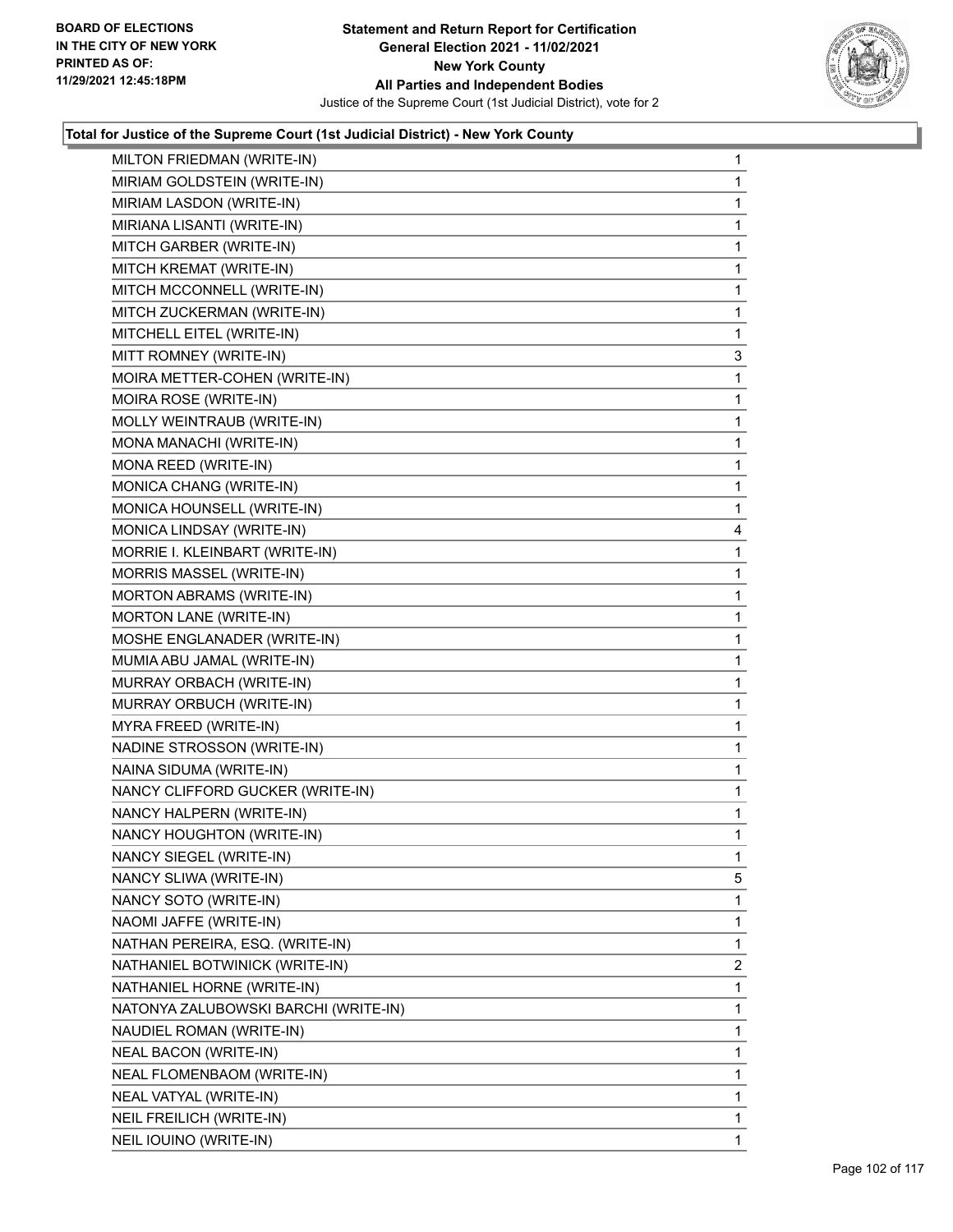

| MILTON FRIEDMAN (WRITE-IN)           | $\mathbf{1}$ |
|--------------------------------------|--------------|
| MIRIAM GOLDSTEIN (WRITE-IN)          | $\mathbf{1}$ |
| MIRIAM LASDON (WRITE-IN)             | 1            |
| MIRIANA LISANTI (WRITE-IN)           | $\mathbf 1$  |
| MITCH GARBER (WRITE-IN)              | 1            |
| MITCH KREMAT (WRITE-IN)              | 1            |
| MITCH MCCONNELL (WRITE-IN)           | 1            |
| MITCH ZUCKERMAN (WRITE-IN)           | $\mathbf{1}$ |
| MITCHELL EITEL (WRITE-IN)            | 1            |
| MITT ROMNEY (WRITE-IN)               | 3            |
| MOIRA METTER-COHEN (WRITE-IN)        | 1            |
| MOIRA ROSE (WRITE-IN)                | 1            |
| MOLLY WEINTRAUB (WRITE-IN)           | 1            |
| MONA MANACHI (WRITE-IN)              | $\mathbf{1}$ |
| MONA REED (WRITE-IN)                 | 1            |
| MONICA CHANG (WRITE-IN)              | $\mathbf 1$  |
| MONICA HOUNSELL (WRITE-IN)           | $\mathbf 1$  |
| MONICA LINDSAY (WRITE-IN)            | 4            |
| MORRIE I. KLEINBART (WRITE-IN)       | 1            |
| MORRIS MASSEL (WRITE-IN)             | $\mathbf 1$  |
| <b>MORTON ABRAMS (WRITE-IN)</b>      | 1            |
| MORTON LANE (WRITE-IN)               | $\mathbf 1$  |
| MOSHE ENGLANADER (WRITE-IN)          | $\mathbf 1$  |
| MUMIA ABU JAMAL (WRITE-IN)           | 1            |
| MURRAY ORBACH (WRITE-IN)             | 1            |
| MURRAY ORBUCH (WRITE-IN)             | $\mathbf{1}$ |
| MYRA FREED (WRITE-IN)                | 1            |
| NADINE STROSSON (WRITE-IN)           | $\mathbf 1$  |
| NAINA SIDUMA (WRITE-IN)              | $\mathbf 1$  |
| NANCY CLIFFORD GUCKER (WRITE-IN)     | 1            |
| NANCY HALPERN (WRITE-IN)             | 1            |
| NANCY HOUGHTON (WRITE-IN)            | $\mathbf{1}$ |
| NANCY SIEGEL (WRITE-IN)              | $\mathbf 1$  |
| NANCY SLIWA (WRITE-IN)               | 5            |
| NANCY SOTO (WRITE-IN)                | $\mathbf{1}$ |
| NAOMI JAFFE (WRITE-IN)               | 1            |
| NATHAN PEREIRA, ESQ. (WRITE-IN)      | 1            |
| NATHANIEL BOTWINICK (WRITE-IN)       | 2            |
| NATHANIEL HORNE (WRITE-IN)           | 1            |
| NATONYA ZALUBOWSKI BARCHI (WRITE-IN) | 1            |
| NAUDIEL ROMAN (WRITE-IN)             | 1            |
| NEAL BACON (WRITE-IN)                | 1            |
| NEAL FLOMENBAOM (WRITE-IN)           | 1            |
| NEAL VATYAL (WRITE-IN)               | 1            |
| NEIL FREILICH (WRITE-IN)             | 1            |
| NEIL IOUINO (WRITE-IN)               | 1            |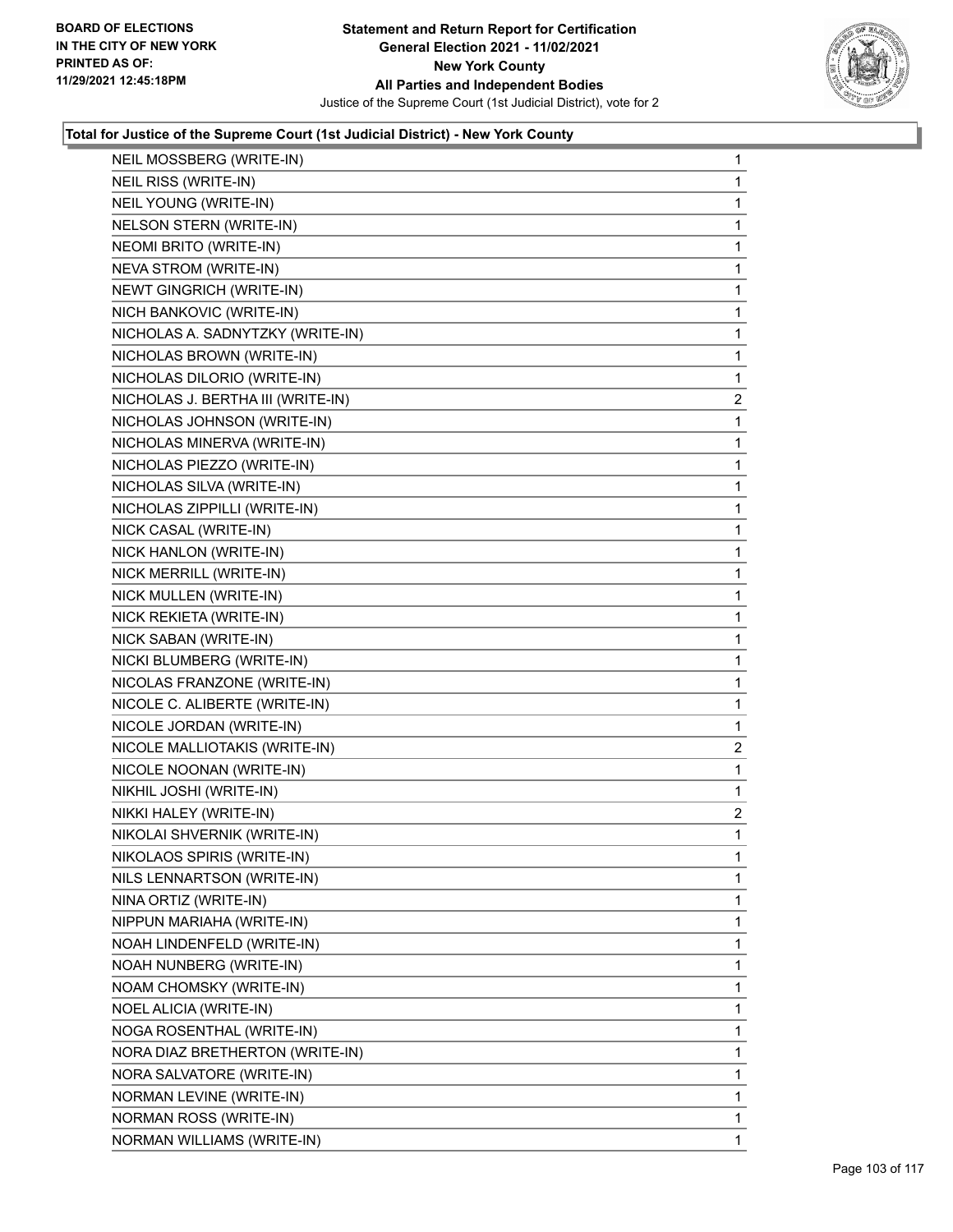

| NEIL MOSSBERG (WRITE-IN)          | 1              |
|-----------------------------------|----------------|
| NEIL RISS (WRITE-IN)              | 1              |
| NEIL YOUNG (WRITE-IN)             | 1              |
| NELSON STERN (WRITE-IN)           | 1              |
| NEOMI BRITO (WRITE-IN)            | 1              |
| NEVA STROM (WRITE-IN)             | 1              |
| NEWT GINGRICH (WRITE-IN)          | 1              |
| NICH BANKOVIC (WRITE-IN)          | 1              |
| NICHOLAS A. SADNYTZKY (WRITE-IN)  | 1              |
| NICHOLAS BROWN (WRITE-IN)         | 1              |
| NICHOLAS DILORIO (WRITE-IN)       | 1              |
| NICHOLAS J. BERTHA III (WRITE-IN) | $\overline{a}$ |
| NICHOLAS JOHNSON (WRITE-IN)       | 1              |
| NICHOLAS MINERVA (WRITE-IN)       | 1              |
| NICHOLAS PIEZZO (WRITE-IN)        | 1              |
| NICHOLAS SILVA (WRITE-IN)         | 1              |
| NICHOLAS ZIPPILLI (WRITE-IN)      | 1              |
| NICK CASAL (WRITE-IN)             | 1              |
| NICK HANLON (WRITE-IN)            | 1              |
| NICK MERRILL (WRITE-IN)           | $\mathbf{1}$   |
| NICK MULLEN (WRITE-IN)            | 1              |
| NICK REKIETA (WRITE-IN)           | 1              |
| NICK SABAN (WRITE-IN)             | 1              |
| NICKI BLUMBERG (WRITE-IN)         | 1              |
| NICOLAS FRANZONE (WRITE-IN)       | 1              |
| NICOLE C. ALIBERTE (WRITE-IN)     | 1              |
| NICOLE JORDAN (WRITE-IN)          | 1              |
| NICOLE MALLIOTAKIS (WRITE-IN)     | $\overline{a}$ |
| NICOLE NOONAN (WRITE-IN)          | $\mathbf{1}$   |
| NIKHIL JOSHI (WRITE-IN)           | $\mathbf{1}$   |
| NIKKI HALEY (WRITE-IN)            | $\overline{c}$ |
| NIKOLAI SHVERNIK (WRITE-IN)       | $\mathbf 1$    |
| NIKOLAOS SPIRIS (WRITE-IN)        | 1              |
| NILS LENNARTSON (WRITE-IN)        | 1              |
| NINA ORTIZ (WRITE-IN)             | 1              |
| NIPPUN MARIAHA (WRITE-IN)         | 1              |
| NOAH LINDENFELD (WRITE-IN)        | 1              |
| NOAH NUNBERG (WRITE-IN)           | 1              |
| NOAM CHOMSKY (WRITE-IN)           | 1              |
| NOEL ALICIA (WRITE-IN)            | 1              |
| NOGA ROSENTHAL (WRITE-IN)         | 1              |
| NORA DIAZ BRETHERTON (WRITE-IN)   | 1              |
| NORA SALVATORE (WRITE-IN)         | 1              |
| NORMAN LEVINE (WRITE-IN)          | 1              |
| NORMAN ROSS (WRITE-IN)            | 1              |
| NORMAN WILLIAMS (WRITE-IN)        | 1              |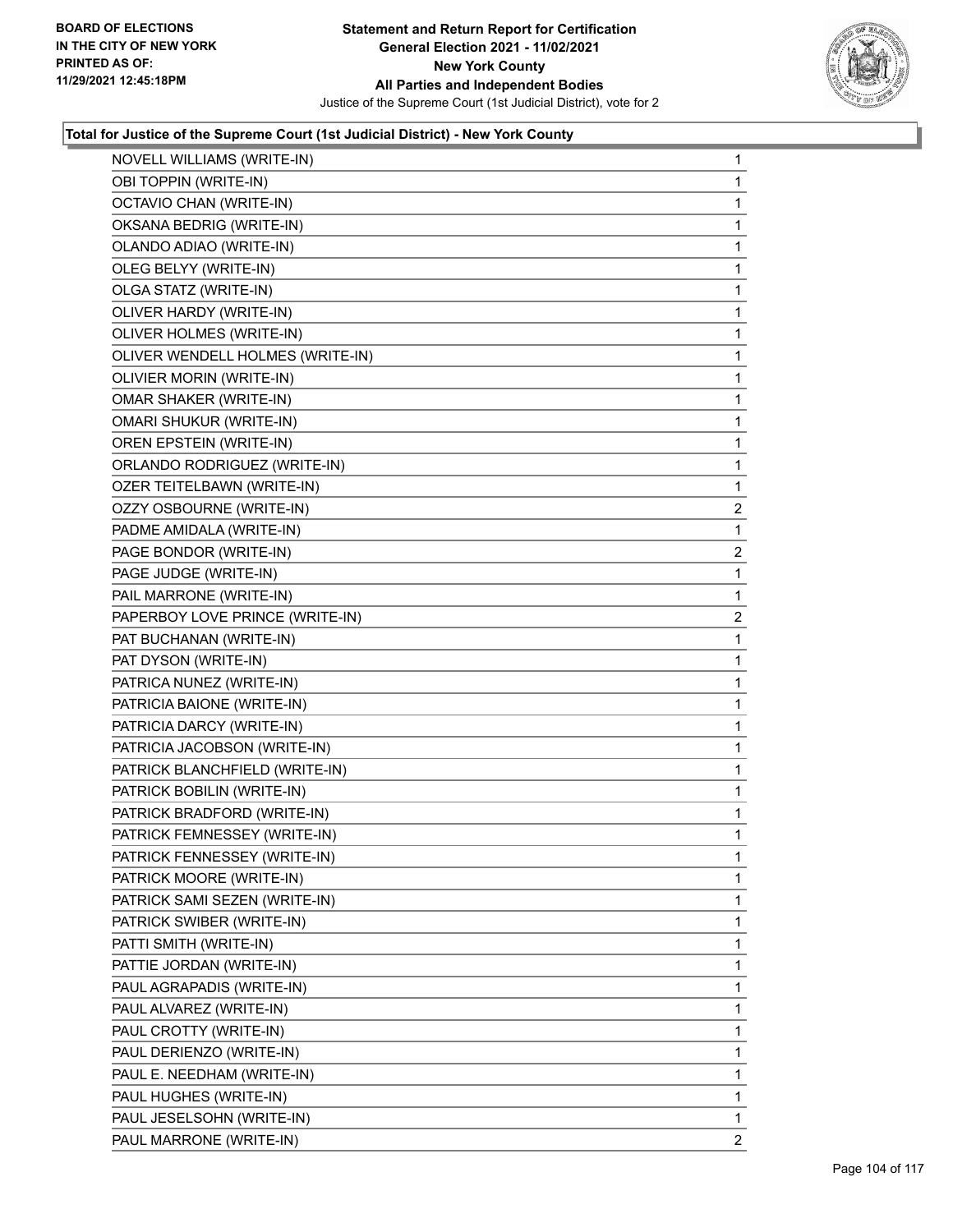

| NOVELL WILLIAMS (WRITE-IN)       | 1              |
|----------------------------------|----------------|
| OBI TOPPIN (WRITE-IN)            | 1              |
| OCTAVIO CHAN (WRITE-IN)          | 1              |
| OKSANA BEDRIG (WRITE-IN)         | 1              |
| OLANDO ADIAO (WRITE-IN)          | 1              |
| OLEG BELYY (WRITE-IN)            | 1              |
| OLGA STATZ (WRITE-IN)            | 1              |
| OLIVER HARDY (WRITE-IN)          | 1              |
| OLIVER HOLMES (WRITE-IN)         | 1              |
| OLIVER WENDELL HOLMES (WRITE-IN) | 1              |
| OLIVIER MORIN (WRITE-IN)         | 1              |
| OMAR SHAKER (WRITE-IN)           | 1              |
| <b>OMARI SHUKUR (WRITE-IN)</b>   | 1              |
| OREN EPSTEIN (WRITE-IN)          | 1              |
| ORLANDO RODRIGUEZ (WRITE-IN)     | 1              |
| OZER TEITELBAWN (WRITE-IN)       | 1              |
| OZZY OSBOURNE (WRITE-IN)         | $\overline{c}$ |
| PADME AMIDALA (WRITE-IN)         | 1              |
| PAGE BONDOR (WRITE-IN)           | $\overline{2}$ |
| PAGE JUDGE (WRITE-IN)            | 1              |
| PAIL MARRONE (WRITE-IN)          | 1              |
| PAPERBOY LOVE PRINCE (WRITE-IN)  | 2              |
| PAT BUCHANAN (WRITE-IN)          | 1              |
| PAT DYSON (WRITE-IN)             | 1              |
| PATRICA NUNEZ (WRITE-IN)         | 1              |
| PATRICIA BAIONE (WRITE-IN)       | 1              |
| PATRICIA DARCY (WRITE-IN)        | 1              |
| PATRICIA JACOBSON (WRITE-IN)     | 1              |
| PATRICK BLANCHFIELD (WRITE-IN)   | 1              |
| PATRICK BOBILIN (WRITE-IN)       | 1              |
| PATRICK BRADFORD (WRITE-IN)      | 1              |
| PATRICK FEMNESSEY (WRITE-IN)     | 1              |
| PATRICK FENNESSEY (WRITE-IN)     | 1              |
| PATRICK MOORE (WRITE-IN)         | 1              |
| PATRICK SAMI SEZEN (WRITE-IN)    | 1              |
| PATRICK SWIBER (WRITE-IN)        | 1              |
| PATTI SMITH (WRITE-IN)           | 1              |
| PATTIE JORDAN (WRITE-IN)         | 1              |
| PAUL AGRAPADIS (WRITE-IN)        | 1              |
| PAUL ALVAREZ (WRITE-IN)          | 1              |
| PAUL CROTTY (WRITE-IN)           | 1              |
| PAUL DERIENZO (WRITE-IN)         | 1              |
| PAUL E. NEEDHAM (WRITE-IN)       | 1              |
| PAUL HUGHES (WRITE-IN)           | 1              |
| PAUL JESELSOHN (WRITE-IN)        | 1              |
| PAUL MARRONE (WRITE-IN)          | 2              |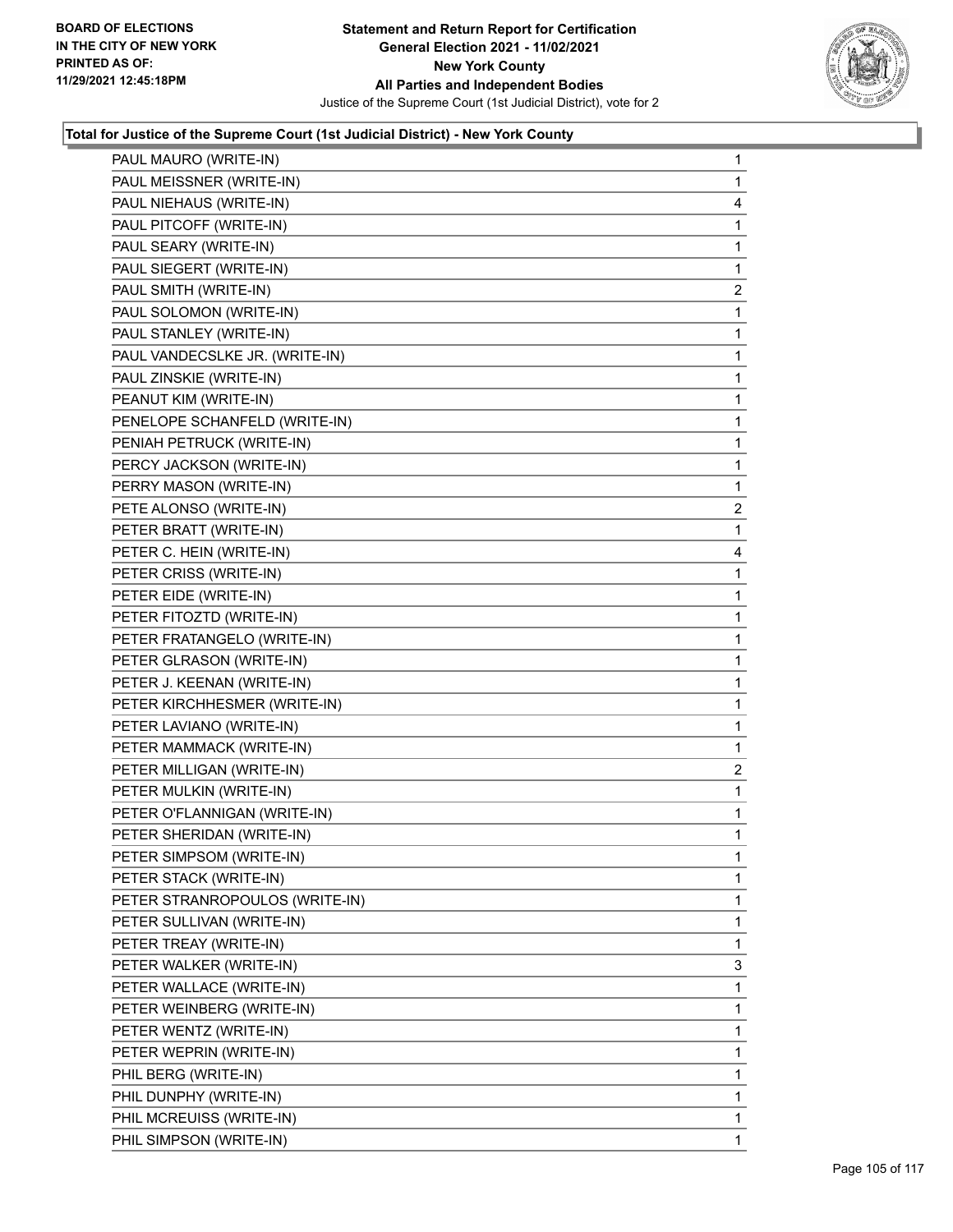

| PAUL MAURO (WRITE-IN)          | $\mathbf{1}$   |
|--------------------------------|----------------|
| PAUL MEISSNER (WRITE-IN)       | 1              |
| PAUL NIEHAUS (WRITE-IN)        | 4              |
| PAUL PITCOFF (WRITE-IN)        | 1              |
| PAUL SEARY (WRITE-IN)          | 1              |
| PAUL SIEGERT (WRITE-IN)        | 1              |
| PAUL SMITH (WRITE-IN)          | $\overline{c}$ |
| PAUL SOLOMON (WRITE-IN)        | 1              |
| PAUL STANLEY (WRITE-IN)        | 1              |
| PAUL VANDECSLKE JR. (WRITE-IN) | 1              |
| PAUL ZINSKIE (WRITE-IN)        | 1              |
| PEANUT KIM (WRITE-IN)          | 1              |
| PENELOPE SCHANFELD (WRITE-IN)  | 1              |
| PENIAH PETRUCK (WRITE-IN)      | 1              |
| PERCY JACKSON (WRITE-IN)       | 1              |
| PERRY MASON (WRITE-IN)         | 1              |
| PETE ALONSO (WRITE-IN)         | 2              |
| PETER BRATT (WRITE-IN)         | 1              |
| PETER C. HEIN (WRITE-IN)       | 4              |
| PETER CRISS (WRITE-IN)         | 1              |
| PETER EIDE (WRITE-IN)          | 1              |
| PETER FITOZTD (WRITE-IN)       | 1              |
| PETER FRATANGELO (WRITE-IN)    | 1              |
| PETER GLRASON (WRITE-IN)       | 1              |
| PETER J. KEENAN (WRITE-IN)     | 1              |
| PETER KIRCHHESMER (WRITE-IN)   | 1              |
| PETER LAVIANO (WRITE-IN)       | 1              |
| PETER MAMMACK (WRITE-IN)       | 1              |
| PETER MILLIGAN (WRITE-IN)      | 2              |
| PETER MULKIN (WRITE-IN)        | 1              |
| PETER O'FLANNIGAN (WRITE-IN)   | 1              |
| PETER SHERIDAN (WRITE-IN)      | 1              |
| PETER SIMPSOM (WRITE-IN)       | 1              |
| PETER STACK (WRITE-IN)         | 1              |
| PETER STRANROPOULOS (WRITE-IN) | 1              |
| PETER SULLIVAN (WRITE-IN)      | 1              |
| PETER TREAY (WRITE-IN)         | 1              |
| PETER WALKER (WRITE-IN)        | 3              |
| PETER WALLACE (WRITE-IN)       | 1              |
| PETER WEINBERG (WRITE-IN)      | 1              |
| PETER WENTZ (WRITE-IN)         | 1              |
| PETER WEPRIN (WRITE-IN)        | 1              |
| PHIL BERG (WRITE-IN)           | 1              |
| PHIL DUNPHY (WRITE-IN)         | 1              |
| PHIL MCREUISS (WRITE-IN)       | 1              |
| PHIL SIMPSON (WRITE-IN)        | 1.             |
|                                |                |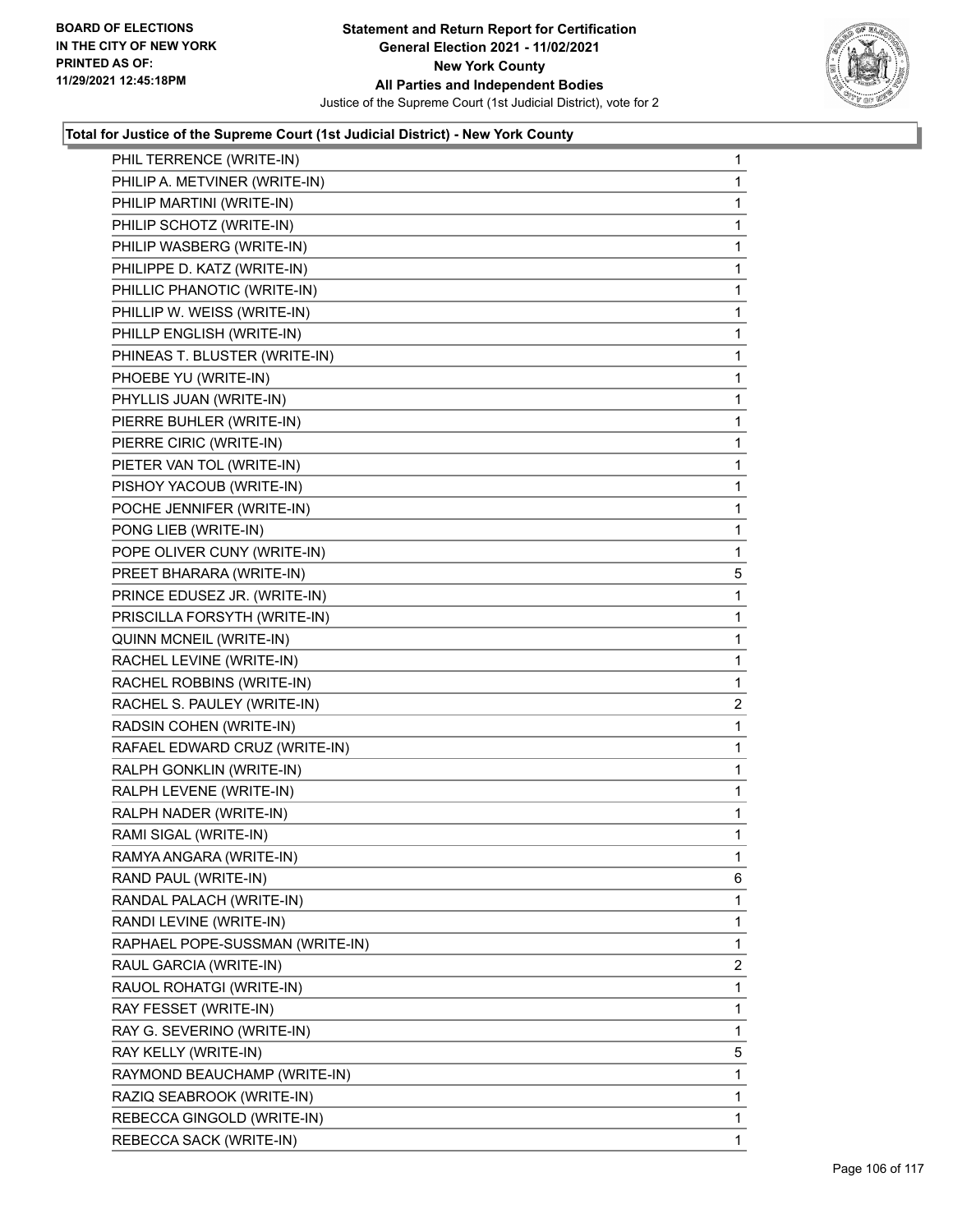

| PHIL TERRENCE (WRITE-IN)        | 1              |
|---------------------------------|----------------|
| PHILIP A. METVINER (WRITE-IN)   | 1              |
| PHILIP MARTINI (WRITE-IN)       | 1              |
| PHILIP SCHOTZ (WRITE-IN)        | $\mathbf 1$    |
| PHILIP WASBERG (WRITE-IN)       | 1              |
| PHILIPPE D. KATZ (WRITE-IN)     | 1              |
| PHILLIC PHANOTIC (WRITE-IN)     | $\mathbf{1}$   |
| PHILLIP W. WEISS (WRITE-IN)     | 1              |
| PHILLP ENGLISH (WRITE-IN)       | 1              |
| PHINEAS T. BLUSTER (WRITE-IN)   | 1              |
| PHOEBE YU (WRITE-IN)            | 1              |
| PHYLLIS JUAN (WRITE-IN)         | 1              |
| PIERRE BUHLER (WRITE-IN)        | $\mathbf{1}$   |
| PIERRE CIRIC (WRITE-IN)         | 1              |
| PIETER VAN TOL (WRITE-IN)       | 1              |
| PISHOY YACOUB (WRITE-IN)        | 1              |
| POCHE JENNIFER (WRITE-IN)       | 1              |
| PONG LIEB (WRITE-IN)            | 1              |
| POPE OLIVER CUNY (WRITE-IN)     | $\mathbf{1}$   |
| PREET BHARARA (WRITE-IN)        | 5              |
| PRINCE EDUSEZ JR. (WRITE-IN)    | 1              |
| PRISCILLA FORSYTH (WRITE-IN)    | 1              |
| QUINN MCNEIL (WRITE-IN)         | 1              |
| RACHEL LEVINE (WRITE-IN)        | 1              |
| RACHEL ROBBINS (WRITE-IN)       | $\mathbf{1}$   |
| RACHEL S. PAULEY (WRITE-IN)     | $\overline{c}$ |
| RADSIN COHEN (WRITE-IN)         | 1              |
| RAFAEL EDWARD CRUZ (WRITE-IN)   | 1              |
| RALPH GONKLIN (WRITE-IN)        | 1              |
| RALPH LEVENE (WRITE-IN)         | 1              |
| RALPH NADER (WRITE-IN)          | $\mathbf{1}$   |
| RAMI SIGAL (WRITE-IN)           | 1              |
| RAMYA ANGARA (WRITE-IN)         | 1              |
| RAND PAUL (WRITE-IN)            | 6              |
| RANDAL PALACH (WRITE-IN)        | 1              |
| RANDI LEVINE (WRITE-IN)         | 1              |
| RAPHAEL POPE-SUSSMAN (WRITE-IN) | 1              |
| RAUL GARCIA (WRITE-IN)          | 2              |
| RAUOL ROHATGI (WRITE-IN)        | 1              |
| RAY FESSET (WRITE-IN)           | 1              |
| RAY G. SEVERINO (WRITE-IN)      | 1              |
| RAY KELLY (WRITE-IN)            | 5              |
| RAYMOND BEAUCHAMP (WRITE-IN)    | 1              |
| RAZIQ SEABROOK (WRITE-IN)       | 1              |
| REBECCA GINGOLD (WRITE-IN)      | 1              |
| REBECCA SACK (WRITE-IN)         | 1              |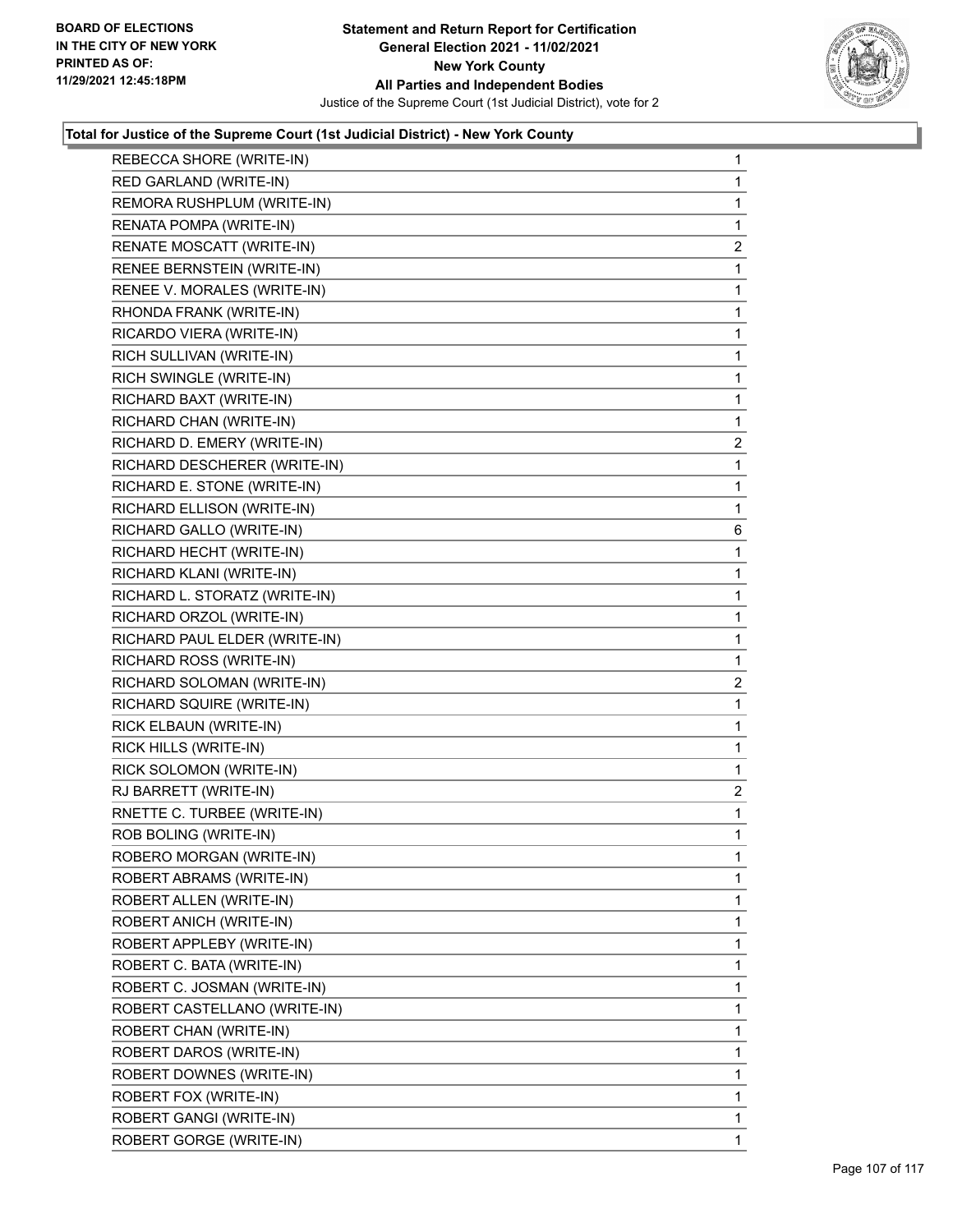

| REBECCA SHORE (WRITE-IN)      | $\mathbf{1}$   |
|-------------------------------|----------------|
| RED GARLAND (WRITE-IN)        | $\mathbf{1}$   |
| REMORA RUSHPLUM (WRITE-IN)    | 1              |
| RENATA POMPA (WRITE-IN)       | 1              |
| RENATE MOSCATT (WRITE-IN)     | 2              |
| RENEE BERNSTEIN (WRITE-IN)    | 1              |
| RENEE V. MORALES (WRITE-IN)   | 1              |
| RHONDA FRANK (WRITE-IN)       | $\mathbf{1}$   |
| RICARDO VIERA (WRITE-IN)      | 1              |
| RICH SULLIVAN (WRITE-IN)      | 1              |
| RICH SWINGLE (WRITE-IN)       | $\mathbf{1}$   |
| RICHARD BAXT (WRITE-IN)       | 1              |
| RICHARD CHAN (WRITE-IN)       | 1              |
| RICHARD D. EMERY (WRITE-IN)   | 2              |
| RICHARD DESCHERER (WRITE-IN)  | 1              |
| RICHARD E. STONE (WRITE-IN)   | $\mathbf{1}$   |
| RICHARD ELLISON (WRITE-IN)    | $\mathbf{1}$   |
| RICHARD GALLO (WRITE-IN)      | 6              |
| RICHARD HECHT (WRITE-IN)      | 1              |
| RICHARD KLANI (WRITE-IN)      | $\mathbf{1}$   |
| RICHARD L. STORATZ (WRITE-IN) | 1              |
| RICHARD ORZOL (WRITE-IN)      | $\mathbf{1}$   |
| RICHARD PAUL ELDER (WRITE-IN) | $\mathbf{1}$   |
| RICHARD ROSS (WRITE-IN)       | $\mathbf{1}$   |
| RICHARD SOLOMAN (WRITE-IN)    | $\overline{2}$ |
| RICHARD SQUIRE (WRITE-IN)     | $\mathbf{1}$   |
| RICK ELBAUN (WRITE-IN)        | 1              |
| RICK HILLS (WRITE-IN)         | $\mathbf{1}$   |
| RICK SOLOMON (WRITE-IN)       | $\mathbf 1$    |
| RJ BARRETT (WRITE-IN)         | $\overline{2}$ |
| RNETTE C. TURBEE (WRITE-IN)   | 1              |
| ROB BOLING (WRITE-IN)         | $\mathbf{1}$   |
| ROBERO MORGAN (WRITE-IN)      | $\mathbf 1$    |
| ROBERT ABRAMS (WRITE-IN)      | 1              |
| ROBERT ALLEN (WRITE-IN)       | $\mathbf{1}$   |
| ROBERT ANICH (WRITE-IN)       | 1              |
| ROBERT APPLEBY (WRITE-IN)     | 1              |
| ROBERT C. BATA (WRITE-IN)     | 1              |
| ROBERT C. JOSMAN (WRITE-IN)   | 1              |
| ROBERT CASTELLANO (WRITE-IN)  | 1              |
| ROBERT CHAN (WRITE-IN)        | $\mathbf{1}$   |
| ROBERT DAROS (WRITE-IN)       | 1              |
| ROBERT DOWNES (WRITE-IN)      | 1              |
| ROBERT FOX (WRITE-IN)         | 1              |
| ROBERT GANGI (WRITE-IN)       | $\mathbf{1}$   |
| ROBERT GORGE (WRITE-IN)       | 1              |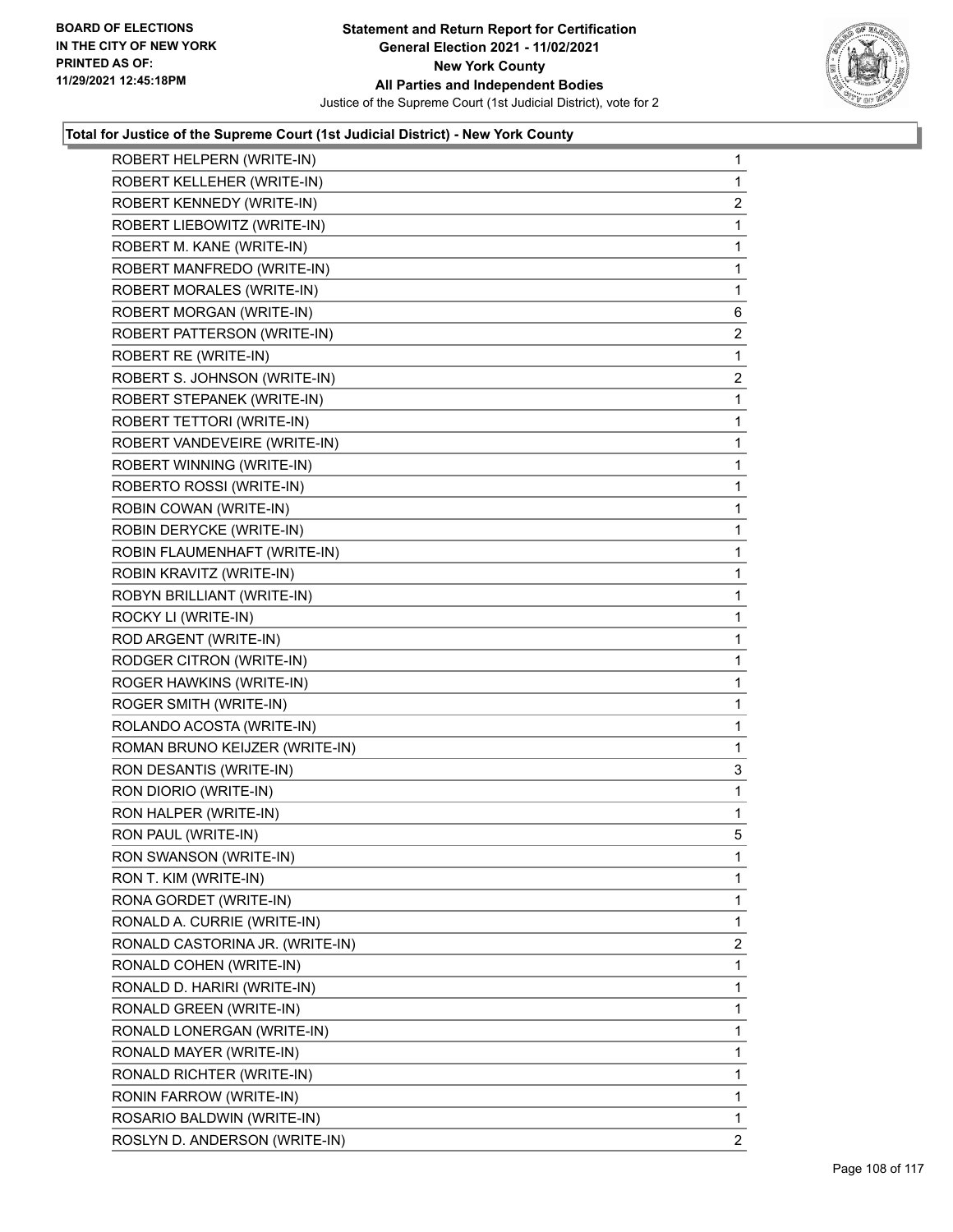

| ROBERT HELPERN (WRITE-IN)       | $\mathbf{1}$   |
|---------------------------------|----------------|
| ROBERT KELLEHER (WRITE-IN)      | 1              |
| ROBERT KENNEDY (WRITE-IN)       | $\overline{2}$ |
| ROBERT LIEBOWITZ (WRITE-IN)     | $\mathbf{1}$   |
| ROBERT M. KANE (WRITE-IN)       | 1              |
| ROBERT MANFREDO (WRITE-IN)      | 1              |
| ROBERT MORALES (WRITE-IN)       | $\mathbf{1}$   |
| ROBERT MORGAN (WRITE-IN)        | 6              |
| ROBERT PATTERSON (WRITE-IN)     | $\overline{2}$ |
| ROBERT RE (WRITE-IN)            | 1              |
| ROBERT S. JOHNSON (WRITE-IN)    | 2              |
| ROBERT STEPANEK (WRITE-IN)      | 1              |
| ROBERT TETTORI (WRITE-IN)       | $\mathbf{1}$   |
| ROBERT VANDEVEIRE (WRITE-IN)    | 1              |
| ROBERT WINNING (WRITE-IN)       | 1              |
| ROBERTO ROSSI (WRITE-IN)        | $\mathbf 1$    |
| ROBIN COWAN (WRITE-IN)          | 1              |
| ROBIN DERYCKE (WRITE-IN)        | 1              |
| ROBIN FLAUMENHAFT (WRITE-IN)    | $\mathbf 1$    |
| ROBIN KRAVITZ (WRITE-IN)        | 1              |
| ROBYN BRILLIANT (WRITE-IN)      | 1              |
| ROCKY LI (WRITE-IN)             | $\mathbf 1$    |
| ROD ARGENT (WRITE-IN)           | 1              |
| RODGER CITRON (WRITE-IN)        | 1              |
| ROGER HAWKINS (WRITE-IN)        | $\mathbf 1$    |
| ROGER SMITH (WRITE-IN)          | 1              |
| ROLANDO ACOSTA (WRITE-IN)       | 1              |
| ROMAN BRUNO KEIJZER (WRITE-IN)  | 1              |
| RON DESANTIS (WRITE-IN)         | 3              |
| RON DIORIO (WRITE-IN)           | 1              |
| RON HALPER (WRITE-IN)           | 1              |
| RON PAUL (WRITE-IN)             | 5              |
| RON SWANSON (WRITE-IN)          | $\mathbf 1$    |
| RON T. KIM (WRITE-IN)           | 1              |
| RONA GORDET (WRITE-IN)          | 1              |
| RONALD A. CURRIE (WRITE-IN)     | 1              |
| RONALD CASTORINA JR. (WRITE-IN) | 2              |
| RONALD COHEN (WRITE-IN)         | 1              |
| RONALD D. HARIRI (WRITE-IN)     | 1              |
| RONALD GREEN (WRITE-IN)         | 1              |
| RONALD LONERGAN (WRITE-IN)      | 1              |
| RONALD MAYER (WRITE-IN)         | 1              |
| RONALD RICHTER (WRITE-IN)       | 1              |
| RONIN FARROW (WRITE-IN)         | 1              |
| ROSARIO BALDWIN (WRITE-IN)      | $\mathbf{1}$   |
| ROSLYN D. ANDERSON (WRITE-IN)   | $\mathbf{2}$   |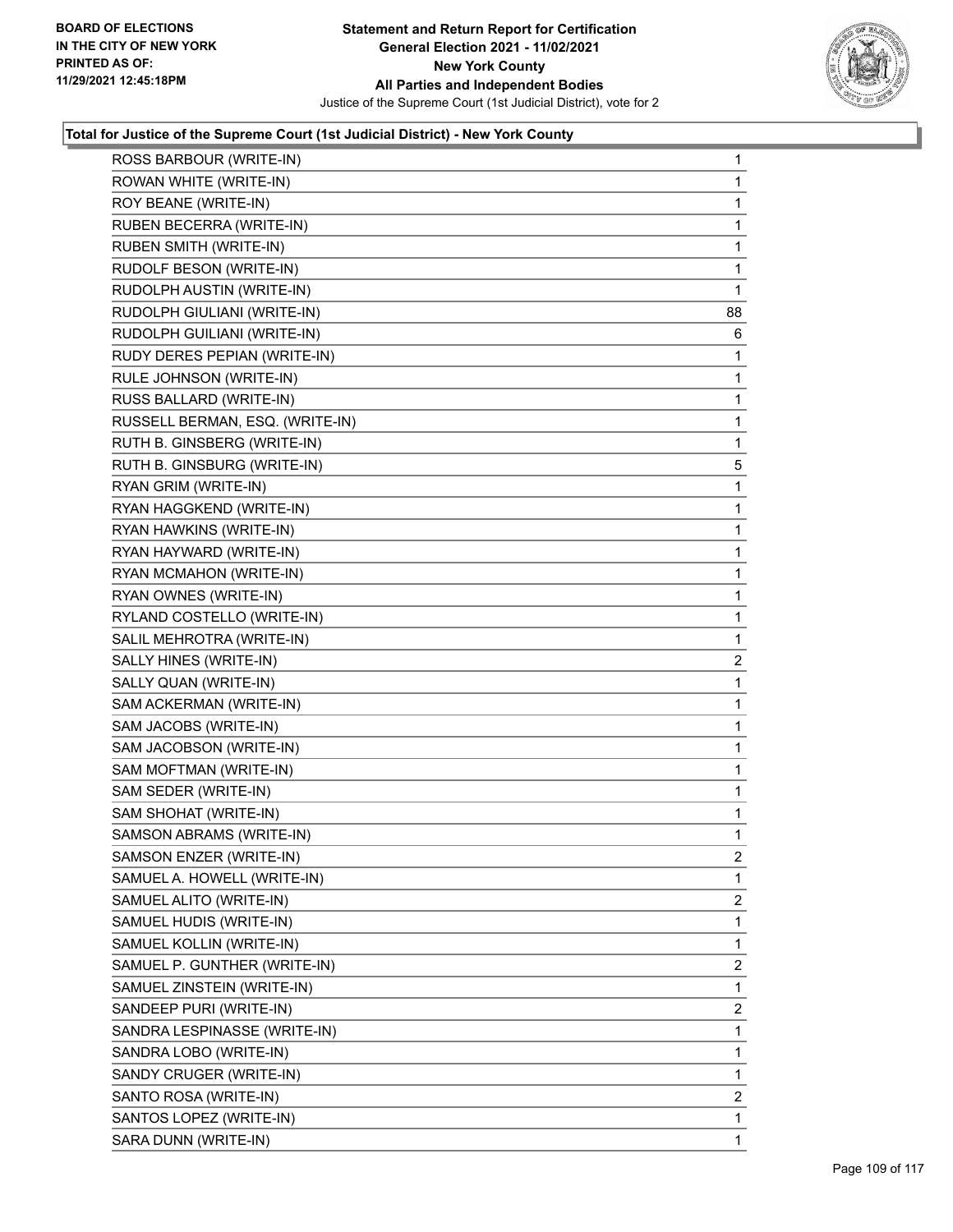

| ROSS BARBOUR (WRITE-IN)         | 1  |
|---------------------------------|----|
| ROWAN WHITE (WRITE-IN)          | 1  |
| ROY BEANE (WRITE-IN)            | 1  |
| RUBEN BECERRA (WRITE-IN)        | 1  |
| <b>RUBEN SMITH (WRITE-IN)</b>   | 1  |
| RUDOLF BESON (WRITE-IN)         | 1  |
| RUDOLPH AUSTIN (WRITE-IN)       | 1  |
| RUDOLPH GIULIANI (WRITE-IN)     | 88 |
| RUDOLPH GUILIANI (WRITE-IN)     | 6  |
| RUDY DERES PEPIAN (WRITE-IN)    | 1  |
| RULE JOHNSON (WRITE-IN)         | 1  |
| RUSS BALLARD (WRITE-IN)         | 1  |
| RUSSELL BERMAN, ESQ. (WRITE-IN) | 1  |
| RUTH B. GINSBERG (WRITE-IN)     | 1  |
| RUTH B. GINSBURG (WRITE-IN)     | 5  |
| RYAN GRIM (WRITE-IN)            | 1  |
| RYAN HAGGKEND (WRITE-IN)        | 1  |
| RYAN HAWKINS (WRITE-IN)         | 1  |
| RYAN HAYWARD (WRITE-IN)         | 1  |
| RYAN MCMAHON (WRITE-IN)         | 1  |
| RYAN OWNES (WRITE-IN)           | 1  |
| RYLAND COSTELLO (WRITE-IN)      | 1  |
| SALIL MEHROTRA (WRITE-IN)       | 1  |
| SALLY HINES (WRITE-IN)          | 2  |
| SALLY QUAN (WRITE-IN)           | 1  |
| SAM ACKERMAN (WRITE-IN)         | 1  |
| SAM JACOBS (WRITE-IN)           | 1  |
| SAM JACOBSON (WRITE-IN)         | 1  |
| SAM MOFTMAN (WRITE-IN)          | 1  |
| SAM SEDER (WRITE-IN)            | 1  |
| SAM SHOHAT (WRITE-IN)           | 1  |
| SAMSON ABRAMS (WRITE-IN)        | 1  |
| SAMSON ENZER (WRITE-IN)         | 2  |
| SAMUEL A. HOWELL (WRITE-IN)     | 1  |
| SAMUEL ALITO (WRITE-IN)         | 2  |
| SAMUEL HUDIS (WRITE-IN)         | 1  |
| SAMUEL KOLLIN (WRITE-IN)        | 1  |
| SAMUEL P. GUNTHER (WRITE-IN)    | 2  |
| SAMUEL ZINSTEIN (WRITE-IN)      | 1  |
| SANDEEP PURI (WRITE-IN)         | 2  |
| SANDRA LESPINASSE (WRITE-IN)    | 1  |
| SANDRA LOBO (WRITE-IN)          | 1  |
| SANDY CRUGER (WRITE-IN)         | 1  |
| SANTO ROSA (WRITE-IN)           | 2  |
| SANTOS LOPEZ (WRITE-IN)         | 1  |
| SARA DUNN (WRITE-IN)            | 1  |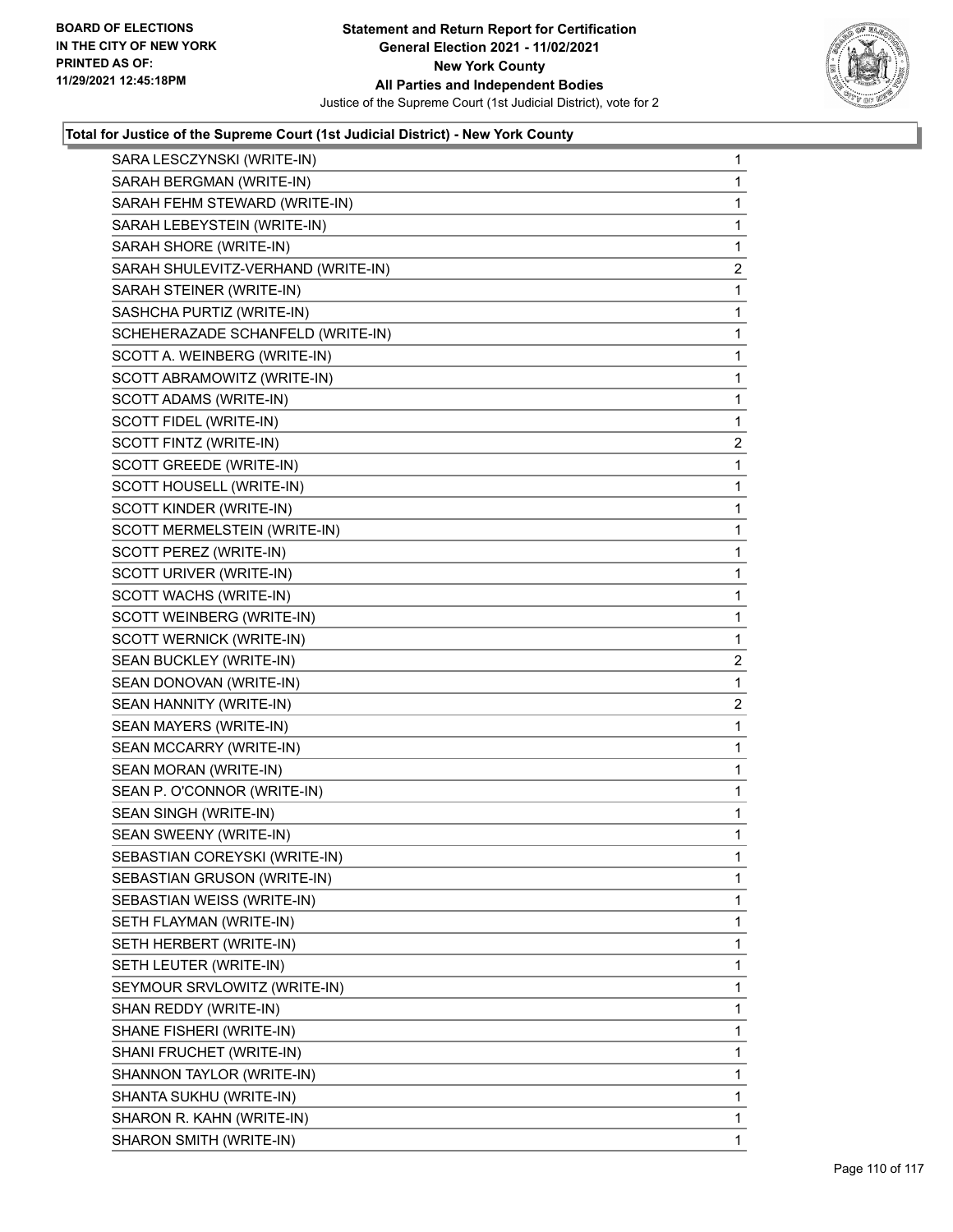

| SARA LESCZYNSKI (WRITE-IN)         | 1              |
|------------------------------------|----------------|
| SARAH BERGMAN (WRITE-IN)           | 1              |
| SARAH FEHM STEWARD (WRITE-IN)      | 1              |
| SARAH LEBEYSTEIN (WRITE-IN)        | 1              |
| SARAH SHORE (WRITE-IN)             | 1              |
| SARAH SHULEVITZ-VERHAND (WRITE-IN) | $\overline{2}$ |
| SARAH STEINER (WRITE-IN)           | 1              |
| SASHCHA PURTIZ (WRITE-IN)          | 1              |
| SCHEHERAZADE SCHANFELD (WRITE-IN)  | 1              |
| SCOTT A. WEINBERG (WRITE-IN)       | 1              |
| SCOTT ABRAMOWITZ (WRITE-IN)        | 1              |
| SCOTT ADAMS (WRITE-IN)             | 1              |
| SCOTT FIDEL (WRITE-IN)             | 1              |
| SCOTT FINTZ (WRITE-IN)             | 2              |
| SCOTT GREEDE (WRITE-IN)            | $\mathbf{1}$   |
| SCOTT HOUSELL (WRITE-IN)           | 1              |
| SCOTT KINDER (WRITE-IN)            | 1              |
| SCOTT MERMELSTEIN (WRITE-IN)       | 1              |
| SCOTT PEREZ (WRITE-IN)             | 1              |
| SCOTT URIVER (WRITE-IN)            | 1              |
| SCOTT WACHS (WRITE-IN)             | 1              |
| SCOTT WEINBERG (WRITE-IN)          | 1              |
| SCOTT WERNICK (WRITE-IN)           | 1              |
| SEAN BUCKLEY (WRITE-IN)            | $\overline{2}$ |
| SEAN DONOVAN (WRITE-IN)            | 1              |
| SEAN HANNITY (WRITE-IN)            | 2              |
| SEAN MAYERS (WRITE-IN)             | $\mathbf{1}$   |
| SEAN MCCARRY (WRITE-IN)            | 1              |
| SEAN MORAN (WRITE-IN)              | 1              |
| SEAN P. O'CONNOR (WRITE-IN)        | $\mathbf 1$    |
| SEAN SINGH (WRITE-IN)              | 1              |
| SEAN SWEENY (WRITE-IN)             | 1              |
| SEBASTIAN COREYSKI (WRITE-IN)      | 1              |
| SEBASTIAN GRUSON (WRITE-IN)        | 1              |
| SEBASTIAN WEISS (WRITE-IN)         | 1              |
| SETH FLAYMAN (WRITE-IN)            | 1              |
| SETH HERBERT (WRITE-IN)            | 1              |
| SETH LEUTER (WRITE-IN)             | 1              |
| SEYMOUR SRVLOWITZ (WRITE-IN)       | 1              |
| SHAN REDDY (WRITE-IN)              | 1              |
| SHANE FISHERI (WRITE-IN)           | 1              |
| SHANI FRUCHET (WRITE-IN)           | 1              |
| SHANNON TAYLOR (WRITE-IN)          | 1              |
| SHANTA SUKHU (WRITE-IN)            | 1              |
| SHARON R. KAHN (WRITE-IN)          | 1              |
| SHARON SMITH (WRITE-IN)            | 1              |
|                                    |                |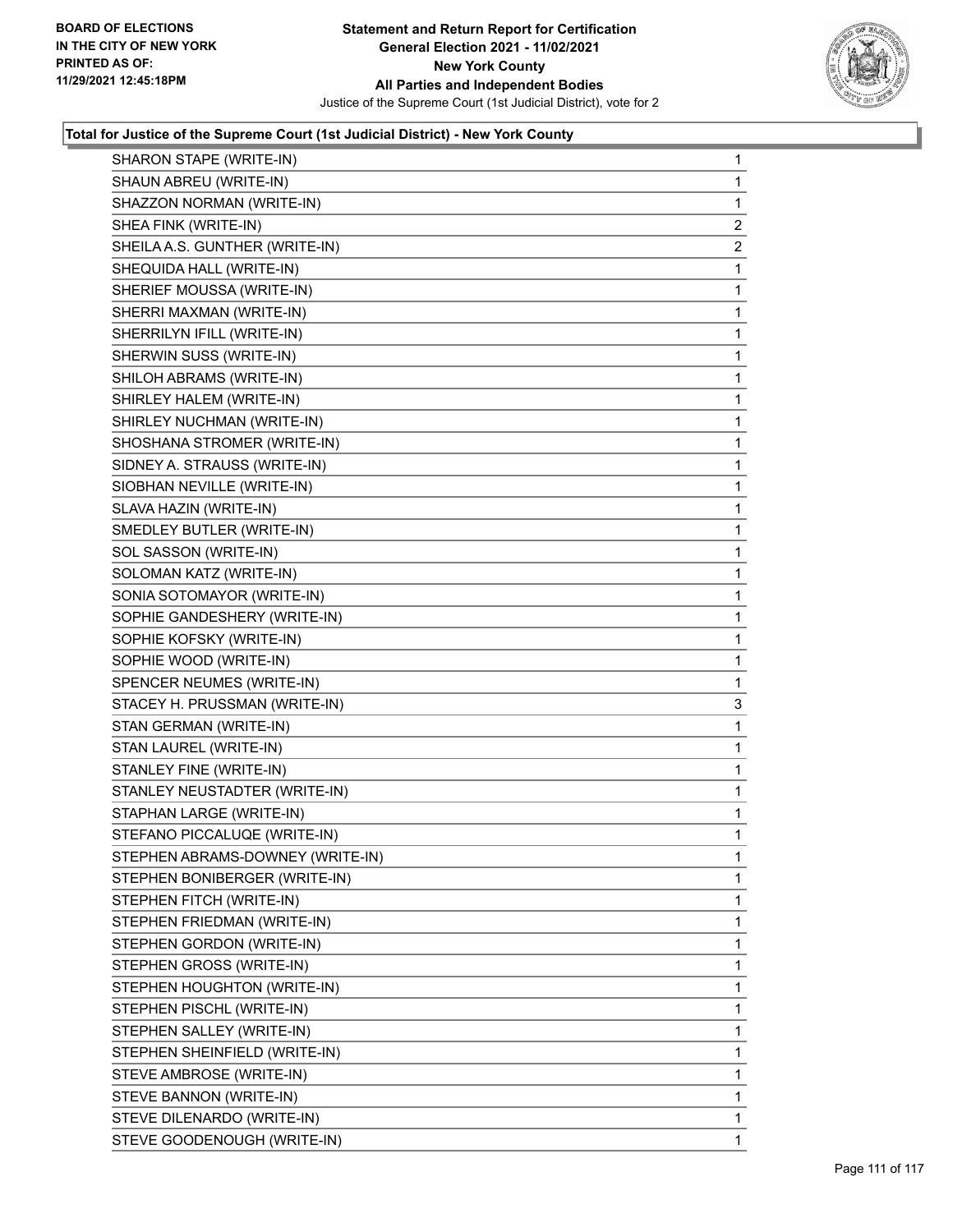

| SHARON STAPE (WRITE-IN)          | $\mathbf{1}$   |
|----------------------------------|----------------|
| SHAUN ABREU (WRITE-IN)           | $\mathbf{1}$   |
| SHAZZON NORMAN (WRITE-IN)        | $\mathbf{1}$   |
| SHEA FINK (WRITE-IN)             | $\overline{2}$ |
| SHEILA A.S. GUNTHER (WRITE-IN)   | 2              |
| SHEQUIDA HALL (WRITE-IN)         | 1              |
| SHERIEF MOUSSA (WRITE-IN)        | 1              |
| SHERRI MAXMAN (WRITE-IN)         | $\mathbf{1}$   |
| SHERRILYN IFILL (WRITE-IN)       | 1              |
| SHERWIN SUSS (WRITE-IN)          | $\mathbf 1$    |
| SHILOH ABRAMS (WRITE-IN)         | $\mathbf 1$    |
| SHIRLEY HALEM (WRITE-IN)         | 1              |
| SHIRLEY NUCHMAN (WRITE-IN)       | 1              |
| SHOSHANA STROMER (WRITE-IN)      | $\mathbf{1}$   |
| SIDNEY A. STRAUSS (WRITE-IN)     | 1              |
| SIOBHAN NEVILLE (WRITE-IN)       | $\mathbf 1$    |
| SLAVA HAZIN (WRITE-IN)           | $\mathbf 1$    |
| SMEDLEY BUTLER (WRITE-IN)        | 1              |
| SOL SASSON (WRITE-IN)            | 1              |
| SOLOMAN KATZ (WRITE-IN)          | $\mathbf{1}$   |
| SONIA SOTOMAYOR (WRITE-IN)       | 1              |
| SOPHIE GANDESHERY (WRITE-IN)     | $\mathbf 1$    |
| SOPHIE KOFSKY (WRITE-IN)         | $\mathbf 1$    |
| SOPHIE WOOD (WRITE-IN)           | 1              |
| SPENCER NEUMES (WRITE-IN)        | 1              |
| STACEY H. PRUSSMAN (WRITE-IN)    | 3              |
| STAN GERMAN (WRITE-IN)           | 1              |
| STAN LAUREL (WRITE-IN)           | $\mathbf 1$    |
| STANLEY FINE (WRITE-IN)          | $\mathbf 1$    |
| STANLEY NEUSTADTER (WRITE-IN)    | 1              |
| STAPHAN LARGE (WRITE-IN)         | 1              |
| STEFANO PICCALUQE (WRITE-IN)     | $\mathbf{1}$   |
| STEPHEN ABRAMS-DOWNEY (WRITE-IN) | $\mathbf 1$    |
| STEPHEN BONIBERGER (WRITE-IN)    | 1              |
| STEPHEN FITCH (WRITE-IN)         | $\mathbf{1}$   |
| STEPHEN FRIEDMAN (WRITE-IN)      | 1              |
| STEPHEN GORDON (WRITE-IN)        | 1              |
| STEPHEN GROSS (WRITE-IN)         | 1              |
| STEPHEN HOUGHTON (WRITE-IN)      | 1              |
| STEPHEN PISCHL (WRITE-IN)        | 1              |
| STEPHEN SALLEY (WRITE-IN)        | $\mathbf{1}$   |
| STEPHEN SHEINFIELD (WRITE-IN)    | 1              |
| STEVE AMBROSE (WRITE-IN)         | 1              |
| STEVE BANNON (WRITE-IN)          | 1              |
| STEVE DILENARDO (WRITE-IN)       | 1              |
| STEVE GOODENOUGH (WRITE-IN)      | 1              |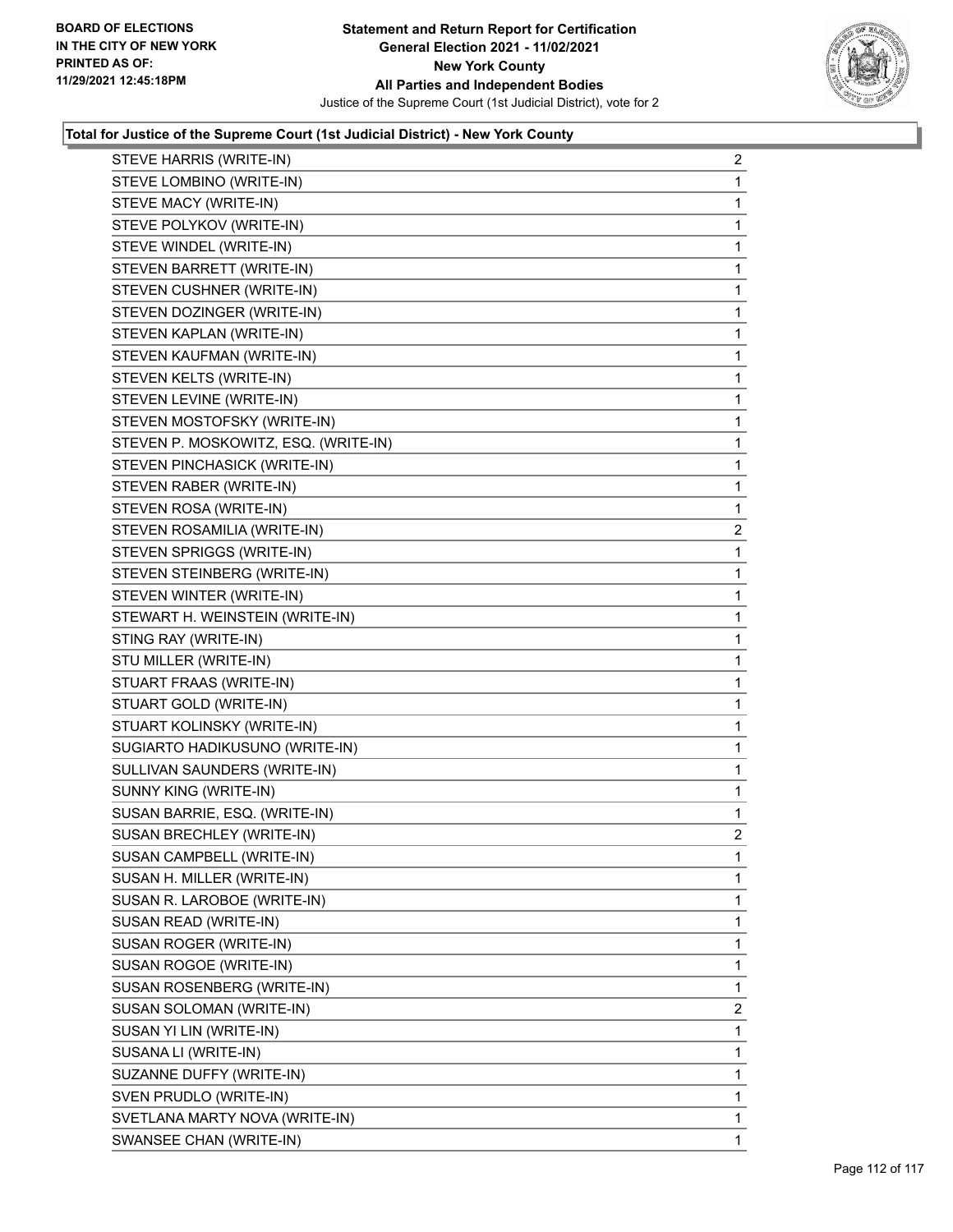

| STEVE HARRIS (WRITE-IN)              | $\overline{a}$ |
|--------------------------------------|----------------|
| STEVE LOMBINO (WRITE-IN)             | 1              |
| STEVE MACY (WRITE-IN)                | 1              |
| STEVE POLYKOV (WRITE-IN)             | 1              |
| STEVE WINDEL (WRITE-IN)              | 1              |
| STEVEN BARRETT (WRITE-IN)            | 1              |
| STEVEN CUSHNER (WRITE-IN)            | 1              |
| STEVEN DOZINGER (WRITE-IN)           | 1              |
| STEVEN KAPLAN (WRITE-IN)             | 1              |
| STEVEN KAUFMAN (WRITE-IN)            | 1              |
| STEVEN KELTS (WRITE-IN)              | 1              |
| STEVEN LEVINE (WRITE-IN)             | 1              |
| STEVEN MOSTOFSKY (WRITE-IN)          | 1              |
| STEVEN P. MOSKOWITZ, ESQ. (WRITE-IN) | 1              |
| STEVEN PINCHASICK (WRITE-IN)         | 1              |
| STEVEN RABER (WRITE-IN)              | 1              |
| STEVEN ROSA (WRITE-IN)               | 1              |
| STEVEN ROSAMILIA (WRITE-IN)          | $\overline{c}$ |
| STEVEN SPRIGGS (WRITE-IN)            | 1              |
| STEVEN STEINBERG (WRITE-IN)          | 1              |
| STEVEN WINTER (WRITE-IN)             | 1              |
| STEWART H. WEINSTEIN (WRITE-IN)      | 1              |
| STING RAY (WRITE-IN)                 | 1              |
| STU MILLER (WRITE-IN)                | 1              |
| STUART FRAAS (WRITE-IN)              | 1              |
| STUART GOLD (WRITE-IN)               | 1              |
| STUART KOLINSKY (WRITE-IN)           | 1              |
| SUGIARTO HADIKUSUNO (WRITE-IN)       | 1              |
| SULLIVAN SAUNDERS (WRITE-IN)         | $\mathbf{1}$   |
| SUNNY KING (WRITE-IN)                | 1              |
| SUSAN BARRIE, ESQ. (WRITE-IN)        | 1              |
| SUSAN BRECHLEY (WRITE-IN)            | $\overline{2}$ |
| SUSAN CAMPBELL (WRITE-IN)            | 1              |
| SUSAN H. MILLER (WRITE-IN)           | 1              |
| SUSAN R. LAROBOE (WRITE-IN)          | 1              |
| SUSAN READ (WRITE-IN)                | 1              |
| SUSAN ROGER (WRITE-IN)               | 1              |
| SUSAN ROGOE (WRITE-IN)               | 1              |
| SUSAN ROSENBERG (WRITE-IN)           | 1              |
| SUSAN SOLOMAN (WRITE-IN)             | $\overline{2}$ |
| SUSAN YI LIN (WRITE-IN)              | 1              |
| SUSANA LI (WRITE-IN)                 | 1              |
| SUZANNE DUFFY (WRITE-IN)             | 1              |
| SVEN PRUDLO (WRITE-IN)               | 1              |
| SVETLANA MARTY NOVA (WRITE-IN)       | 1              |
| SWANSEE CHAN (WRITE-IN)              | 1              |
|                                      |                |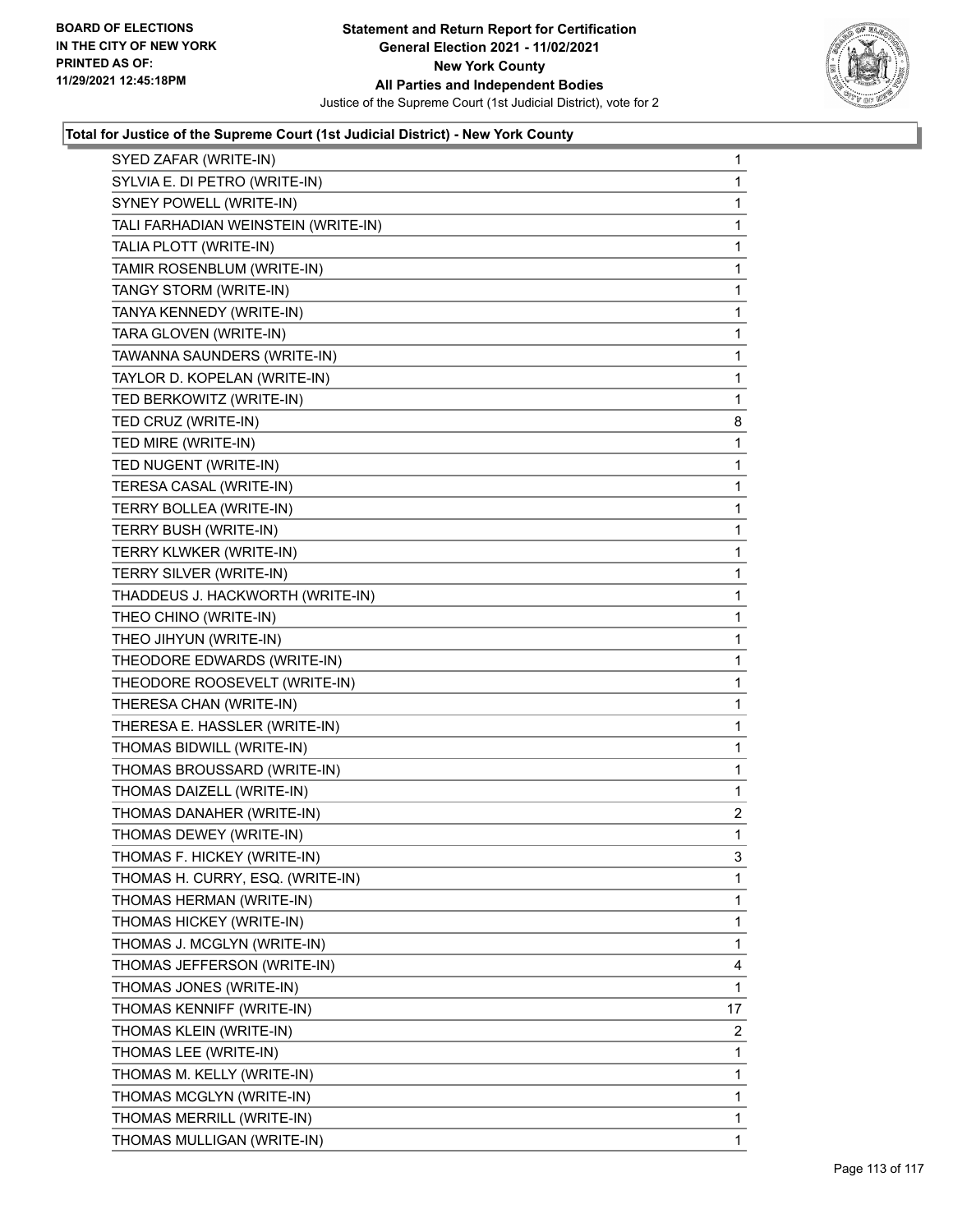

| SYED ZAFAR (WRITE-IN)               | $\mathbf{1}$   |
|-------------------------------------|----------------|
| SYLVIA E. DI PETRO (WRITE-IN)       | 1              |
| SYNEY POWELL (WRITE-IN)             | 1              |
| TALI FARHADIAN WEINSTEIN (WRITE-IN) | $\mathbf{1}$   |
| TALIA PLOTT (WRITE-IN)              | 1              |
| TAMIR ROSENBLUM (WRITE-IN)          | 1              |
| TANGY STORM (WRITE-IN)              | $\mathbf 1$    |
| TANYA KENNEDY (WRITE-IN)            | $\mathbf 1$    |
| TARA GLOVEN (WRITE-IN)              | 1              |
| TAWANNA SAUNDERS (WRITE-IN)         | $\mathbf{1}$   |
| TAYLOR D. KOPELAN (WRITE-IN)        | 1              |
| TED BERKOWITZ (WRITE-IN)            | 1              |
| TED CRUZ (WRITE-IN)                 | 8              |
| TED MIRE (WRITE-IN)                 | 1              |
| TED NUGENT (WRITE-IN)               | 1              |
| TERESA CASAL (WRITE-IN)             | $\mathbf{1}$   |
| TERRY BOLLEA (WRITE-IN)             | 1              |
| TERRY BUSH (WRITE-IN)               | 1              |
| TERRY KLWKER (WRITE-IN)             | $\mathbf 1$    |
| TERRY SILVER (WRITE-IN)             | 1              |
| THADDEUS J. HACKWORTH (WRITE-IN)    | 1              |
| THEO CHINO (WRITE-IN)               | $\mathbf{1}$   |
| THEO JIHYUN (WRITE-IN)              | 1              |
| THEODORE EDWARDS (WRITE-IN)         | 1              |
| THEODORE ROOSEVELT (WRITE-IN)       | $\mathbf 1$    |
| THERESA CHAN (WRITE-IN)             | 1              |
| THERESA E. HASSLER (WRITE-IN)       | 1              |
| THOMAS BIDWILL (WRITE-IN)           | $\mathbf{1}$   |
| THOMAS BROUSSARD (WRITE-IN)         | 1              |
| THOMAS DAIZELL (WRITE-IN)           | 1              |
| THOMAS DANAHER (WRITE-IN)           | $\overline{2}$ |
| THOMAS DEWEY (WRITE-IN)             | 1              |
| THOMAS F. HICKEY (WRITE-IN)         | 3              |
| THOMAS H. CURRY, ESQ. (WRITE-IN)    | 1              |
| THOMAS HERMAN (WRITE-IN)            | 1              |
| THOMAS HICKEY (WRITE-IN)            | 1              |
| THOMAS J. MCGLYN (WRITE-IN)         | 1              |
| THOMAS JEFFERSON (WRITE-IN)         | 4              |
| THOMAS JONES (WRITE-IN)             | 1              |
| THOMAS KENNIFF (WRITE-IN)           | 17             |
| THOMAS KLEIN (WRITE-IN)             | $\overline{2}$ |
| THOMAS LEE (WRITE-IN)               | 1              |
| THOMAS M. KELLY (WRITE-IN)          | 1              |
| THOMAS MCGLYN (WRITE-IN)            | 1              |
| THOMAS MERRILL (WRITE-IN)           | 1              |
| THOMAS MULLIGAN (WRITE-IN)          | 1              |
|                                     |                |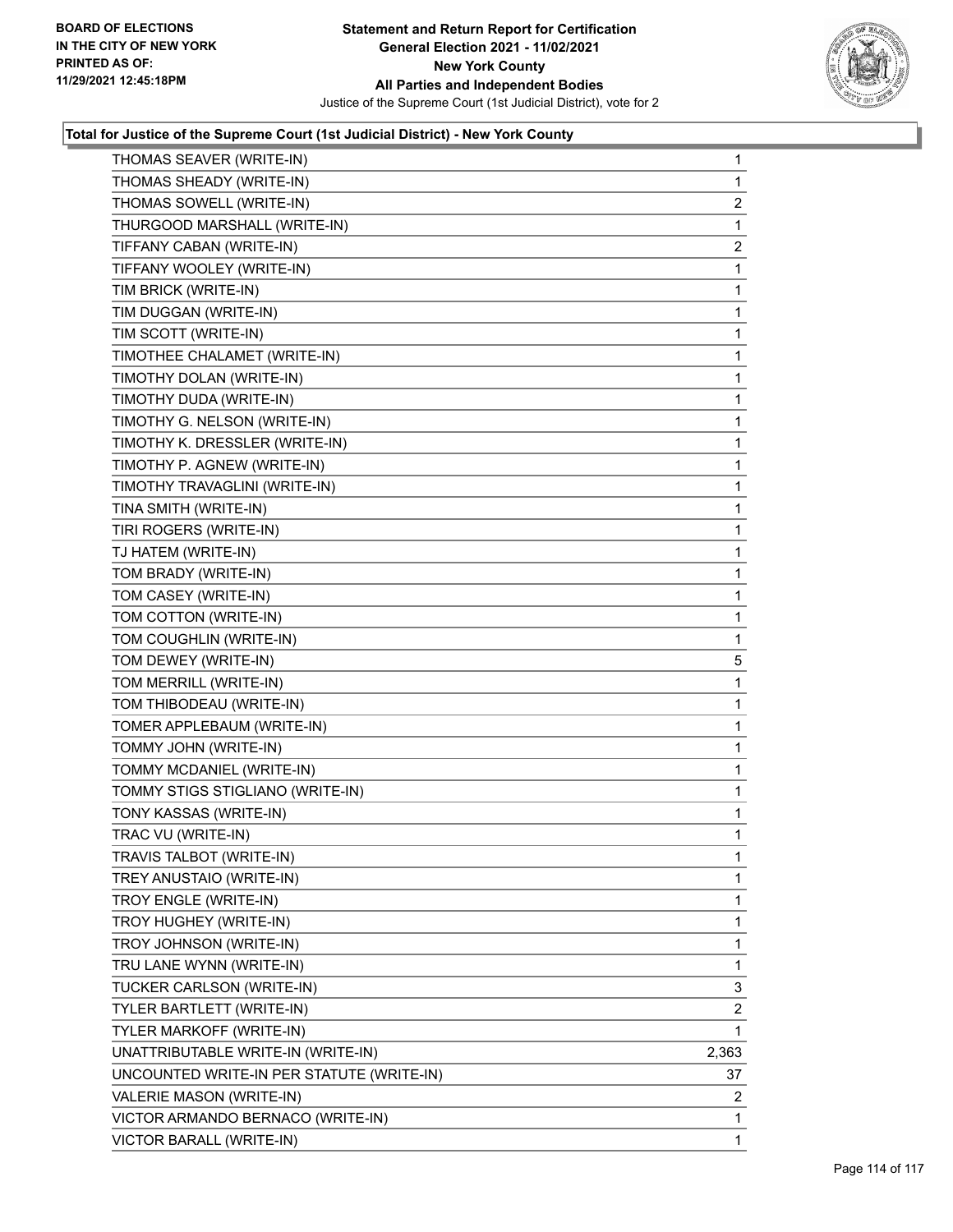

| THOMAS SEAVER (WRITE-IN)                  | $\mathbf{1}$   |
|-------------------------------------------|----------------|
| THOMAS SHEADY (WRITE-IN)                  | $\mathbf{1}$   |
| THOMAS SOWELL (WRITE-IN)                  | $\overline{c}$ |
| THURGOOD MARSHALL (WRITE-IN)              | 1              |
| TIFFANY CABAN (WRITE-IN)                  | 2              |
| TIFFANY WOOLEY (WRITE-IN)                 | 1              |
| TIM BRICK (WRITE-IN)                      | $\mathbf 1$    |
| TIM DUGGAN (WRITE-IN)                     | $\mathbf 1$    |
| TIM SCOTT (WRITE-IN)                      | 1              |
| TIMOTHEE CHALAMET (WRITE-IN)              | $\mathbf 1$    |
| TIMOTHY DOLAN (WRITE-IN)                  | 1              |
| TIMOTHY DUDA (WRITE-IN)                   | 1              |
| TIMOTHY G. NELSON (WRITE-IN)              | 1              |
| TIMOTHY K. DRESSLER (WRITE-IN)            | $\mathbf{1}$   |
| TIMOTHY P. AGNEW (WRITE-IN)               | 1              |
| TIMOTHY TRAVAGLINI (WRITE-IN)             | $\mathbf{1}$   |
| TINA SMITH (WRITE-IN)                     | 1              |
| TIRI ROGERS (WRITE-IN)                    | 1              |
| TJ HATEM (WRITE-IN)                       | 1              |
| TOM BRADY (WRITE-IN)                      | $\mathbf{1}$   |
| TOM CASEY (WRITE-IN)                      | 1              |
| TOM COTTON (WRITE-IN)                     | $\mathbf{1}$   |
| TOM COUGHLIN (WRITE-IN)                   | $\mathbf{1}$   |
| TOM DEWEY (WRITE-IN)                      | 5              |
| TOM MERRILL (WRITE-IN)                    | 1              |
| TOM THIBODEAU (WRITE-IN)                  | 1              |
| TOMER APPLEBAUM (WRITE-IN)                | 1              |
| TOMMY JOHN (WRITE-IN)                     | 1              |
| TOMMY MCDANIEL (WRITE-IN)                 | 1              |
| TOMMY STIGS STIGLIANO (WRITE-IN)          | $\mathbf{1}$   |
| TONY KASSAS (WRITE-IN)                    | 1              |
| TRAC VU (WRITE-IN)                        | 1              |
| TRAVIS TALBOT (WRITE-IN)                  | 1              |
| TREY ANUSTAIO (WRITE-IN)                  | $\mathbf 1$    |
| TROY ENGLE (WRITE-IN)                     | 1              |
| TROY HUGHEY (WRITE-IN)                    | 1              |
| TROY JOHNSON (WRITE-IN)                   | 1              |
| TRU LANE WYNN (WRITE-IN)                  | 1              |
| TUCKER CARLSON (WRITE-IN)                 | 3              |
| TYLER BARTLETT (WRITE-IN)                 | 2              |
| TYLER MARKOFF (WRITE-IN)                  | 1              |
| UNATTRIBUTABLE WRITE-IN (WRITE-IN)        | 2,363          |
| UNCOUNTED WRITE-IN PER STATUTE (WRITE-IN) | 37             |
| VALERIE MASON (WRITE-IN)                  | 2              |
| VICTOR ARMANDO BERNACO (WRITE-IN)         | 1              |
| VICTOR BARALL (WRITE-IN)                  | 1              |
|                                           |                |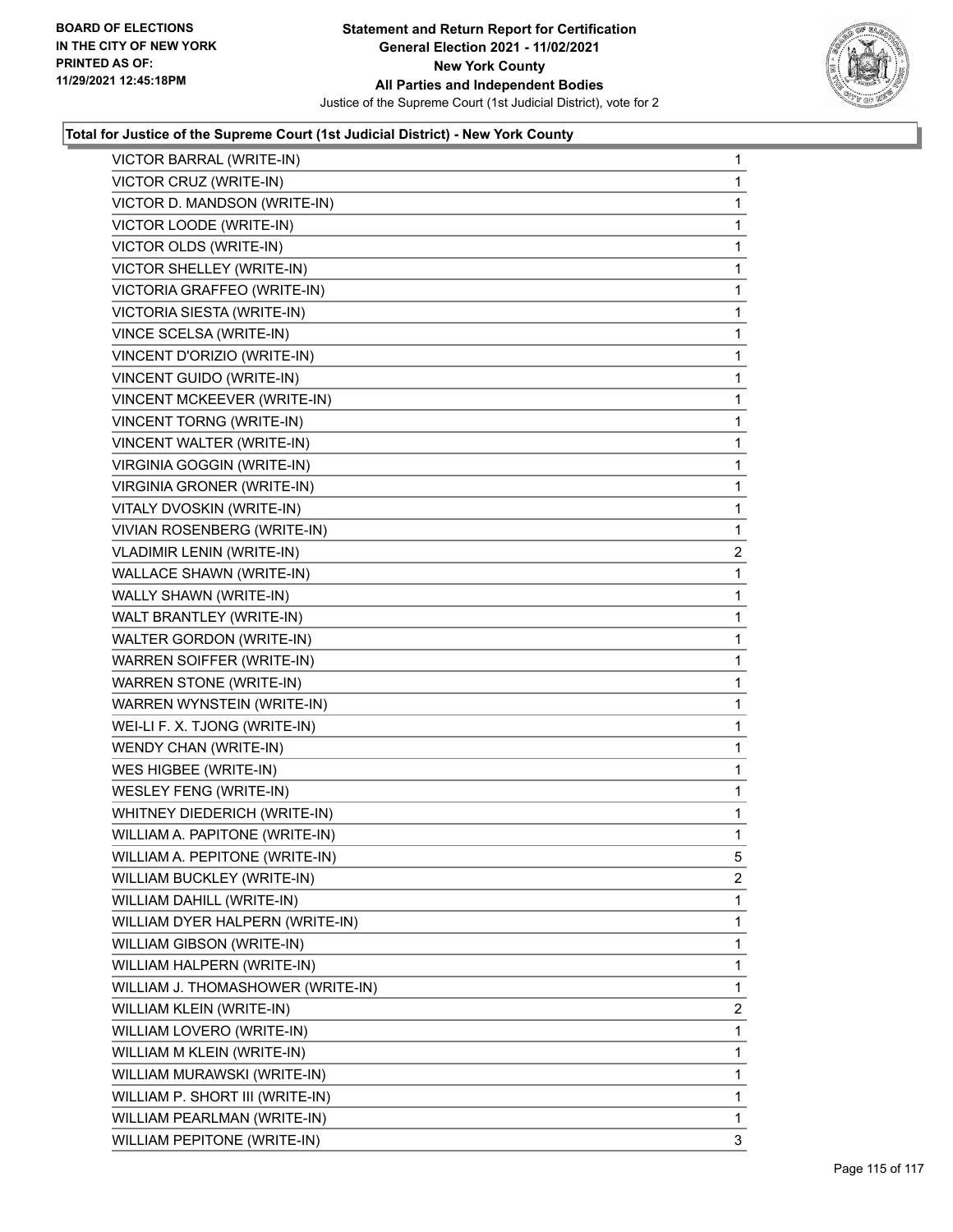

| VICTOR BARRAL (WRITE-IN)<br>VICTOR CRUZ (WRITE-IN)<br>VICTOR D. MANDSON (WRITE-IN)<br>VICTOR LOODE (WRITE-IN) | $\mathbf{1}$<br>$\mathbf{1}$ |
|---------------------------------------------------------------------------------------------------------------|------------------------------|
|                                                                                                               |                              |
|                                                                                                               | 1                            |
|                                                                                                               | $\mathbf 1$                  |
| VICTOR OLDS (WRITE-IN)                                                                                        | $\mathbf 1$                  |
| VICTOR SHELLEY (WRITE-IN)                                                                                     | 1                            |
| VICTORIA GRAFFEO (WRITE-IN)                                                                                   | 1                            |
| VICTORIA SIESTA (WRITE-IN)                                                                                    | $\mathbf{1}$                 |
| VINCE SCELSA (WRITE-IN)                                                                                       | 1                            |
| VINCENT D'ORIZIO (WRITE-IN)                                                                                   | $\mathbf 1$                  |
| VINCENT GUIDO (WRITE-IN)                                                                                      | $\mathbf 1$                  |
| VINCENT MCKEEVER (WRITE-IN)                                                                                   | 1                            |
| VINCENT TORNG (WRITE-IN)                                                                                      | 1                            |
| VINCENT WALTER (WRITE-IN)                                                                                     | $\mathbf{1}$                 |
| VIRGINIA GOGGIN (WRITE-IN)                                                                                    | 1                            |
| <b>VIRGINIA GRONER (WRITE-IN)</b>                                                                             | $\mathbf 1$                  |
| VITALY DVOSKIN (WRITE-IN)                                                                                     | $\mathbf{1}$                 |
| VIVIAN ROSENBERG (WRITE-IN)                                                                                   | $\mathbf{1}$                 |
| <b>VLADIMIR LENIN (WRITE-IN)</b>                                                                              | $\overline{2}$               |
| WALLACE SHAWN (WRITE-IN)                                                                                      | $\mathbf{1}$                 |
| WALLY SHAWN (WRITE-IN)                                                                                        | 1                            |
| WALT BRANTLEY (WRITE-IN)                                                                                      | $\mathbf 1$                  |
| WALTER GORDON (WRITE-IN)                                                                                      | $\mathbf{1}$                 |
| WARREN SOIFFER (WRITE-IN)                                                                                     | 1                            |
| <b>WARREN STONE (WRITE-IN)</b>                                                                                | 1                            |
| WARREN WYNSTEIN (WRITE-IN)                                                                                    | $\mathbf{1}$                 |
| WEI-LI F. X. TJONG (WRITE-IN)                                                                                 | 1                            |
| WENDY CHAN (WRITE-IN)                                                                                         | $\mathbf 1$                  |
| WES HIGBEE (WRITE-IN)                                                                                         | $\mathbf{1}$                 |
| <b>WESLEY FENG (WRITE-IN)</b>                                                                                 | $\mathbf{1}$                 |
| WHITNEY DIEDERICH (WRITE-IN)                                                                                  | 1                            |
| WILLIAM A. PAPITONE (WRITE-IN)                                                                                | $\mathbf{1}$                 |
| WILLIAM A. PEPITONE (WRITE-IN)                                                                                | 5                            |
| WILLIAM BUCKLEY (WRITE-IN)                                                                                    | $\overline{2}$               |
| WILLIAM DAHILL (WRITE-IN)                                                                                     | $\mathbf{1}$                 |
| WILLIAM DYER HALPERN (WRITE-IN)                                                                               | 1                            |
| WILLIAM GIBSON (WRITE-IN)                                                                                     | 1                            |
| WILLIAM HALPERN (WRITE-IN)                                                                                    | 1                            |
| WILLIAM J. THOMASHOWER (WRITE-IN)                                                                             | 1                            |
| WILLIAM KLEIN (WRITE-IN)                                                                                      | $\overline{2}$               |
|                                                                                                               | $\mathbf{1}$                 |
| WILLIAM LOVERO (WRITE-IN)                                                                                     |                              |
| WILLIAM M KLEIN (WRITE-IN)                                                                                    | 1                            |
| WILLIAM MURAWSKI (WRITE-IN)                                                                                   | 1                            |
| WILLIAM P. SHORT III (WRITE-IN)                                                                               | 1                            |
| WILLIAM PEARLMAN (WRITE-IN)                                                                                   | $\mathbf{1}$                 |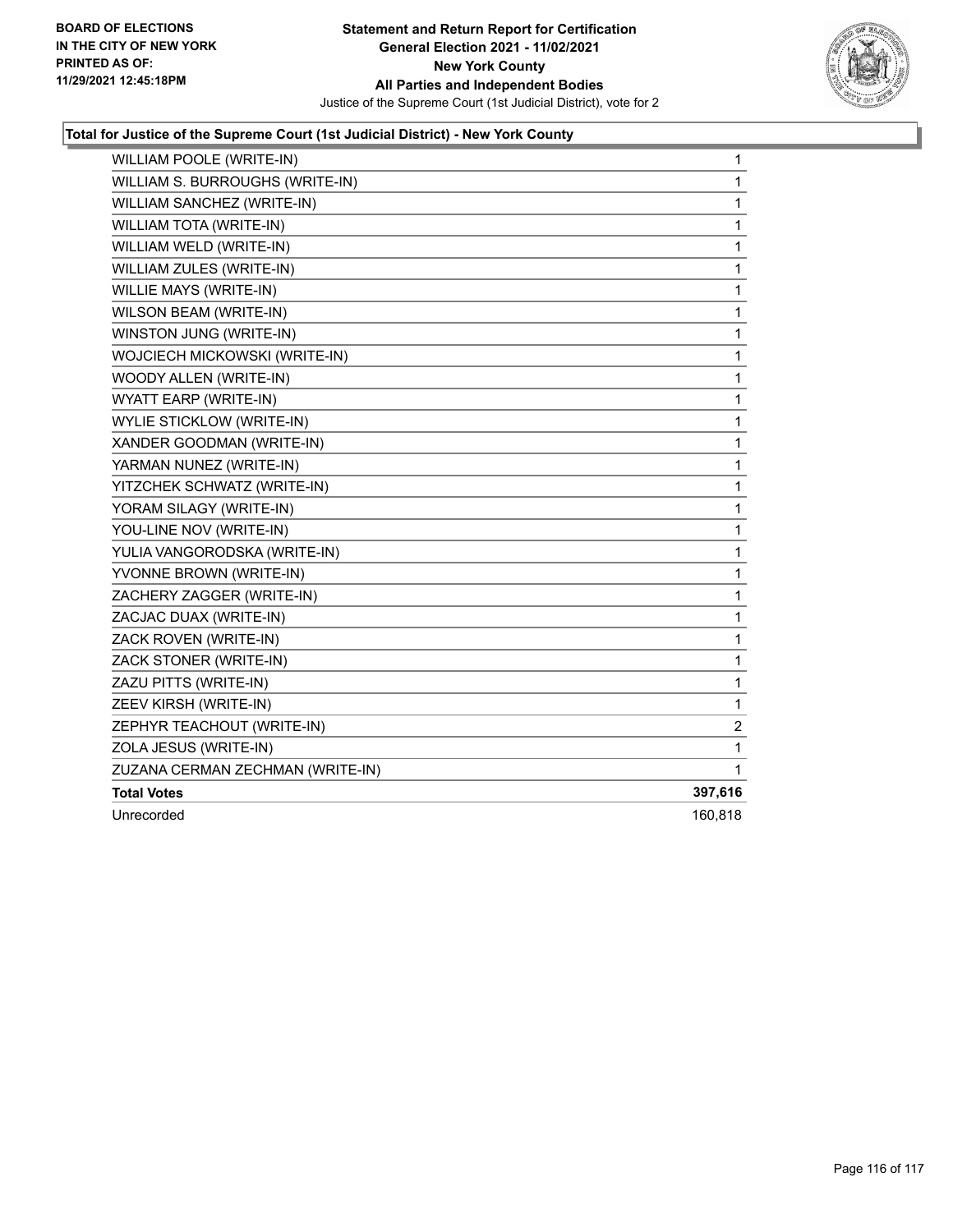

| WILLIAM POOLE (WRITE-IN)         | 1            |
|----------------------------------|--------------|
| WILLIAM S. BURROUGHS (WRITE-IN)  | $\mathbf{1}$ |
| WILLIAM SANCHEZ (WRITE-IN)       | 1            |
| WILLIAM TOTA (WRITE-IN)          | 1            |
| WILLIAM WELD (WRITE-IN)          | 1            |
| WILLIAM ZULES (WRITE-IN)         | 1            |
| WILLIE MAYS (WRITE-IN)           | 1            |
| WILSON BEAM (WRITE-IN)           | 1            |
| WINSTON JUNG (WRITE-IN)          | 1            |
| WOJCIECH MICKOWSKI (WRITE-IN)    | 1            |
| WOODY ALLEN (WRITE-IN)           | 1            |
| WYATT EARP (WRITE-IN)            | 1            |
| <b>WYLIE STICKLOW (WRITE-IN)</b> | 1            |
| XANDER GOODMAN (WRITE-IN)        | 1            |
| YARMAN NUNEZ (WRITE-IN)          | 1            |
| YITZCHEK SCHWATZ (WRITE-IN)      | 1            |
| YORAM SILAGY (WRITE-IN)          | 1            |
| YOU-LINE NOV (WRITE-IN)          | 1            |
| YULIA VANGORODSKA (WRITE-IN)     | 1            |
| YVONNE BROWN (WRITE-IN)          | 1            |
| ZACHERY ZAGGER (WRITE-IN)        | 1            |
| ZACJAC DUAX (WRITE-IN)           | 1            |
| ZACK ROVEN (WRITE-IN)            | 1            |
| ZACK STONER (WRITE-IN)           | 1            |
| ZAZU PITTS (WRITE-IN)            | 1            |
| ZEEV KIRSH (WRITE-IN)            | 1            |
| ZEPHYR TEACHOUT (WRITE-IN)       | 2            |
| ZOLA JESUS (WRITE-IN)            | 1            |
| ZUZANA CERMAN ZECHMAN (WRITE-IN) | 1            |
| <b>Total Votes</b>               | 397,616      |
| Unrecorded                       | 160,818      |